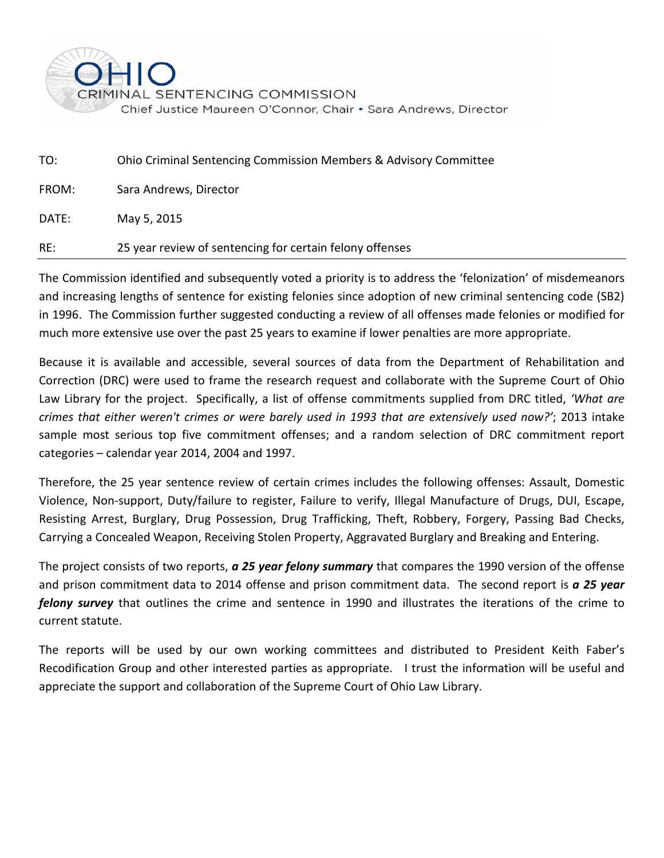

| TO:   | <b>Ohio Criminal Sentencing Commission Members &amp; Advisory Committee</b> |
|-------|-----------------------------------------------------------------------------|
| FROM: | Sara Andrews, Director                                                      |
| DATE: | May 5, 2015                                                                 |
| RE:   | 25 year review of sentencing for certain felony offenses                    |

The Commission identified and subsequently voted a priority is to address the 'felonization' of misdemeanors and increasing lengths of sentence for existing felonies since adoption of new criminal sentencing code (SB2) in 1996. The Commission further suggested conducting a review of all offenses made felonies or modified for much more extensive use over the past 25 years to examine if lower penalties are more appropriate.

Because it is available and accessible, several sources of data from the Department of Rehabilitation and Correction (DRC) were used to frame the research request and collaborate with the Supreme Court of Ohio Law Library for the project. Specifically, a list of offense commitments supplied from DRC titled, *'What are crimes that either weren't crimes or were barely used in 1993 that are extensively used now?'*; 2013 intake sample most serious top five commitment offenses; and a random selection of DRC commitment report categories – calendar year 2014, 2004 and 1997.

Therefore, the 25 year sentence review of certain crimes includes the following offenses: Assault, Domestic Violence, Non-support, Duty/failure to register, Failure to verify, Illegal Manufacture of Drugs, DUI, Escape, Resisting Arrest, Burglary, Drug Possession, Drug Trafficking, Theft, Robbery, Forgery, Passing Bad Checks, Carrying a Concealed Weapon, Receiving Stolen Property, Aggravated Burglary and Breaking and Entering.

The project consists of two reports, *a 25 year felony summary* that compares the 1990 version of the offense and prison commitment data to 2014 offense and prison commitment data. The second report is *a 25 year felony survey* that outlines the crime and sentence in 1990 and illustrates the iterations of the crime to current statute.

The reports will be used by our own working committees and distributed to President Keith Faber's Recodification Group and other interested parties as appropriate. I trust the information will be useful and appreciate the support and collaboration of the Supreme Court of Ohio Law Library.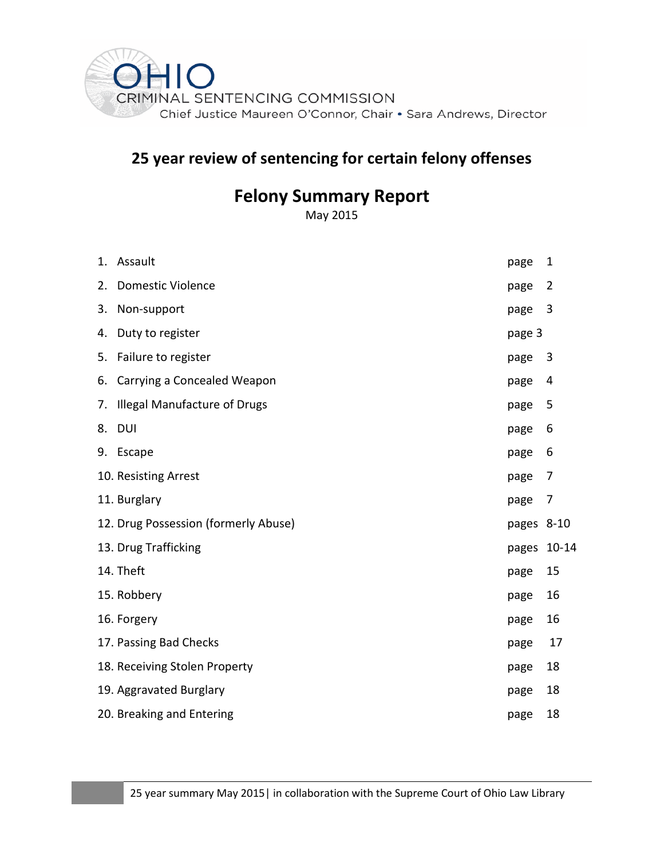

# **25 year review of sentencing for certain felony offenses**

# **Felony Summary Report**

May 2015

|    | 1. Assault                           | page        | $\mathbf{1}$   |
|----|--------------------------------------|-------------|----------------|
| 2. | <b>Domestic Violence</b>             | page        | $\overline{2}$ |
| 3. | Non-support                          | page        | $\overline{3}$ |
| 4. | Duty to register                     | page 3      |                |
| 5. | Failure to register                  | page        | $\overline{3}$ |
| 6. | Carrying a Concealed Weapon          | page        | 4              |
| 7. | Illegal Manufacture of Drugs         | page        | 5              |
| 8. | <b>DUI</b>                           | page        | 6              |
|    | 9. Escape                            | page        | 6              |
|    | 10. Resisting Arrest                 | page        | 7              |
|    | 11. Burglary                         | page        | 7              |
|    | 12. Drug Possession (formerly Abuse) | pages 8-10  |                |
|    | 13. Drug Trafficking                 | pages 10-14 |                |
|    | 14. Theft                            | page        | 15             |
|    | 15. Robbery                          | page        | 16             |
|    | 16. Forgery                          | page        | 16             |
|    | 17. Passing Bad Checks               | page        | 17             |
|    | 18. Receiving Stolen Property        | page        | 18             |
|    | 19. Aggravated Burglary              | page        | 18             |
|    | 20. Breaking and Entering            | page        | 18             |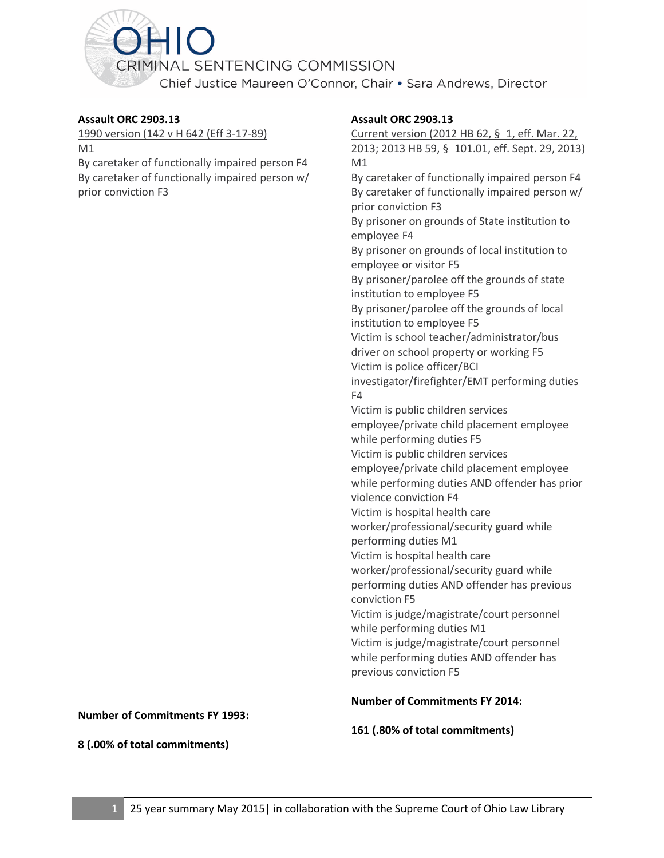<span id="page-2-0"></span>

#### **Assault ORC 2903.13**

1990 version (142 v H 642 (Eff 3-17-89)

M1

By caretaker of functionally impaired person F4 By caretaker of functionally impaired person w/ prior conviction F3

#### **Assault ORC 2903.13**

Current version (2012 HB 62, § 1, eff. Mar. 22, 2013; 2013 HB 59, § 101.01, eff. Sept. 29, 2013) M1 By caretaker of functionally impaired person F4 By caretaker of functionally impaired person w/ prior conviction F3 By prisoner on grounds of State institution to employee F4 By prisoner on grounds of local institution to employee or visitor F5 By prisoner/parolee off the grounds of state institution to employee F5 By prisoner/parolee off the grounds of local institution to employee F5 Victim is school teacher/administrator/bus driver on school property or working F5 Victim is police officer/BCI investigator/firefighter/EMT performing duties F4 Victim is public children services employee/private child placement employee while performing duties F5 Victim is public children services employee/private child placement employee while performing duties AND offender has prior violence conviction F4 Victim is hospital health care worker/professional/security guard while performing duties M1 Victim is hospital health care worker/professional/security guard while performing duties AND offender has previous conviction F5 Victim is judge/magistrate/court personnel while performing duties M1 Victim is judge/magistrate/court personnel while performing duties AND offender has previous conviction F5

**Number of Commitments FY 2014:**

**161 (.80% of total commitments)**

**Number of Commitments FY 1993:**

**8 (.00% of total commitments)**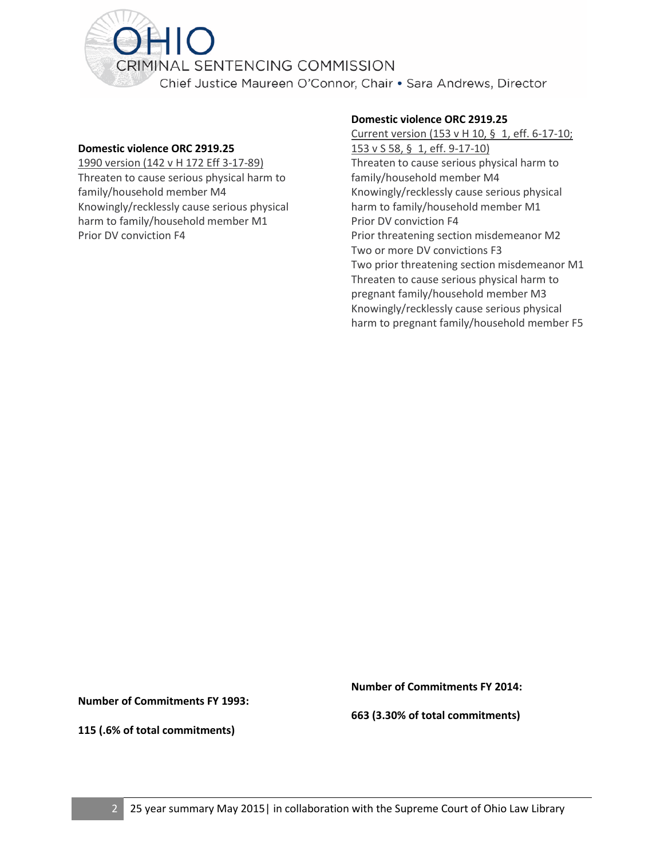<span id="page-3-0"></span>

#### **Domestic violence ORC 2919.25**

1990 version (142 v H 172 Eff 3-17-89) Threaten to cause serious physical harm to family/household member M4 Knowingly/recklessly cause serious physical harm to family/household member M1 Prior DV conviction F4

#### **Domestic violence ORC 2919.25**

Current version (153 v H 10, § 1, eff. 6-17-10; 153 v S 58, § 1, eff. 9-17-10) Threaten to cause serious physical harm to family/household member M4 Knowingly/recklessly cause serious physical harm to family/household member M1 Prior DV conviction F4 Prior threatening section misdemeanor M2 Two or more DV convictions F3 Two prior threatening section misdemeanor M1 Threaten to cause serious physical harm to pregnant family/household member M3 Knowingly/recklessly cause serious physical harm to pregnant family/household member F5

**Number of Commitments FY 1993:**

**Number of Commitments FY 2014:**

**115 (.6% of total commitments)**

**663 (3.30% of total commitments)**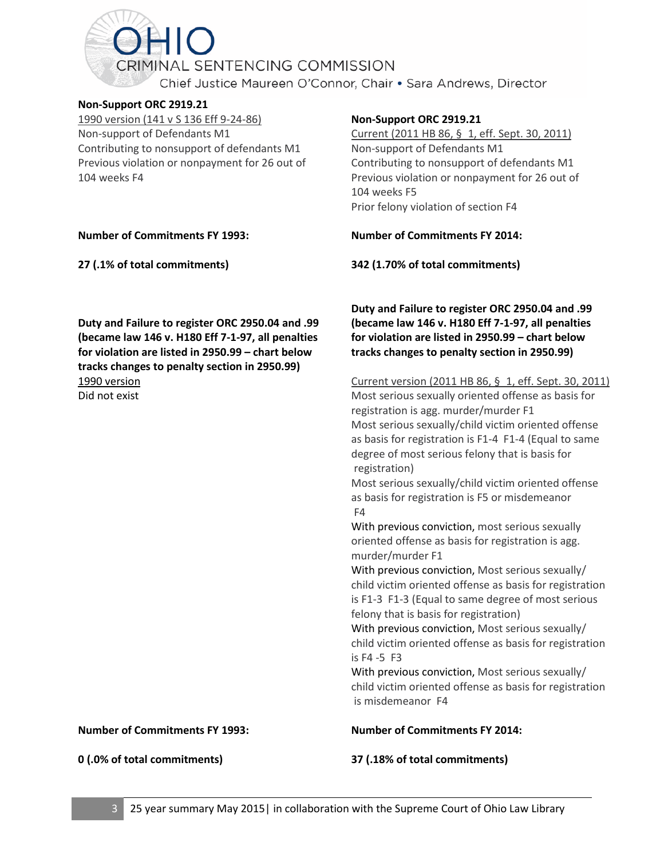<span id="page-4-0"></span>CRIMINAL SENTENCING COMMISSION Chief Justice Maureen O'Connor, Chair . Sara Andrews, Director

#### **Non-Support ORC 2919.21**

1990 version (141 v S 136 Eff 9-24-86) Non-support of Defendants M1 Contributing to nonsupport of defendants M1 Previous violation or nonpayment for 26 out of 104 weeks F4

#### **Number of Commitments FY 1993:**

**27 (.1% of total commitments)**

**Duty and Failure to register ORC 2950.04 and .99 (became law 146 v. H180 Eff 7-1-97, all penalties for violation are listed in 2950.99 – chart below tracks changes to penalty section in 2950.99)** 1990 version Did not exist

**Non-Support ORC 2919.21**

Current (2011 HB 86, § 1, eff. Sept. 30, 2011) Non-support of Defendants M1 Contributing to nonsupport of defendants M1 Previous violation or nonpayment for 26 out of 104 weeks F5 Prior felony violation of section F4

**Number of Commitments FY 2014:**

**342 (1.70% of total commitments)**

**Duty and Failure to register ORC 2950.04 and .99 (became law 146 v. H180 Eff 7-1-97, all penalties for violation are listed in 2950.99 – chart below tracks changes to penalty section in 2950.99)**

Current version (2011 HB 86, § 1, eff. Sept. 30, 2011) Most serious sexually oriented offense as basis for registration is agg. murder/murder F1 Most serious sexually/child victim oriented offense as basis for registration is F1-4 F1-4 (Equal to same degree of most serious felony that is basis for registration) Most serious sexually/child victim oriented offense as basis for registration is F5 or misdemeanor F4 With previous conviction, most serious sexually oriented offense as basis for registration is agg. murder/murder F1 With previous conviction, Most serious sexually/ child victim oriented offense as basis for registration is F1-3 F1-3 (Equal to same degree of most serious felony that is basis for registration) With previous conviction, Most serious sexually/ child victim oriented offense as basis for registration is F4 -5 F3 With previous conviction, Most serious sexually/ child victim oriented offense as basis for registration is misdemeanor F4 **Number of Commitments FY 2014:**

**37 (.18% of total commitments)**

**Number of Commitments FY 1993:**

**0 (.0% of total commitments)**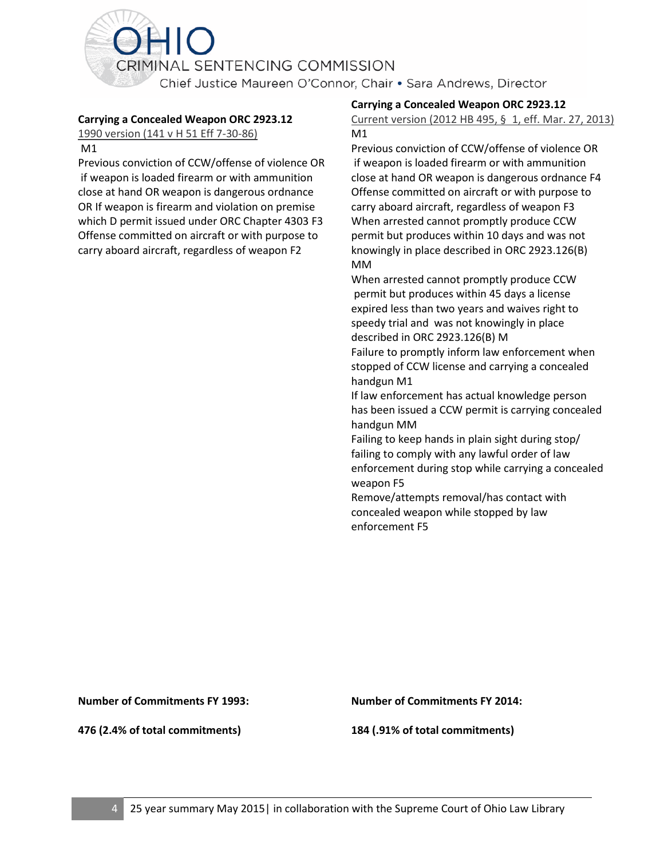<span id="page-5-0"></span>

#### **Carrying a Concealed Weapon ORC 2923.12**

1990 version (141 v H 51 Eff 7-30-86)

M1

Previous conviction of CCW/offense of violence OR if weapon is loaded firearm or with ammunition close at hand OR weapon is dangerous ordnance OR If weapon is firearm and violation on premise which D permit issued under ORC Chapter 4303 F3 Offense committed on aircraft or with purpose to carry aboard aircraft, regardless of weapon F2

#### **Carrying a Concealed Weapon ORC 2923.12**

Current version (2012 HB 495, § 1, eff. Mar. 27, 2013) M1

Previous conviction of CCW/offense of violence OR if weapon is loaded firearm or with ammunition close at hand OR weapon is dangerous ordnance F4 Offense committed on aircraft or with purpose to carry aboard aircraft, regardless of weapon F3 When arrested cannot promptly produce CCW permit but produces within 10 days and was not knowingly in place described in ORC 2923.126(B) MM

When arrested cannot promptly produce CCW permit but produces within 45 days a license expired less than two years and waives right to speedy trial and was not knowingly in place described in ORC 2923.126(B) M

Failure to promptly inform law enforcement when stopped of CCW license and carrying a concealed handgun M1

If law enforcement has actual knowledge person has been issued a CCW permit is carrying concealed handgun MM

Failing to keep hands in plain sight during stop/ failing to comply with any lawful order of law enforcement during stop while carrying a concealed weapon F5

Remove/attempts removal/has contact with concealed weapon while stopped by law enforcement F5

**Number of Commitments FY 1993:**

**476 (2.4% of total commitments)**

**Number of Commitments FY 2014:**

**184 (.91% of total commitments)**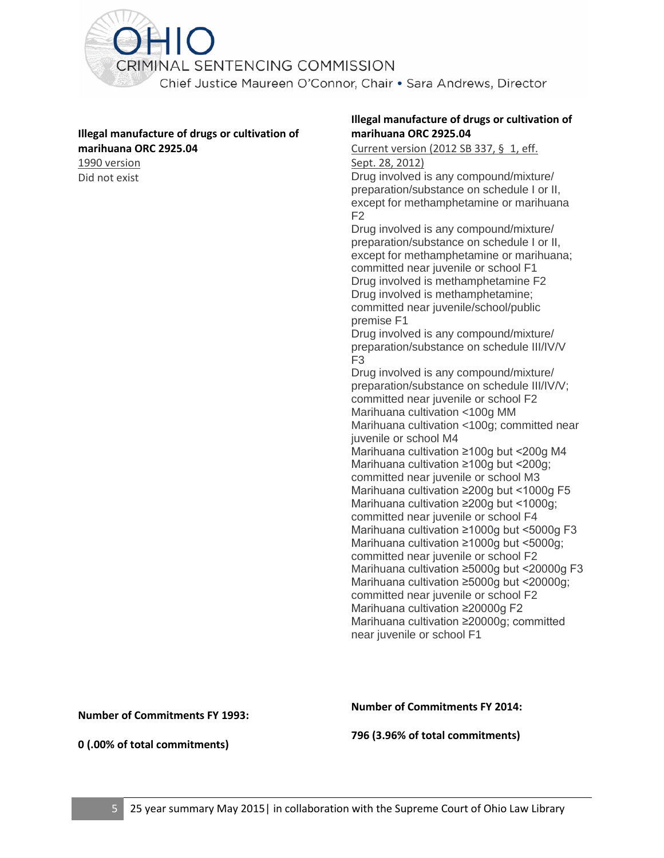<span id="page-6-0"></span>

#### **Illegal manufacture of drugs or cultivation of marihuana ORC 2925.04**

1990 version Did not exist

#### **Illegal manufacture of drugs or cultivation of marihuana ORC 2925.04**

Current version (2012 SB 337, § 1, eff.

#### Sept. 28, 2012)

Drug involved is any compound/mixture/ preparation/substance on schedule I or II, except for methamphetamine or marihuana F2

Drug involved is any compound/mixture/ preparation/substance on schedule I or II, except for methamphetamine or marihuana; committed near juvenile or school F1 Drug involved is methamphetamine F2 Drug involved is methamphetamine; committed near juvenile/school/public premise F1

Drug involved is any compound/mixture/ preparation/substance on schedule III/IV/V F3

Drug involved is any compound/mixture/ preparation/substance on schedule III/IV/V; committed near juvenile or school F2 Marihuana cultivation <100g MM Marihuana cultivation <100g; committed near juvenile or school M4 Marihuana cultivation ≥100g but <200g M4 Marihuana cultivation ≥100g but <200g; committed near juvenile or school M3 Marihuana cultivation ≥200g but <1000g F5 Marihuana cultivation ≥200g but <1000g; committed near juvenile or school F4 Marihuana cultivation ≥1000g but <5000g F3 Marihuana cultivation ≥1000g but <5000g; committed near juvenile or school F2 Marihuana cultivation ≥5000g but <20000g F3 Marihuana cultivation ≥5000g but <20000g; committed near juvenile or school F2 Marihuana cultivation ≥20000g F2 Marihuana cultivation ≥20000g; committed near juvenile or school F1

**Number of Commitments FY 1993:**

**Number of Commitments FY 2014:**

**796 (3.96% of total commitments)**

**0 (.00% of total commitments)**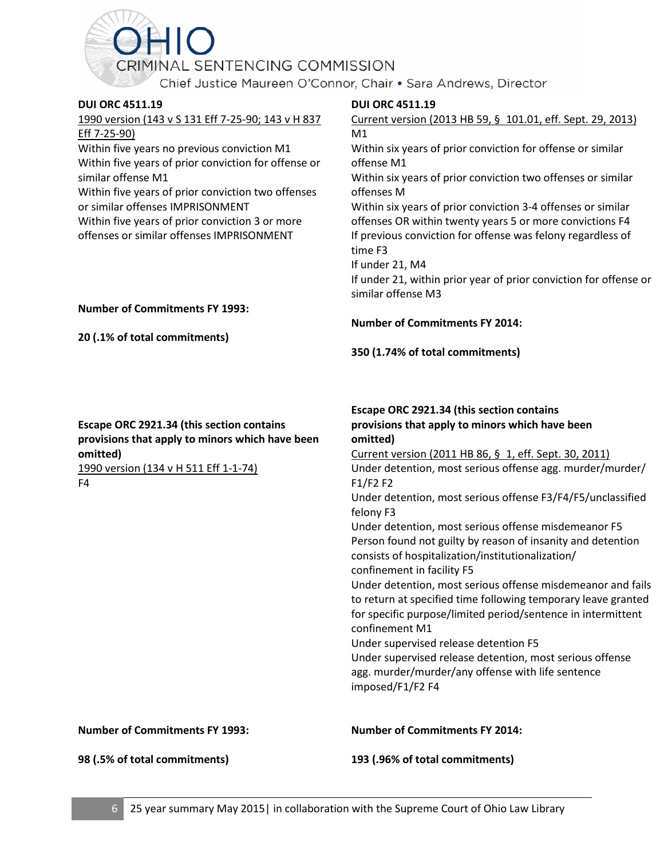Chief Justice Maureen O'Connor, Chair . Sara Andrews, Director

#### <span id="page-7-0"></span>**DUI ORC 4511.19**

1990 version (143 v S 131 Eff 7-25-90; 143 v H 837 Eff 7-25-90)

Within five years no previous conviction M1 Within five years of prior conviction for offense or similar offense M1

Within five years of prior conviction two offenses or similar offenses IMPRISONMENT

Within five years of prior conviction 3 or more offenses or similar offenses IMPRISONMENT

#### **DUI ORC 4511.19**

Current version (2013 HB 59, § 101.01, eff. Sept. 29, 2013) M1 Within six years of prior conviction for offense or similar offense M1 Within six years of prior conviction two offenses or similar offenses M Within six years of prior conviction 3-4 offenses or similar offenses OR within twenty years 5 or more convictions F4 If previous conviction for offense was felony regardless of time F3 If under 21, M4 If under 21, within prior year of prior conviction for offense or similar offense M3

#### **Number of Commitments FY 1993:**

**20 (.1% of total commitments)**

#### **Number of Commitments FY 2014:**

**350 (1.74% of total commitments)**

#### **Escape ORC 2921.34 (this section contains provisions that apply to minors which have been omitted)**

1990 version (134 v H 511 Eff 1-1-74) F4

**Escape ORC 2921.34 (this section contains provisions that apply to minors which have been omitted)** Current version (2011 HB 86, § 1, eff. Sept. 30, 2011)

Under detention, most serious offense agg. murder/murder/ F1/F2 F2

Under detention, most serious offense F3/F4/F5/unclassified felony F3

Under detention, most serious offense misdemeanor F5 Person found not guilty by reason of insanity and detention consists of hospitalization/institutionalization/ confinement in facility F5

Under detention, most serious offense misdemeanor and fails to return at specified time following temporary leave granted for specific purpose/limited period/sentence in intermittent confinement M1

Under supervised release detention F5

Under supervised release detention, most serious offense agg. murder/murder/any offense with life sentence imposed/F1/F2 F4

**Number of Commitments FY 1993:**

**Number of Commitments FY 2014:**

**98 (.5% of total commitments)**

**193 (.96% of total commitments)**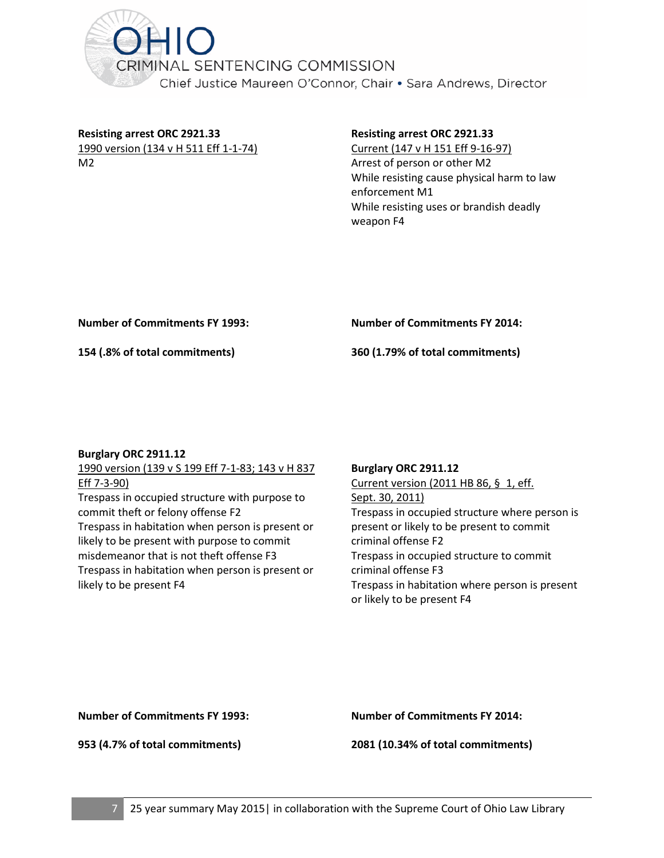<span id="page-8-0"></span>

**Resisting arrest ORC 2921.33** 1990 version (134 v H 511 Eff 1-1-74) M2

#### **Resisting arrest ORC 2921.33**

Current (147 v H 151 Eff 9-16-97) Arrest of person or other M2 While resisting cause physical harm to law enforcement M1 While resisting uses or brandish deadly weapon F4

**Number of Commitments FY 1993:**

**Number of Commitments FY 2014:**

**154 (.8% of total commitments)**

**360 (1.79% of total commitments)**

#### **Burglary ORC 2911.12**

1990 version (139 v S 199 Eff 7-1-83; 143 v H 837 Eff 7-3-90) Trespass in occupied structure with purpose to commit theft or felony offense F2 Trespass in habitation when person is present or likely to be present with purpose to commit misdemeanor that is not theft offense F3 Trespass in habitation when person is present or likely to be present F4

#### **Burglary ORC 2911.12**

Current version (2011 HB 86, § 1, eff. Sept. 30, 2011) Trespass in occupied structure where person is present or likely to be present to commit criminal offense F2 Trespass in occupied structure to commit criminal offense F3 Trespass in habitation where person is present or likely to be present F4

#### **Number of Commitments FY 1993:**

**953 (4.7% of total commitments)**

**Number of Commitments FY 2014:**

**2081 (10.34% of total commitments)**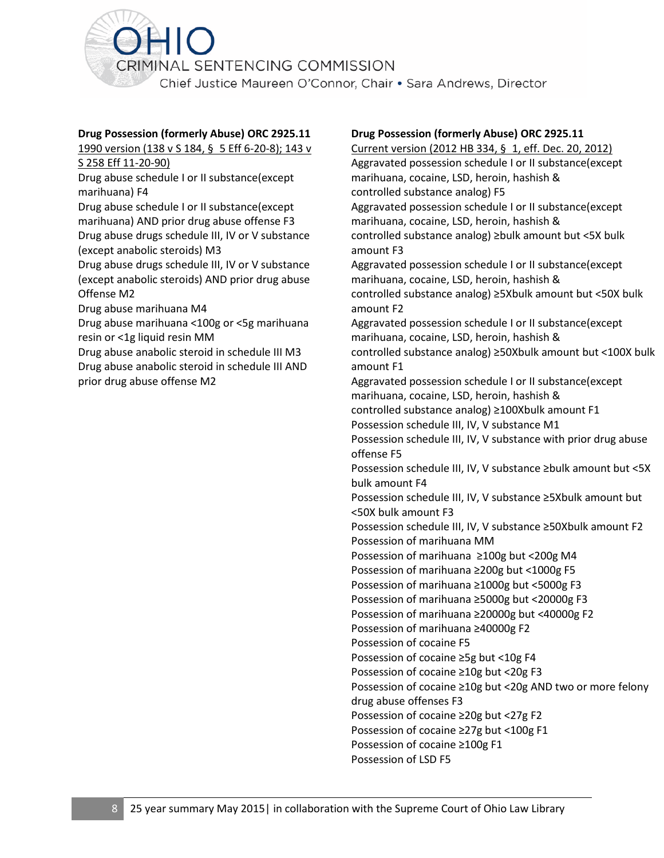<span id="page-9-0"></span>

#### **Drug Possession (formerly Abuse) ORC 2925.11**

1990 version (138 v S 184, § 5 Eff 6-20-8); 143 v

S 258 Eff 11-20-90)

Drug abuse schedule I or II substance(except marihuana) F4

Drug abuse schedule I or II substance(except marihuana) AND prior drug abuse offense F3 Drug abuse drugs schedule III, IV or V substance (except anabolic steroids) M3

Drug abuse drugs schedule III, IV or V substance (except anabolic steroids) AND prior drug abuse Offense M2

Drug abuse marihuana M4

Drug abuse marihuana <100g or <5g marihuana resin or <1g liquid resin MM

Drug abuse anabolic steroid in schedule III M3 Drug abuse anabolic steroid in schedule III AND prior drug abuse offense M2

#### **Drug Possession (formerly Abuse) ORC 2925.11**

Current version (2012 HB 334, § 1, eff. Dec. 20, 2012) Aggravated possession schedule I or II substance(except marihuana, cocaine, LSD, heroin, hashish & controlled substance analog) F5 Aggravated possession schedule I or II substance(except marihuana, cocaine, LSD, heroin, hashish & controlled substance analog) ≥bulk amount but <5X bulk amount F3 Aggravated possession schedule I or II substance(except marihuana, cocaine, LSD, heroin, hashish & controlled substance analog) ≥5Xbulk amount but <50X bulk amount F2 Aggravated possession schedule I or II substance(except marihuana, cocaine, LSD, heroin, hashish & controlled substance analog) ≥50Xbulk amount but <100X bulk amount F1 Aggravated possession schedule I or II substance(except marihuana, cocaine, LSD, heroin, hashish & controlled substance analog) ≥100Xbulk amount F1 Possession schedule III, IV, V substance M1 Possession schedule III, IV, V substance with prior drug abuse offense F5 Possession schedule III, IV, V substance ≥bulk amount but <5X bulk amount F4 Possession schedule III, IV, V substance ≥5Xbulk amount but <50X bulk amount F3 Possession schedule III, IV, V substance ≥50Xbulk amount F2 Possession of marihuana MM Possession of marihuana ≥100g but <200g M4 Possession of marihuana ≥200g but <1000g F5 Possession of marihuana ≥1000g but <5000g F3 Possession of marihuana ≥5000g but <20000g F3 Possession of marihuana ≥20000g but <40000g F2 Possession of marihuana ≥40000g F2 Possession of cocaine F5 Possession of cocaine ≥5g but <10g F4 Possession of cocaine ≥10g but <20g F3 Possession of cocaine ≥10g but <20g AND two or more felony drug abuse offenses F3 Possession of cocaine ≥20g but <27g F2 Possession of cocaine ≥27g but <100g F1 Possession of cocaine ≥100g F1 Possession of LSD F5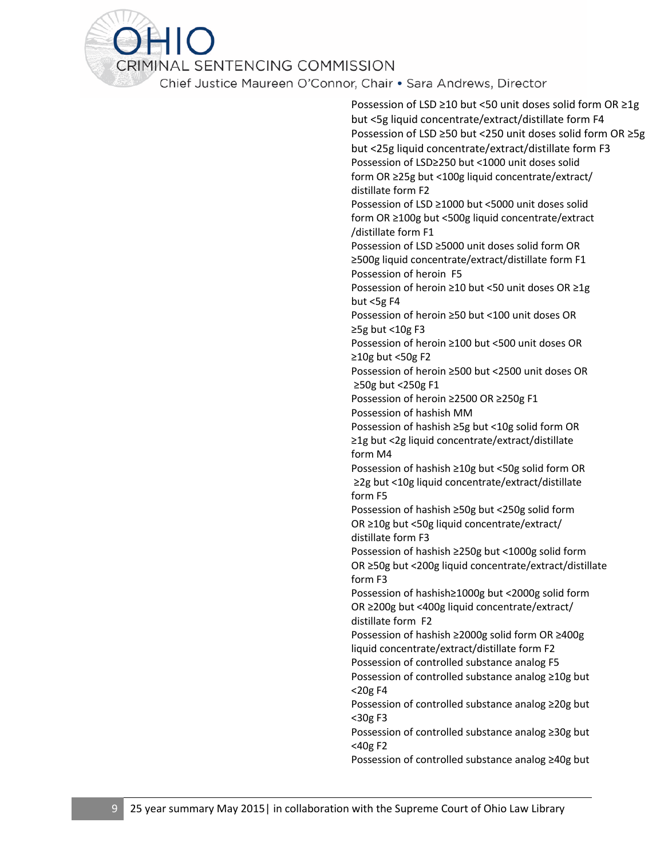Chief Justice Maureen O'Connor, Chair . Sara Andrews, Director

Possession of LSD ≥10 but <50 unit doses solid form OR ≥1g but <5g liquid concentrate/extract/distillate form F4 Possession of LSD ≥50 but <250 unit doses solid form OR ≥5g but <25g liquid concentrate/extract/distillate form F3 Possession of LSD≥250 but <1000 unit doses solid form OR ≥25g but <100g liquid concentrate/extract/ distillate form F2 Possession of LSD ≥1000 but <5000 unit doses solid form OR ≥100g but <500g liquid concentrate/extract /distillate form F1 Possession of LSD ≥5000 unit doses solid form OR ≥500g liquid concentrate/extract/distillate form F1 Possession of heroin F5 Possession of heroin ≥10 but <50 unit doses OR ≥1g but <5g F4 Possession of heroin ≥50 but <100 unit doses OR  $\geq$ 5g but <10g F3 Possession of heroin ≥100 but <500 unit doses OR ≥10g but <50g F2 Possession of heroin ≥500 but <2500 unit doses OR ≥50g but <250g F1 Possession of heroin ≥2500 OR ≥250g F1 Possession of hashish MM Possession of hashish ≥5g but <10g solid form OR ≥1g but <2g liquid concentrate/extract/distillate form M4 Possession of hashish ≥10g but <50g solid form OR ≥2g but <10g liquid concentrate/extract/distillate form F5 Possession of hashish ≥50g but <250g solid form OR ≥10g but <50g liquid concentrate/extract/ distillate form F3 Possession of hashish ≥250g but <1000g solid form OR ≥50g but <200g liquid concentrate/extract/distillate form F3 Possession of hashish≥1000g but <2000g solid form OR ≥200g but <400g liquid concentrate/extract/ distillate form F2 Possession of hashish ≥2000g solid form OR ≥400g liquid concentrate/extract/distillate form F2 Possession of controlled substance analog F5 Possession of controlled substance analog ≥10g but <20g F4 Possession of controlled substance analog ≥20g but <30g F3 Possession of controlled substance analog ≥30g but <40g F2 Possession of controlled substance analog ≥40g but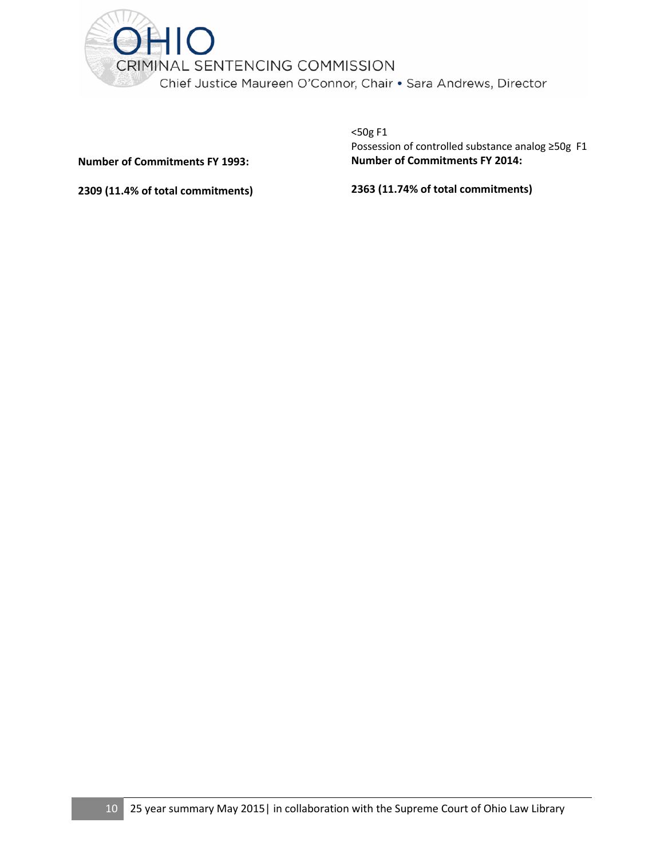

**Number of Commitments FY 1993:**

<50g F1 Possession of controlled substance analog ≥50g F1 **Number of Commitments FY 2014:**

**2309 (11.4% of total commitments)**

#### **2363 (11.74% of total commitments)**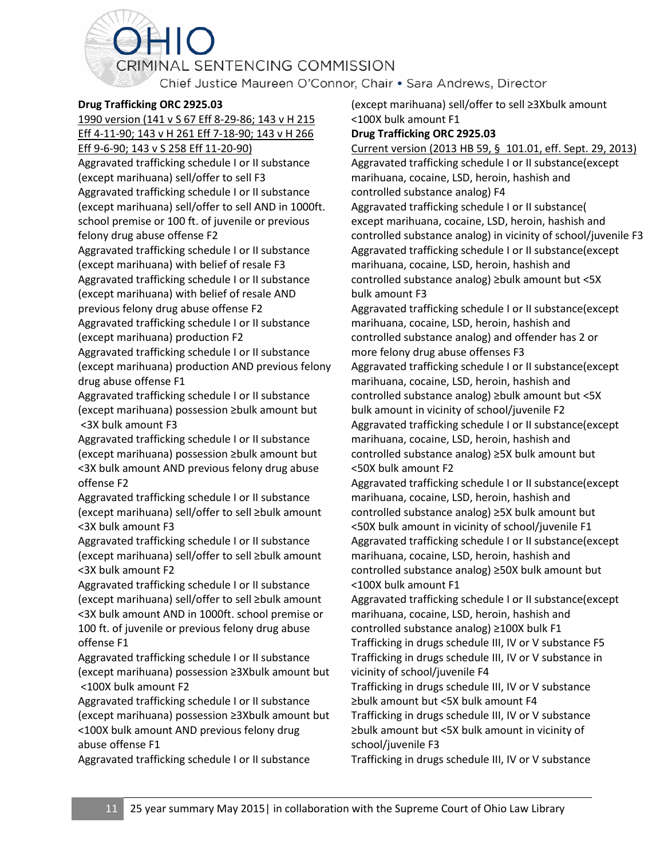Chief Justice Maureen O'Connor, Chair . Sara Andrews, Director

#### <span id="page-12-0"></span>**Drug Trafficking ORC 2925.03**

1990 version (141 v S 67 Eff 8-29-86; 143 v H 215 Eff 4-11-90; 143 v H 261 Eff 7-18-90; 143 v H 266

HIO

Eff 9-6-90; 143 v S 258 Eff 11-20-90)

Aggravated trafficking schedule I or II substance (except marihuana) sell/offer to sell F3 Aggravated trafficking schedule I or II substance (except marihuana) sell/offer to sell AND in 1000ft. school premise or 100 ft. of juvenile or previous felony drug abuse offense F2

Aggravated trafficking schedule I or II substance (except marihuana) with belief of resale F3 Aggravated trafficking schedule I or II substance (except marihuana) with belief of resale AND previous felony drug abuse offense F2 Aggravated trafficking schedule I or II substance (except marihuana) production F2

Aggravated trafficking schedule I or II substance (except marihuana) production AND previous felony drug abuse offense F1

Aggravated trafficking schedule I or II substance (except marihuana) possession ≥bulk amount but <3X bulk amount F3

Aggravated trafficking schedule I or II substance (except marihuana) possession ≥bulk amount but <3X bulk amount AND previous felony drug abuse offense F2

Aggravated trafficking schedule I or II substance (except marihuana) sell/offer to sell ≥bulk amount <3X bulk amount F3

Aggravated trafficking schedule I or II substance (except marihuana) sell/offer to sell ≥bulk amount <3X bulk amount F2

Aggravated trafficking schedule I or II substance (except marihuana) sell/offer to sell ≥bulk amount <3X bulk amount AND in 1000ft. school premise or 100 ft. of juvenile or previous felony drug abuse offense F1

Aggravated trafficking schedule I or II substance (except marihuana) possession ≥3Xbulk amount but <100X bulk amount F2

Aggravated trafficking schedule I or II substance (except marihuana) possession ≥3Xbulk amount but <100X bulk amount AND previous felony drug abuse offense F1

Aggravated trafficking schedule I or II substance

(except marihuana) sell/offer to sell ≥3Xbulk amount <100X bulk amount F1

#### **Drug Trafficking ORC 2925.03**

Current version (2013 HB 59, § 101.01, eff. Sept. 29, 2013) Aggravated trafficking schedule I or II substance(except marihuana, cocaine, LSD, heroin, hashish and controlled substance analog) F4 Aggravated trafficking schedule I or II substance( except marihuana, cocaine, LSD, heroin, hashish and controlled substance analog) in vicinity of school/juvenile F3 Aggravated trafficking schedule I or II substance(except marihuana, cocaine, LSD, heroin, hashish and controlled substance analog) ≥bulk amount but <5X bulk amount F3 Aggravated trafficking schedule I or II substance(except marihuana, cocaine, LSD, heroin, hashish and controlled substance analog) and offender has 2 or more felony drug abuse offenses F3 Aggravated trafficking schedule I or II substance(except marihuana, cocaine, LSD, heroin, hashish and controlled substance analog) ≥bulk amount but <5X bulk amount in vicinity of school/juvenile F2 Aggravated trafficking schedule I or II substance(except marihuana, cocaine, LSD, heroin, hashish and controlled substance analog) ≥5X bulk amount but <50X bulk amount F2 Aggravated trafficking schedule I or II substance(except marihuana, cocaine, LSD, heroin, hashish and controlled substance analog) ≥5X bulk amount but <50X bulk amount in vicinity of school/juvenile F1 Aggravated trafficking schedule I or II substance(except marihuana, cocaine, LSD, heroin, hashish and controlled substance analog) ≥50X bulk amount but <100X bulk amount F1 Aggravated trafficking schedule I or II substance(except marihuana, cocaine, LSD, heroin, hashish and controlled substance analog) ≥100X bulk F1 Trafficking in drugs schedule III, IV or V substance F5 Trafficking in drugs schedule III, IV or V substance in vicinity of school/juvenile F4 Trafficking in drugs schedule III, IV or V substance ≥bulk amount but <5X bulk amount F4 Trafficking in drugs schedule III, IV or V substance ≥bulk amount but <5X bulk amount in vicinity of school/juvenile F3 Trafficking in drugs schedule III, IV or V substance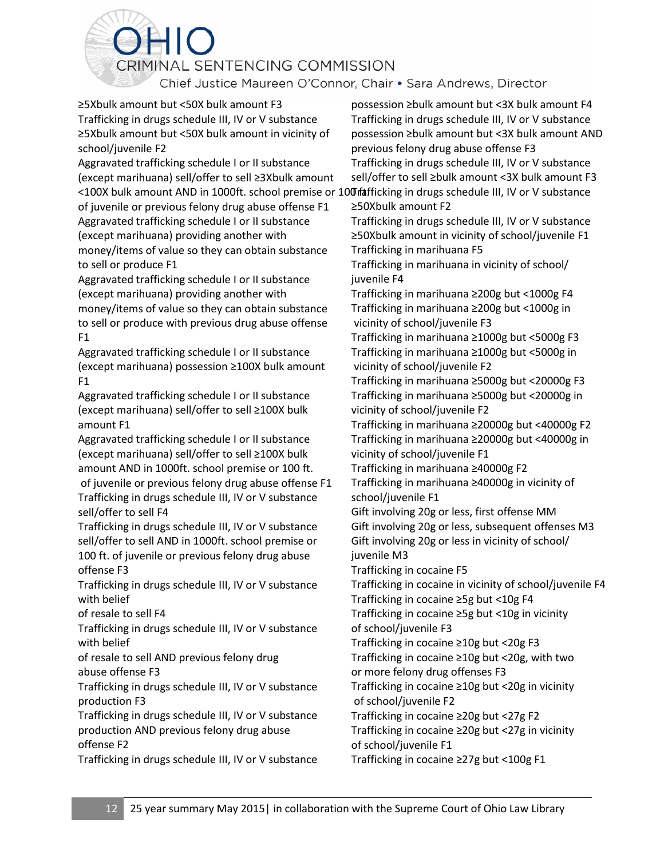Chief Justice Maureen O'Connor, Chair . Sara Andrews, Director

≥5Xbulk amount but <50X bulk amount F3 Trafficking in drugs schedule III, IV or V substance ≥5Xbulk amount but <50X bulk amount in vicinity of school/juvenile F2

Aggravated trafficking schedule I or II substance (except marihuana) sell/offer to sell ≥3Xbulk amount <100X bulk amount AND in 1000ft. school premise or 100 fafficking in drugs schedule III, IV or V substance

of juvenile or previous felony drug abuse offense F1 Aggravated trafficking schedule I or II substance (except marihuana) providing another with money/items of value so they can obtain substance to sell or produce F1

Aggravated trafficking schedule I or II substance (except marihuana) providing another with money/items of value so they can obtain substance to sell or produce with previous drug abuse offense F1

Aggravated trafficking schedule I or II substance (except marihuana) possession ≥100X bulk amount F1

Aggravated trafficking schedule I or II substance (except marihuana) sell/offer to sell ≥100X bulk amount F1

Aggravated trafficking schedule I or II substance (except marihuana) sell/offer to sell ≥100X bulk amount AND in 1000ft. school premise or 100 ft. of juvenile or previous felony drug abuse offense F1

Trafficking in drugs schedule III, IV or V substance sell/offer to sell F4

Trafficking in drugs schedule III, IV or V substance sell/offer to sell AND in 1000ft. school premise or 100 ft. of juvenile or previous felony drug abuse offense F3

Trafficking in drugs schedule III, IV or V substance with belief

of resale to sell F4

Trafficking in drugs schedule III, IV or V substance with belief

of resale to sell AND previous felony drug abuse offense F3

Trafficking in drugs schedule III, IV or V substance production F3

Trafficking in drugs schedule III, IV or V substance production AND previous felony drug abuse offense F2

Trafficking in drugs schedule III, IV or V substance

possession ≥bulk amount but <3X bulk amount F4 Trafficking in drugs schedule III, IV or V substance possession ≥bulk amount but <3X bulk amount AND previous felony drug abuse offense F3 Trafficking in drugs schedule III, IV or V substance sell/offer to sell ≥bulk amount <3X bulk amount F3 ≥50Xbulk amount F2 Trafficking in drugs schedule III, IV or V substance ≥50Xbulk amount in vicinity of school/juvenile F1 Trafficking in marihuana F5 Trafficking in marihuana in vicinity of school/ juvenile F4 Trafficking in marihuana ≥200g but <1000g F4 Trafficking in marihuana ≥200g but <1000g in vicinity of school/juvenile F3 Trafficking in marihuana ≥1000g but <5000g F3 Trafficking in marihuana ≥1000g but <5000g in vicinity of school/juvenile F2 Trafficking in marihuana ≥5000g but <20000g F3 Trafficking in marihuana ≥5000g but <20000g in vicinity of school/juvenile F2 Trafficking in marihuana ≥20000g but <40000g F2 Trafficking in marihuana ≥20000g but <40000g in vicinity of school/juvenile F1 Trafficking in marihuana ≥40000g F2 Trafficking in marihuana ≥40000g in vicinity of school/juvenile F1 Gift involving 20g or less, first offense MM Gift involving 20g or less, subsequent offenses M3 Gift involving 20g or less in vicinity of school/ juvenile M3 Trafficking in cocaine F5 Trafficking in cocaine in vicinity of school/juvenile F4 Trafficking in cocaine ≥5g but <10g F4 Trafficking in cocaine ≥5g but <10g in vicinity of school/juvenile F3 Trafficking in cocaine ≥10g but <20g F3 Trafficking in cocaine ≥10g but <20g, with two or more felony drug offenses F3 Trafficking in cocaine ≥10g but <20g in vicinity of school/juvenile F2 Trafficking in cocaine ≥20g but <27g F2 Trafficking in cocaine ≥20g but <27g in vicinity of school/juvenile F1 Trafficking in cocaine ≥27g but <100g F1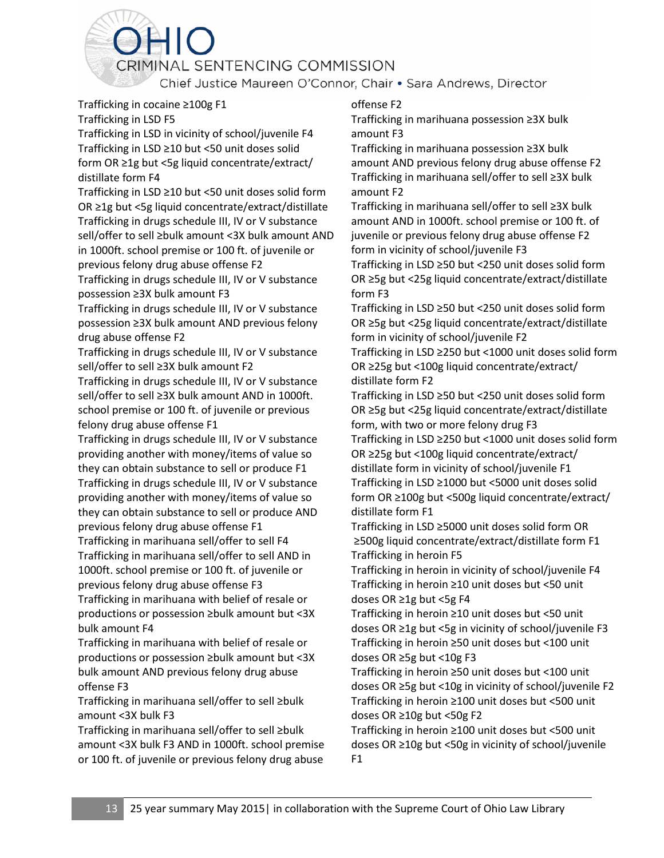Chief Justice Maureen O'Connor, Chair . Sara Andrews, Director

Trafficking in cocaine ≥100g F1 Trafficking in LSD F5

Trafficking in LSD in vicinity of school/juvenile F4 Trafficking in LSD ≥10 but <50 unit doses solid form OR ≥1g but <5g liquid concentrate/extract/ distillate form F4

Trafficking in LSD ≥10 but <50 unit doses solid form OR ≥1g but <5g liquid concentrate/extract/distillate Trafficking in drugs schedule III, IV or V substance sell/offer to sell ≥bulk amount <3X bulk amount AND in 1000ft. school premise or 100 ft. of juvenile or previous felony drug abuse offense F2

Trafficking in drugs schedule III, IV or V substance possession ≥3X bulk amount F3

Trafficking in drugs schedule III, IV or V substance possession ≥3X bulk amount AND previous felony drug abuse offense F2

Trafficking in drugs schedule III, IV or V substance sell/offer to sell ≥3X bulk amount F2

Trafficking in drugs schedule III, IV or V substance sell/offer to sell ≥3X bulk amount AND in 1000ft. school premise or 100 ft. of juvenile or previous felony drug abuse offense F1

Trafficking in drugs schedule III, IV or V substance providing another with money/items of value so they can obtain substance to sell or produce F1 Trafficking in drugs schedule III, IV or V substance providing another with money/items of value so they can obtain substance to sell or produce AND previous felony drug abuse offense F1

Trafficking in marihuana sell/offer to sell F4 Trafficking in marihuana sell/offer to sell AND in 1000ft. school premise or 100 ft. of juvenile or previous felony drug abuse offense F3 Trafficking in marihuana with belief of resale or productions or possession ≥bulk amount but <3X

bulk amount F4 Trafficking in marihuana with belief of resale or productions or possession ≥bulk amount but <3X bulk amount AND previous felony drug abuse offense F3

Trafficking in marihuana sell/offer to sell ≥bulk amount <3X bulk F3

Trafficking in marihuana sell/offer to sell ≥bulk amount <3X bulk F3 AND in 1000ft. school premise or 100 ft. of juvenile or previous felony drug abuse

#### offense F2

Trafficking in marihuana possession ≥3X bulk amount F3

Trafficking in marihuana possession ≥3X bulk amount AND previous felony drug abuse offense F2 Trafficking in marihuana sell/offer to sell ≥3X bulk amount F2

Trafficking in marihuana sell/offer to sell ≥3X bulk amount AND in 1000ft. school premise or 100 ft. of juvenile or previous felony drug abuse offense F2 form in vicinity of school/juvenile F3

Trafficking in LSD ≥50 but <250 unit doses solid form OR ≥5g but <25g liquid concentrate/extract/distillate form F3

Trafficking in LSD ≥50 but <250 unit doses solid form OR ≥5g but <25g liquid concentrate/extract/distillate form in vicinity of school/juvenile F2

Trafficking in LSD ≥250 but <1000 unit doses solid form OR ≥25g but <100g liquid concentrate/extract/ distillate form F2

Trafficking in LSD ≥50 but <250 unit doses solid form OR ≥5g but <25g liquid concentrate/extract/distillate form, with two or more felony drug F3

Trafficking in LSD ≥250 but <1000 unit doses solid form OR ≥25g but <100g liquid concentrate/extract/ distillate form in vicinity of school/juvenile F1 Trafficking in LSD ≥1000 but <5000 unit doses solid form OR ≥100g but <500g liquid concentrate/extract/ distillate form F1

Trafficking in LSD ≥5000 unit doses solid form OR ≥500g liquid concentrate/extract/distillate form F1 Trafficking in heroin F5

Trafficking in heroin in vicinity of school/juvenile F4 Trafficking in heroin ≥10 unit doses but <50 unit doses OR ≥1g but <5g F4

Trafficking in heroin ≥10 unit doses but <50 unit doses OR ≥1g but <5g in vicinity of school/juvenile F3 Trafficking in heroin ≥50 unit doses but <100 unit doses OR ≥5g but <10g F3

Trafficking in heroin ≥50 unit doses but <100 unit doses OR ≥5g but <10g in vicinity of school/juvenile F2 Trafficking in heroin ≥100 unit doses but <500 unit doses OR ≥10g but <50g F2

Trafficking in heroin ≥100 unit doses but <500 unit doses OR ≥10g but <50g in vicinity of school/juvenile F1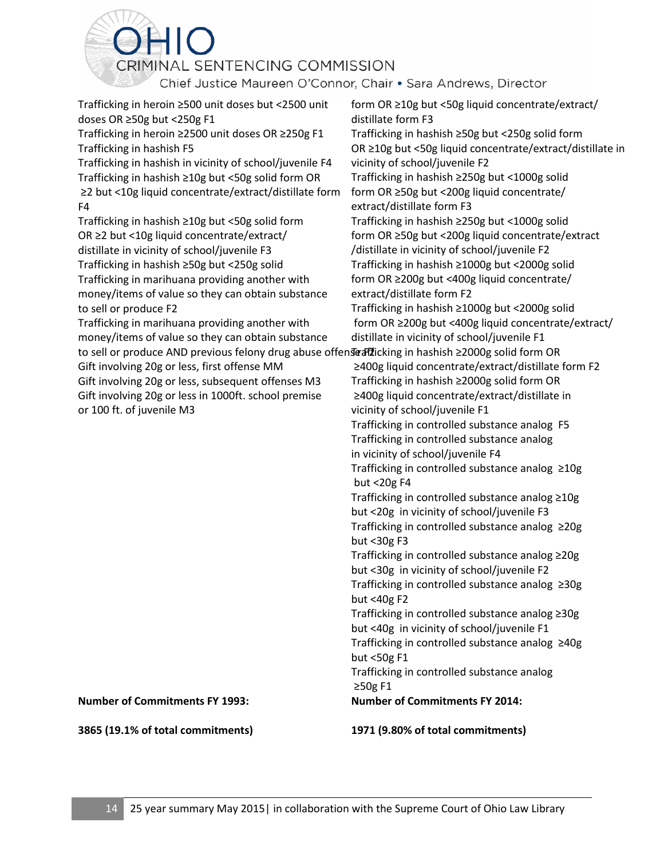Chief Justice Maureen O'Connor, Chair . Sara Andrews, Director

Trafficking in heroin ≥500 unit doses but <2500 unit doses OR ≥50g but <250g F1

Trafficking in heroin ≥2500 unit doses OR ≥250g F1 Trafficking in hashish F5

Trafficking in hashish in vicinity of school/juvenile F4 Trafficking in hashish ≥10g but <50g solid form OR ≥2 but <10g liquid concentrate/extract/distillate form F4

Trafficking in hashish ≥10g but <50g solid form OR ≥2 but <10g liquid concentrate/extract/ distillate in vicinity of school/juvenile F3 Trafficking in hashish ≥50g but <250g solid Trafficking in marihuana providing another with money/items of value so they can obtain substance to sell or produce F2

Trafficking in marihuana providing another with money/items of value so they can obtain substance to sell or produce AND previous felony drug abuse offen**seafiž**icking in hashish ≥2000g solid form OR Gift involving 20g or less, first offense MM

Gift involving 20g or less, subsequent offenses M3 Gift involving 20g or less in 1000ft. school premise or 100 ft. of juvenile M3

distillate form F3 Trafficking in hashish ≥50g but <250g solid form OR ≥10g but <50g liquid concentrate/extract/distillate in vicinity of school/juvenile F2 Trafficking in hashish ≥250g but <1000g solid form OR ≥50g but <200g liquid concentrate/ extract/distillate form F3 Trafficking in hashish ≥250g but <1000g solid form OR ≥50g but <200g liquid concentrate/extract /distillate in vicinity of school/juvenile F2 Trafficking in hashish ≥1000g but <2000g solid form OR ≥200g but <400g liquid concentrate/ extract/distillate form F2

form OR ≥10g but <50g liquid concentrate/extract/

Trafficking in hashish ≥1000g but <2000g solid form OR ≥200g but <400g liquid concentrate/extract/ distillate in vicinity of school/juvenile F1

≥400g liquid concentrate/extract/distillate form F2 Trafficking in hashish ≥2000g solid form OR ≥400g liquid concentrate/extract/distillate in vicinity of school/juvenile F1

Trafficking in controlled substance analog F5 Trafficking in controlled substance analog in vicinity of school/juvenile F4

Trafficking in controlled substance analog ≥10g but <20g F4

Trafficking in controlled substance analog ≥10g but <20g in vicinity of school/juvenile F3 Trafficking in controlled substance analog ≥20g but <30g F3

Trafficking in controlled substance analog ≥20g but <30g in vicinity of school/juvenile F2 Trafficking in controlled substance analog ≥30g but <40g F2

Trafficking in controlled substance analog ≥30g but <40g in vicinity of school/juvenile F1 Trafficking in controlled substance analog ≥40g but <50g F1

Trafficking in controlled substance analog ≥50g F1

**Number of Commitments FY 2014:**

**1971 (9.80% of total commitments)**

#### **Number of Commitments FY 1993:**

**3865 (19.1% of total commitments)**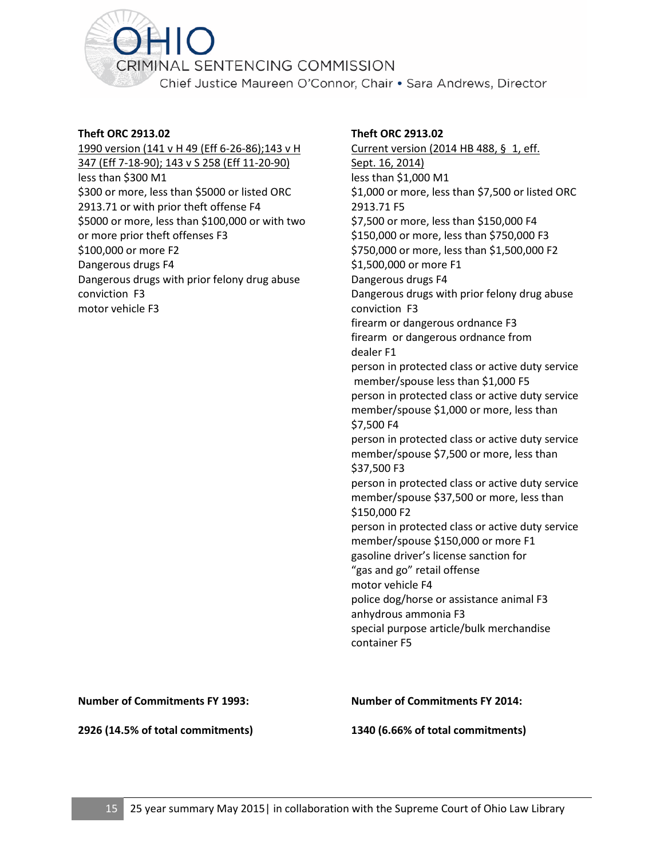<span id="page-16-0"></span>

#### **Theft ORC 2913.02**

1990 version (141 v H 49 (Eff 6-26-86);143 v H 347 (Eff 7-18-90); 143 v S 258 (Eff 11-20-90) less than \$300 M1 \$300 or more, less than \$5000 or listed ORC 2913.71 or with prior theft offense F4 \$5000 or more, less than \$100,000 or with two or more prior theft offenses F3 \$100,000 or more F2 Dangerous drugs F4 Dangerous drugs with prior felony drug abuse conviction F3 motor vehicle F3

#### **Theft ORC 2913.02**

Current version (2014 HB 488, § 1, eff. Sept. 16, 2014) less than \$1,000 M1 \$1,000 or more, less than \$7,500 or listed ORC 2913.71 F5 \$7,500 or more, less than \$150,000 F4 \$150,000 or more, less than \$750,000 F3 \$750,000 or more, less than \$1,500,000 F2 \$1,500,000 or more F1 Dangerous drugs F4 Dangerous drugs with prior felony drug abuse conviction F3 firearm or dangerous ordnance F3 firearm or dangerous ordnance from dealer F1 person in protected class or active duty service member/spouse less than \$1,000 F5 person in protected class or active duty service member/spouse \$1,000 or more, less than \$7,500 F4 person in protected class or active duty service member/spouse \$7,500 or more, less than \$37,500 F3 person in protected class or active duty service member/spouse \$37,500 or more, less than \$150,000 F2 person in protected class or active duty service member/spouse \$150,000 or more F1 gasoline driver's license sanction for "gas and go" retail offense motor vehicle F4 police dog/horse or assistance animal F3 anhydrous ammonia F3 special purpose article/bulk merchandise container F5

**Number of Commitments FY 1993:**

**2926 (14.5% of total commitments)**

**Number of Commitments FY 2014:**

**1340 (6.66% of total commitments)**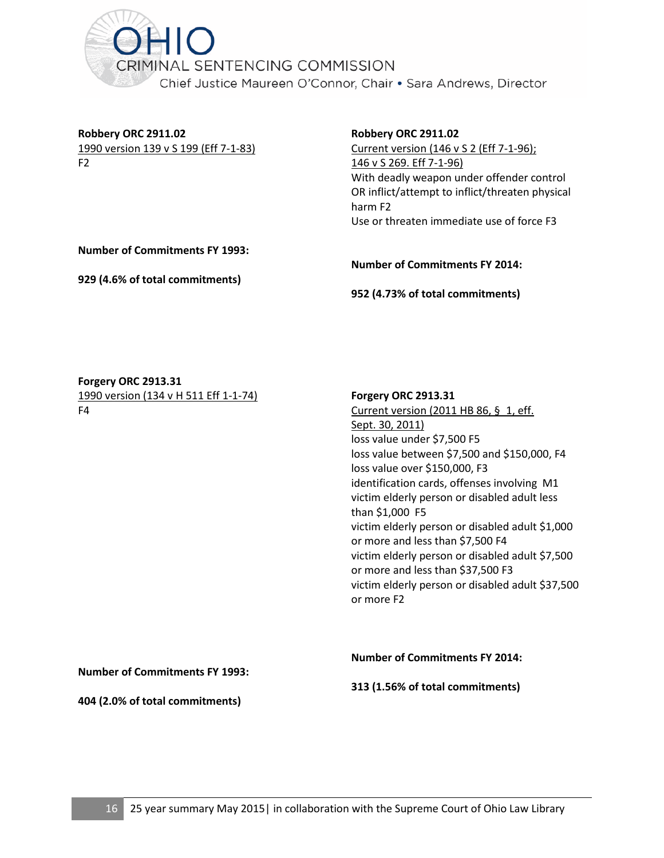<span id="page-17-0"></span>

**Robbery ORC 2911.02** 1990 version 139 v S 199 (Eff 7-1-83) F2

**Robbery ORC 2911.02**

Current version (146 v S 2 (Eff 7-1-96); 146 v S 269. Eff 7-1-96) With deadly weapon under offender control OR inflict/attempt to inflict/threaten physical harm F2 Use or threaten immediate use of force F3

**Number of Commitments FY 1993:**

**929 (4.6% of total commitments)**

**Number of Commitments FY 2014:**

**952 (4.73% of total commitments)**

**Forgery ORC 2913.31** 1990 version (134 v H 511 Eff 1-1-74) F4

#### **Forgery ORC 2913.31**

Current version (2011 HB 86, § 1, eff. Sept. 30, 2011) loss value under \$7,500 F5 loss value between \$7,500 and \$150,000, F4 loss value over \$150,000, F3 identification cards, offenses involving M1 victim elderly person or disabled adult less than \$1,000 F5 victim elderly person or disabled adult \$1,000 or more and less than \$7,500 F4 victim elderly person or disabled adult \$7,500 or more and less than \$37,500 F3 victim elderly person or disabled adult \$37,500 or more F2

**Number of Commitments FY 1993:**

**Number of Commitments FY 2014:**

**313 (1.56% of total commitments)**

**404 (2.0% of total commitments)**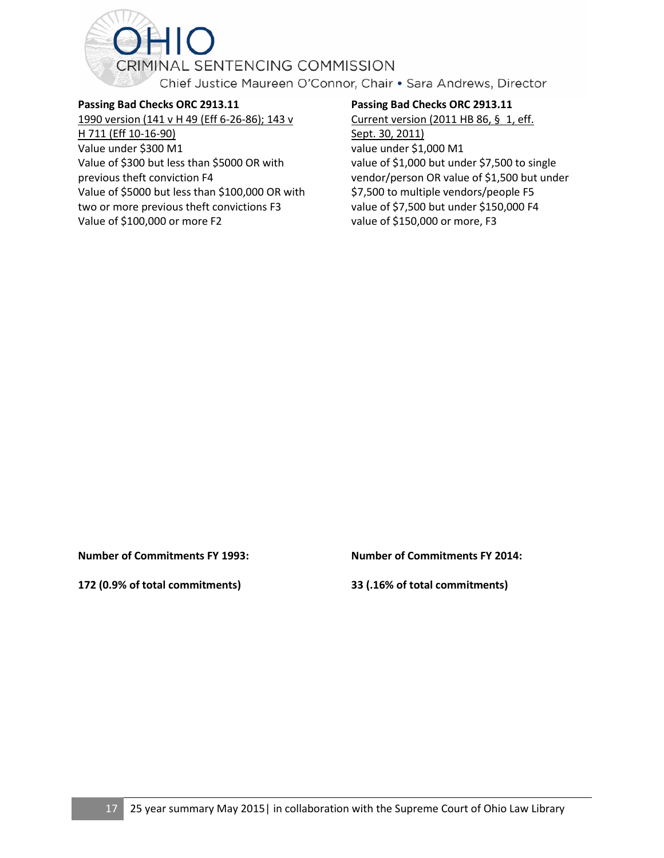<span id="page-18-0"></span>

**Passing Bad Checks ORC 2913.11** 1990 version (141 v H 49 (Eff 6-26-86); 143 v H 711 (Eff 10-16-90) Value under \$300 M1 Value of \$300 but less than \$5000 OR with previous theft conviction F4

Value of \$5000 but less than \$100,000 OR with two or more previous theft convictions F3

Value of \$100,000 or more F2

#### **Passing Bad Checks ORC 2913.11**

Current version (2011 HB 86, § 1, eff. Sept. 30, 2011) value under \$1,000 M1 value of \$1,000 but under \$7,500 to single vendor/person OR value of \$1,500 but under \$7,500 to multiple vendors/people F5 value of \$7,500 but under \$150,000 F4 value of \$150,000 or more, F3

**Number of Commitments FY 1993:**

**172 (0.9% of total commitments)**

**Number of Commitments FY 2014:**

**33 (.16% of total commitments)**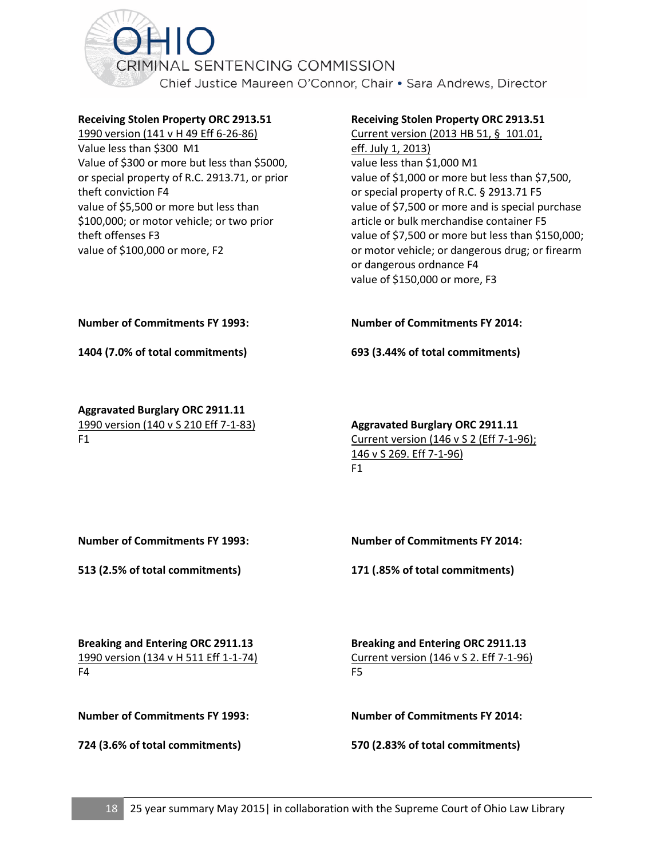<span id="page-19-0"></span>

#### **Receiving Stolen Property ORC 2913.51**

1990 version (141 v H 49 Eff 6-26-86) Value less than \$300 M1 Value of \$300 or more but less than \$5000, or special property of R.C. 2913.71, or prior theft conviction F4 value of \$5,500 or more but less than \$100,000; or motor vehicle; or two prior theft offenses F3 value of \$100,000 or more, F2

#### **Receiving Stolen Property ORC 2913.51**

Current version (2013 HB 51, § 101.01, eff. July 1, 2013) value less than \$1,000 M1 value of \$1,000 or more but less than \$7,500, or special property of R.C. § 2913.71 F5 value of \$7,500 or more and is special purchase article or bulk merchandise container F5 value of \$7,500 or more but less than \$150,000; or motor vehicle; or dangerous drug; or firearm or dangerous ordnance F4 value of \$150,000 or more, F3

#### **Number of Commitments FY 1993:**

**1404 (7.0% of total commitments)**

**Aggravated Burglary ORC 2911.11** 1990 version (140 v S 210 Eff 7-1-83) F1

**Number of Commitments FY 2014:**

**693 (3.44% of total commitments)**

#### **Aggravated Burglary ORC 2911.11** Current version (146 v S 2 (Eff 7-1-96); 146 v S 269. Eff 7-1-96)  $F1$

**Number of Commitments FY 1993:**

**513 (2.5% of total commitments)**

**Number of Commitments FY 2014:**

**171 (.85% of total commitments)**

**Breaking and Entering ORC 2911.13** 1990 version (134 v H 511 Eff 1-1-74) F4

**Breaking and Entering ORC 2911.13** Current version (146 v S 2. Eff 7-1-96) F5

**Number of Commitments FY 1993:**

**724 (3.6% of total commitments)**

**Number of Commitments FY 2014:**

**570 (2.83% of total commitments)**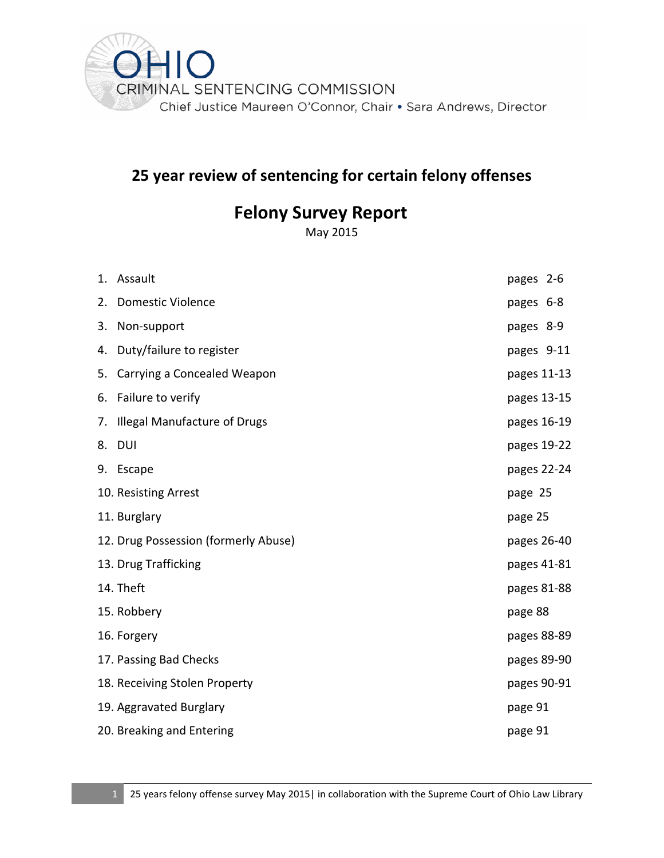

# **25 year review of sentencing for certain felony offenses**

# **Felony Survey Report**

May 2015

|           | 1. Assault                           | pages 2-6   |  |
|-----------|--------------------------------------|-------------|--|
| 2.        | <b>Domestic Violence</b>             | pages 6-8   |  |
| 3.        | Non-support                          | pages 8-9   |  |
| 4.        | Duty/failure to register             | pages 9-11  |  |
| 5.        | Carrying a Concealed Weapon          | pages 11-13 |  |
|           | 6. Failure to verify                 | pages 13-15 |  |
| 7.        | <b>Illegal Manufacture of Drugs</b>  | pages 16-19 |  |
| 8.        | DUI                                  | pages 19-22 |  |
|           | 9. Escape                            | pages 22-24 |  |
|           | 10. Resisting Arrest                 | page 25     |  |
|           | 11. Burglary                         | page 25     |  |
|           | 12. Drug Possession (formerly Abuse) | pages 26-40 |  |
|           | 13. Drug Trafficking                 | pages 41-81 |  |
| 14. Theft |                                      |             |  |
|           |                                      | pages 81-88 |  |
|           | 15. Robbery                          | page 88     |  |
|           | 16. Forgery                          | pages 88-89 |  |
|           | 17. Passing Bad Checks               | pages 89-90 |  |
|           | 18. Receiving Stolen Property        | pages 90-91 |  |
|           | 19. Aggravated Burglary              | page 91     |  |
|           | 20. Breaking and Entering            | page 91     |  |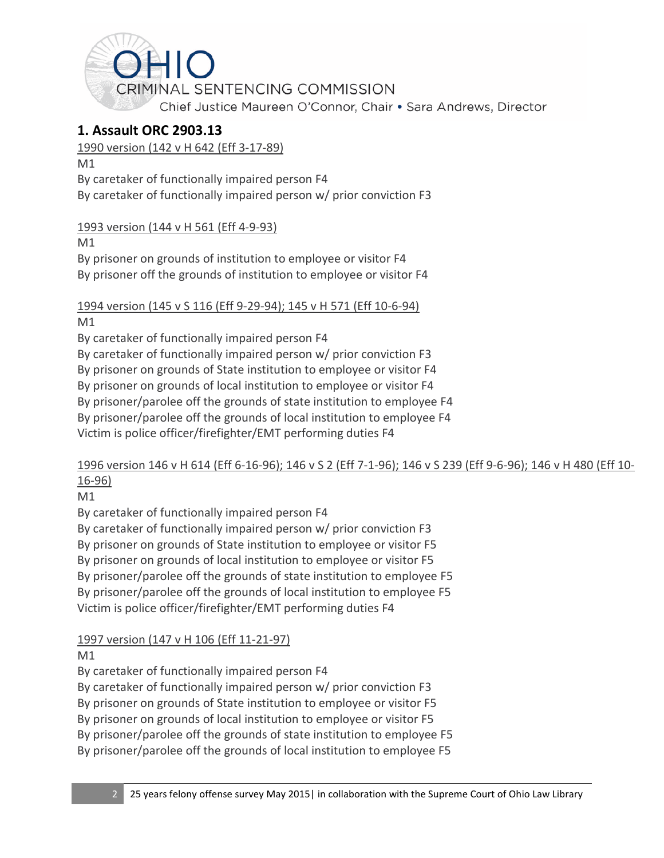<span id="page-21-0"></span>

# **1. Assault ORC 2903.13**

## 1990 version (142 v H 642 (Eff 3-17-89)

M1

By caretaker of functionally impaired person F4

By caretaker of functionally impaired person w/ prior conviction F3

# 1993 version (144 v H 561 (Eff 4-9-93)

M1

By prisoner on grounds of institution to employee or visitor F4 By prisoner off the grounds of institution to employee or visitor F4

# 1994 version (145 v S 116 (Eff 9-29-94); 145 v H 571 (Eff 10-6-94)

M1

By caretaker of functionally impaired person F4

By caretaker of functionally impaired person w/ prior conviction F3

By prisoner on grounds of State institution to employee or visitor F4

By prisoner on grounds of local institution to employee or visitor F4

By prisoner/parolee off the grounds of state institution to employee F4

By prisoner/parolee off the grounds of local institution to employee F4

Victim is police officer/firefighter/EMT performing duties F4

# 1996 version 146 v H 614 (Eff 6-16-96); 146 v S 2 (Eff 7-1-96); 146 v S 239 (Eff 9-6-96); 146 v H 480 (Eff 10- 16-96)

M1

By caretaker of functionally impaired person F4

By caretaker of functionally impaired person w/ prior conviction F3 By prisoner on grounds of State institution to employee or visitor F5 By prisoner on grounds of local institution to employee or visitor F5 By prisoner/parolee off the grounds of state institution to employee F5 By prisoner/parolee off the grounds of local institution to employee F5 Victim is police officer/firefighter/EMT performing duties F4

# 1997 version (147 v H 106 (Eff 11-21-97)

M1

By caretaker of functionally impaired person F4

By caretaker of functionally impaired person w/ prior conviction F3

By prisoner on grounds of State institution to employee or visitor F5

By prisoner on grounds of local institution to employee or visitor F5

By prisoner/parolee off the grounds of state institution to employee F5

By prisoner/parolee off the grounds of local institution to employee F5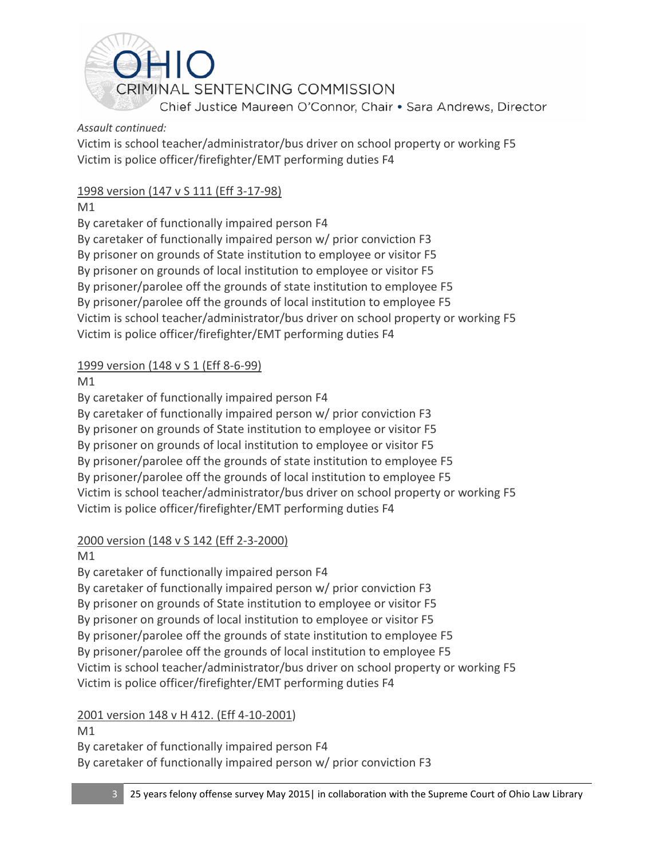

#### *Assault continued:*

Victim is school teacher/administrator/bus driver on school property or working F5 Victim is police officer/firefighter/EMT performing duties F4

## 1998 version (147 v S 111 (Eff 3-17-98)

M1

By caretaker of functionally impaired person F4 By caretaker of functionally impaired person w/ prior conviction F3 By prisoner on grounds of State institution to employee or visitor F5 By prisoner on grounds of local institution to employee or visitor F5 By prisoner/parolee off the grounds of state institution to employee F5 By prisoner/parolee off the grounds of local institution to employee F5 Victim is school teacher/administrator/bus driver on school property or working F5 Victim is police officer/firefighter/EMT performing duties F4

## 1999 version (148 v S 1 (Eff 8-6-99)

M1

By caretaker of functionally impaired person F4 By caretaker of functionally impaired person w/ prior conviction F3 By prisoner on grounds of State institution to employee or visitor F5 By prisoner on grounds of local institution to employee or visitor F5 By prisoner/parolee off the grounds of state institution to employee F5 By prisoner/parolee off the grounds of local institution to employee F5 Victim is school teacher/administrator/bus driver on school property or working F5 Victim is police officer/firefighter/EMT performing duties F4

# 2000 version (148 v S 142 (Eff 2-3-2000)

## M1

By caretaker of functionally impaired person F4 By caretaker of functionally impaired person w/ prior conviction F3 By prisoner on grounds of State institution to employee or visitor F5 By prisoner on grounds of local institution to employee or visitor F5 By prisoner/parolee off the grounds of state institution to employee F5 By prisoner/parolee off the grounds of local institution to employee F5 Victim is school teacher/administrator/bus driver on school property or working F5 Victim is police officer/firefighter/EMT performing duties F4

## 2001 version 148 v H 412. (Eff 4-10-2001)

M1 By caretaker of functionally impaired person F4 By caretaker of functionally impaired person w/ prior conviction F3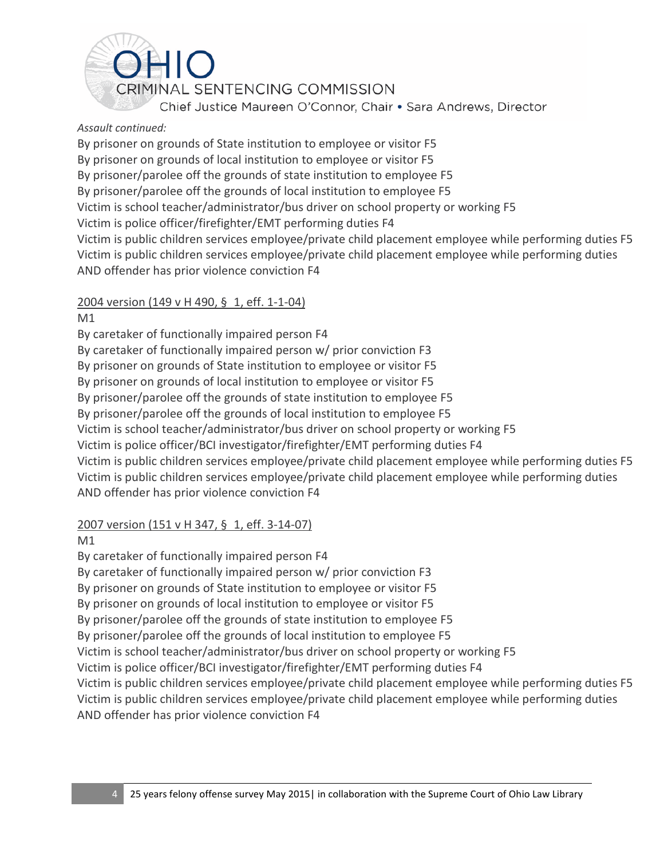Chief Justice Maureen O'Connor, Chair . Sara Andrews, Director

#### *Assault continued:*

By prisoner on grounds of State institution to employee or visitor F5 By prisoner on grounds of local institution to employee or visitor F5 By prisoner/parolee off the grounds of state institution to employee F5 By prisoner/parolee off the grounds of local institution to employee F5 Victim is school teacher/administrator/bus driver on school property or working F5 Victim is police officer/firefighter/EMT performing duties F4 Victim is public children services employee/private child placement employee while performing duties F5 Victim is public children services employee/private child placement employee while performing duties AND offender has prior violence conviction F4

## 2004 version (149 v H 490, § 1, eff. 1-1-04)

M1

By caretaker of functionally impaired person F4 By caretaker of functionally impaired person w/ prior conviction F3 By prisoner on grounds of State institution to employee or visitor F5 By prisoner on grounds of local institution to employee or visitor F5 By prisoner/parolee off the grounds of state institution to employee F5 By prisoner/parolee off the grounds of local institution to employee F5 Victim is school teacher/administrator/bus driver on school property or working F5 Victim is police officer/BCI investigator/firefighter/EMT performing duties F4 Victim is public children services employee/private child placement employee while performing duties F5 Victim is public children services employee/private child placement employee while performing duties AND offender has prior violence conviction F4

## 2007 version (151 v H 347, § 1, eff. 3-14-07)

M1

By caretaker of functionally impaired person F4 By caretaker of functionally impaired person w/ prior conviction F3 By prisoner on grounds of State institution to employee or visitor F5 By prisoner on grounds of local institution to employee or visitor F5 By prisoner/parolee off the grounds of state institution to employee F5 By prisoner/parolee off the grounds of local institution to employee F5 Victim is school teacher/administrator/bus driver on school property or working F5 Victim is police officer/BCI investigator/firefighter/EMT performing duties F4 Victim is public children services employee/private child placement employee while performing duties F5 Victim is public children services employee/private child placement employee while performing duties AND offender has prior violence conviction F4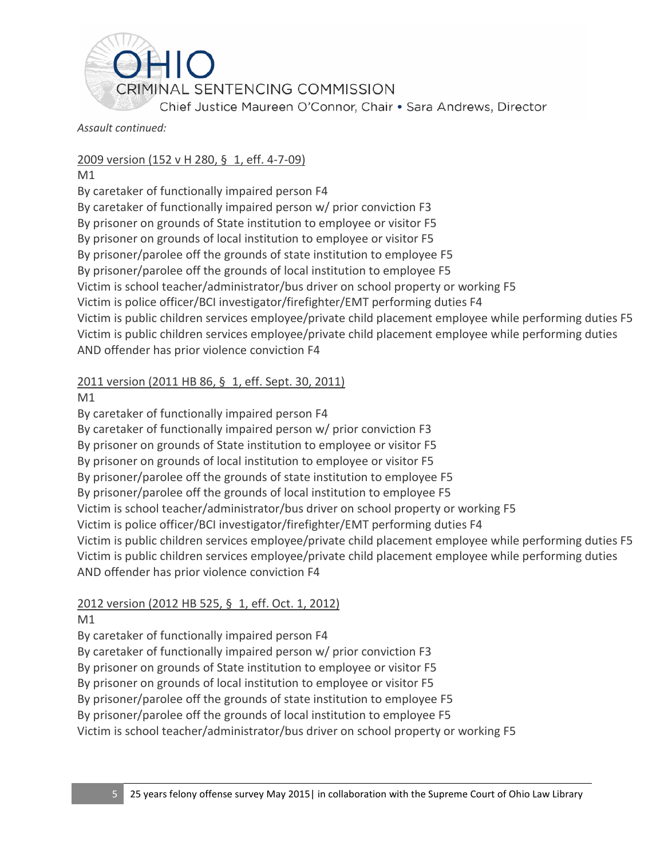

*Assault continued:*

### 2009 version (152 v H 280, § 1, eff. 4-7-09)

M1

By caretaker of functionally impaired person F4 By caretaker of functionally impaired person w/ prior conviction F3 By prisoner on grounds of State institution to employee or visitor F5 By prisoner on grounds of local institution to employee or visitor F5 By prisoner/parolee off the grounds of state institution to employee F5 By prisoner/parolee off the grounds of local institution to employee F5 Victim is school teacher/administrator/bus driver on school property or working F5 Victim is police officer/BCI investigator/firefighter/EMT performing duties F4 Victim is public children services employee/private child placement employee while performing duties F5 Victim is public children services employee/private child placement employee while performing duties AND offender has prior violence conviction F4

## 2011 version (2011 HB 86, § 1, eff. Sept. 30, 2011)

M1

By caretaker of functionally impaired person F4 By caretaker of functionally impaired person w/ prior conviction F3 By prisoner on grounds of State institution to employee or visitor F5 By prisoner on grounds of local institution to employee or visitor F5 By prisoner/parolee off the grounds of state institution to employee F5 By prisoner/parolee off the grounds of local institution to employee F5 Victim is school teacher/administrator/bus driver on school property or working F5 Victim is police officer/BCI investigator/firefighter/EMT performing duties F4 Victim is public children services employee/private child placement employee while performing duties F5 Victim is public children services employee/private child placement employee while performing duties AND offender has prior violence conviction F4

## 2012 version (2012 HB 525, § 1, eff. Oct. 1, 2012)

M1

By caretaker of functionally impaired person F4

By caretaker of functionally impaired person w/ prior conviction F3

By prisoner on grounds of State institution to employee or visitor F5

By prisoner on grounds of local institution to employee or visitor F5

By prisoner/parolee off the grounds of state institution to employee F5

By prisoner/parolee off the grounds of local institution to employee F5

Victim is school teacher/administrator/bus driver on school property or working F5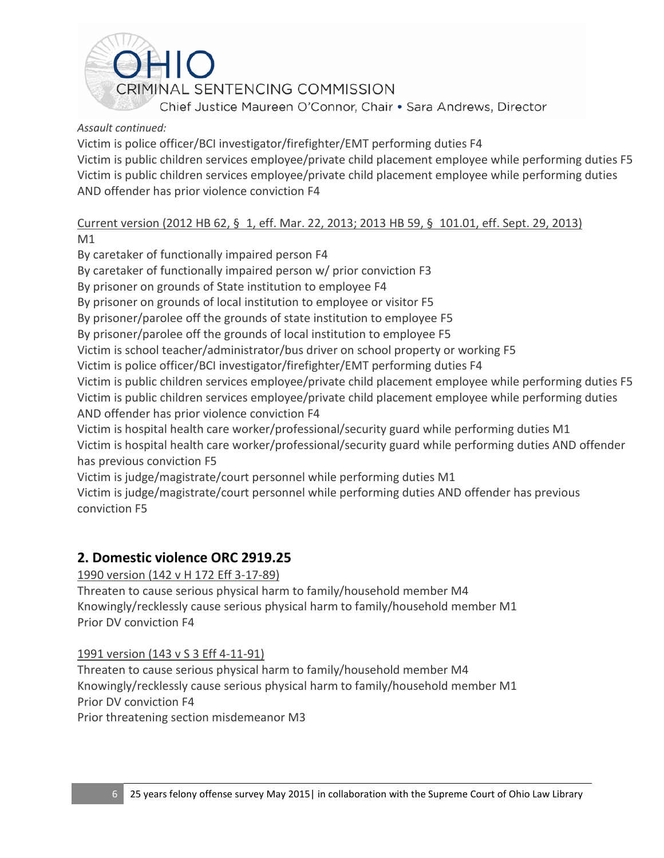<span id="page-25-0"></span>

#### *Assault continued:*

Victim is police officer/BCI investigator/firefighter/EMT performing duties F4 Victim is public children services employee/private child placement employee while performing duties F5 Victim is public children services employee/private child placement employee while performing duties AND offender has prior violence conviction F4

#### Current version (2012 HB 62, § 1, eff. Mar. 22, 2013; 2013 HB 59, § 101.01, eff. Sept. 29, 2013) M1

By caretaker of functionally impaired person F4 By caretaker of functionally impaired person w/ prior conviction F3 By prisoner on grounds of State institution to employee F4 By prisoner on grounds of local institution to employee or visitor F5 By prisoner/parolee off the grounds of state institution to employee F5 By prisoner/parolee off the grounds of local institution to employee F5 Victim is school teacher/administrator/bus driver on school property or working F5 Victim is police officer/BCI investigator/firefighter/EMT performing duties F4 Victim is public children services employee/private child placement employee while performing duties F5 Victim is public children services employee/private child placement employee while performing duties AND offender has prior violence conviction F4 Victim is hospital health care worker/professional/security guard while performing duties M1 Victim is hospital health care worker/professional/security guard while performing duties AND offender has previous conviction F5 Victim is judge/magistrate/court personnel while performing duties M1 Victim is judge/magistrate/court personnel while performing duties AND offender has previous conviction F5

# **2. Domestic violence ORC 2919.25**

## 1990 version (142 v H 172 Eff 3-17-89)

Threaten to cause serious physical harm to family/household member M4 Knowingly/recklessly cause serious physical harm to family/household member M1 Prior DV conviction F4

#### 1991 version (143 v S 3 Eff 4-11-91)

Threaten to cause serious physical harm to family/household member M4 Knowingly/recklessly cause serious physical harm to family/household member M1 Prior DV conviction F4 Prior threatening section misdemeanor M3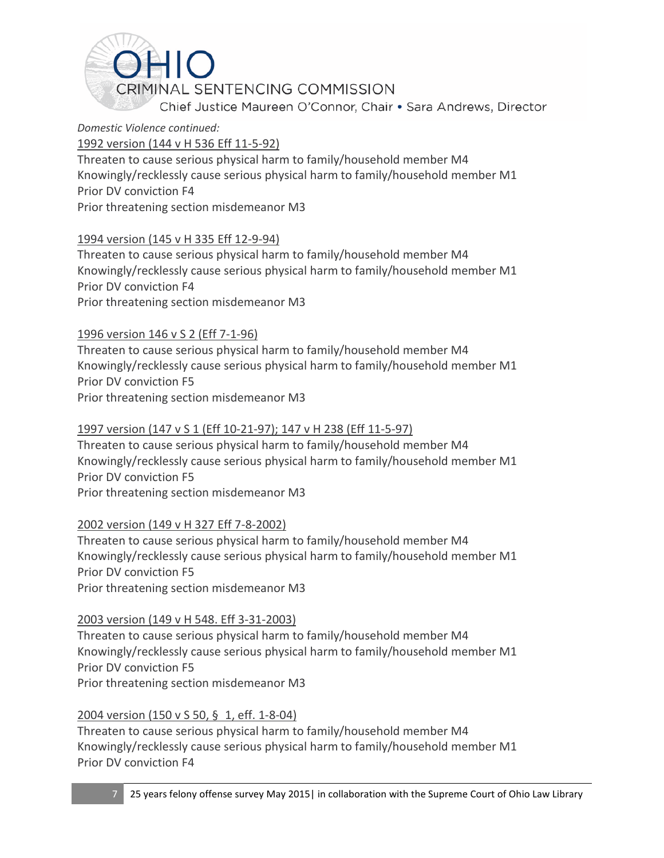

### *Domestic Violence continued:*

1992 version (144 v H 536 Eff 11-5-92)

Threaten to cause serious physical harm to family/household member M4 Knowingly/recklessly cause serious physical harm to family/household member M1 Prior DV conviction F4 Prior threatening section misdemeanor M3

## 1994 version (145 v H 335 Eff 12-9-94)

Threaten to cause serious physical harm to family/household member M4 Knowingly/recklessly cause serious physical harm to family/household member M1 Prior DV conviction F4 Prior threatening section misdemeanor M3

## 1996 version 146 v S 2 (Eff 7-1-96)

Threaten to cause serious physical harm to family/household member M4 Knowingly/recklessly cause serious physical harm to family/household member M1 Prior DV conviction F5 Prior threatening section misdemeanor M3

## 1997 version (147 v S 1 (Eff 10-21-97); 147 v H 238 (Eff 11-5-97)

Threaten to cause serious physical harm to family/household member M4 Knowingly/recklessly cause serious physical harm to family/household member M1 Prior DV conviction F5 Prior threatening section misdemeanor M3

#### 2002 version (149 v H 327 Eff 7-8-2002)

Threaten to cause serious physical harm to family/household member M4 Knowingly/recklessly cause serious physical harm to family/household member M1 Prior DV conviction F5 Prior threatening section misdemeanor M3

#### 2003 version (149 v H 548. Eff 3-31-2003)

Threaten to cause serious physical harm to family/household member M4 Knowingly/recklessly cause serious physical harm to family/household member M1 Prior DV conviction F5 Prior threatening section misdemeanor M3

## 2004 version (150 v S 50, § 1, eff. 1-8-04)

Threaten to cause serious physical harm to family/household member M4 Knowingly/recklessly cause serious physical harm to family/household member M1 Prior DV conviction F4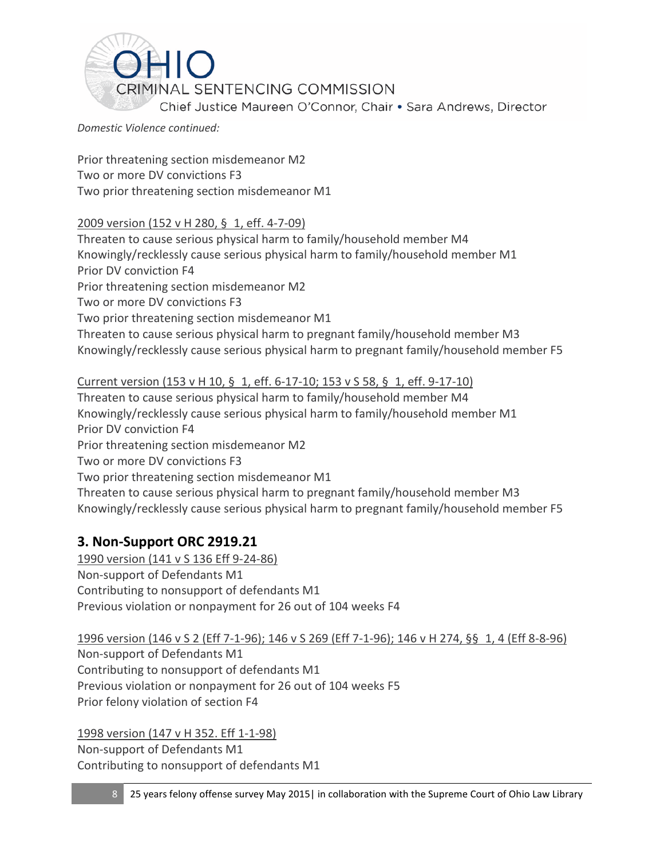<span id="page-27-0"></span>

*Domestic Violence continued:*

Prior threatening section misdemeanor M2 Two or more DV convictions F3 Two prior threatening section misdemeanor M1

## 2009 version (152 v H 280, § 1, eff. 4-7-09)

Threaten to cause serious physical harm to family/household member M4 Knowingly/recklessly cause serious physical harm to family/household member M1 Prior DV conviction F4 Prior threatening section misdemeanor M2 Two or more DV convictions F3 Two prior threatening section misdemeanor M1 Threaten to cause serious physical harm to pregnant family/household member M3 Knowingly/recklessly cause serious physical harm to pregnant family/household member F5

Current version (153 v H 10, § 1, eff. 6-17-10; 153 v S 58, § 1, eff. 9-17-10) Threaten to cause serious physical harm to family/household member M4

Knowingly/recklessly cause serious physical harm to family/household member M1 Prior DV conviction F4 Prior threatening section misdemeanor M2 Two or more DV convictions F3 Two prior threatening section misdemeanor M1 Threaten to cause serious physical harm to pregnant family/household member M3 Knowingly/recklessly cause serious physical harm to pregnant family/household member F5

# **3. Non-Support ORC 2919.21**

1990 version (141 v S 136 Eff 9-24-86) Non-support of Defendants M1 Contributing to nonsupport of defendants M1 Previous violation or nonpayment for 26 out of 104 weeks F4

1996 version (146 v S 2 (Eff 7-1-96); 146 v S 269 (Eff 7-1-96); 146 v H 274, §§ 1, 4 (Eff 8-8-96) Non-support of Defendants M1 Contributing to nonsupport of defendants M1 Previous violation or nonpayment for 26 out of 104 weeks F5 Prior felony violation of section F4

1998 version (147 v H 352. Eff 1-1-98) Non-support of Defendants M1 Contributing to nonsupport of defendants M1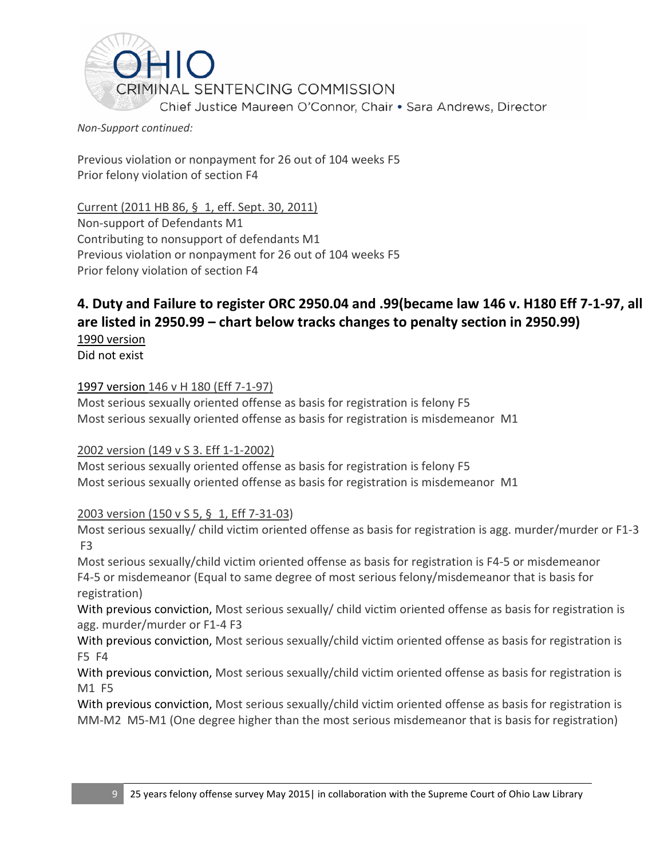<span id="page-28-0"></span>

#### *Non-Support continued:*

Previous violation or nonpayment for 26 out of 104 weeks F5 Prior felony violation of section F4

Current (2011 HB 86, § 1, eff. Sept. 30, 2011) Non-support of Defendants M1 Contributing to nonsupport of defendants M1 Previous violation or nonpayment for 26 out of 104 weeks F5 Prior felony violation of section F4

# **4. Duty and Failure to register ORC 2950.04 and .99(became law 146 v. H180 Eff 7-1-97, all are listed in 2950.99 – chart below tracks changes to penalty section in 2950.99)**

1990 version Did not exist

## 1997 version 146 v H 180 (Eff 7-1-97)

Most serious sexually oriented offense as basis for registration is felony F5 Most serious sexually oriented offense as basis for registration is misdemeanor M1

#### 2002 version (149 v S 3. Eff 1-1-2002)

Most serious sexually oriented offense as basis for registration is felony F5 Most serious sexually oriented offense as basis for registration is misdemeanor M1

#### 2003 version (150 v S 5, § 1, Eff 7-31-03)

Most serious sexually/ child victim oriented offense as basis for registration is agg. murder/murder or F1-3 F3

Most serious sexually/child victim oriented offense as basis for registration is F4-5 or misdemeanor F4-5 or misdemeanor (Equal to same degree of most serious felony/misdemeanor that is basis for registration)

With previous conviction, Most serious sexually/ child victim oriented offense as basis for registration is agg. murder/murder or F1-4 F3

With previous conviction, Most serious sexually/child victim oriented offense as basis for registration is F5 F4

With previous conviction, Most serious sexually/child victim oriented offense as basis for registration is M1 F5

With previous conviction, Most serious sexually/child victim oriented offense as basis for registration is MM-M2 M5-M1 (One degree higher than the most serious misdemeanor that is basis for registration)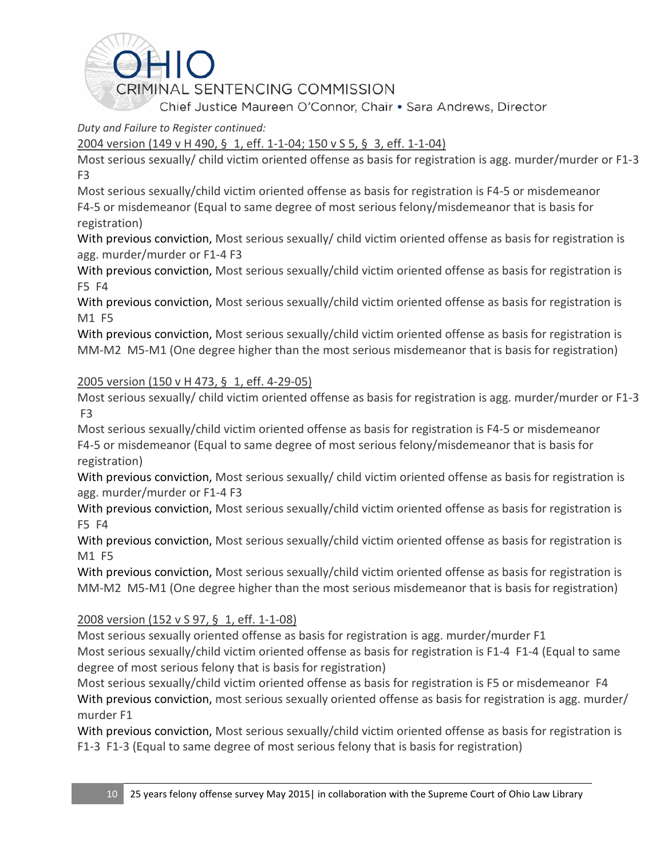

## *Duty and Failure to Register continued:*

## 2004 version (149 v H 490, § 1, eff. 1-1-04; 150 v S 5, § 3, eff. 1-1-04)

Most serious sexually/ child victim oriented offense as basis for registration is agg. murder/murder or F1-3 F3

Most serious sexually/child victim oriented offense as basis for registration is F4-5 or misdemeanor F4-5 or misdemeanor (Equal to same degree of most serious felony/misdemeanor that is basis for registration)

With previous conviction, Most serious sexually/ child victim oriented offense as basis for registration is agg. murder/murder or F1-4 F3

With previous conviction, Most serious sexually/child victim oriented offense as basis for registration is F5 F4

With previous conviction, Most serious sexually/child victim oriented offense as basis for registration is M1 F5

With previous conviction, Most serious sexually/child victim oriented offense as basis for registration is MM-M2 M5-M1 (One degree higher than the most serious misdemeanor that is basis for registration)

## 2005 version (150 v H 473, § 1, eff. 4-29-05)

Most serious sexually/ child victim oriented offense as basis for registration is agg. murder/murder or F1-3 F3

Most serious sexually/child victim oriented offense as basis for registration is F4-5 or misdemeanor F4-5 or misdemeanor (Equal to same degree of most serious felony/misdemeanor that is basis for registration)

With previous conviction, Most serious sexually/ child victim oriented offense as basis for registration is agg. murder/murder or F1-4 F3

With previous conviction, Most serious sexually/child victim oriented offense as basis for registration is F5 F4

With previous conviction, Most serious sexually/child victim oriented offense as basis for registration is M1 F5

With previous conviction, Most serious sexually/child victim oriented offense as basis for registration is MM-M2 M5-M1 (One degree higher than the most serious misdemeanor that is basis for registration)

## 2008 version (152 v S 97, § 1, eff. 1-1-08)

Most serious sexually oriented offense as basis for registration is agg. murder/murder F1 Most serious sexually/child victim oriented offense as basis for registration is F1-4 F1-4 (Equal to same degree of most serious felony that is basis for registration)

Most serious sexually/child victim oriented offense as basis for registration is F5 or misdemeanor F4 With previous conviction, most serious sexually oriented offense as basis for registration is agg. murder/ murder F1

With previous conviction, Most serious sexually/child victim oriented offense as basis for registration is F1-3 F1-3 (Equal to same degree of most serious felony that is basis for registration)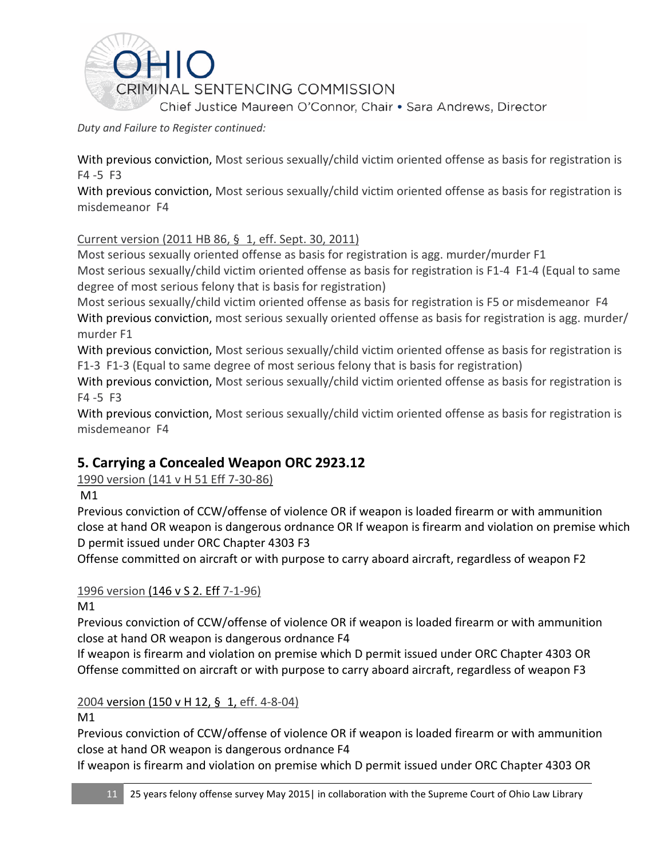<span id="page-30-0"></span>

*Duty and Failure to Register continued:*

With previous conviction, Most serious sexually/child victim oriented offense as basis for registration is F4 -5 F3

With previous conviction, Most serious sexually/child victim oriented offense as basis for registration is misdemeanor F4

## Current version (2011 HB 86, § 1, eff. Sept. 30, 2011)

Most serious sexually oriented offense as basis for registration is agg. murder/murder F1 Most serious sexually/child victim oriented offense as basis for registration is F1-4 F1-4 (Equal to same degree of most serious felony that is basis for registration)

Most serious sexually/child victim oriented offense as basis for registration is F5 or misdemeanor F4 With previous conviction, most serious sexually oriented offense as basis for registration is agg. murder/ murder F1

With previous conviction, Most serious sexually/child victim oriented offense as basis for registration is F1-3 F1-3 (Equal to same degree of most serious felony that is basis for registration)

With previous conviction, Most serious sexually/child victim oriented offense as basis for registration is F4 -5 F3

With previous conviction, Most serious sexually/child victim oriented offense as basis for registration is misdemeanor F4

# **5. Carrying a Concealed Weapon ORC 2923.12**

# 1990 version (141 v H 51 Eff 7-30-86)

M1

Previous conviction of CCW/offense of violence OR if weapon is loaded firearm or with ammunition close at hand OR weapon is dangerous ordnance OR If weapon is firearm and violation on premise which D permit issued under ORC Chapter 4303 F3

Offense committed on aircraft or with purpose to carry aboard aircraft, regardless of weapon F2

## 1996 version [\(146 v S 2.](https://advance.lexis.com/search/?pdmfid=1000516&crid=6fc4bd4f-61ad-4735-a8e0-a59f8c8d1c94&pdsearchterms=orc+2923.12&pdstartin=hlct%3A1%3A5&pdpsf=&ecomp=Jk1fk&prid=4151a6cb-5bd5-4d18-b747-0ef67475885b) Eff 7-1-96)

M1

Previous conviction of CCW/offense of violence OR if weapon is loaded firearm or with ammunition close at hand OR weapon is dangerous ordnance F4

If weapon is firearm and violation on premise which D permit issued under ORC Chapter 4303 OR Offense committed on aircraft or with purpose to carry aboard aircraft, regardless of weapon F3

## 2004 version [\(150 v H 12,](https://advance.lexis.com/search/?pdmfid=1000516&crid=6fc4bd4f-61ad-4735-a8e0-a59f8c8d1c94&pdsearchterms=orc+2923.12&pdstartin=hlct%3A1%3A5&pdpsf=&ecomp=Jk1fk&prid=4151a6cb-5bd5-4d18-b747-0ef67475885b) § 1, eff. 4-8-04)

M1

Previous conviction of CCW/offense of violence OR if weapon is loaded firearm or with ammunition close at hand OR weapon is dangerous ordnance F4

If weapon is firearm and violation on premise which D permit issued under ORC Chapter 4303 OR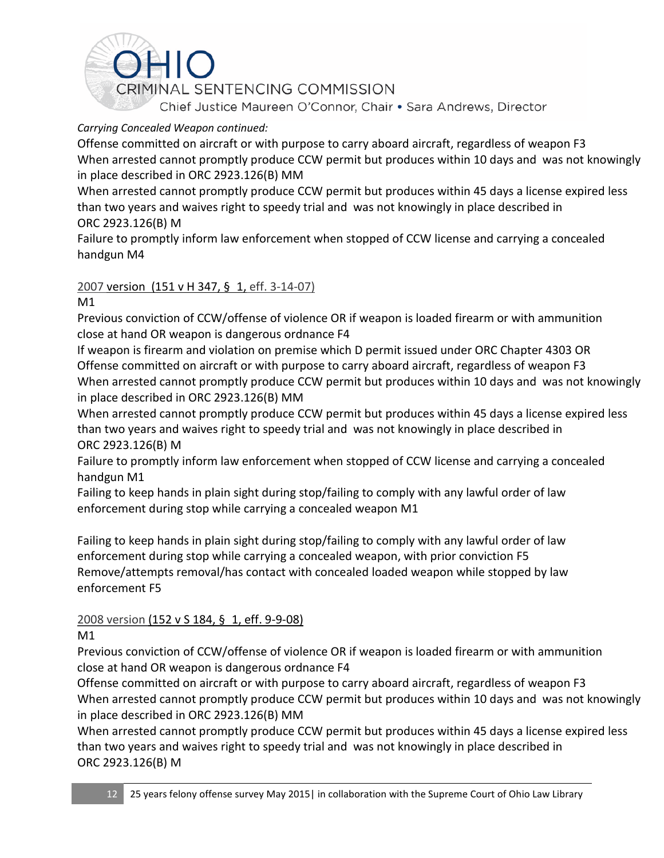

## *Carrying Concealed Weapon continued:*

Offense committed on aircraft or with purpose to carry aboard aircraft, regardless of weapon F3 When arrested cannot promptly produce CCW permit but produces within 10 days and was not knowingly in place described in ORC 2923.126(B) MM

When arrested cannot promptly produce CCW permit but produces within 45 days a license expired less than two years and waives right to speedy trial and was not knowingly in place described in ORC 2923.126(B) M

Failure to promptly inform law enforcement when stopped of CCW license and carrying a concealed handgun M4

## 2007 version [\(151 v H 347,](https://advance.lexis.com/search/?pdmfid=1000516&crid=6fc4bd4f-61ad-4735-a8e0-a59f8c8d1c94&pdsearchterms=orc+2923.12&pdstartin=hlct%3A1%3A5&pdpsf=&ecomp=Jk1fk&prid=4151a6cb-5bd5-4d18-b747-0ef67475885b) § 1, eff. 3-14-07)

M1

Previous conviction of CCW/offense of violence OR if weapon is loaded firearm or with ammunition close at hand OR weapon is dangerous ordnance F4

If weapon is firearm and violation on premise which D permit issued under ORC Chapter 4303 OR Offense committed on aircraft or with purpose to carry aboard aircraft, regardless of weapon F3 When arrested cannot promptly produce CCW permit but produces within 10 days and was not knowingly in place described in ORC 2923.126(B) MM

When arrested cannot promptly produce CCW permit but produces within 45 days a license expired less than two years and waives right to speedy trial and was not knowingly in place described in ORC 2923.126(B) M

Failure to promptly inform law enforcement when stopped of CCW license and carrying a concealed handgun M1

Failing to keep hands in plain sight during stop/failing to comply with any lawful order of law enforcement during stop while carrying a concealed weapon M1

Failing to keep hands in plain sight during stop/failing to comply with any lawful order of law enforcement during stop while carrying a concealed weapon, with prior conviction F5 Remove/attempts removal/has contact with concealed loaded weapon while stopped by law enforcement F5

# 2008 version [\(152 v S 184,](https://advance.lexis.com/search/?pdmfid=1000516&crid=6fc4bd4f-61ad-4735-a8e0-a59f8c8d1c94&pdsearchterms=orc+2923.12&pdstartin=hlct%3A1%3A5&pdpsf=&ecomp=Jk1fk&prid=4151a6cb-5bd5-4d18-b747-0ef67475885b) § 1, eff. 9-9-08)

M1

Previous conviction of CCW/offense of violence OR if weapon is loaded firearm or with ammunition close at hand OR weapon is dangerous ordnance F4

Offense committed on aircraft or with purpose to carry aboard aircraft, regardless of weapon F3 When arrested cannot promptly produce CCW permit but produces within 10 days and was not knowingly in place described in ORC 2923.126(B) MM

When arrested cannot promptly produce CCW permit but produces within 45 days a license expired less than two years and waives right to speedy trial and was not knowingly in place described in ORC 2923.126(B) M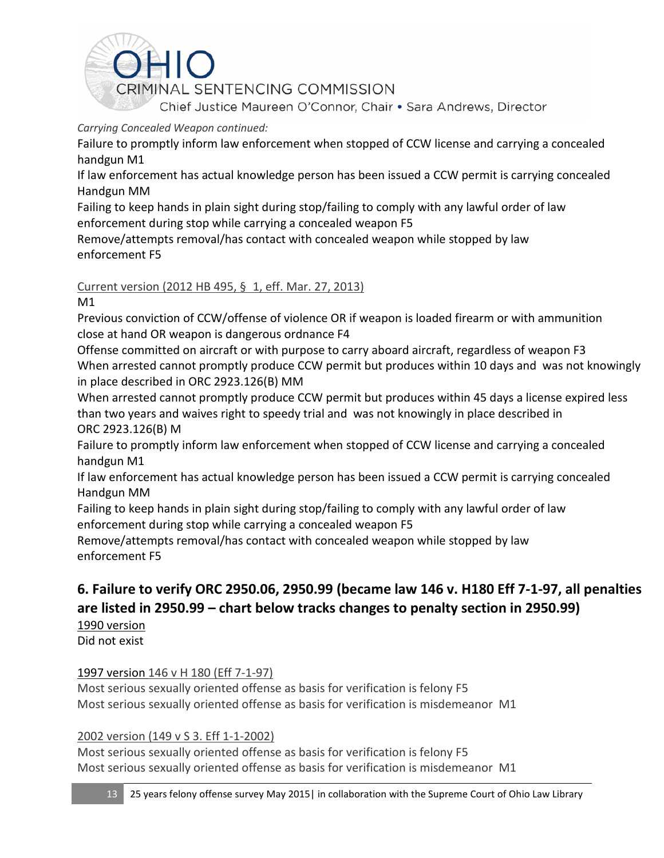<span id="page-32-0"></span>

## *Carrying Concealed Weapon continued:*

Failure to promptly inform law enforcement when stopped of CCW license and carrying a concealed handgun M1

If law enforcement has actual knowledge person has been issued a CCW permit is carrying concealed Handgun MM

Failing to keep hands in plain sight during stop/failing to comply with any lawful order of law enforcement during stop while carrying a concealed weapon F5

Remove/attempts removal/has contact with concealed weapon while stopped by law enforcement F5

## Current version (2012 HB 495, § 1, eff. Mar. 27, 2013)

M1

Previous conviction of CCW/offense of violence OR if weapon is loaded firearm or with ammunition close at hand OR weapon is dangerous ordnance F4

Offense committed on aircraft or with purpose to carry aboard aircraft, regardless of weapon F3 When arrested cannot promptly produce CCW permit but produces within 10 days and was not knowingly in place described in ORC 2923.126(B) MM

When arrested cannot promptly produce CCW permit but produces within 45 days a license expired less than two years and waives right to speedy trial and was not knowingly in place described in ORC 2923.126(B) M

Failure to promptly inform law enforcement when stopped of CCW license and carrying a concealed handgun M1

If law enforcement has actual knowledge person has been issued a CCW permit is carrying concealed Handgun MM

Failing to keep hands in plain sight during stop/failing to comply with any lawful order of law enforcement during stop while carrying a concealed weapon F5

Remove/attempts removal/has contact with concealed weapon while stopped by law enforcement F5

# **6. Failure to verify ORC 2950.06, 2950.99 (became law 146 v. H180 Eff 7-1-97, all penalties are listed in 2950.99 – chart below tracks changes to penalty section in 2950.99)**

1990 version Did not exist

# 1997 version 146 v H 180 (Eff 7-1-97)

Most serious sexually oriented offense as basis for verification is felony F5 Most serious sexually oriented offense as basis for verification is misdemeanor M1

## 2002 version (149 v S 3. Eff 1-1-2002)

Most serious sexually oriented offense as basis for verification is felony F5 Most serious sexually oriented offense as basis for verification is misdemeanor M1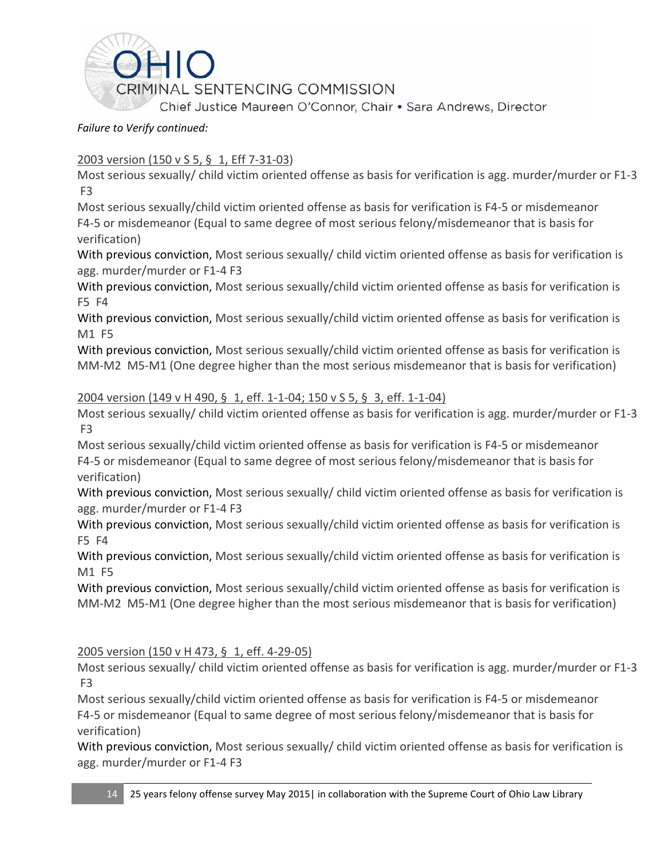

### *Failure to Verify continued:*

## 2003 version (150 v S 5, § 1, Eff 7-31-03)

Most serious sexually/ child victim oriented offense as basis for verification is agg. murder/murder or F1-3 F3

Most serious sexually/child victim oriented offense as basis for verification is F4-5 or misdemeanor F4-5 or misdemeanor (Equal to same degree of most serious felony/misdemeanor that is basis for verification)

With previous conviction, Most serious sexually/ child victim oriented offense as basis for verification is agg. murder/murder or F1-4 F3

With previous conviction, Most serious sexually/child victim oriented offense as basis for verification is F5 F4

With previous conviction, Most serious sexually/child victim oriented offense as basis for verification is M1 F5

With previous conviction, Most serious sexually/child victim oriented offense as basis for verification is MM-M2 M5-M1 (One degree higher than the most serious misdemeanor that is basis for verification)

#### 2004 version (149 v H 490, § 1, eff. 1-1-04; 150 v S 5, § 3, eff. 1-1-04)

Most serious sexually/ child victim oriented offense as basis for verification is agg. murder/murder or F1-3 F3

Most serious sexually/child victim oriented offense as basis for verification is F4-5 or misdemeanor F4-5 or misdemeanor (Equal to same degree of most serious felony/misdemeanor that is basis for verification)

With previous conviction, Most serious sexually/ child victim oriented offense as basis for verification is agg. murder/murder or F1-4 F3

With previous conviction, Most serious sexually/child victim oriented offense as basis for verification is F5 F4

With previous conviction, Most serious sexually/child victim oriented offense as basis for verification is M1 F5

With previous conviction, Most serious sexually/child victim oriented offense as basis for verification is MM-M2 M5-M1 (One degree higher than the most serious misdemeanor that is basis for verification)

## 2005 version (150 v H 473, § 1, eff. 4-29-05)

Most serious sexually/ child victim oriented offense as basis for verification is agg. murder/murder or F1-3 F3

Most serious sexually/child victim oriented offense as basis for verification is F4-5 or misdemeanor F4-5 or misdemeanor (Equal to same degree of most serious felony/misdemeanor that is basis for verification)

With previous conviction, Most serious sexually/ child victim oriented offense as basis for verification is agg. murder/murder or F1-4 F3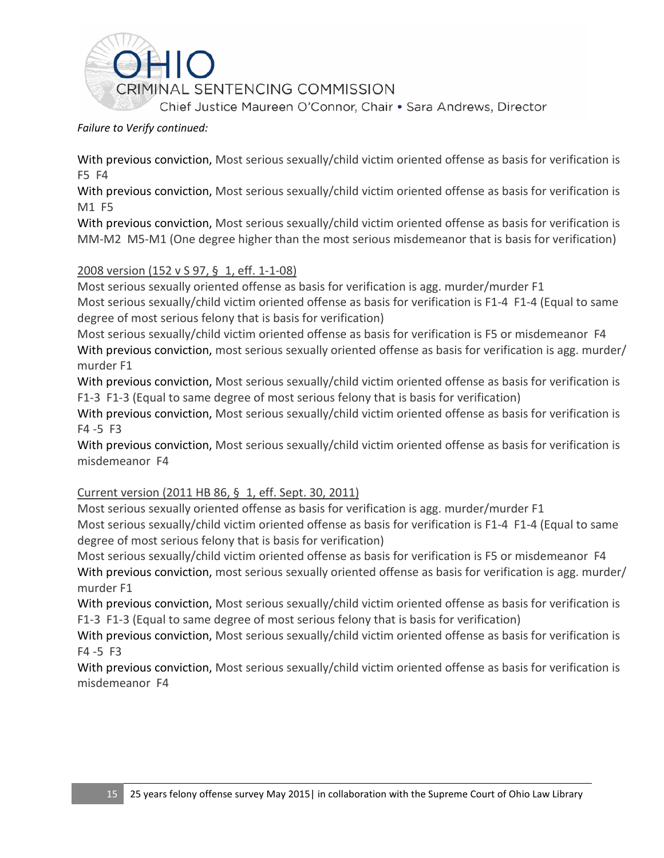

*Failure to Verify continued:*

With previous conviction, Most serious sexually/child victim oriented offense as basis for verification is F5 F4

With previous conviction, Most serious sexually/child victim oriented offense as basis for verification is M1 F5

With previous conviction, Most serious sexually/child victim oriented offense as basis for verification is MM-M2 M5-M1 (One degree higher than the most serious misdemeanor that is basis for verification)

## 2008 version (152 v S 97, § 1, eff. 1-1-08)

Most serious sexually oriented offense as basis for verification is agg. murder/murder F1 Most serious sexually/child victim oriented offense as basis for verification is F1-4 F1-4 (Equal to same degree of most serious felony that is basis for verification)

Most serious sexually/child victim oriented offense as basis for verification is F5 or misdemeanor F4 With previous conviction, most serious sexually oriented offense as basis for verification is agg. murder/ murder F1

With previous conviction, Most serious sexually/child victim oriented offense as basis for verification is F1-3 F1-3 (Equal to same degree of most serious felony that is basis for verification)

With previous conviction, Most serious sexually/child victim oriented offense as basis for verification is F4 -5 F3

With previous conviction, Most serious sexually/child victim oriented offense as basis for verification is misdemeanor F4

#### Current version (2011 HB 86, § 1, eff. Sept. 30, 2011)

Most serious sexually oriented offense as basis for verification is agg. murder/murder F1 Most serious sexually/child victim oriented offense as basis for verification is F1-4 F1-4 (Equal to same degree of most serious felony that is basis for verification)

Most serious sexually/child victim oriented offense as basis for verification is F5 or misdemeanor F4 With previous conviction, most serious sexually oriented offense as basis for verification is agg. murder/ murder F1

With previous conviction, Most serious sexually/child victim oriented offense as basis for verification is F1-3 F1-3 (Equal to same degree of most serious felony that is basis for verification)

With previous conviction, Most serious sexually/child victim oriented offense as basis for verification is F4 -5 F3

With previous conviction, Most serious sexually/child victim oriented offense as basis for verification is misdemeanor F4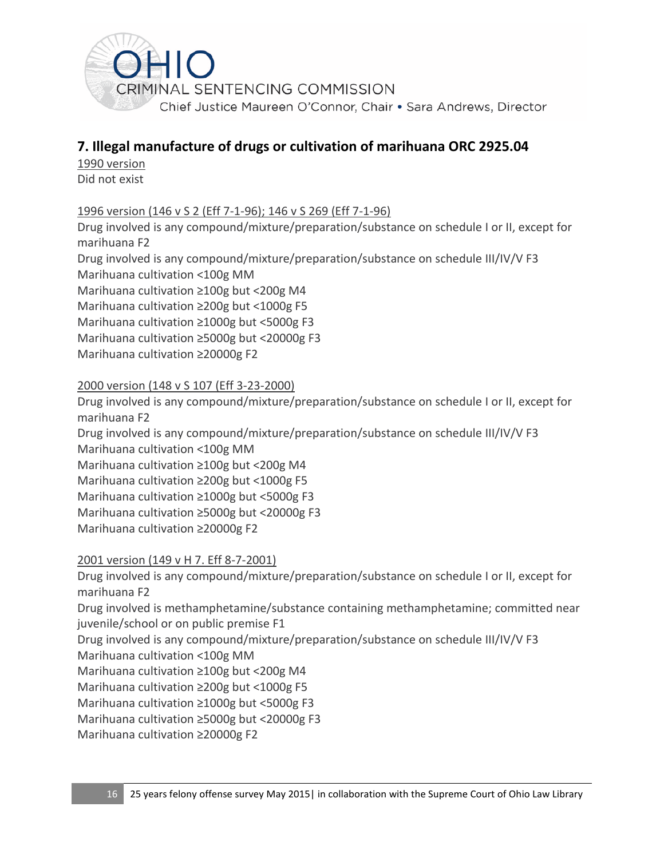<span id="page-35-0"></span>

# **7. Illegal manufacture of drugs or cultivation of marihuana ORC 2925.04**

1990 version Did not exist

## 1996 version (146 v S 2 (Eff 7-1-96); 146 v S 269 (Eff 7-1-96)

Drug involved is any compound/mixture/preparation/substance on schedule I or II, except for marihuana F2

Drug involved is any compound/mixture/preparation/substance on schedule III/IV/V F3 Marihuana cultivation <100g MM

Marihuana cultivation ≥100g but <200g M4

Marihuana cultivation ≥200g but <1000g F5

Marihuana cultivation ≥1000g but <5000g F3

Marihuana cultivation ≥5000g but <20000g F3

Marihuana cultivation ≥20000g F2

## 2000 version (148 v S 107 (Eff 3-23-2000)

Drug involved is any compound/mixture/preparation/substance on schedule I or II, except for marihuana F2 Drug involved is any compound/mixture/preparation/substance on schedule III/IV/V F3

Marihuana cultivation <100g MM

Marihuana cultivation ≥100g but <200g M4

Marihuana cultivation ≥200g but <1000g F5

Marihuana cultivation ≥1000g but <5000g F3

Marihuana cultivation ≥5000g but <20000g F3

Marihuana cultivation ≥20000g F2

2001 version (149 v H 7. Eff 8-7-2001)

Drug involved is any compound/mixture/preparation/substance on schedule I or II, except for marihuana F2

Drug involved is methamphetamine/substance containing methamphetamine; committed near juvenile/school or on public premise F1

Drug involved is any compound/mixture/preparation/substance on schedule III/IV/V F3

Marihuana cultivation <100g MM

Marihuana cultivation ≥100g but <200g M4

Marihuana cultivation ≥200g but <1000g F5

Marihuana cultivation ≥1000g but <5000g F3

Marihuana cultivation ≥5000g but <20000g F3

Marihuana cultivation ≥20000g F2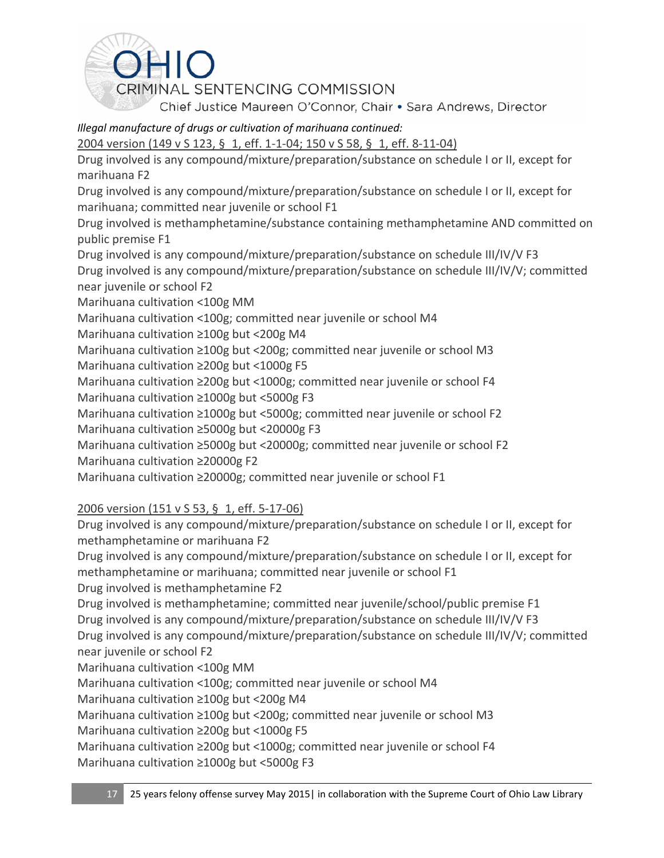

# *Illegal manufacture of drugs or cultivation of marihuana continued:*

2004 version (149 v S 123, § 1, eff. 1-1-04; 150 v S 58, § 1, eff. 8-11-04)

Drug involved is any compound/mixture/preparation/substance on schedule I or II, except for marihuana F2

Drug involved is any compound/mixture/preparation/substance on schedule I or II, except for marihuana; committed near juvenile or school F1

Drug involved is methamphetamine/substance containing methamphetamine AND committed on public premise F1

Drug involved is any compound/mixture/preparation/substance on schedule III/IV/V F3 Drug involved is any compound/mixture/preparation/substance on schedule III/IV/V; committed near juvenile or school F2

Marihuana cultivation <100g MM

Marihuana cultivation <100g; committed near juvenile or school M4

Marihuana cultivation ≥100g but <200g M4

Marihuana cultivation ≥100g but <200g; committed near juvenile or school M3

Marihuana cultivation ≥200g but <1000g F5

Marihuana cultivation ≥200g but <1000g; committed near juvenile or school F4

Marihuana cultivation ≥1000g but <5000g F3

Marihuana cultivation ≥1000g but <5000g; committed near juvenile or school F2

Marihuana cultivation ≥5000g but <20000g F3

Marihuana cultivation ≥5000g but <20000g; committed near juvenile or school F2

Marihuana cultivation ≥20000g F2

Marihuana cultivation ≥20000g; committed near juvenile or school F1

## 2006 version (151 v S 53, § 1, eff. 5-17-06)

Drug involved is any compound/mixture/preparation/substance on schedule I or II, except for methamphetamine or marihuana F2

Drug involved is any compound/mixture/preparation/substance on schedule I or II, except for methamphetamine or marihuana; committed near juvenile or school F1

Drug involved is methamphetamine F2

Drug involved is methamphetamine; committed near juvenile/school/public premise F1 Drug involved is any compound/mixture/preparation/substance on schedule III/IV/V F3 Drug involved is any compound/mixture/preparation/substance on schedule III/IV/V; committed near juvenile or school F2

Marihuana cultivation <100g MM

Marihuana cultivation <100g; committed near juvenile or school M4

Marihuana cultivation ≥100g but <200g M4

Marihuana cultivation ≥100g but <200g; committed near juvenile or school M3

Marihuana cultivation ≥200g but <1000g F5

Marihuana cultivation ≥200g but <1000g; committed near juvenile or school F4 Marihuana cultivation ≥1000g but <5000g F3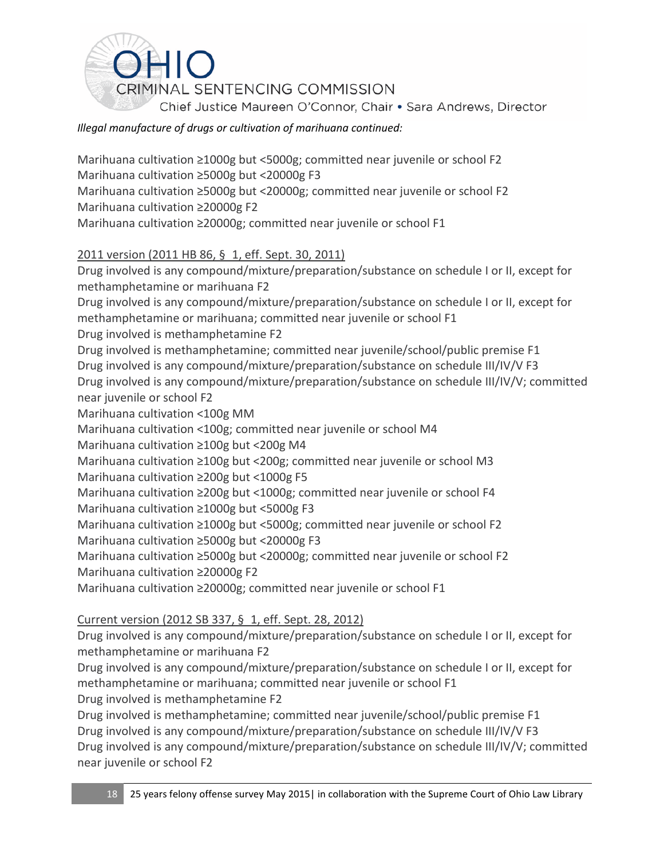

### *Illegal manufacture of drugs or cultivation of marihuana continued:*

Marihuana cultivation ≥1000g but <5000g; committed near juvenile or school F2 Marihuana cultivation ≥5000g but <20000g F3 Marihuana cultivation ≥5000g but <20000g; committed near juvenile or school F2 Marihuana cultivation ≥20000g F2 Marihuana cultivation ≥20000g; committed near juvenile or school F1 2011 version (2011 HB 86, § 1, eff. Sept. 30, 2011) Drug involved is any compound/mixture/preparation/substance on schedule I or II, except for methamphetamine or marihuana F2 Drug involved is any compound/mixture/preparation/substance on schedule I or II, except for methamphetamine or marihuana; committed near juvenile or school F1 Drug involved is methamphetamine F2 Drug involved is methamphetamine; committed near juvenile/school/public premise F1 Drug involved is any compound/mixture/preparation/substance on schedule III/IV/V F3 Drug involved is any compound/mixture/preparation/substance on schedule III/IV/V; committed near juvenile or school F2 Marihuana cultivation <100g MM Marihuana cultivation <100g; committed near juvenile or school M4 Marihuana cultivation ≥100g but <200g M4 Marihuana cultivation ≥100g but <200g; committed near juvenile or school M3 Marihuana cultivation ≥200g but <1000g F5 Marihuana cultivation ≥200g but <1000g; committed near juvenile or school F4 Marihuana cultivation ≥1000g but <5000g F3 Marihuana cultivation ≥1000g but <5000g; committed near juvenile or school F2 Marihuana cultivation ≥5000g but <20000g F3 Marihuana cultivation ≥5000g but <20000g; committed near juvenile or school F2 Marihuana cultivation ≥20000g F2 Marihuana cultivation ≥20000g; committed near juvenile or school F1

### Current version (2012 SB 337, § 1, eff. Sept. 28, 2012)

Drug involved is any compound/mixture/preparation/substance on schedule I or II, except for methamphetamine or marihuana F2

Drug involved is any compound/mixture/preparation/substance on schedule I or II, except for methamphetamine or marihuana; committed near juvenile or school F1

Drug involved is methamphetamine F2

Drug involved is methamphetamine; committed near juvenile/school/public premise F1 Drug involved is any compound/mixture/preparation/substance on schedule III/IV/V F3 Drug involved is any compound/mixture/preparation/substance on schedule III/IV/V; committed near juvenile or school F2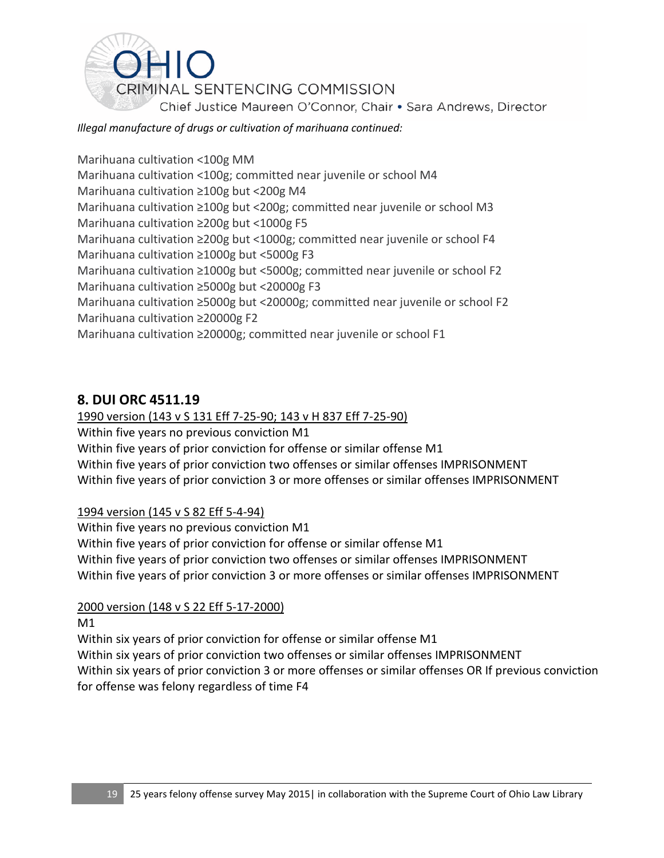

### *Illegal manufacture of drugs or cultivation of marihuana continued:*

Marihuana cultivation <100g MM Marihuana cultivation <100g; committed near juvenile or school M4 Marihuana cultivation ≥100g but <200g M4 Marihuana cultivation ≥100g but <200g; committed near juvenile or school M3 Marihuana cultivation ≥200g but <1000g F5 Marihuana cultivation ≥200g but <1000g; committed near juvenile or school F4 Marihuana cultivation ≥1000g but <5000g F3 Marihuana cultivation ≥1000g but <5000g; committed near juvenile or school F2 Marihuana cultivation ≥5000g but <20000g F3 Marihuana cultivation ≥5000g but <20000g; committed near juvenile or school F2 Marihuana cultivation ≥20000g F2 Marihuana cultivation ≥20000g; committed near juvenile or school F1

## **8. DUI ORC 4511.19**

### 1990 version (143 v S 131 Eff 7-25-90; 143 v H 837 Eff 7-25-90)

Within five years no previous conviction M1

Within five years of prior conviction for offense or similar offense M1

Within five years of prior conviction two offenses or similar offenses IMPRISONMENT Within five years of prior conviction 3 or more offenses or similar offenses IMPRISONMENT

### 1994 version (145 v S 82 Eff 5-4-94)

Within five years no previous conviction M1 Within five years of prior conviction for offense or similar offense M1 Within five years of prior conviction two offenses or similar offenses IMPRISONMENT Within five years of prior conviction 3 or more offenses or similar offenses IMPRISONMENT

### 2000 version (148 v S 22 Eff 5-17-2000)

M1

Within six years of prior conviction for offense or similar offense M1 Within six years of prior conviction two offenses or similar offenses IMPRISONMENT Within six years of prior conviction 3 or more offenses or similar offenses OR If previous conviction for offense was felony regardless of time F4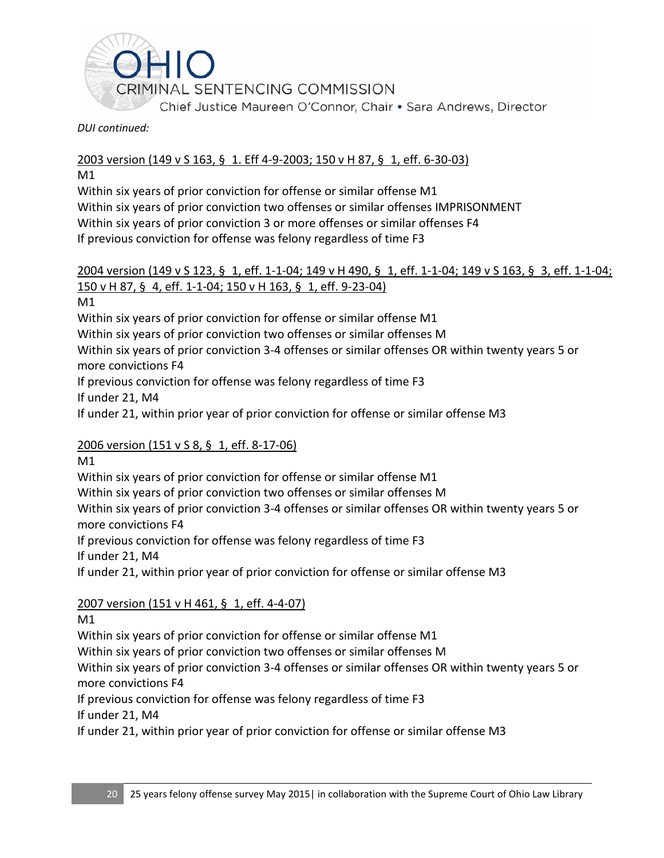

#### *DUI continued:*

### 2003 version (149 v S 163, § 1. Eff 4-9-2003; 150 v H 87, § 1, eff. 6-30-03)

M1

Within six years of prior conviction for offense or similar offense M1 Within six years of prior conviction two offenses or similar offenses IMPRISONMENT Within six years of prior conviction 3 or more offenses or similar offenses F4 If previous conviction for offense was felony regardless of time F3

### 2004 version (149 v S 123, § 1, eff. 1-1-04; 149 v H 490, § 1, eff. 1-1-04; 149 v S 163, § 3, eff. 1-1-04; 150 v H 87, § 4, eff. 1-1-04; 150 v H 163, § 1, eff. 9-23-04)

M1

Within six years of prior conviction for offense or similar offense M1

Within six years of prior conviction two offenses or similar offenses M

Within six years of prior conviction 3-4 offenses or similar offenses OR within twenty years 5 or more convictions F4

If previous conviction for offense was felony regardless of time F3

If under 21, M4

If under 21, within prior year of prior conviction for offense or similar offense M3

### 2006 version (151 v S 8, § 1, eff. 8-17-06)

M1

Within six years of prior conviction for offense or similar offense M1

Within six years of prior conviction two offenses or similar offenses M

Within six years of prior conviction 3-4 offenses or similar offenses OR within twenty years 5 or more convictions F4

If previous conviction for offense was felony regardless of time F3

If under 21, M4

If under 21, within prior year of prior conviction for offense or similar offense M3

## 2007 version (151 v H 461, § 1, eff. 4-4-07)

M1

Within six years of prior conviction for offense or similar offense M1

Within six years of prior conviction two offenses or similar offenses M

Within six years of prior conviction 3-4 offenses or similar offenses OR within twenty years 5 or more convictions F4

If previous conviction for offense was felony regardless of time F3

If under 21, M4

If under 21, within prior year of prior conviction for offense or similar offense M3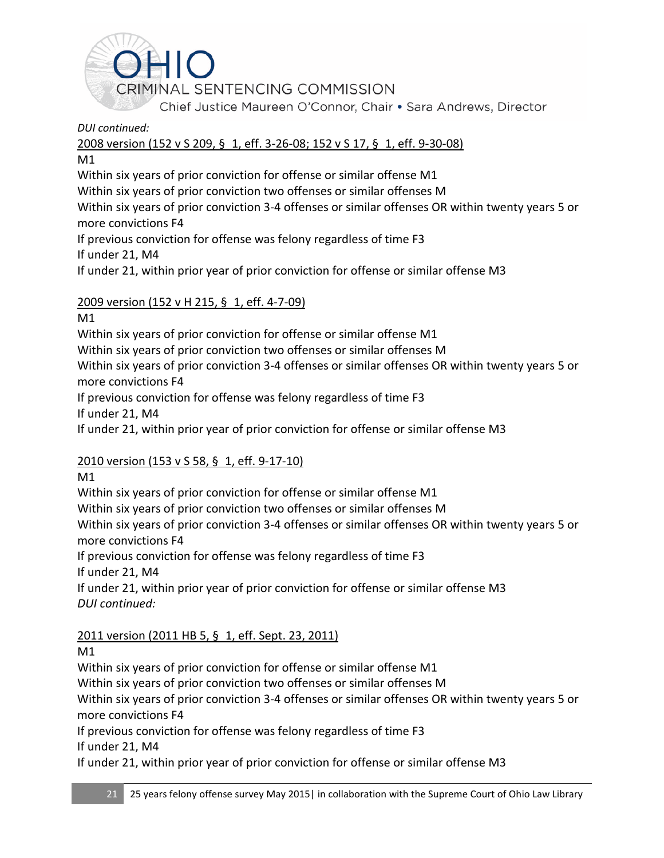

*DUI continued:*

2008 version (152 v S 209, § 1, eff. 3-26-08; 152 v S 17, § 1, eff. 9-30-08)

M1

Within six years of prior conviction for offense or similar offense M1

Within six years of prior conviction two offenses or similar offenses M

Within six years of prior conviction 3-4 offenses or similar offenses OR within twenty years 5 or more convictions F4

If previous conviction for offense was felony regardless of time F3

If under 21, M4

If under 21, within prior year of prior conviction for offense or similar offense M3

## 2009 version (152 v H 215, § 1, eff. 4-7-09)

M1

Within six years of prior conviction for offense or similar offense M1

Within six years of prior conviction two offenses or similar offenses M

Within six years of prior conviction 3-4 offenses or similar offenses OR within twenty years 5 or more convictions F4

If previous conviction for offense was felony regardless of time F3

If under 21, M4

If under 21, within prior year of prior conviction for offense or similar offense M3

## 2010 version (153 v S 58, § 1, eff. 9-17-10)

M1

Within six years of prior conviction for offense or similar offense M1

Within six years of prior conviction two offenses or similar offenses M

Within six years of prior conviction 3-4 offenses or similar offenses OR within twenty years 5 or more convictions F4

If previous conviction for offense was felony regardless of time F3 If under 21, M4

If under 21, within prior year of prior conviction for offense or similar offense M3 *DUI continued:*

2011 version (2011 HB 5, § 1, eff. Sept. 23, 2011)

M1

Within six years of prior conviction for offense or similar offense M1

Within six years of prior conviction two offenses or similar offenses M

Within six years of prior conviction 3-4 offenses or similar offenses OR within twenty years 5 or more convictions F4

If previous conviction for offense was felony regardless of time F3 If under 21, M4

If under 21, within prior year of prior conviction for offense or similar offense M3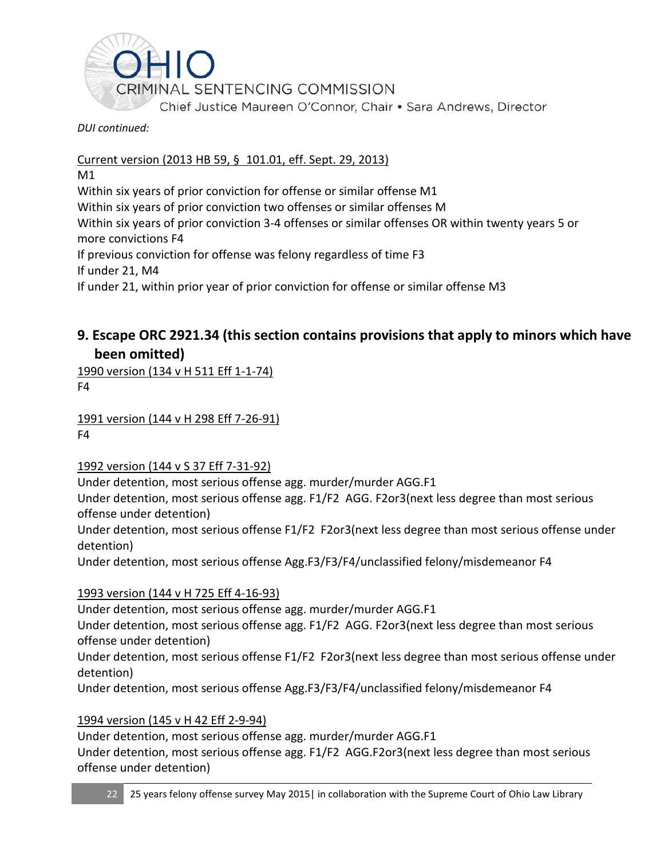

*DUI continued:*

Current version (2013 HB 59, § 101.01, eff. Sept. 29, 2013)

M1

Within six years of prior conviction for offense or similar offense M1

Within six years of prior conviction two offenses or similar offenses M

Within six years of prior conviction 3-4 offenses or similar offenses OR within twenty years 5 or more convictions F4

If previous conviction for offense was felony regardless of time F3

If under 21, M4

If under 21, within prior year of prior conviction for offense or similar offense M3

## **9. Escape ORC 2921.34 (this section contains provisions that apply to minors which have been omitted)**

1990 version (134 v H 511 Eff 1-1-74)

F4

1991 version (144 v H 298 Eff 7-26-91) F4

1992 version (144 v S 37 Eff 7-31-92)

Under detention, most serious offense agg. murder/murder AGG.F1

Under detention, most serious offense agg. F1/F2 AGG. F2or3(next less degree than most serious offense under detention)

Under detention, most serious offense F1/F2 F2or3(next less degree than most serious offense under detention)

Under detention, most serious offense Agg.F3/F3/F4/unclassified felony/misdemeanor F4

## 1993 version (144 v H 725 Eff 4-16-93)

Under detention, most serious offense agg. murder/murder AGG.F1

Under detention, most serious offense agg. F1/F2 AGG. F2or3(next less degree than most serious offense under detention)

Under detention, most serious offense F1/F2 F2or3(next less degree than most serious offense under detention)

Under detention, most serious offense Agg.F3/F3/F4/unclassified felony/misdemeanor F4

## 1994 version (145 v H 42 Eff 2-9-94)

Under detention, most serious offense agg. murder/murder AGG.F1 Under detention, most serious offense agg. F1/F2 AGG.F2or3(next less degree than most serious offense under detention)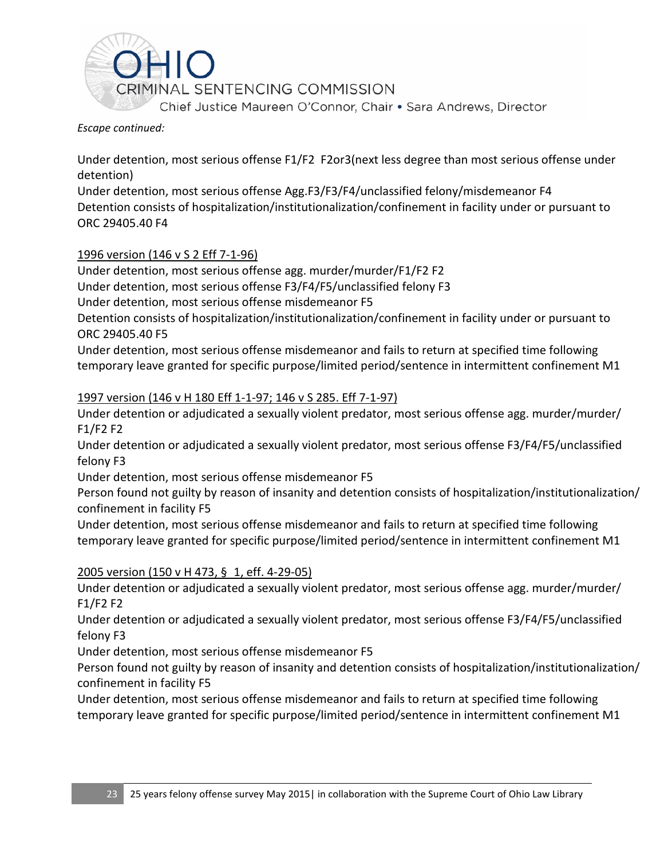

#### *Escape continued:*

Under detention, most serious offense F1/F2 F2or3(next less degree than most serious offense under detention)

Under detention, most serious offense Agg.F3/F3/F4/unclassified felony/misdemeanor F4 Detention consists of hospitalization/institutionalization/confinement in facility under or pursuant to ORC 29405.40 F4

### 1996 version (146 v S 2 Eff 7-1-96)

Under detention, most serious offense agg. murder/murder/F1/F2 F2

Under detention, most serious offense F3/F4/F5/unclassified felony F3

Under detention, most serious offense misdemeanor F5

Detention consists of hospitalization/institutionalization/confinement in facility under or pursuant to ORC 29405.40 F5

Under detention, most serious offense misdemeanor and fails to return at specified time following temporary leave granted for specific purpose/limited period/sentence in intermittent confinement M1

### 1997 version (146 v H 180 Eff 1-1-97; 146 v S 285. Eff 7-1-97)

Under detention or adjudicated a sexually violent predator, most serious offense agg. murder/murder/ F1/F2 F2

Under detention or adjudicated a sexually violent predator, most serious offense F3/F4/F5/unclassified felony F3

Under detention, most serious offense misdemeanor F5

Person found not guilty by reason of insanity and detention consists of hospitalization/institutionalization/ confinement in facility F5

Under detention, most serious offense misdemeanor and fails to return at specified time following temporary leave granted for specific purpose/limited period/sentence in intermittent confinement M1

### 2005 version (150 v H 473, § 1, eff. 4-29-05)

Under detention or adjudicated a sexually violent predator, most serious offense agg. murder/murder/ F1/F2 F2

Under detention or adjudicated a sexually violent predator, most serious offense F3/F4/F5/unclassified felony F3

Under detention, most serious offense misdemeanor F5

Person found not guilty by reason of insanity and detention consists of hospitalization/institutionalization/ confinement in facility F5

Under detention, most serious offense misdemeanor and fails to return at specified time following temporary leave granted for specific purpose/limited period/sentence in intermittent confinement M1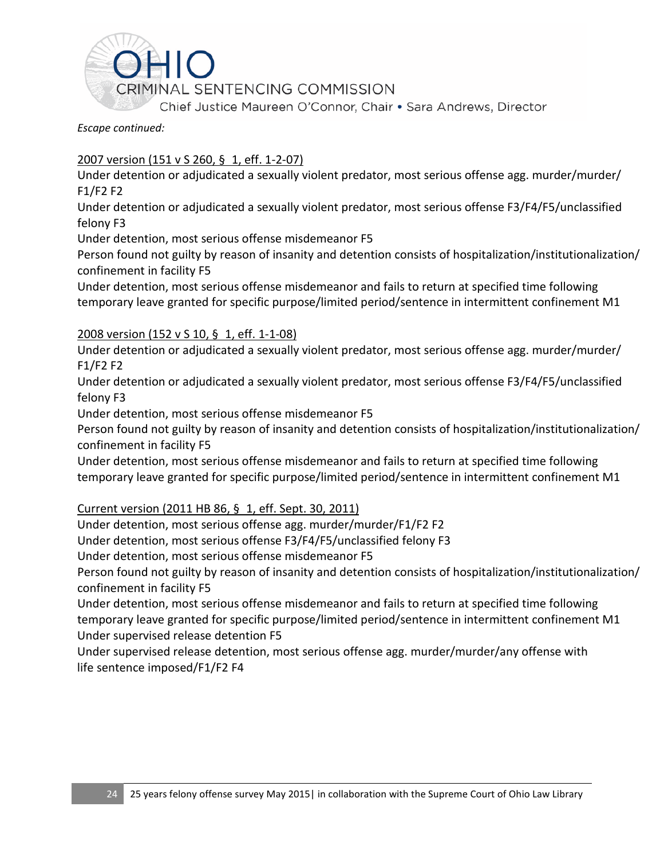

*Escape continued:* 

### 2007 version (151 v S 260, § 1, eff. 1-2-07)

Under detention or adjudicated a sexually violent predator, most serious offense agg. murder/murder/ F1/F2 F2

Under detention or adjudicated a sexually violent predator, most serious offense F3/F4/F5/unclassified felony F3

Under detention, most serious offense misdemeanor F5

Person found not guilty by reason of insanity and detention consists of hospitalization/institutionalization/ confinement in facility F5

Under detention, most serious offense misdemeanor and fails to return at specified time following temporary leave granted for specific purpose/limited period/sentence in intermittent confinement M1

### 2008 version (152 v S 10, § 1, eff. 1-1-08)

Under detention or adjudicated a sexually violent predator, most serious offense agg. murder/murder/ F1/F2 F2

Under detention or adjudicated a sexually violent predator, most serious offense F3/F4/F5/unclassified felony F3

Under detention, most serious offense misdemeanor F5

Person found not guilty by reason of insanity and detention consists of hospitalization/institutionalization/ confinement in facility F5

Under detention, most serious offense misdemeanor and fails to return at specified time following temporary leave granted for specific purpose/limited period/sentence in intermittent confinement M1

### Current version (2011 HB 86, § 1, eff. Sept. 30, 2011)

Under detention, most serious offense agg. murder/murder/F1/F2 F2

Under detention, most serious offense F3/F4/F5/unclassified felony F3

Under detention, most serious offense misdemeanor F5

Person found not guilty by reason of insanity and detention consists of hospitalization/institutionalization/ confinement in facility F5

Under detention, most serious offense misdemeanor and fails to return at specified time following temporary leave granted for specific purpose/limited period/sentence in intermittent confinement M1 Under supervised release detention F5

Under supervised release detention, most serious offense agg. murder/murder/any offense with life sentence imposed/F1/F2 F4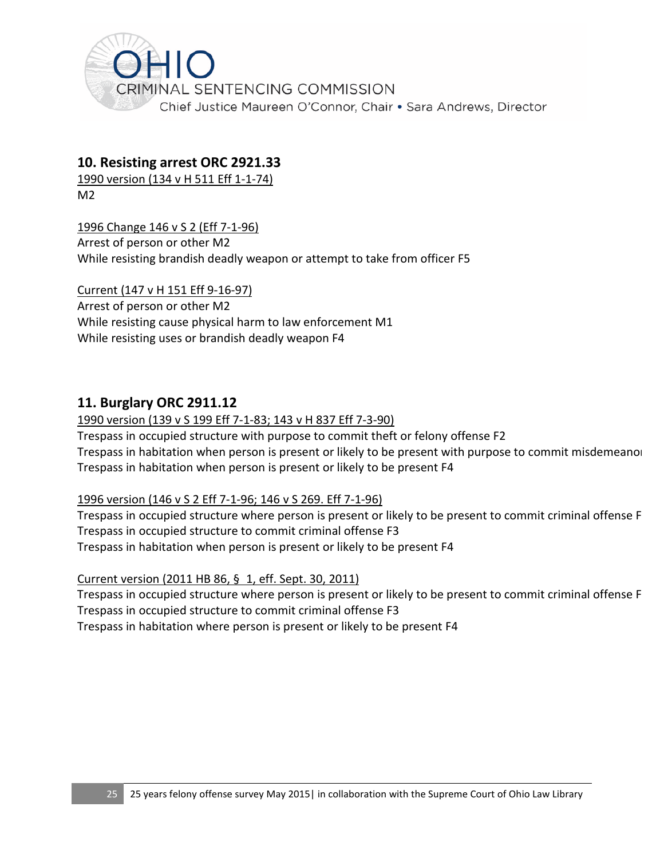

### **10. Resisting arrest ORC 2921.33**

1990 version (134 v H 511 Eff 1-1-74)  $M<sup>2</sup>$ 

1996 Change 146 v S 2 (Eff 7-1-96)

Arrest of person or other M2 While resisting brandish deadly weapon or attempt to take from officer F5

Current (147 v H 151 Eff 9-16-97) Arrest of person or other M2 While resisting cause physical harm to law enforcement M1 While resisting uses or brandish deadly weapon F4

## **11. Burglary ORC 2911.12**

### 1990 version (139 v S 199 Eff 7-1-83; 143 v H 837 Eff 7-3-90)

Trespass in occupied structure with purpose to commit theft or felony offense F2 Trespass in habitation when person is present or likely to be present with purpose to commit misdemeanor Trespass in habitation when person is present or likely to be present F4

### 1996 version (146 v S 2 Eff 7-1-96; 146 v S 269. Eff 7-1-96)

Trespass in occupied structure where person is present or likely to be present to commit criminal offense F Trespass in occupied structure to commit criminal offense F3 Trespass in habitation when person is present or likely to be present F4

Current version (2011 HB 86, § 1, eff. Sept. 30, 2011)

Trespass in occupied structure where person is present or likely to be present to commit criminal offense F Trespass in occupied structure to commit criminal offense F3

Trespass in habitation where person is present or likely to be present F4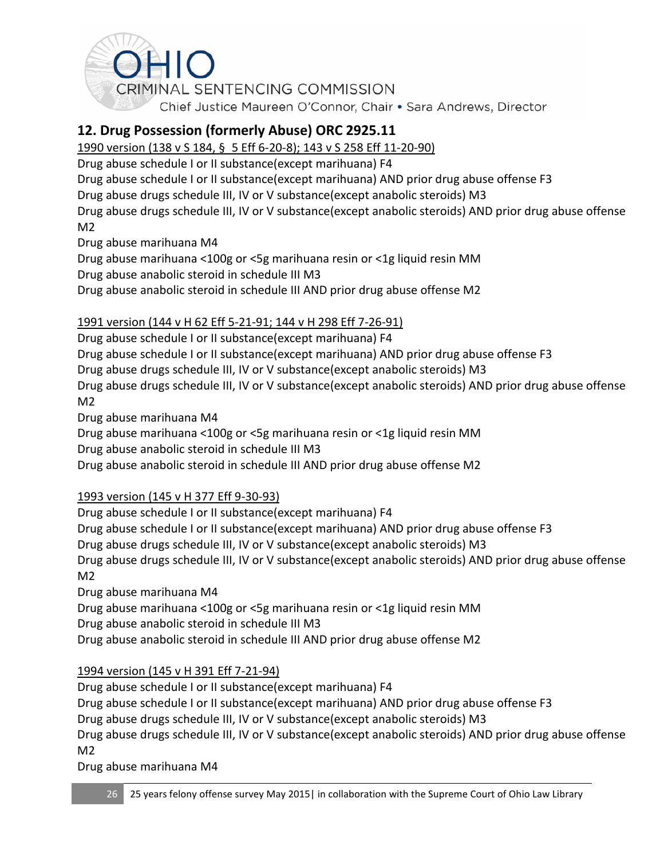

## **12. Drug Possession (formerly Abuse) ORC 2925.11**

1990 version (138 v S 184, § 5 Eff 6-20-8); 143 v S 258 Eff 11-20-90)

Drug abuse schedule I or II substance(except marihuana) F4

Drug abuse schedule I or II substance(except marihuana) AND prior drug abuse offense F3

Drug abuse drugs schedule III, IV or V substance(except anabolic steroids) M3

Drug abuse drugs schedule III, IV or V substance(except anabolic steroids) AND prior drug abuse offense M2

Drug abuse marihuana M4

Drug abuse marihuana <100g or <5g marihuana resin or <1g liquid resin MM

Drug abuse anabolic steroid in schedule III M3

Drug abuse anabolic steroid in schedule III AND prior drug abuse offense M2

## 1991 version (144 v H 62 Eff 5-21-91; 144 v H 298 Eff 7-26-91)

Drug abuse schedule I or II substance(except marihuana) F4

Drug abuse schedule I or II substance(except marihuana) AND prior drug abuse offense F3

Drug abuse drugs schedule III, IV or V substance(except anabolic steroids) M3

Drug abuse drugs schedule III, IV or V substance(except anabolic steroids) AND prior drug abuse offense M2

Drug abuse marihuana M4

Drug abuse marihuana <100g or <5g marihuana resin or <1g liquid resin MM

Drug abuse anabolic steroid in schedule III M3

Drug abuse anabolic steroid in schedule III AND prior drug abuse offense M2

## 1993 version (145 v H 377 Eff 9-30-93)

Drug abuse schedule I or II substance(except marihuana) F4 Drug abuse schedule I or II substance(except marihuana) AND prior drug abuse offense F3 Drug abuse drugs schedule III, IV or V substance(except anabolic steroids) M3 Drug abuse drugs schedule III, IV or V substance(except anabolic steroids) AND prior drug abuse offense M2

Drug abuse marihuana M4

Drug abuse marihuana <100g or <5g marihuana resin or <1g liquid resin MM

Drug abuse anabolic steroid in schedule III M3

Drug abuse anabolic steroid in schedule III AND prior drug abuse offense M2

## 1994 version (145 v H 391 Eff 7-21-94)

Drug abuse schedule I or II substance(except marihuana) F4 Drug abuse schedule I or II substance(except marihuana) AND prior drug abuse offense F3 Drug abuse drugs schedule III, IV or V substance(except anabolic steroids) M3

Drug abuse drugs schedule III, IV or V substance(except anabolic steroids) AND prior drug abuse offense M2

Drug abuse marihuana M4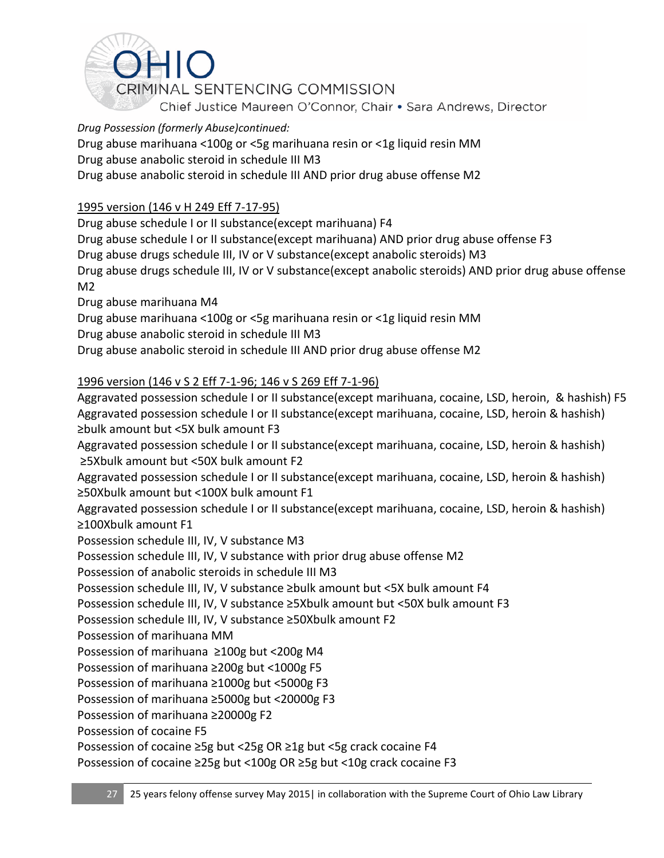

Drug abuse marihuana <100g or <5g marihuana resin or <1g liquid resin MM

Drug abuse anabolic steroid in schedule III M3

Drug abuse anabolic steroid in schedule III AND prior drug abuse offense M2

### 1995 version (146 v H 249 Eff 7-17-95)

Drug abuse schedule I or II substance(except marihuana) F4 Drug abuse schedule I or II substance(except marihuana) AND prior drug abuse offense F3 Drug abuse drugs schedule III, IV or V substance(except anabolic steroids) M3 Drug abuse drugs schedule III, IV or V substance(except anabolic steroids) AND prior drug abuse offense M2

Drug abuse marihuana M4

Drug abuse marihuana <100g or <5g marihuana resin or <1g liquid resin MM Drug abuse anabolic steroid in schedule III M3

Drug abuse anabolic steroid in schedule III AND prior drug abuse offense M2

### 1996 version (146 v S 2 Eff 7-1-96; 146 v S 269 Eff 7-1-96)

Aggravated possession schedule I or II substance(except marihuana, cocaine, LSD, heroin, & hashish) F5 Aggravated possession schedule I or II substance(except marihuana, cocaine, LSD, heroin & hashish) ≥bulk amount but <5X bulk amount F3

Aggravated possession schedule I or II substance(except marihuana, cocaine, LSD, heroin & hashish) ≥5Xbulk amount but <50X bulk amount F2

Aggravated possession schedule I or II substance(except marihuana, cocaine, LSD, heroin & hashish) ≥50Xbulk amount but <100X bulk amount F1

Aggravated possession schedule I or II substance(except marihuana, cocaine, LSD, heroin & hashish) ≥100Xbulk amount F1

Possession schedule III, IV, V substance M3

Possession schedule III, IV, V substance with prior drug abuse offense M2

Possession of anabolic steroids in schedule III M3

Possession schedule III, IV, V substance ≥bulk amount but <5X bulk amount F4

Possession schedule III, IV, V substance ≥5Xbulk amount but <50X bulk amount F3

Possession schedule III, IV, V substance ≥50Xbulk amount F2

Possession of marihuana MM

Possession of marihuana ≥100g but <200g M4

Possession of marihuana ≥200g but <1000g F5

Possession of marihuana ≥1000g but <5000g F3

Possession of marihuana ≥5000g but <20000g F3

Possession of marihuana ≥20000g F2

Possession of cocaine F5

Possession of cocaine ≥5g but <25g OR ≥1g but <5g crack cocaine F4

Possession of cocaine ≥25g but <100g OR ≥5g but <10g crack cocaine F3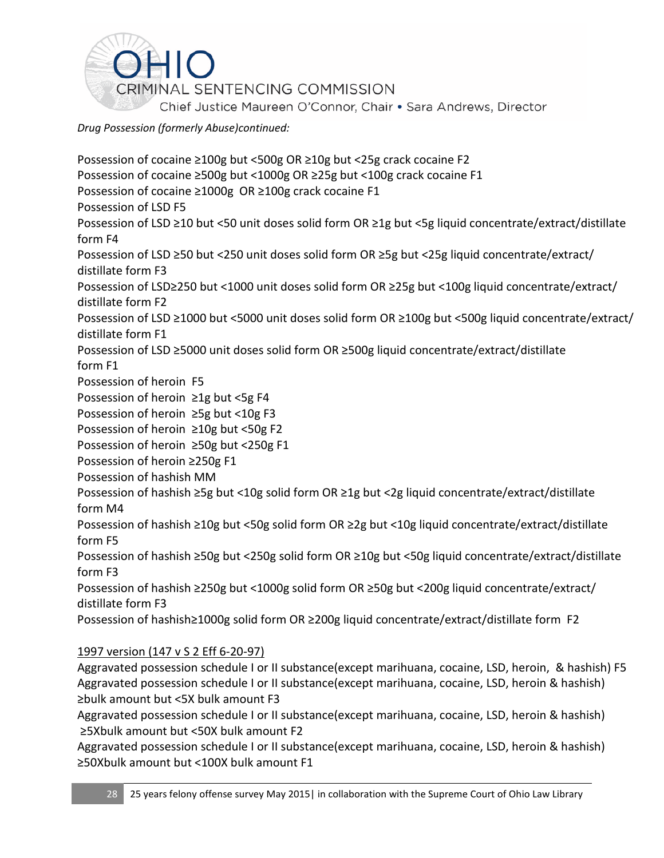

Possession of cocaine ≥100g but <500g OR ≥10g but <25g crack cocaine F2 Possession of cocaine ≥500g but <1000g OR ≥25g but <100g crack cocaine F1 Possession of cocaine ≥1000g OR ≥100g crack cocaine F1 Possession of LSD F5 Possession of LSD ≥10 but <50 unit doses solid form OR ≥1g but <5g liquid concentrate/extract/distillate form F4 Possession of LSD ≥50 but <250 unit doses solid form OR ≥5g but <25g liquid concentrate/extract/ distillate form F3 Possession of LSD≥250 but <1000 unit doses solid form OR ≥25g but <100g liquid concentrate/extract/ distillate form F2 Possession of LSD ≥1000 but <5000 unit doses solid form OR ≥100g but <500g liquid concentrate/extract/ distillate form F1 Possession of LSD ≥5000 unit doses solid form OR ≥500g liquid concentrate/extract/distillate form F1 Possession of heroin F5 Possession of heroin ≥1g but <5g F4 Possession of heroin ≥5g but <10g F3 Possession of heroin ≥10g but <50g F2 Possession of heroin ≥50g but <250g F1 Possession of heroin ≥250g F1 Possession of hashish MM Possession of hashish ≥5g but <10g solid form OR ≥1g but <2g liquid concentrate/extract/distillate form M4 Possession of hashish ≥10g but <50g solid form OR ≥2g but <10g liquid concentrate/extract/distillate form F5 Possession of hashish ≥50g but <250g solid form OR ≥10g but <50g liquid concentrate/extract/distillate form F3 Possession of hashish ≥250g but <1000g solid form OR ≥50g but <200g liquid concentrate/extract/ distillate form F3 Possession of hashish≥1000g solid form OR ≥200g liquid concentrate/extract/distillate form F2 1997 version (147 v S 2 Eff 6-20-97) Aggravated possession schedule I or II substance(except marihuana, cocaine, LSD, heroin, & hashish) F5

Aggravated possession schedule I or II substance(except marihuana, cocaine, LSD, heroin & hashish) ≥bulk amount but <5X bulk amount F3

Aggravated possession schedule I or II substance(except marihuana, cocaine, LSD, heroin & hashish) ≥5Xbulk amount but <50X bulk amount F2

Aggravated possession schedule I or II substance(except marihuana, cocaine, LSD, heroin & hashish) ≥50Xbulk amount but <100X bulk amount F1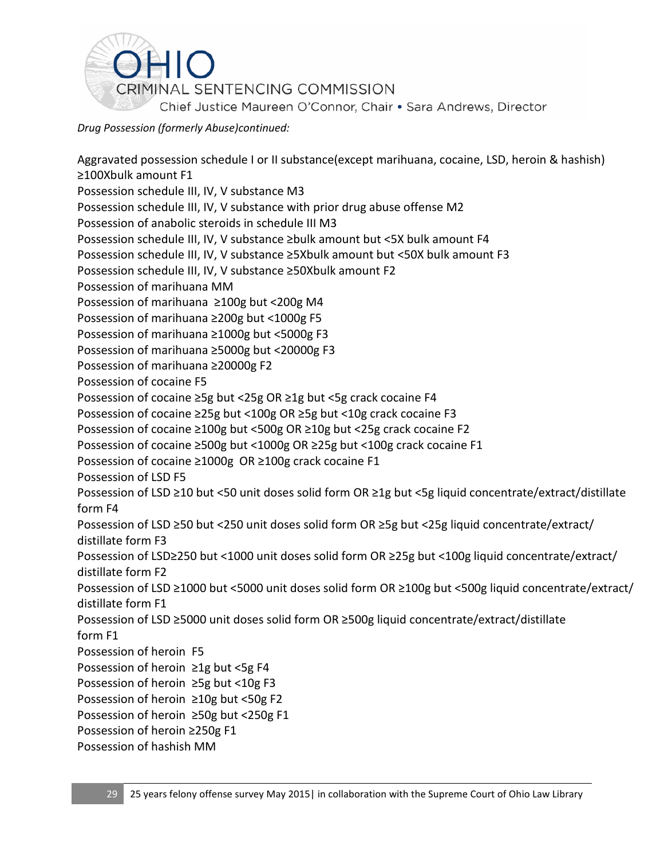

Aggravated possession schedule I or II substance(except marihuana, cocaine, LSD, heroin & hashish) ≥100Xbulk amount F1 Possession schedule III, IV, V substance M3 Possession schedule III, IV, V substance with prior drug abuse offense M2 Possession of anabolic steroids in schedule III M3 Possession schedule III, IV, V substance ≥bulk amount but <5X bulk amount F4 Possession schedule III, IV, V substance ≥5Xbulk amount but <50X bulk amount F3 Possession schedule III, IV, V substance ≥50Xbulk amount F2 Possession of marihuana MM Possession of marihuana ≥100g but <200g M4 Possession of marihuana ≥200g but <1000g F5 Possession of marihuana ≥1000g but <5000g F3 Possession of marihuana ≥5000g but <20000g F3 Possession of marihuana ≥20000g F2 Possession of cocaine F5 Possession of cocaine ≥5g but <25g OR ≥1g but <5g crack cocaine F4 Possession of cocaine ≥25g but <100g OR ≥5g but <10g crack cocaine F3 Possession of cocaine ≥100g but <500g OR ≥10g but <25g crack cocaine F2 Possession of cocaine ≥500g but <1000g OR ≥25g but <100g crack cocaine F1 Possession of cocaine ≥1000g OR ≥100g crack cocaine F1 Possession of LSD F5 Possession of LSD ≥10 but <50 unit doses solid form OR ≥1g but <5g liquid concentrate/extract/distillate form F4 Possession of LSD ≥50 but <250 unit doses solid form OR ≥5g but <25g liquid concentrate/extract/ distillate form F3 Possession of LSD≥250 but <1000 unit doses solid form OR ≥25g but <100g liquid concentrate/extract/ distillate form F2 Possession of LSD ≥1000 but <5000 unit doses solid form OR ≥100g but <500g liquid concentrate/extract/ distillate form F1 Possession of LSD ≥5000 unit doses solid form OR ≥500g liquid concentrate/extract/distillate form F1 Possession of heroin F5 Possession of heroin ≥1g but <5g F4 Possession of heroin ≥5g but <10g F3 Possession of heroin ≥10g but <50g F2 Possession of heroin ≥50g but <250g F1 Possession of heroin ≥250g F1 Possession of hashish MM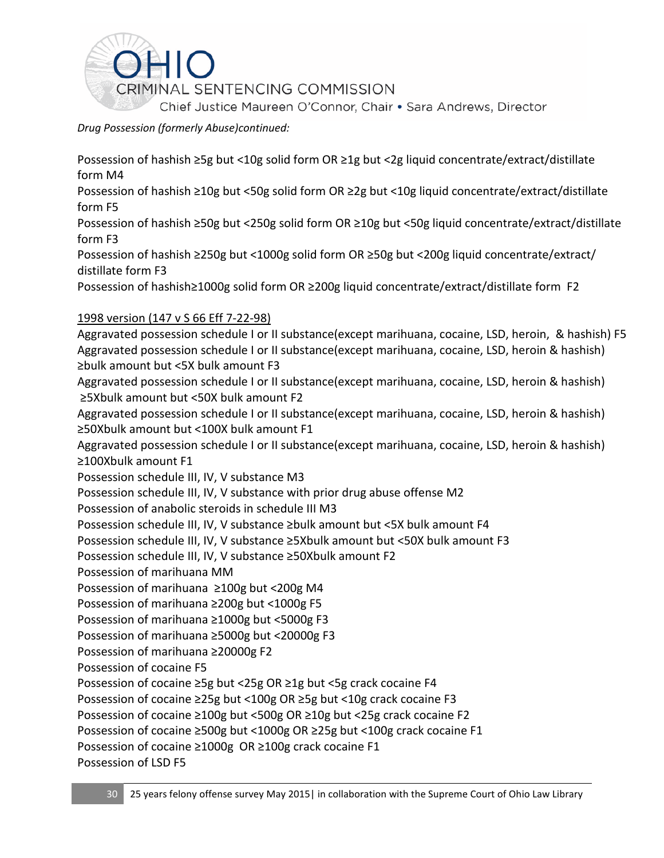

Possession of hashish ≥5g but <10g solid form OR ≥1g but <2g liquid concentrate/extract/distillate form M4

Possession of hashish ≥10g but <50g solid form OR ≥2g but <10g liquid concentrate/extract/distillate form F5

Possession of hashish ≥50g but <250g solid form OR ≥10g but <50g liquid concentrate/extract/distillate form F3

Possession of hashish ≥250g but <1000g solid form OR ≥50g but <200g liquid concentrate/extract/ distillate form F3

Possession of hashish≥1000g solid form OR ≥200g liquid concentrate/extract/distillate form F2

### 1998 version (147 v S 66 Eff 7-22-98)

Aggravated possession schedule I or II substance(except marihuana, cocaine, LSD, heroin, & hashish) F5 Aggravated possession schedule I or II substance(except marihuana, cocaine, LSD, heroin & hashish) ≥bulk amount but <5X bulk amount F3

Aggravated possession schedule I or II substance(except marihuana, cocaine, LSD, heroin & hashish) ≥5Xbulk amount but <50X bulk amount F2

Aggravated possession schedule I or II substance(except marihuana, cocaine, LSD, heroin & hashish) ≥50Xbulk amount but <100X bulk amount F1

Aggravated possession schedule I or II substance(except marihuana, cocaine, LSD, heroin & hashish) ≥100Xbulk amount F1

Possession schedule III, IV, V substance M3

Possession schedule III, IV, V substance with prior drug abuse offense M2

Possession of anabolic steroids in schedule III M3

Possession schedule III, IV, V substance ≥bulk amount but <5X bulk amount F4

Possession schedule III, IV, V substance ≥5Xbulk amount but <50X bulk amount F3

Possession schedule III, IV, V substance ≥50Xbulk amount F2

Possession of marihuana MM

Possession of marihuana ≥100g but <200g M4

Possession of marihuana ≥200g but <1000g F5

Possession of marihuana ≥1000g but <5000g F3

Possession of marihuana ≥5000g but <20000g F3

Possession of marihuana ≥20000g F2

Possession of cocaine F5

Possession of cocaine ≥5g but <25g OR ≥1g but <5g crack cocaine F4

Possession of cocaine ≥25g but <100g OR ≥5g but <10g crack cocaine F3

Possession of cocaine ≥100g but <500g OR ≥10g but <25g crack cocaine F2

Possession of cocaine ≥500g but <1000g OR ≥25g but <100g crack cocaine F1

Possession of cocaine ≥1000g OR ≥100g crack cocaine F1

Possession of LSD F5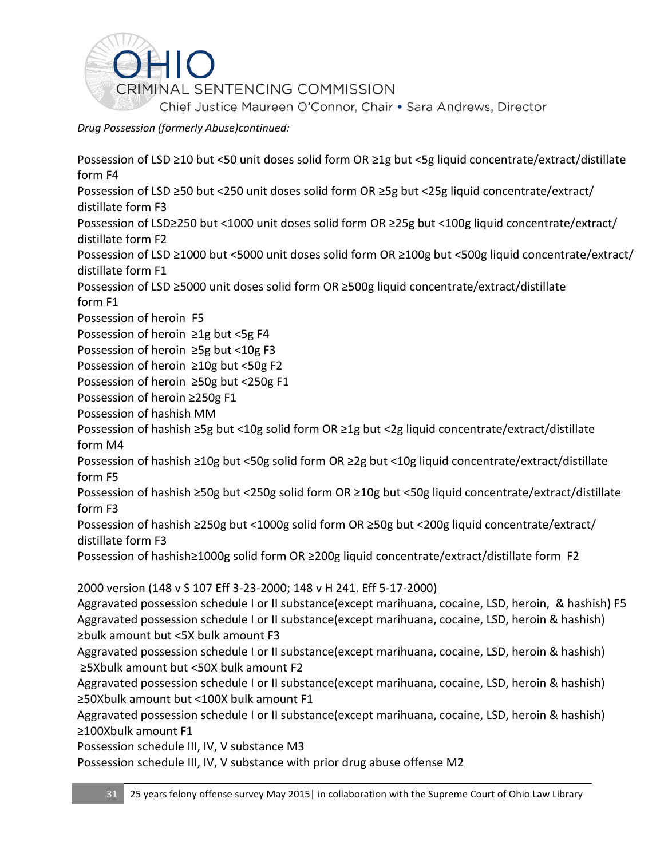

Possession of LSD ≥10 but <50 unit doses solid form OR ≥1g but <5g liquid concentrate/extract/distillate form F4

Possession of LSD ≥50 but <250 unit doses solid form OR ≥5g but <25g liquid concentrate/extract/ distillate form F3

Possession of LSD≥250 but <1000 unit doses solid form OR ≥25g but <100g liquid concentrate/extract/ distillate form F2

Possession of LSD ≥1000 but <5000 unit doses solid form OR ≥100g but <500g liquid concentrate/extract/ distillate form F1

Possession of LSD ≥5000 unit doses solid form OR ≥500g liquid concentrate/extract/distillate form F1

Possession of heroin F5

Possession of heroin ≥1g but <5g F4

Possession of heroin ≥5g but <10g F3

Possession of heroin ≥10g but <50g F2

Possession of heroin ≥50g but <250g F1

Possession of heroin ≥250g F1

Possession of hashish MM

Possession of hashish ≥5g but <10g solid form OR ≥1g but <2g liquid concentrate/extract/distillate form M4

Possession of hashish ≥10g but <50g solid form OR ≥2g but <10g liquid concentrate/extract/distillate form F5

Possession of hashish ≥50g but <250g solid form OR ≥10g but <50g liquid concentrate/extract/distillate form F3

Possession of hashish ≥250g but <1000g solid form OR ≥50g but <200g liquid concentrate/extract/ distillate form F3

Possession of hashish≥1000g solid form OR ≥200g liquid concentrate/extract/distillate form F2

2000 version (148 v S 107 Eff 3-23-2000; 148 v H 241. Eff 5-17-2000)

Aggravated possession schedule I or II substance(except marihuana, cocaine, LSD, heroin, & hashish) F5 Aggravated possession schedule I or II substance(except marihuana, cocaine, LSD, heroin & hashish) ≥bulk amount but <5X bulk amount F3

Aggravated possession schedule I or II substance(except marihuana, cocaine, LSD, heroin & hashish) ≥5Xbulk amount but <50X bulk amount F2

Aggravated possession schedule I or II substance(except marihuana, cocaine, LSD, heroin & hashish) ≥50Xbulk amount but <100X bulk amount F1

Aggravated possession schedule I or II substance(except marihuana, cocaine, LSD, heroin & hashish) ≥100Xbulk amount F1

Possession schedule III, IV, V substance M3

Possession schedule III, IV, V substance with prior drug abuse offense M2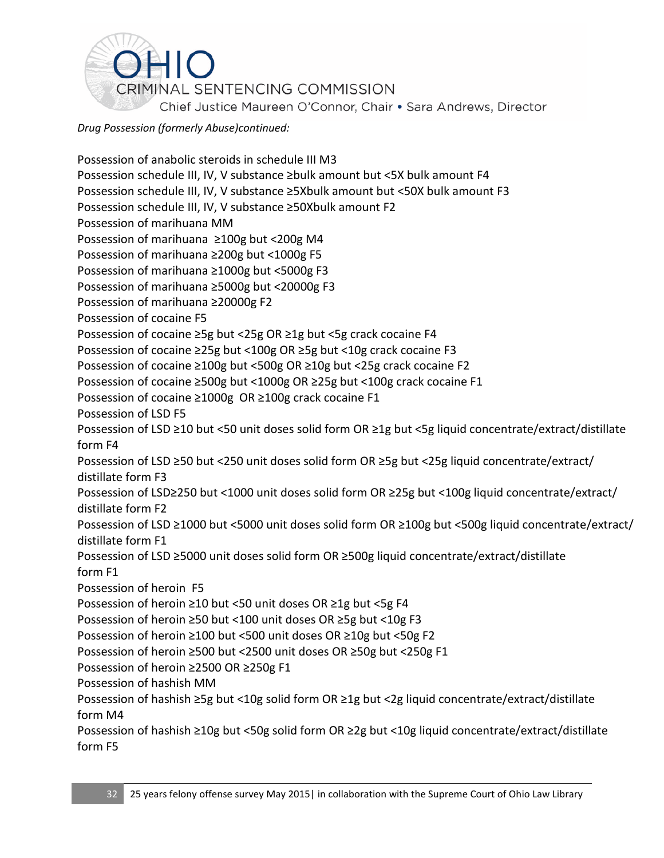

Possession of anabolic steroids in schedule III M3 Possession schedule III, IV, V substance ≥bulk amount but <5X bulk amount F4 Possession schedule III, IV, V substance ≥5Xbulk amount but <50X bulk amount F3 Possession schedule III, IV, V substance ≥50Xbulk amount F2 Possession of marihuana MM Possession of marihuana ≥100g but <200g M4 Possession of marihuana ≥200g but <1000g F5 Possession of marihuana ≥1000g but <5000g F3 Possession of marihuana ≥5000g but <20000g F3 Possession of marihuana ≥20000g F2 Possession of cocaine F5 Possession of cocaine ≥5g but <25g OR ≥1g but <5g crack cocaine F4 Possession of cocaine ≥25g but <100g OR ≥5g but <10g crack cocaine F3 Possession of cocaine ≥100g but <500g OR ≥10g but <25g crack cocaine F2 Possession of cocaine ≥500g but <1000g OR ≥25g but <100g crack cocaine F1 Possession of cocaine ≥1000g OR ≥100g crack cocaine F1 Possession of LSD F5 Possession of LSD ≥10 but <50 unit doses solid form OR ≥1g but <5g liquid concentrate/extract/distillate form F4 Possession of LSD ≥50 but <250 unit doses solid form OR ≥5g but <25g liquid concentrate/extract/ distillate form F3 Possession of LSD≥250 but <1000 unit doses solid form OR ≥25g but <100g liquid concentrate/extract/ distillate form F2 Possession of LSD ≥1000 but <5000 unit doses solid form OR ≥100g but <500g liquid concentrate/extract/ distillate form F1 Possession of LSD ≥5000 unit doses solid form OR ≥500g liquid concentrate/extract/distillate form F1 Possession of heroin F5 Possession of heroin ≥10 but <50 unit doses OR ≥1g but <5g F4 Possession of heroin ≥50 but <100 unit doses OR ≥5g but <10g F3 Possession of heroin ≥100 but <500 unit doses OR ≥10g but <50g F2 Possession of heroin ≥500 but <2500 unit doses OR ≥50g but <250g F1 Possession of heroin ≥2500 OR ≥250g F1 Possession of hashish MM Possession of hashish ≥5g but <10g solid form OR ≥1g but <2g liquid concentrate/extract/distillate form M4 Possession of hashish ≥10g but <50g solid form OR ≥2g but <10g liquid concentrate/extract/distillate form F5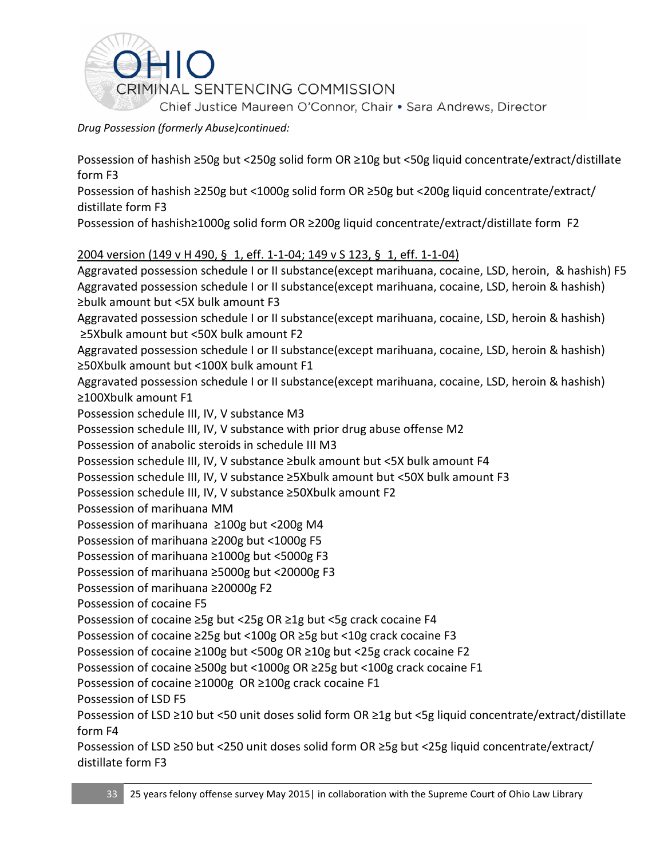

Possession of hashish ≥50g but <250g solid form OR ≥10g but <50g liquid concentrate/extract/distillate form F3

Possession of hashish ≥250g but <1000g solid form OR ≥50g but <200g liquid concentrate/extract/ distillate form F3

Possession of hashish≥1000g solid form OR ≥200g liquid concentrate/extract/distillate form F2

### 2004 version (149 v H 490, § 1, eff. 1-1-04; 149 v S 123, § 1, eff. 1-1-04)

Aggravated possession schedule I or II substance(except marihuana, cocaine, LSD, heroin, & hashish) F5 Aggravated possession schedule I or II substance(except marihuana, cocaine, LSD, heroin & hashish) ≥bulk amount but <5X bulk amount F3 Aggravated possession schedule I or II substance(except marihuana, cocaine, LSD, heroin & hashish)

≥5Xbulk amount but <50X bulk amount F2 Aggravated possession schedule I or II substance(except marihuana, cocaine, LSD, heroin & hashish)

≥50Xbulk amount but <100X bulk amount F1

Aggravated possession schedule I or II substance(except marihuana, cocaine, LSD, heroin & hashish) ≥100Xbulk amount F1

Possession schedule III, IV, V substance M3

Possession schedule III, IV, V substance with prior drug abuse offense M2

Possession of anabolic steroids in schedule III M3

Possession schedule III, IV, V substance ≥bulk amount but <5X bulk amount F4

Possession schedule III, IV, V substance ≥5Xbulk amount but <50X bulk amount F3

Possession schedule III, IV, V substance ≥50Xbulk amount F2

Possession of marihuana MM

Possession of marihuana ≥100g but <200g M4

Possession of marihuana ≥200g but <1000g F5

Possession of marihuana ≥1000g but <5000g F3

Possession of marihuana ≥5000g but <20000g F3

Possession of marihuana ≥20000g F2

Possession of cocaine F5

Possession of cocaine ≥5g but <25g OR ≥1g but <5g crack cocaine F4

Possession of cocaine ≥25g but <100g OR ≥5g but <10g crack cocaine F3

Possession of cocaine ≥100g but <500g OR ≥10g but <25g crack cocaine F2

Possession of cocaine ≥500g but <1000g OR ≥25g but <100g crack cocaine F1

Possession of cocaine ≥1000g OR ≥100g crack cocaine F1

Possession of LSD F5

Possession of LSD ≥10 but <50 unit doses solid form OR ≥1g but <5g liquid concentrate/extract/distillate form F4

Possession of LSD ≥50 but <250 unit doses solid form OR ≥5g but <25g liquid concentrate/extract/ distillate form F3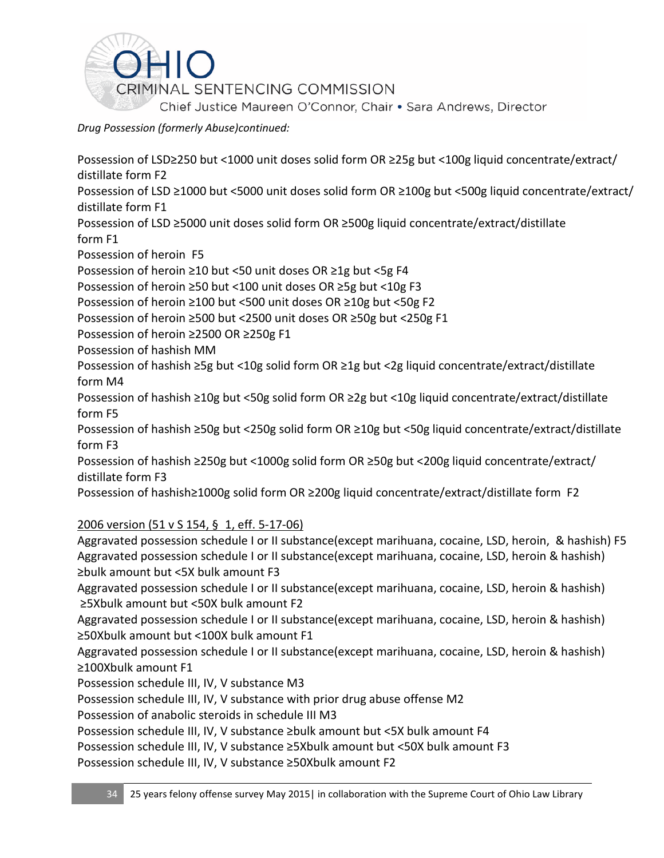

Possession of LSD≥250 but <1000 unit doses solid form OR ≥25g but <100g liquid concentrate/extract/ distillate form F2

Possession of LSD ≥1000 but <5000 unit doses solid form OR ≥100g but <500g liquid concentrate/extract/ distillate form F1

Possession of LSD ≥5000 unit doses solid form OR ≥500g liquid concentrate/extract/distillate form F1

Possession of heroin F5

Possession of heroin ≥10 but <50 unit doses OR ≥1g but <5g F4

Possession of heroin ≥50 but <100 unit doses OR ≥5g but <10g F3

Possession of heroin ≥100 but <500 unit doses OR ≥10g but <50g F2

Possession of heroin ≥500 but <2500 unit doses OR ≥50g but <250g F1

Possession of heroin ≥2500 OR ≥250g F1

Possession of hashish MM

Possession of hashish ≥5g but <10g solid form OR ≥1g but <2g liquid concentrate/extract/distillate form M4

Possession of hashish ≥10g but <50g solid form OR ≥2g but <10g liquid concentrate/extract/distillate form F5

Possession of hashish ≥50g but <250g solid form OR ≥10g but <50g liquid concentrate/extract/distillate form F3

Possession of hashish ≥250g but <1000g solid form OR ≥50g but <200g liquid concentrate/extract/ distillate form F3

Possession of hashish≥1000g solid form OR ≥200g liquid concentrate/extract/distillate form F2

2006 version (51 v S 154, § 1, eff. 5-17-06)

Aggravated possession schedule I or II substance(except marihuana, cocaine, LSD, heroin, & hashish) F5 Aggravated possession schedule I or II substance(except marihuana, cocaine, LSD, heroin & hashish) ≥bulk amount but <5X bulk amount F3

Aggravated possession schedule I or II substance(except marihuana, cocaine, LSD, heroin & hashish) ≥5Xbulk amount but <50X bulk amount F2

Aggravated possession schedule I or II substance(except marihuana, cocaine, LSD, heroin & hashish) ≥50Xbulk amount but <100X bulk amount F1

Aggravated possession schedule I or II substance(except marihuana, cocaine, LSD, heroin & hashish) ≥100Xbulk amount F1

Possession schedule III, IV, V substance M3

Possession schedule III, IV, V substance with prior drug abuse offense M2

Possession of anabolic steroids in schedule III M3

Possession schedule III, IV, V substance ≥bulk amount but <5X bulk amount F4

Possession schedule III, IV, V substance ≥5Xbulk amount but <50X bulk amount F3

Possession schedule III, IV, V substance ≥50Xbulk amount F2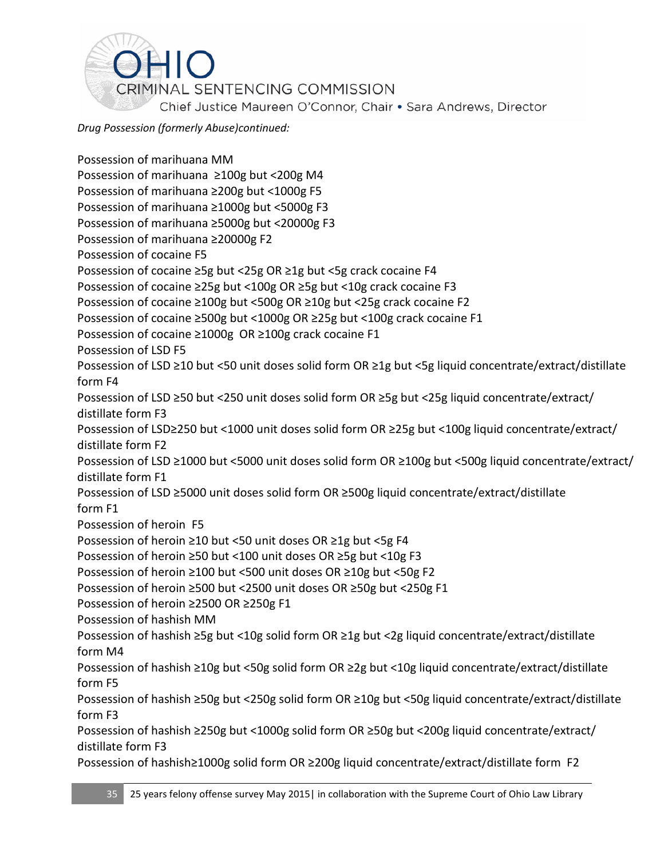

Possession of marihuana MM Possession of marihuana ≥100g but <200g M4 Possession of marihuana ≥200g but <1000g F5 Possession of marihuana ≥1000g but <5000g F3 Possession of marihuana ≥5000g but <20000g F3 Possession of marihuana ≥20000g F2 Possession of cocaine F5 Possession of cocaine ≥5g but <25g OR ≥1g but <5g crack cocaine F4 Possession of cocaine ≥25g but <100g OR ≥5g but <10g crack cocaine F3 Possession of cocaine ≥100g but <500g OR ≥10g but <25g crack cocaine F2 Possession of cocaine ≥500g but <1000g OR ≥25g but <100g crack cocaine F1 Possession of cocaine ≥1000g OR ≥100g crack cocaine F1 Possession of LSD F5 Possession of LSD ≥10 but <50 unit doses solid form OR ≥1g but <5g liquid concentrate/extract/distillate form F4 Possession of LSD ≥50 but <250 unit doses solid form OR ≥5g but <25g liquid concentrate/extract/ distillate form F3 Possession of LSD≥250 but <1000 unit doses solid form OR ≥25g but <100g liquid concentrate/extract/ distillate form F2 Possession of LSD ≥1000 but <5000 unit doses solid form OR ≥100g but <500g liquid concentrate/extract/ distillate form F1 Possession of LSD ≥5000 unit doses solid form OR ≥500g liquid concentrate/extract/distillate form F1 Possession of heroin F5 Possession of heroin ≥10 but <50 unit doses OR ≥1g but <5g F4 Possession of heroin ≥50 but <100 unit doses OR ≥5g but <10g F3 Possession of heroin ≥100 but <500 unit doses OR ≥10g but <50g F2 Possession of heroin ≥500 but <2500 unit doses OR ≥50g but <250g F1 Possession of heroin ≥2500 OR ≥250g F1 Possession of hashish MM Possession of hashish ≥5g but <10g solid form OR ≥1g but <2g liquid concentrate/extract/distillate form M4 Possession of hashish ≥10g but <50g solid form OR ≥2g but <10g liquid concentrate/extract/distillate form F5 Possession of hashish ≥50g but <250g solid form OR ≥10g but <50g liquid concentrate/extract/distillate form F3 Possession of hashish ≥250g but <1000g solid form OR ≥50g but <200g liquid concentrate/extract/ distillate form F3 Possession of hashish≥1000g solid form OR ≥200g liquid concentrate/extract/distillate form F2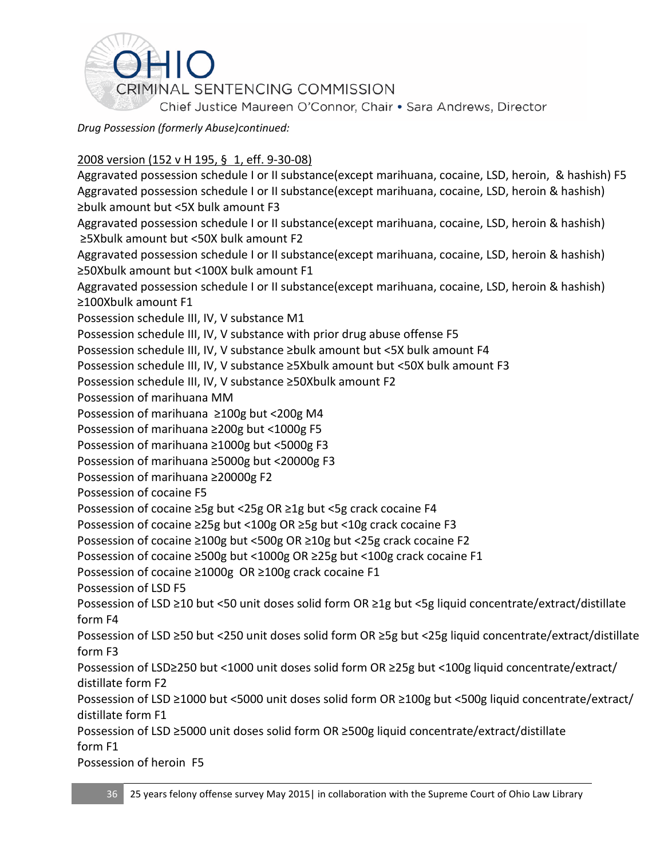

### 2008 version (152 v H 195, § 1, eff. 9-30-08)

Aggravated possession schedule I or II substance(except marihuana, cocaine, LSD, heroin, & hashish) F5 Aggravated possession schedule I or II substance(except marihuana, cocaine, LSD, heroin & hashish) ≥bulk amount but <5X bulk amount F3

Aggravated possession schedule I or II substance(except marihuana, cocaine, LSD, heroin & hashish) ≥5Xbulk amount but <50X bulk amount F2

Aggravated possession schedule I or II substance(except marihuana, cocaine, LSD, heroin & hashish) ≥50Xbulk amount but <100X bulk amount F1

Aggravated possession schedule I or II substance(except marihuana, cocaine, LSD, heroin & hashish) ≥100Xbulk amount F1

Possession schedule III, IV, V substance M1

Possession schedule III, IV, V substance with prior drug abuse offense F5

Possession schedule III, IV, V substance ≥bulk amount but <5X bulk amount F4

Possession schedule III, IV, V substance ≥5Xbulk amount but <50X bulk amount F3

Possession schedule III, IV, V substance ≥50Xbulk amount F2

Possession of marihuana MM

Possession of marihuana ≥100g but <200g M4

Possession of marihuana ≥200g but <1000g F5

Possession of marihuana ≥1000g but <5000g F3

Possession of marihuana ≥5000g but <20000g F3

Possession of marihuana ≥20000g F2

Possession of cocaine F5

Possession of cocaine ≥5g but <25g OR ≥1g but <5g crack cocaine F4

Possession of cocaine ≥25g but <100g OR ≥5g but <10g crack cocaine F3

Possession of cocaine ≥100g but <500g OR ≥10g but <25g crack cocaine F2

Possession of cocaine ≥500g but <1000g OR ≥25g but <100g crack cocaine F1

Possession of cocaine ≥1000g OR ≥100g crack cocaine F1

Possession of LSD F5

Possession of LSD ≥10 but <50 unit doses solid form OR ≥1g but <5g liquid concentrate/extract/distillate form F4

Possession of LSD ≥50 but <250 unit doses solid form OR ≥5g but <25g liquid concentrate/extract/distillate form F3

Possession of LSD≥250 but <1000 unit doses solid form OR ≥25g but <100g liquid concentrate/extract/ distillate form F2

Possession of LSD ≥1000 but <5000 unit doses solid form OR ≥100g but <500g liquid concentrate/extract/ distillate form F1

Possession of LSD ≥5000 unit doses solid form OR ≥500g liquid concentrate/extract/distillate form F1

Possession of heroin F5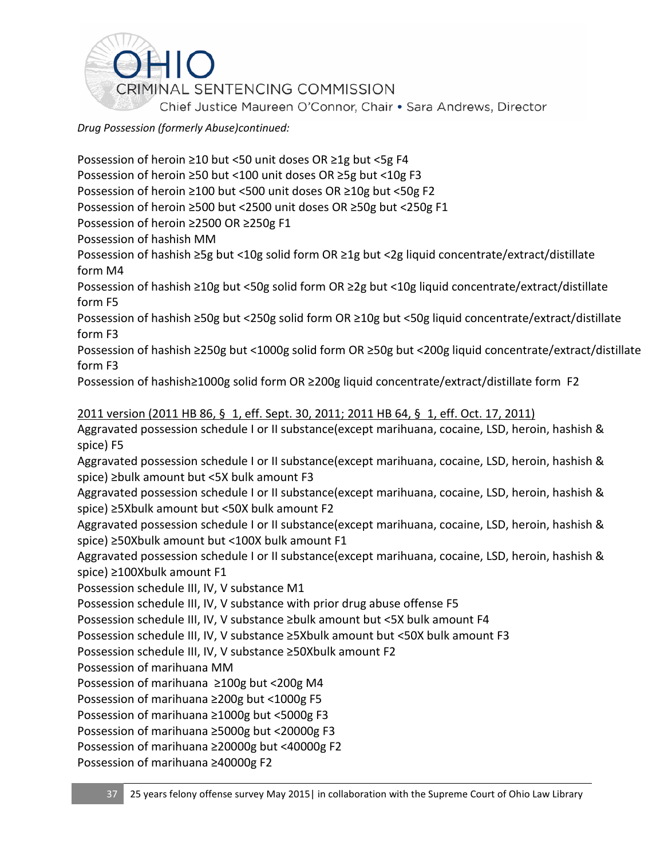

Possession of heroin ≥10 but <50 unit doses OR ≥1g but <5g F4 Possession of heroin ≥50 but <100 unit doses OR ≥5g but <10g F3 Possession of heroin ≥100 but <500 unit doses OR ≥10g but <50g F2 Possession of heroin ≥500 but <2500 unit doses OR ≥50g but <250g F1 Possession of heroin ≥2500 OR ≥250g F1 Possession of hashish MM Possession of hashish ≥5g but <10g solid form OR ≥1g but <2g liquid concentrate/extract/distillate form M4 Possession of hashish ≥10g but <50g solid form OR ≥2g but <10g liquid concentrate/extract/distillate form F5 Possession of hashish ≥50g but <250g solid form OR ≥10g but <50g liquid concentrate/extract/distillate form F3 Possession of hashish ≥250g but <1000g solid form OR ≥50g but <200g liquid concentrate/extract/distillate form F3 Possession of hashish≥1000g solid form OR ≥200g liquid concentrate/extract/distillate form F2 2011 version (2011 HB 86, § 1, eff. Sept. 30, 2011; 2011 HB 64, § 1, eff. Oct. 17, 2011) Aggravated possession schedule I or II substance(except marihuana, cocaine, LSD, heroin, hashish & spice) F5 Aggravated possession schedule I or II substance(except marihuana, cocaine, LSD, heroin, hashish & spice) ≥bulk amount but <5X bulk amount F3 Aggravated possession schedule I or II substance(except marihuana, cocaine, LSD, heroin, hashish & spice) ≥5Xbulk amount but <50X bulk amount F2 Aggravated possession schedule I or II substance(except marihuana, cocaine, LSD, heroin, hashish & spice) ≥50Xbulk amount but <100X bulk amount F1 Aggravated possession schedule I or II substance(except marihuana, cocaine, LSD, heroin, hashish & spice) ≥100Xbulk amount F1 Possession schedule III, IV, V substance M1 Possession schedule III, IV, V substance with prior drug abuse offense F5 Possession schedule III, IV, V substance ≥bulk amount but <5X bulk amount F4 Possession schedule III, IV, V substance ≥5Xbulk amount but <50X bulk amount F3 Possession schedule III, IV, V substance ≥50Xbulk amount F2 Possession of marihuana MM Possession of marihuana ≥100g but <200g M4 Possession of marihuana ≥200g but <1000g F5 Possession of marihuana ≥1000g but <5000g F3

Possession of marihuana ≥5000g but <20000g F3

Possession of marihuana ≥20000g but <40000g F2

Possession of marihuana ≥40000g F2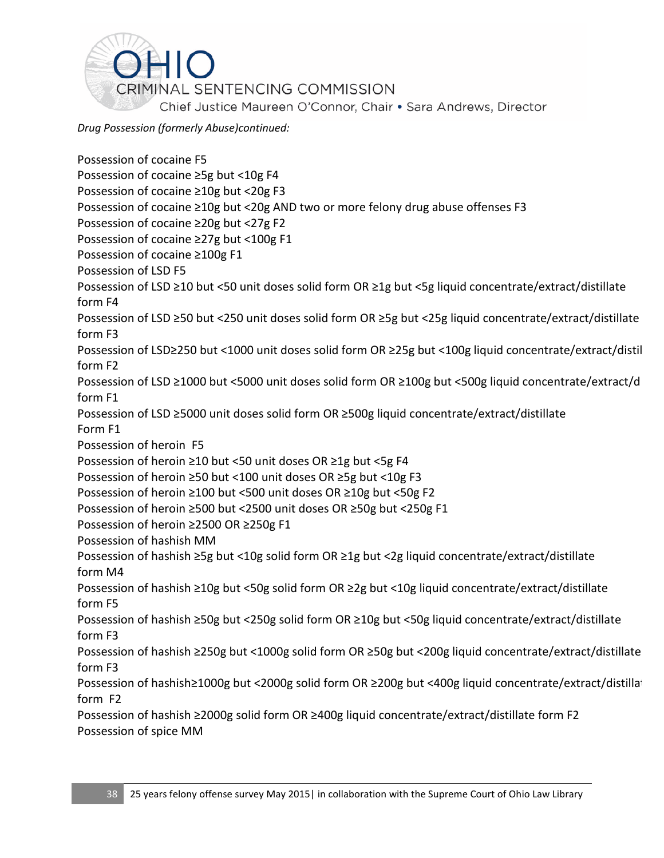

Possession of cocaine F5 Possession of cocaine ≥5g but <10g F4 Possession of cocaine ≥10g but <20g F3 Possession of cocaine ≥10g but <20g AND two or more felony drug abuse offenses F3 Possession of cocaine ≥20g but <27g F2 Possession of cocaine ≥27g but <100g F1 Possession of cocaine ≥100g F1 Possession of LSD F5 Possession of LSD ≥10 but <50 unit doses solid form OR ≥1g but <5g liquid concentrate/extract/distillate form F4 Possession of LSD ≥50 but <250 unit doses solid form OR ≥5g but <25g liquid concentrate/extract/distillate form F3 Possession of LSD≥250 but <1000 unit doses solid form OR ≥25g but <100g liquid concentrate/extract/distil form F2 Possession of LSD ≥1000 but <5000 unit doses solid form OR ≥100g but <500g liquid concentrate/extract/d form F1 Possession of LSD ≥5000 unit doses solid form OR ≥500g liquid concentrate/extract/distillate Form F1 Possession of heroin F5 Possession of heroin ≥10 but <50 unit doses OR ≥1g but <5g F4 Possession of heroin ≥50 but <100 unit doses OR ≥5g but <10g F3 Possession of heroin ≥100 but <500 unit doses OR ≥10g but <50g F2 Possession of heroin ≥500 but <2500 unit doses OR ≥50g but <250g F1 Possession of heroin ≥2500 OR ≥250g F1 Possession of hashish MM Possession of hashish ≥5g but <10g solid form OR ≥1g but <2g liquid concentrate/extract/distillate form M4 Possession of hashish ≥10g but <50g solid form OR ≥2g but <10g liquid concentrate/extract/distillate form F5 Possession of hashish ≥50g but <250g solid form OR ≥10g but <50g liquid concentrate/extract/distillate form F3 Possession of hashish ≥250g but <1000g solid form OR ≥50g but <200g liquid concentrate/extract/distillate form F3 Possession of hashish≥1000g but <2000g solid form OR ≥200g but <400g liquid concentrate/extract/distillat form F2 Possession of hashish ≥2000g solid form OR ≥400g liquid concentrate/extract/distillate form F2 Possession of spice MM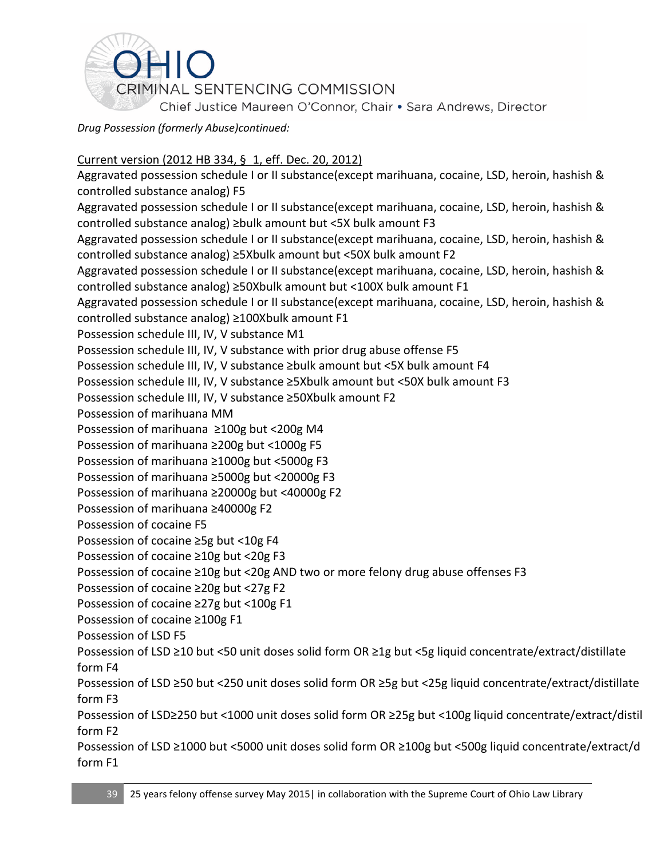

### Current version (2012 HB 334, § 1, eff. Dec. 20, 2012)

Aggravated possession schedule I or II substance(except marihuana, cocaine, LSD, heroin, hashish & controlled substance analog) F5 Aggravated possession schedule I or II substance(except marihuana, cocaine, LSD, heroin, hashish & controlled substance analog) ≥bulk amount but <5X bulk amount F3 Aggravated possession schedule I or II substance(except marihuana, cocaine, LSD, heroin, hashish & controlled substance analog) ≥5Xbulk amount but <50X bulk amount F2 Aggravated possession schedule I or II substance(except marihuana, cocaine, LSD, heroin, hashish & controlled substance analog) ≥50Xbulk amount but <100X bulk amount F1 Aggravated possession schedule I or II substance(except marihuana, cocaine, LSD, heroin, hashish & controlled substance analog) ≥100Xbulk amount F1 Possession schedule III, IV, V substance M1 Possession schedule III, IV, V substance with prior drug abuse offense F5 Possession schedule III, IV, V substance ≥bulk amount but <5X bulk amount F4 Possession schedule III, IV, V substance ≥5Xbulk amount but <50X bulk amount F3 Possession schedule III, IV, V substance ≥50Xbulk amount F2 Possession of marihuana MM Possession of marihuana ≥100g but <200g M4 Possession of marihuana ≥200g but <1000g F5 Possession of marihuana ≥1000g but <5000g F3 Possession of marihuana ≥5000g but <20000g F3 Possession of marihuana ≥20000g but <40000g F2 Possession of marihuana ≥40000g F2 Possession of cocaine F5 Possession of cocaine ≥5g but <10g F4 Possession of cocaine ≥10g but <20g F3 Possession of cocaine ≥10g but <20g AND two or more felony drug abuse offenses F3 Possession of cocaine ≥20g but <27g F2 Possession of cocaine ≥27g but <100g F1 Possession of cocaine ≥100g F1 Possession of LSD F5 Possession of LSD ≥10 but <50 unit doses solid form OR ≥1g but <5g liquid concentrate/extract/distillate form F4 Possession of LSD ≥50 but <250 unit doses solid form OR ≥5g but <25g liquid concentrate/extract/distillate form F3 Possession of LSD≥250 but <1000 unit doses solid form OR ≥25g but <100g liquid concentrate/extract/distil form F2 Possession of LSD ≥1000 but <5000 unit doses solid form OR ≥100g but <500g liquid concentrate/extract/d form F1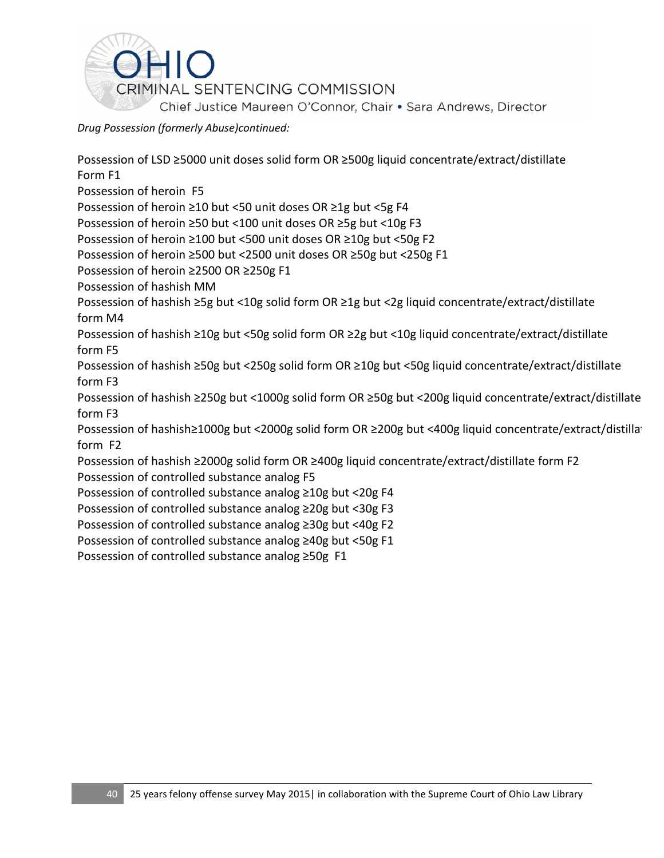

Possession of LSD ≥5000 unit doses solid form OR ≥500g liquid concentrate/extract/distillate Form F1 Possession of heroin F5 Possession of heroin ≥10 but <50 unit doses OR ≥1g but <5g F4 Possession of heroin ≥50 but <100 unit doses OR ≥5g but <10g F3 Possession of heroin ≥100 but <500 unit doses OR ≥10g but <50g F2 Possession of heroin ≥500 but <2500 unit doses OR ≥50g but <250g F1 Possession of heroin ≥2500 OR ≥250g F1 Possession of hashish MM Possession of hashish ≥5g but <10g solid form OR ≥1g but <2g liquid concentrate/extract/distillate form M4 Possession of hashish ≥10g but <50g solid form OR ≥2g but <10g liquid concentrate/extract/distillate form F5 Possession of hashish ≥50g but <250g solid form OR ≥10g but <50g liquid concentrate/extract/distillate form F3 Possession of hashish ≥250g but <1000g solid form OR ≥50g but <200g liquid concentrate/extract/distillate form F3 Possession of hashish≥1000g but <2000g solid form OR ≥200g but <400g liquid concentrate/extract/distillated Possession form F2 Possession of hashish ≥2000g solid form OR ≥400g liquid concentrate/extract/distillate form F2 Possession of controlled substance analog F5 Possession of controlled substance analog ≥10g but <20g F4 Possession of controlled substance analog ≥20g but <30g F3 Possession of controlled substance analog ≥30g but <40g F2 Possession of controlled substance analog ≥40g but <50g F1 Possession of controlled substance analog ≥50g F1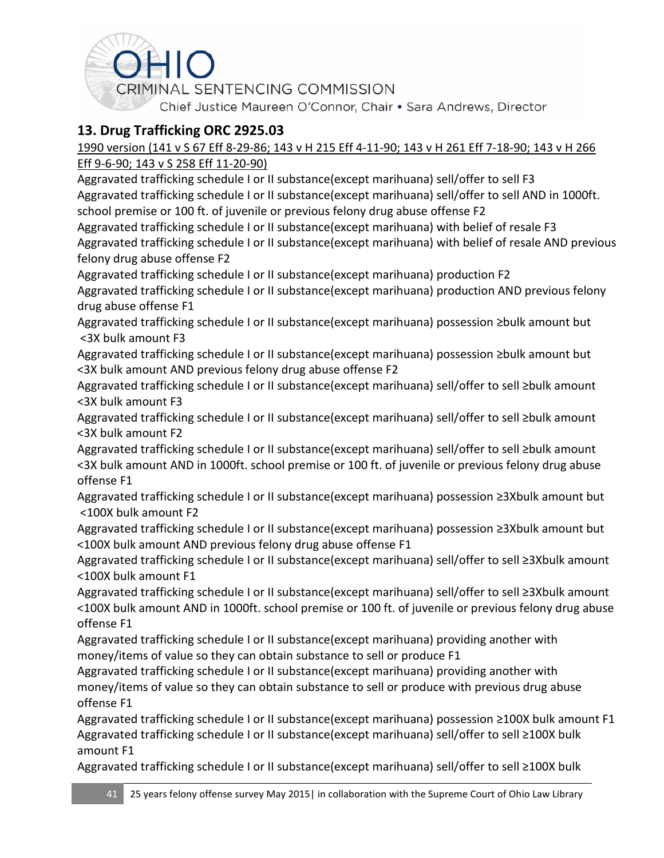

## **13. Drug Trafficking ORC 2925.03**

### 1990 version (141 v S 67 Eff 8-29-86; 143 v H 215 Eff 4-11-90; 143 v H 261 Eff 7-18-90; 143 v H 266 Eff 9-6-90; 143 v S 258 Eff 11-20-90)

Aggravated trafficking schedule I or II substance(except marihuana) sell/offer to sell F3 Aggravated trafficking schedule I or II substance(except marihuana) sell/offer to sell AND in 1000ft. school premise or 100 ft. of juvenile or previous felony drug abuse offense F2

Aggravated trafficking schedule I or II substance(except marihuana) with belief of resale F3 Aggravated trafficking schedule I or II substance(except marihuana) with belief of resale AND previous felony drug abuse offense F2

Aggravated trafficking schedule I or II substance(except marihuana) production F2

Aggravated trafficking schedule I or II substance(except marihuana) production AND previous felony drug abuse offense F1

Aggravated trafficking schedule I or II substance(except marihuana) possession ≥bulk amount but <3X bulk amount F3

Aggravated trafficking schedule I or II substance(except marihuana) possession ≥bulk amount but <3X bulk amount AND previous felony drug abuse offense F2

Aggravated trafficking schedule I or II substance(except marihuana) sell/offer to sell ≥bulk amount <3X bulk amount F3

Aggravated trafficking schedule I or II substance(except marihuana) sell/offer to sell ≥bulk amount <3X bulk amount F2

Aggravated trafficking schedule I or II substance(except marihuana) sell/offer to sell ≥bulk amount <3X bulk amount AND in 1000ft. school premise or 100 ft. of juvenile or previous felony drug abuse offense F1

Aggravated trafficking schedule I or II substance(except marihuana) possession ≥3Xbulk amount but <100X bulk amount F2

Aggravated trafficking schedule I or II substance(except marihuana) possession ≥3Xbulk amount but <100X bulk amount AND previous felony drug abuse offense F1

Aggravated trafficking schedule I or II substance(except marihuana) sell/offer to sell ≥3Xbulk amount <100X bulk amount F1

Aggravated trafficking schedule I or II substance(except marihuana) sell/offer to sell ≥3Xbulk amount <100X bulk amount AND in 1000ft. school premise or 100 ft. of juvenile or previous felony drug abuse offense F1

Aggravated trafficking schedule I or II substance(except marihuana) providing another with money/items of value so they can obtain substance to sell or produce F1

Aggravated trafficking schedule I or II substance(except marihuana) providing another with money/items of value so they can obtain substance to sell or produce with previous drug abuse offense F1

Aggravated trafficking schedule I or II substance(except marihuana) possession ≥100X bulk amount F1 Aggravated trafficking schedule I or II substance(except marihuana) sell/offer to sell ≥100X bulk amount F1

Aggravated trafficking schedule I or II substance(except marihuana) sell/offer to sell ≥100X bulk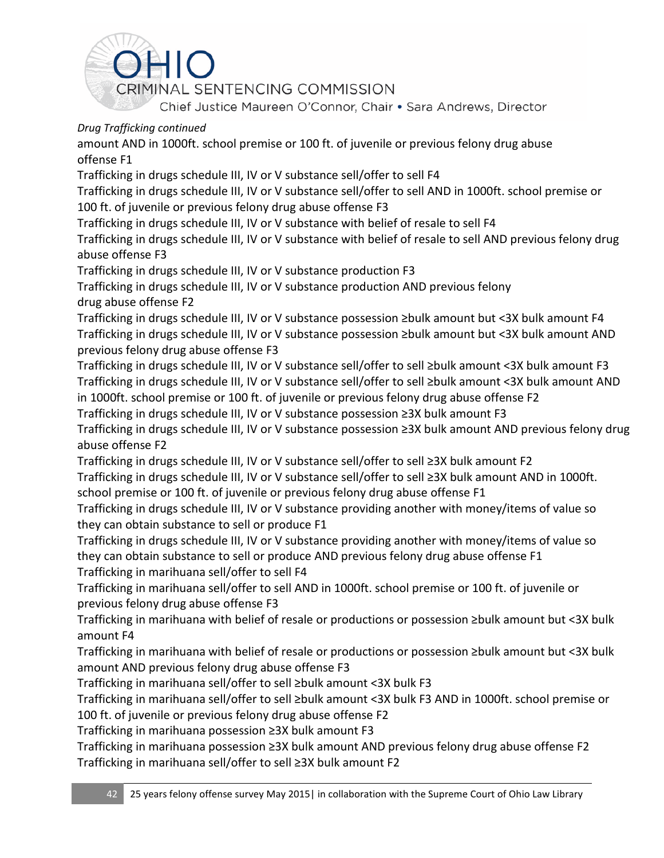

amount AND in 1000ft. school premise or 100 ft. of juvenile or previous felony drug abuse offense F1

Trafficking in drugs schedule III, IV or V substance sell/offer to sell F4

Trafficking in drugs schedule III, IV or V substance sell/offer to sell AND in 1000ft. school premise or 100 ft. of juvenile or previous felony drug abuse offense F3

Trafficking in drugs schedule III, IV or V substance with belief of resale to sell F4

Trafficking in drugs schedule III, IV or V substance with belief of resale to sell AND previous felony drug abuse offense F3

Trafficking in drugs schedule III, IV or V substance production F3

Trafficking in drugs schedule III, IV or V substance production AND previous felony drug abuse offense F2

Trafficking in drugs schedule III, IV or V substance possession ≥bulk amount but <3X bulk amount F4 Trafficking in drugs schedule III, IV or V substance possession ≥bulk amount but <3X bulk amount AND previous felony drug abuse offense F3

Trafficking in drugs schedule III, IV or V substance sell/offer to sell ≥bulk amount <3X bulk amount F3 Trafficking in drugs schedule III, IV or V substance sell/offer to sell ≥bulk amount <3X bulk amount AND in 1000ft. school premise or 100 ft. of juvenile or previous felony drug abuse offense F2

Trafficking in drugs schedule III, IV or V substance possession ≥3X bulk amount F3

Trafficking in drugs schedule III, IV or V substance possession ≥3X bulk amount AND previous felony drug abuse offense F2

Trafficking in drugs schedule III, IV or V substance sell/offer to sell ≥3X bulk amount F2 Trafficking in drugs schedule III, IV or V substance sell/offer to sell ≥3X bulk amount AND in 1000ft. school premise or 100 ft. of juvenile or previous felony drug abuse offense F1

Trafficking in drugs schedule III, IV or V substance providing another with money/items of value so they can obtain substance to sell or produce F1

Trafficking in drugs schedule III, IV or V substance providing another with money/items of value so they can obtain substance to sell or produce AND previous felony drug abuse offense F1 Trafficking in marihuana sell/offer to sell F4

Trafficking in marihuana sell/offer to sell AND in 1000ft. school premise or 100 ft. of juvenile or previous felony drug abuse offense F3

Trafficking in marihuana with belief of resale or productions or possession ≥bulk amount but <3X bulk amount F4

Trafficking in marihuana with belief of resale or productions or possession ≥bulk amount but <3X bulk amount AND previous felony drug abuse offense F3

Trafficking in marihuana sell/offer to sell ≥bulk amount <3X bulk F3

Trafficking in marihuana sell/offer to sell ≥bulk amount <3X bulk F3 AND in 1000ft. school premise or 100 ft. of juvenile or previous felony drug abuse offense F2

Trafficking in marihuana possession ≥3X bulk amount F3

Trafficking in marihuana possession ≥3X bulk amount AND previous felony drug abuse offense F2 Trafficking in marihuana sell/offer to sell ≥3X bulk amount F2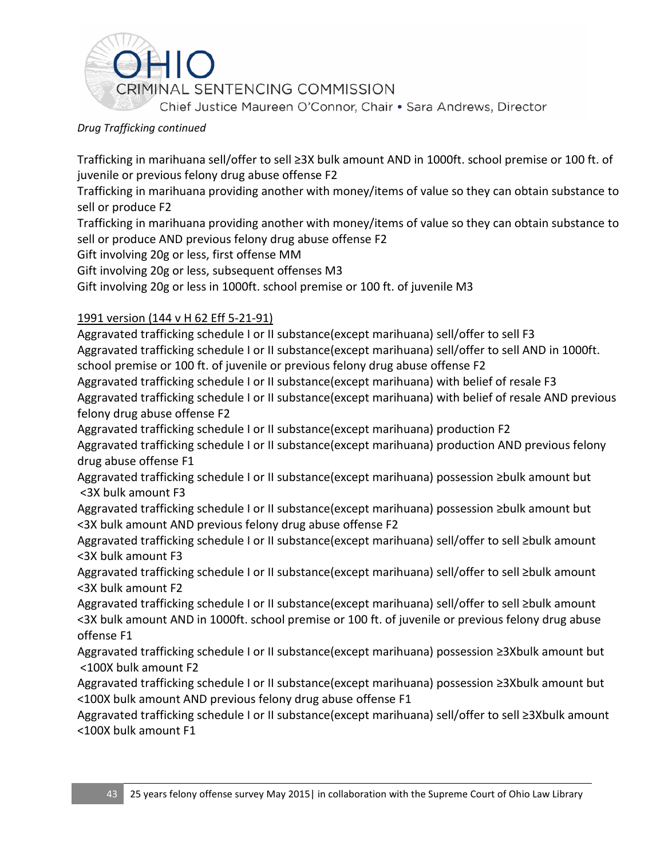

Trafficking in marihuana sell/offer to sell ≥3X bulk amount AND in 1000ft. school premise or 100 ft. of juvenile or previous felony drug abuse offense F2

Trafficking in marihuana providing another with money/items of value so they can obtain substance to sell or produce F2

Trafficking in marihuana providing another with money/items of value so they can obtain substance to sell or produce AND previous felony drug abuse offense F2

Gift involving 20g or less, first offense MM

Gift involving 20g or less, subsequent offenses M3

Gift involving 20g or less in 1000ft. school premise or 100 ft. of juvenile M3

### 1991 version [\(144 v H 62](https://advance.lexis.com/search/?pdmfid=1000516&crid=73c647b7-66b6-41d3-ac88-6419da26449f&pdsearchterms=ORC+2925.03&pdstartin=hlct%3A1%3A5&pdpsf=&ecomp=Jk1fk&prid=3ba6f613-8c59-4578-99df-5079ffa194a3) Eff 5-21-91)

Aggravated trafficking schedule I or II substance(except marihuana) sell/offer to sell F3 Aggravated trafficking schedule I or II substance(except marihuana) sell/offer to sell AND in 1000ft. school premise or 100 ft. of juvenile or previous felony drug abuse offense F2

Aggravated trafficking schedule I or II substance(except marihuana) with belief of resale F3 Aggravated trafficking schedule I or II substance(except marihuana) with belief of resale AND previous felony drug abuse offense F2

Aggravated trafficking schedule I or II substance(except marihuana) production F2

Aggravated trafficking schedule I or II substance(except marihuana) production AND previous felony drug abuse offense F1

Aggravated trafficking schedule I or II substance(except marihuana) possession ≥bulk amount but <3X bulk amount F3

Aggravated trafficking schedule I or II substance(except marihuana) possession ≥bulk amount but <3X bulk amount AND previous felony drug abuse offense F2

Aggravated trafficking schedule I or II substance(except marihuana) sell/offer to sell ≥bulk amount <3X bulk amount F3

Aggravated trafficking schedule I or II substance(except marihuana) sell/offer to sell ≥bulk amount <3X bulk amount F2

Aggravated trafficking schedule I or II substance(except marihuana) sell/offer to sell ≥bulk amount <3X bulk amount AND in 1000ft. school premise or 100 ft. of juvenile or previous felony drug abuse offense F1

Aggravated trafficking schedule I or II substance(except marihuana) possession ≥3Xbulk amount but <100X bulk amount F2

Aggravated trafficking schedule I or II substance(except marihuana) possession ≥3Xbulk amount but <100X bulk amount AND previous felony drug abuse offense F1

Aggravated trafficking schedule I or II substance(except marihuana) sell/offer to sell ≥3Xbulk amount <100X bulk amount F1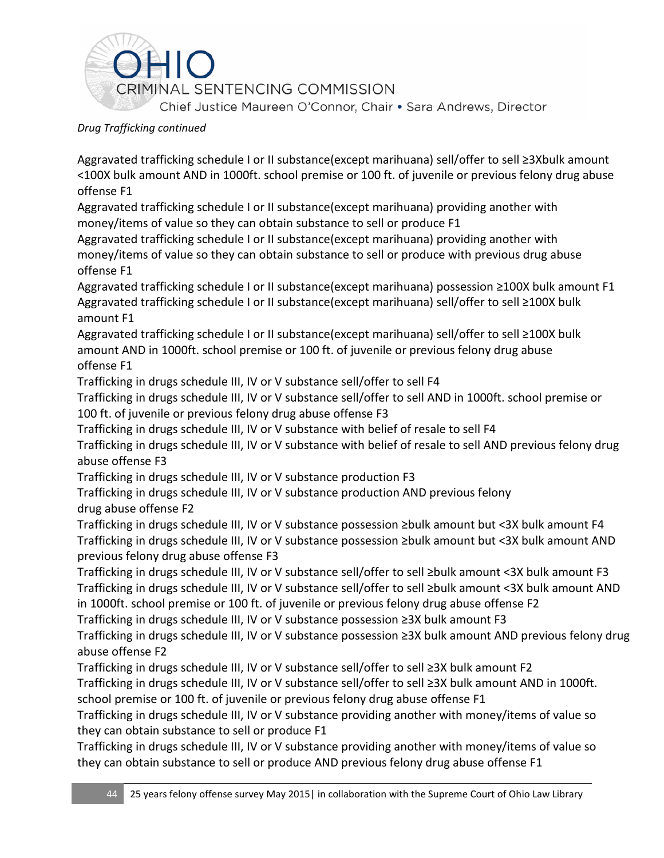

Aggravated trafficking schedule I or II substance(except marihuana) sell/offer to sell ≥3Xbulk amount <100X bulk amount AND in 1000ft. school premise or 100 ft. of juvenile or previous felony drug abuse offense F1

Aggravated trafficking schedule I or II substance(except marihuana) providing another with money/items of value so they can obtain substance to sell or produce F1

Aggravated trafficking schedule I or II substance(except marihuana) providing another with money/items of value so they can obtain substance to sell or produce with previous drug abuse offense F1

Aggravated trafficking schedule I or II substance(except marihuana) possession ≥100X bulk amount F1 Aggravated trafficking schedule I or II substance(except marihuana) sell/offer to sell ≥100X bulk amount F1

Aggravated trafficking schedule I or II substance(except marihuana) sell/offer to sell ≥100X bulk amount AND in 1000ft. school premise or 100 ft. of juvenile or previous felony drug abuse offense F1

Trafficking in drugs schedule III, IV or V substance sell/offer to sell F4

Trafficking in drugs schedule III, IV or V substance sell/offer to sell AND in 1000ft. school premise or 100 ft. of juvenile or previous felony drug abuse offense F3

Trafficking in drugs schedule III, IV or V substance with belief of resale to sell F4

Trafficking in drugs schedule III, IV or V substance with belief of resale to sell AND previous felony drug abuse offense F3

Trafficking in drugs schedule III, IV or V substance production F3

Trafficking in drugs schedule III, IV or V substance production AND previous felony drug abuse offense F2

Trafficking in drugs schedule III, IV or V substance possession ≥bulk amount but <3X bulk amount F4 Trafficking in drugs schedule III, IV or V substance possession ≥bulk amount but <3X bulk amount AND previous felony drug abuse offense F3

Trafficking in drugs schedule III, IV or V substance sell/offer to sell ≥bulk amount <3X bulk amount F3 Trafficking in drugs schedule III, IV or V substance sell/offer to sell ≥bulk amount <3X bulk amount AND in 1000ft. school premise or 100 ft. of juvenile or previous felony drug abuse offense F2

Trafficking in drugs schedule III, IV or V substance possession ≥3X bulk amount F3

Trafficking in drugs schedule III, IV or V substance possession ≥3X bulk amount AND previous felony drug abuse offense F2

Trafficking in drugs schedule III, IV or V substance sell/offer to sell ≥3X bulk amount F2

Trafficking in drugs schedule III, IV or V substance sell/offer to sell ≥3X bulk amount AND in 1000ft. school premise or 100 ft. of juvenile or previous felony drug abuse offense F1

Trafficking in drugs schedule III, IV or V substance providing another with money/items of value so they can obtain substance to sell or produce F1

Trafficking in drugs schedule III, IV or V substance providing another with money/items of value so they can obtain substance to sell or produce AND previous felony drug abuse offense F1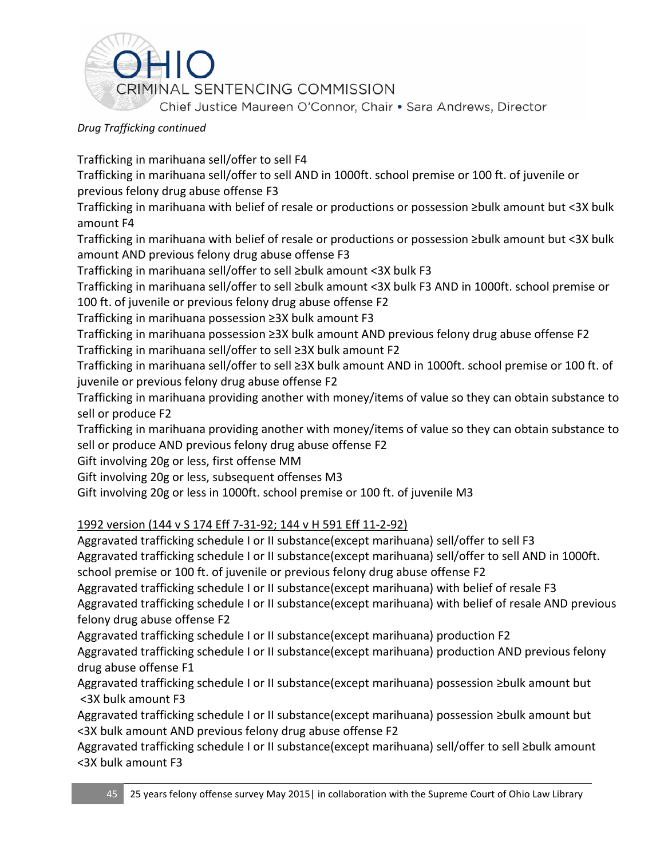

Trafficking in marihuana sell/offer to sell F4

Trafficking in marihuana sell/offer to sell AND in 1000ft. school premise or 100 ft. of juvenile or previous felony drug abuse offense F3

Trafficking in marihuana with belief of resale or productions or possession ≥bulk amount but <3X bulk amount F4

Trafficking in marihuana with belief of resale or productions or possession ≥bulk amount but <3X bulk amount AND previous felony drug abuse offense F3

Trafficking in marihuana sell/offer to sell ≥bulk amount <3X bulk F3

Trafficking in marihuana sell/offer to sell ≥bulk amount <3X bulk F3 AND in 1000ft. school premise or 100 ft. of juvenile or previous felony drug abuse offense F2

Trafficking in marihuana possession ≥3X bulk amount F3

Trafficking in marihuana possession ≥3X bulk amount AND previous felony drug abuse offense F2 Trafficking in marihuana sell/offer to sell ≥3X bulk amount F2

Trafficking in marihuana sell/offer to sell ≥3X bulk amount AND in 1000ft. school premise or 100 ft. of juvenile or previous felony drug abuse offense F2

Trafficking in marihuana providing another with money/items of value so they can obtain substance to sell or produce F2

Trafficking in marihuana providing another with money/items of value so they can obtain substance to sell or produce AND previous felony drug abuse offense F2

Gift involving 20g or less, first offense MM

Gift involving 20g or less, subsequent offenses M3

Gift involving 20g or less in 1000ft. school premise or 100 ft. of juvenile M3

### 1992 version [\(144 v S 174](https://advance.lexis.com/search/?pdmfid=1000516&crid=73c647b7-66b6-41d3-ac88-6419da26449f&pdsearchterms=ORC+2925.03&pdstartin=hlct%3A1%3A5&pdpsf=&ecomp=Jk1fk&prid=3ba6f613-8c59-4578-99df-5079ffa194a3) Eff 7-31-92; [144 v H 591](https://advance.lexis.com/search/?pdmfid=1000516&crid=73c647b7-66b6-41d3-ac88-6419da26449f&pdsearchterms=ORC+2925.03&pdstartin=hlct%3A1%3A5&pdpsf=&ecomp=Jk1fk&prid=3ba6f613-8c59-4578-99df-5079ffa194a3) Eff 11-2-92)

Aggravated trafficking schedule I or II substance(except marihuana) sell/offer to sell F3 Aggravated trafficking schedule I or II substance(except marihuana) sell/offer to sell AND in 1000ft. school premise or 100 ft. of juvenile or previous felony drug abuse offense F2

Aggravated trafficking schedule I or II substance(except marihuana) with belief of resale F3

Aggravated trafficking schedule I or II substance(except marihuana) with belief of resale AND previous felony drug abuse offense F2

Aggravated trafficking schedule I or II substance(except marihuana) production F2

Aggravated trafficking schedule I or II substance(except marihuana) production AND previous felony drug abuse offense F1

Aggravated trafficking schedule I or II substance(except marihuana) possession ≥bulk amount but <3X bulk amount F3

Aggravated trafficking schedule I or II substance(except marihuana) possession ≥bulk amount but <3X bulk amount AND previous felony drug abuse offense F2

Aggravated trafficking schedule I or II substance(except marihuana) sell/offer to sell ≥bulk amount <3X bulk amount F3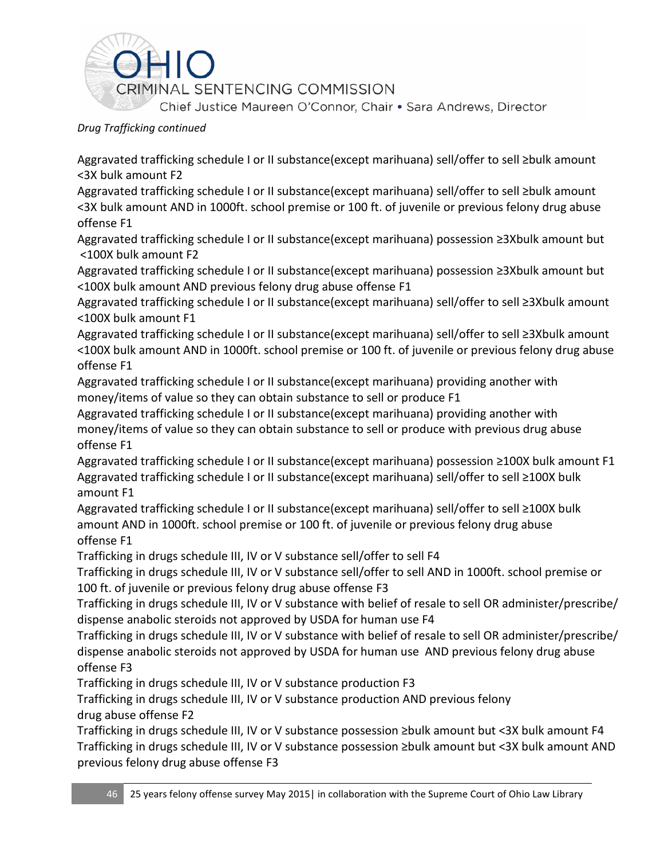

Aggravated trafficking schedule I or II substance(except marihuana) sell/offer to sell ≥bulk amount <3X bulk amount F2

Aggravated trafficking schedule I or II substance(except marihuana) sell/offer to sell ≥bulk amount <3X bulk amount AND in 1000ft. school premise or 100 ft. of juvenile or previous felony drug abuse offense F1

Aggravated trafficking schedule I or II substance(except marihuana) possession ≥3Xbulk amount but <100X bulk amount F2

Aggravated trafficking schedule I or II substance(except marihuana) possession ≥3Xbulk amount but <100X bulk amount AND previous felony drug abuse offense F1

Aggravated trafficking schedule I or II substance(except marihuana) sell/offer to sell ≥3Xbulk amount <100X bulk amount F1

Aggravated trafficking schedule I or II substance(except marihuana) sell/offer to sell ≥3Xbulk amount <100X bulk amount AND in 1000ft. school premise or 100 ft. of juvenile or previous felony drug abuse offense F1

Aggravated trafficking schedule I or II substance(except marihuana) providing another with money/items of value so they can obtain substance to sell or produce F1

Aggravated trafficking schedule I or II substance(except marihuana) providing another with money/items of value so they can obtain substance to sell or produce with previous drug abuse offense F1

Aggravated trafficking schedule I or II substance(except marihuana) possession ≥100X bulk amount F1 Aggravated trafficking schedule I or II substance(except marihuana) sell/offer to sell ≥100X bulk amount F1

Aggravated trafficking schedule I or II substance(except marihuana) sell/offer to sell ≥100X bulk amount AND in 1000ft. school premise or 100 ft. of juvenile or previous felony drug abuse offense F1

Trafficking in drugs schedule III, IV or V substance sell/offer to sell F4

Trafficking in drugs schedule III, IV or V substance sell/offer to sell AND in 1000ft. school premise or 100 ft. of juvenile or previous felony drug abuse offense F3

Trafficking in drugs schedule III, IV or V substance with belief of resale to sell OR administer/prescribe/ dispense anabolic steroids not approved by USDA for human use F4

Trafficking in drugs schedule III, IV or V substance with belief of resale to sell OR administer/prescribe/ dispense anabolic steroids not approved by USDA for human use AND previous felony drug abuse offense F3

Trafficking in drugs schedule III, IV or V substance production F3

Trafficking in drugs schedule III, IV or V substance production AND previous felony drug abuse offense F2

Trafficking in drugs schedule III, IV or V substance possession ≥bulk amount but <3X bulk amount F4 Trafficking in drugs schedule III, IV or V substance possession ≥bulk amount but <3X bulk amount AND previous felony drug abuse offense F3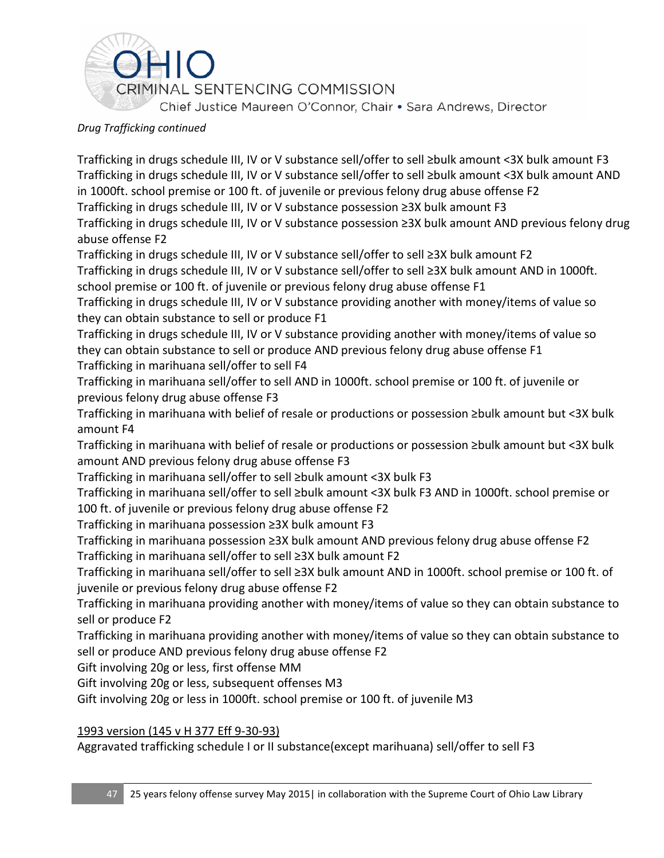

Trafficking in drugs schedule III, IV or V substance sell/offer to sell ≥bulk amount <3X bulk amount F3 Trafficking in drugs schedule III, IV or V substance sell/offer to sell ≥bulk amount <3X bulk amount AND in 1000ft. school premise or 100 ft. of juvenile or previous felony drug abuse offense F2 Trafficking in drugs schedule III, IV or V substance possession ≥3X bulk amount F3 Trafficking in drugs schedule III, IV or V substance possession ≥3X bulk amount AND previous felony drug abuse offense F2

Trafficking in drugs schedule III, IV or V substance sell/offer to sell ≥3X bulk amount F2

Trafficking in drugs schedule III, IV or V substance sell/offer to sell ≥3X bulk amount AND in 1000ft. school premise or 100 ft. of juvenile or previous felony drug abuse offense F1

Trafficking in drugs schedule III, IV or V substance providing another with money/items of value so they can obtain substance to sell or produce F1

Trafficking in drugs schedule III, IV or V substance providing another with money/items of value so they can obtain substance to sell or produce AND previous felony drug abuse offense F1

Trafficking in marihuana sell/offer to sell F4 Trafficking in marihuana sell/offer to sell AND in 1000ft. school premise or 100 ft. of juvenile or

previous felony drug abuse offense F3

Trafficking in marihuana with belief of resale or productions or possession ≥bulk amount but <3X bulk amount F4

Trafficking in marihuana with belief of resale or productions or possession ≥bulk amount but <3X bulk amount AND previous felony drug abuse offense F3

Trafficking in marihuana sell/offer to sell ≥bulk amount <3X bulk F3

Trafficking in marihuana sell/offer to sell ≥bulk amount <3X bulk F3 AND in 1000ft. school premise or 100 ft. of juvenile or previous felony drug abuse offense F2

Trafficking in marihuana possession ≥3X bulk amount F3

Trafficking in marihuana possession ≥3X bulk amount AND previous felony drug abuse offense F2 Trafficking in marihuana sell/offer to sell ≥3X bulk amount F2

Trafficking in marihuana sell/offer to sell ≥3X bulk amount AND in 1000ft. school premise or 100 ft. of juvenile or previous felony drug abuse offense F2

Trafficking in marihuana providing another with money/items of value so they can obtain substance to sell or produce F2

Trafficking in marihuana providing another with money/items of value so they can obtain substance to sell or produce AND previous felony drug abuse offense F2

Gift involving 20g or less, first offense MM

Gift involving 20g or less, subsequent offenses M3

Gift involving 20g or less in 1000ft. school premise or 100 ft. of juvenile M3

### 1993 version [\(145 v H 377](https://advance.lexis.com/search/?pdmfid=1000516&crid=73c647b7-66b6-41d3-ac88-6419da26449f&pdsearchterms=ORC+2925.03&pdstartin=hlct%3A1%3A5&pdpsf=&ecomp=Jk1fk&prid=3ba6f613-8c59-4578-99df-5079ffa194a3) Eff 9-30-93)

Aggravated trafficking schedule I or II substance(except marihuana) sell/offer to sell F3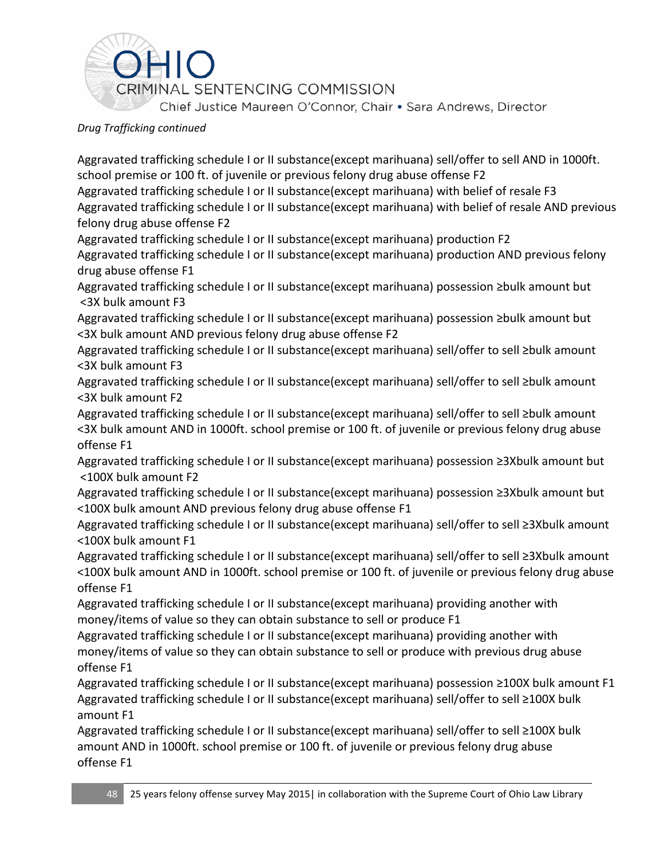

Aggravated trafficking schedule I or II substance(except marihuana) sell/offer to sell AND in 1000ft. school premise or 100 ft. of juvenile or previous felony drug abuse offense F2

Aggravated trafficking schedule I or II substance(except marihuana) with belief of resale F3 Aggravated trafficking schedule I or II substance(except marihuana) with belief of resale AND previous felony drug abuse offense F2

Aggravated trafficking schedule I or II substance(except marihuana) production F2

Aggravated trafficking schedule I or II substance(except marihuana) production AND previous felony drug abuse offense F1

Aggravated trafficking schedule I or II substance(except marihuana) possession ≥bulk amount but <3X bulk amount F3

Aggravated trafficking schedule I or II substance(except marihuana) possession ≥bulk amount but <3X bulk amount AND previous felony drug abuse offense F2

Aggravated trafficking schedule I or II substance(except marihuana) sell/offer to sell ≥bulk amount <3X bulk amount F3

Aggravated trafficking schedule I or II substance(except marihuana) sell/offer to sell ≥bulk amount <3X bulk amount F2

Aggravated trafficking schedule I or II substance(except marihuana) sell/offer to sell ≥bulk amount <3X bulk amount AND in 1000ft. school premise or 100 ft. of juvenile or previous felony drug abuse offense F1

Aggravated trafficking schedule I or II substance(except marihuana) possession ≥3Xbulk amount but <100X bulk amount F2

Aggravated trafficking schedule I or II substance(except marihuana) possession ≥3Xbulk amount but <100X bulk amount AND previous felony drug abuse offense F1

Aggravated trafficking schedule I or II substance(except marihuana) sell/offer to sell ≥3Xbulk amount <100X bulk amount F1

Aggravated trafficking schedule I or II substance(except marihuana) sell/offer to sell ≥3Xbulk amount <100X bulk amount AND in 1000ft. school premise or 100 ft. of juvenile or previous felony drug abuse offense F1

Aggravated trafficking schedule I or II substance(except marihuana) providing another with money/items of value so they can obtain substance to sell or produce F1

Aggravated trafficking schedule I or II substance(except marihuana) providing another with money/items of value so they can obtain substance to sell or produce with previous drug abuse offense F1

Aggravated trafficking schedule I or II substance(except marihuana) possession ≥100X bulk amount F1 Aggravated trafficking schedule I or II substance(except marihuana) sell/offer to sell ≥100X bulk amount F1

Aggravated trafficking schedule I or II substance(except marihuana) sell/offer to sell ≥100X bulk amount AND in 1000ft. school premise or 100 ft. of juvenile or previous felony drug abuse offense F1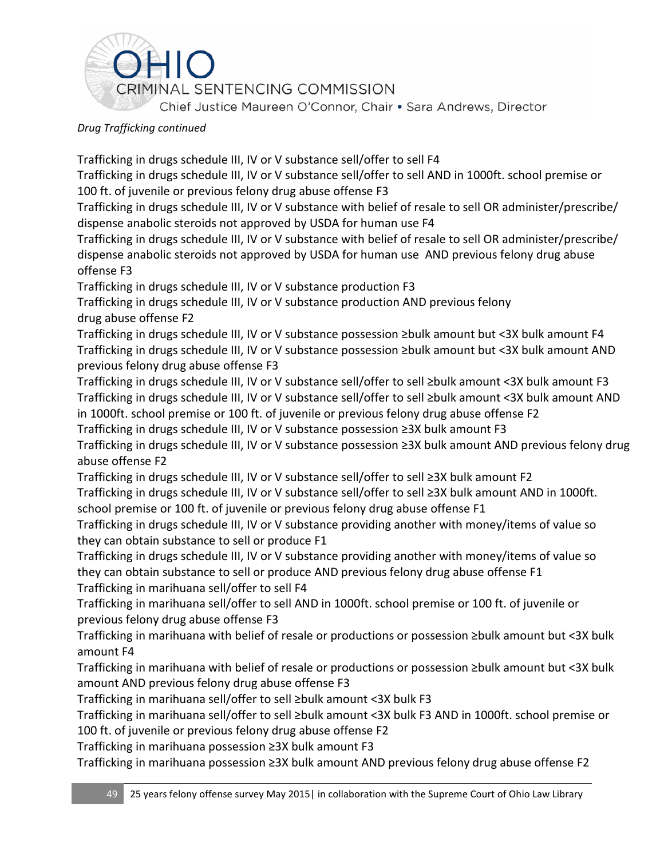

Trafficking in drugs schedule III, IV or V substance sell/offer to sell F4

Trafficking in drugs schedule III, IV or V substance sell/offer to sell AND in 1000ft. school premise or 100 ft. of juvenile or previous felony drug abuse offense F3

Trafficking in drugs schedule III, IV or V substance with belief of resale to sell OR administer/prescribe/ dispense anabolic steroids not approved by USDA for human use F4

Trafficking in drugs schedule III, IV or V substance with belief of resale to sell OR administer/prescribe/ dispense anabolic steroids not approved by USDA for human use AND previous felony drug abuse offense F3

Trafficking in drugs schedule III, IV or V substance production F3

Trafficking in drugs schedule III, IV or V substance production AND previous felony drug abuse offense F2

Trafficking in drugs schedule III, IV or V substance possession ≥bulk amount but <3X bulk amount F4 Trafficking in drugs schedule III, IV or V substance possession ≥bulk amount but <3X bulk amount AND previous felony drug abuse offense F3

Trafficking in drugs schedule III, IV or V substance sell/offer to sell ≥bulk amount <3X bulk amount F3 Trafficking in drugs schedule III, IV or V substance sell/offer to sell ≥bulk amount <3X bulk amount AND in 1000ft. school premise or 100 ft. of juvenile or previous felony drug abuse offense F2

Trafficking in drugs schedule III, IV or V substance possession ≥3X bulk amount F3

Trafficking in drugs schedule III, IV or V substance possession ≥3X bulk amount AND previous felony drug abuse offense F2

Trafficking in drugs schedule III, IV or V substance sell/offer to sell ≥3X bulk amount F2

Trafficking in drugs schedule III, IV or V substance sell/offer to sell ≥3X bulk amount AND in 1000ft. school premise or 100 ft. of juvenile or previous felony drug abuse offense F1

Trafficking in drugs schedule III, IV or V substance providing another with money/items of value so they can obtain substance to sell or produce F1

Trafficking in drugs schedule III, IV or V substance providing another with money/items of value so they can obtain substance to sell or produce AND previous felony drug abuse offense F1

Trafficking in marihuana sell/offer to sell F4

Trafficking in marihuana sell/offer to sell AND in 1000ft. school premise or 100 ft. of juvenile or previous felony drug abuse offense F3

Trafficking in marihuana with belief of resale or productions or possession ≥bulk amount but <3X bulk amount F4

Trafficking in marihuana with belief of resale or productions or possession ≥bulk amount but <3X bulk amount AND previous felony drug abuse offense F3

Trafficking in marihuana sell/offer to sell ≥bulk amount <3X bulk F3

Trafficking in marihuana sell/offer to sell ≥bulk amount <3X bulk F3 AND in 1000ft. school premise or 100 ft. of juvenile or previous felony drug abuse offense F2

Trafficking in marihuana possession ≥3X bulk amount F3

Trafficking in marihuana possession ≥3X bulk amount AND previous felony drug abuse offense F2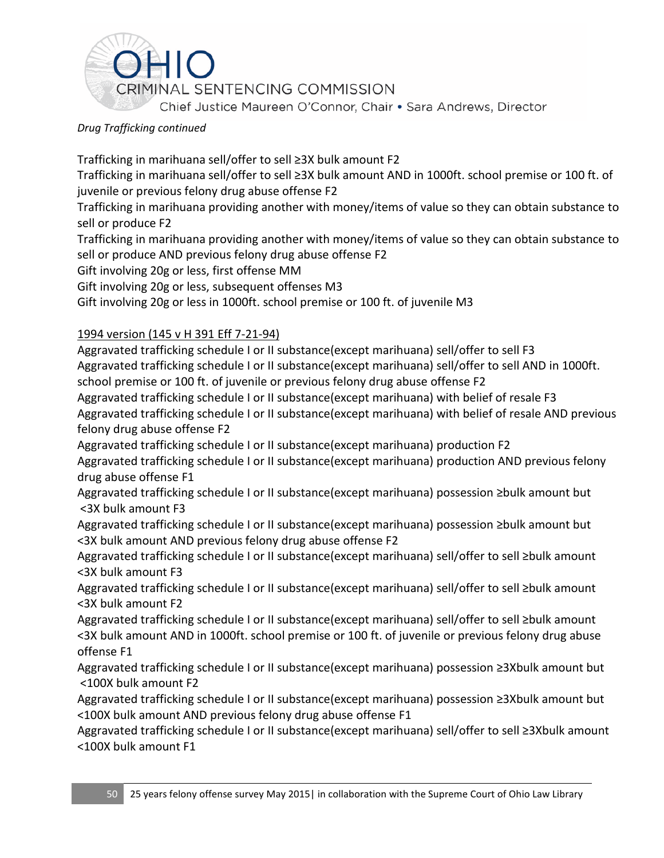

Trafficking in marihuana sell/offer to sell ≥3X bulk amount F2

Trafficking in marihuana sell/offer to sell ≥3X bulk amount AND in 1000ft. school premise or 100 ft. of juvenile or previous felony drug abuse offense F2

Trafficking in marihuana providing another with money/items of value so they can obtain substance to sell or produce F2

Trafficking in marihuana providing another with money/items of value so they can obtain substance to sell or produce AND previous felony drug abuse offense F2

Gift involving 20g or less, first offense MM

Gift involving 20g or less, subsequent offenses M3

Gift involving 20g or less in 1000ft. school premise or 100 ft. of juvenile M3

### 1994 version [\(145 v H 391](https://advance.lexis.com/search/?pdmfid=1000516&crid=73c647b7-66b6-41d3-ac88-6419da26449f&pdsearchterms=ORC+2925.03&pdstartin=hlct%3A1%3A5&pdpsf=&ecomp=Jk1fk&prid=3ba6f613-8c59-4578-99df-5079ffa194a3) Eff 7-21-94)

Aggravated trafficking schedule I or II substance(except marihuana) sell/offer to sell F3 Aggravated trafficking schedule I or II substance(except marihuana) sell/offer to sell AND in 1000ft. school premise or 100 ft. of juvenile or previous felony drug abuse offense F2

Aggravated trafficking schedule I or II substance(except marihuana) with belief of resale F3 Aggravated trafficking schedule I or II substance(except marihuana) with belief of resale AND previous felony drug abuse offense F2

Aggravated trafficking schedule I or II substance(except marihuana) production F2

Aggravated trafficking schedule I or II substance(except marihuana) production AND previous felony drug abuse offense F1

Aggravated trafficking schedule I or II substance(except marihuana) possession ≥bulk amount but <3X bulk amount F3

Aggravated trafficking schedule I or II substance(except marihuana) possession ≥bulk amount but <3X bulk amount AND previous felony drug abuse offense F2

Aggravated trafficking schedule I or II substance(except marihuana) sell/offer to sell ≥bulk amount <3X bulk amount F3

Aggravated trafficking schedule I or II substance(except marihuana) sell/offer to sell ≥bulk amount <3X bulk amount F2

Aggravated trafficking schedule I or II substance(except marihuana) sell/offer to sell ≥bulk amount <3X bulk amount AND in 1000ft. school premise or 100 ft. of juvenile or previous felony drug abuse offense F1

Aggravated trafficking schedule I or II substance(except marihuana) possession ≥3Xbulk amount but <100X bulk amount F2

Aggravated trafficking schedule I or II substance(except marihuana) possession ≥3Xbulk amount but <100X bulk amount AND previous felony drug abuse offense F1

Aggravated trafficking schedule I or II substance(except marihuana) sell/offer to sell ≥3Xbulk amount <100X bulk amount F1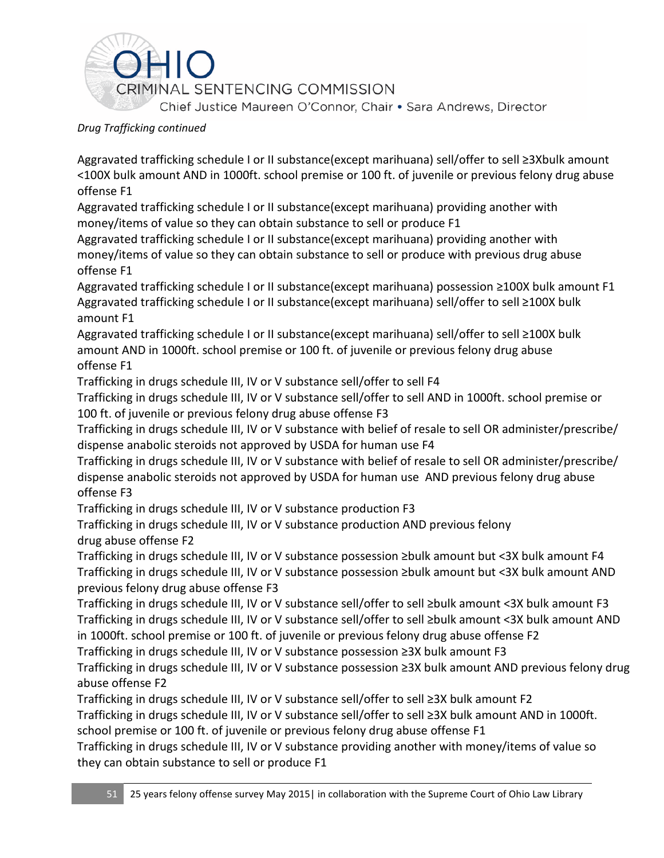

Aggravated trafficking schedule I or II substance(except marihuana) sell/offer to sell ≥3Xbulk amount <100X bulk amount AND in 1000ft. school premise or 100 ft. of juvenile or previous felony drug abuse offense F1

Aggravated trafficking schedule I or II substance(except marihuana) providing another with money/items of value so they can obtain substance to sell or produce F1

Aggravated trafficking schedule I or II substance(except marihuana) providing another with money/items of value so they can obtain substance to sell or produce with previous drug abuse offense F1

Aggravated trafficking schedule I or II substance(except marihuana) possession ≥100X bulk amount F1 Aggravated trafficking schedule I or II substance(except marihuana) sell/offer to sell ≥100X bulk amount F1

Aggravated trafficking schedule I or II substance(except marihuana) sell/offer to sell ≥100X bulk amount AND in 1000ft. school premise or 100 ft. of juvenile or previous felony drug abuse offense F1

Trafficking in drugs schedule III, IV or V substance sell/offer to sell F4

Trafficking in drugs schedule III, IV or V substance sell/offer to sell AND in 1000ft. school premise or 100 ft. of juvenile or previous felony drug abuse offense F3

Trafficking in drugs schedule III, IV or V substance with belief of resale to sell OR administer/prescribe/ dispense anabolic steroids not approved by USDA for human use F4

Trafficking in drugs schedule III, IV or V substance with belief of resale to sell OR administer/prescribe/ dispense anabolic steroids not approved by USDA for human use AND previous felony drug abuse offense F3

Trafficking in drugs schedule III, IV or V substance production F3

Trafficking in drugs schedule III, IV or V substance production AND previous felony drug abuse offense F2

Trafficking in drugs schedule III, IV or V substance possession ≥bulk amount but <3X bulk amount F4 Trafficking in drugs schedule III, IV or V substance possession ≥bulk amount but <3X bulk amount AND previous felony drug abuse offense F3

Trafficking in drugs schedule III, IV or V substance sell/offer to sell ≥bulk amount <3X bulk amount F3 Trafficking in drugs schedule III, IV or V substance sell/offer to sell ≥bulk amount <3X bulk amount AND in 1000ft. school premise or 100 ft. of juvenile or previous felony drug abuse offense F2

Trafficking in drugs schedule III, IV or V substance possession ≥3X bulk amount F3

Trafficking in drugs schedule III, IV or V substance possession ≥3X bulk amount AND previous felony drug abuse offense F2

Trafficking in drugs schedule III, IV or V substance sell/offer to sell ≥3X bulk amount F2

Trafficking in drugs schedule III, IV or V substance sell/offer to sell ≥3X bulk amount AND in 1000ft. school premise or 100 ft. of juvenile or previous felony drug abuse offense F1

Trafficking in drugs schedule III, IV or V substance providing another with money/items of value so they can obtain substance to sell or produce F1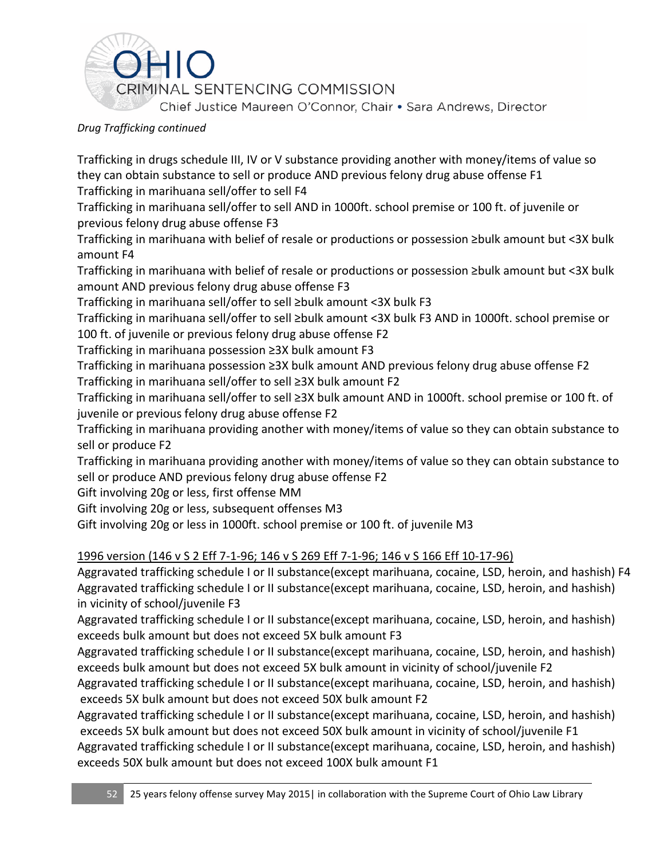

Trafficking in drugs schedule III, IV or V substance providing another with money/items of value so they can obtain substance to sell or produce AND previous felony drug abuse offense F1 Trafficking in marihuana sell/offer to sell F4

Trafficking in marihuana sell/offer to sell AND in 1000ft. school premise or 100 ft. of juvenile or previous felony drug abuse offense F3

Trafficking in marihuana with belief of resale or productions or possession ≥bulk amount but <3X bulk amount F4

Trafficking in marihuana with belief of resale or productions or possession ≥bulk amount but <3X bulk amount AND previous felony drug abuse offense F3

Trafficking in marihuana sell/offer to sell ≥bulk amount <3X bulk F3

Trafficking in marihuana sell/offer to sell ≥bulk amount <3X bulk F3 AND in 1000ft. school premise or 100 ft. of juvenile or previous felony drug abuse offense F2

Trafficking in marihuana possession ≥3X bulk amount F3

Trafficking in marihuana possession ≥3X bulk amount AND previous felony drug abuse offense F2 Trafficking in marihuana sell/offer to sell ≥3X bulk amount F2

Trafficking in marihuana sell/offer to sell ≥3X bulk amount AND in 1000ft. school premise or 100 ft. of juvenile or previous felony drug abuse offense F2

Trafficking in marihuana providing another with money/items of value so they can obtain substance to sell or produce F2

Trafficking in marihuana providing another with money/items of value so they can obtain substance to sell or produce AND previous felony drug abuse offense F2

Gift involving 20g or less, first offense MM

Gift involving 20g or less, subsequent offenses M3

Gift involving 20g or less in 1000ft. school premise or 100 ft. of juvenile M3

1996 version [\(146 v S 2](https://advance.lexis.com/search/?pdmfid=1000516&crid=73c647b7-66b6-41d3-ac88-6419da26449f&pdsearchterms=ORC+2925.03&pdstartin=hlct%3A1%3A5&pdpsf=&ecomp=Jk1fk&prid=3ba6f613-8c59-4578-99df-5079ffa194a3) Eff 7-1-96; [146 v S 269](https://advance.lexis.com/search/?pdmfid=1000516&crid=73c647b7-66b6-41d3-ac88-6419da26449f&pdsearchterms=ORC+2925.03&pdstartin=hlct%3A1%3A5&pdpsf=&ecomp=Jk1fk&prid=3ba6f613-8c59-4578-99df-5079ffa194a3) Eff 7-1-96[; 146 v S 166](https://advance.lexis.com/search/?pdmfid=1000516&crid=73c647b7-66b6-41d3-ac88-6419da26449f&pdsearchterms=ORC+2925.03&pdstartin=hlct%3A1%3A5&pdpsf=&ecomp=Jk1fk&prid=3ba6f613-8c59-4578-99df-5079ffa194a3) Eff 10-17-96)

Aggravated trafficking schedule I or II substance(except marihuana, cocaine, LSD, heroin, and hashish) F4 Aggravated trafficking schedule I or II substance(except marihuana, cocaine, LSD, heroin, and hashish) in vicinity of school/juvenile F3

Aggravated trafficking schedule I or II substance(except marihuana, cocaine, LSD, heroin, and hashish) exceeds bulk amount but does not exceed 5X bulk amount F3

Aggravated trafficking schedule I or II substance(except marihuana, cocaine, LSD, heroin, and hashish) exceeds bulk amount but does not exceed 5X bulk amount in vicinity of school/juvenile F2

Aggravated trafficking schedule I or II substance(except marihuana, cocaine, LSD, heroin, and hashish) exceeds 5X bulk amount but does not exceed 50X bulk amount F2

Aggravated trafficking schedule I or II substance(except marihuana, cocaine, LSD, heroin, and hashish) exceeds 5X bulk amount but does not exceed 50X bulk amount in vicinity of school/juvenile F1

Aggravated trafficking schedule I or II substance(except marihuana, cocaine, LSD, heroin, and hashish) exceeds 50X bulk amount but does not exceed 100X bulk amount F1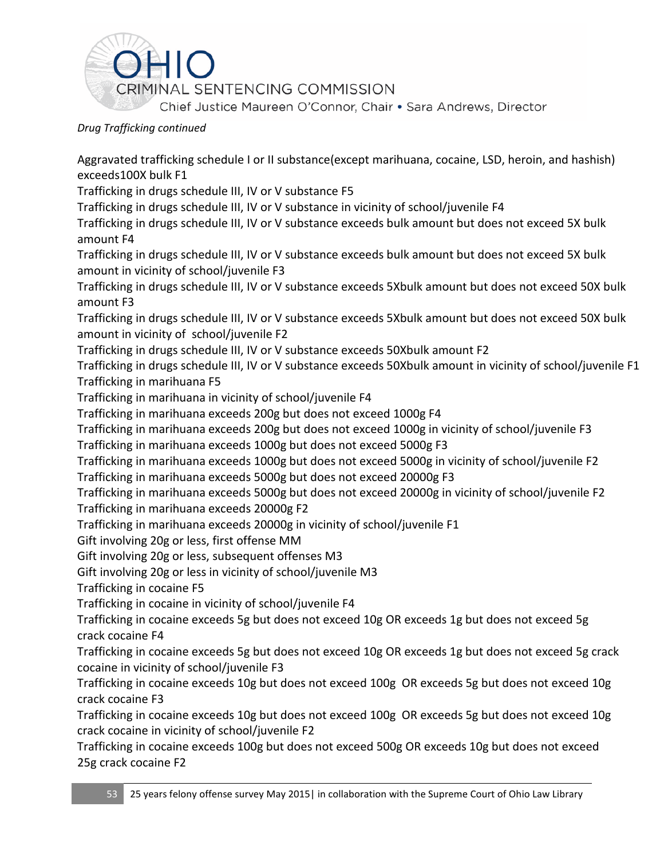

Aggravated trafficking schedule I or II substance(except marihuana, cocaine, LSD, heroin, and hashish) exceeds100X bulk F1

Trafficking in drugs schedule III, IV or V substance F5

Trafficking in drugs schedule III, IV or V substance in vicinity of school/juvenile F4

Trafficking in drugs schedule III, IV or V substance exceeds bulk amount but does not exceed 5X bulk amount F4

Trafficking in drugs schedule III, IV or V substance exceeds bulk amount but does not exceed 5X bulk amount in vicinity of school/juvenile F3

Trafficking in drugs schedule III, IV or V substance exceeds 5Xbulk amount but does not exceed 50X bulk amount F3

Trafficking in drugs schedule III, IV or V substance exceeds 5Xbulk amount but does not exceed 50X bulk amount in vicinity of school/juvenile F2

Trafficking in drugs schedule III, IV or V substance exceeds 50Xbulk amount F2

Trafficking in drugs schedule III, IV or V substance exceeds 50Xbulk amount in vicinity of school/juvenile F1 Trafficking in marihuana F5

Trafficking in marihuana in vicinity of school/juvenile F4

Trafficking in marihuana exceeds 200g but does not exceed 1000g F4

Trafficking in marihuana exceeds 200g but does not exceed 1000g in vicinity of school/juvenile F3

Trafficking in marihuana exceeds 1000g but does not exceed 5000g F3

Trafficking in marihuana exceeds 1000g but does not exceed 5000g in vicinity of school/juvenile F2 Trafficking in marihuana exceeds 5000g but does not exceed 20000g F3

Trafficking in marihuana exceeds 5000g but does not exceed 20000g in vicinity of school/juvenile F2 Trafficking in marihuana exceeds 20000g F2

Trafficking in marihuana exceeds 20000g in vicinity of school/juvenile F1

Gift involving 20g or less, first offense MM

Gift involving 20g or less, subsequent offenses M3

Gift involving 20g or less in vicinity of school/juvenile M3

Trafficking in cocaine F5

Trafficking in cocaine in vicinity of school/juvenile F4

Trafficking in cocaine exceeds 5g but does not exceed 10g OR exceeds 1g but does not exceed 5g crack cocaine F4

Trafficking in cocaine exceeds 5g but does not exceed 10g OR exceeds 1g but does not exceed 5g crack cocaine in vicinity of school/juvenile F3

Trafficking in cocaine exceeds 10g but does not exceed 100g OR exceeds 5g but does not exceed 10g crack cocaine F3

Trafficking in cocaine exceeds 10g but does not exceed 100g OR exceeds 5g but does not exceed 10g crack cocaine in vicinity of school/juvenile F2

Trafficking in cocaine exceeds 100g but does not exceed 500g OR exceeds 10g but does not exceed 25g crack cocaine F2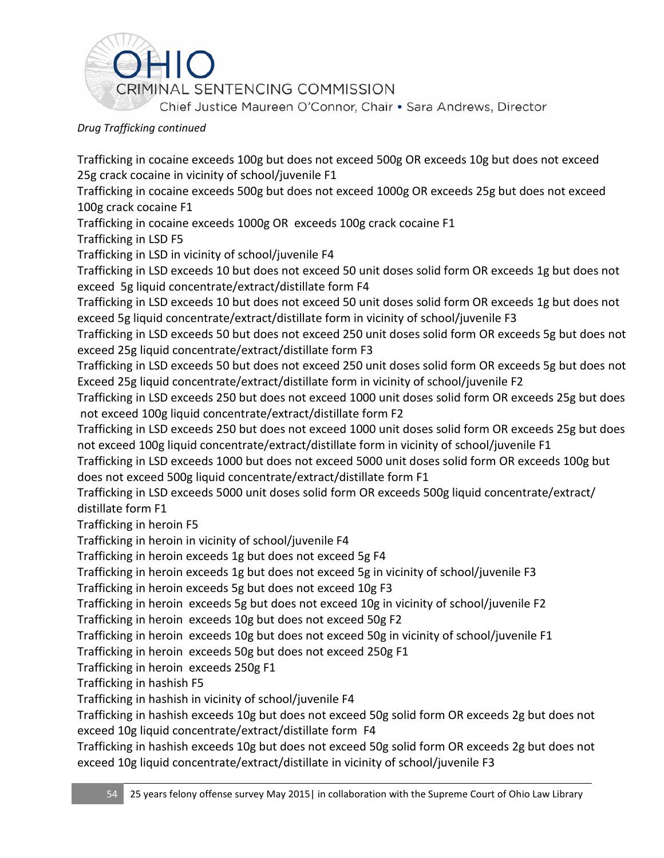

Trafficking in cocaine exceeds 100g but does not exceed 500g OR exceeds 10g but does not exceed 25g crack cocaine in vicinity of school/juvenile F1

Trafficking in cocaine exceeds 500g but does not exceed 1000g OR exceeds 25g but does not exceed 100g crack cocaine F1

Trafficking in cocaine exceeds 1000g OR exceeds 100g crack cocaine F1

Trafficking in LSD F5

Trafficking in LSD in vicinity of school/juvenile F4

Trafficking in LSD exceeds 10 but does not exceed 50 unit doses solid form OR exceeds 1g but does not exceed 5g liquid concentrate/extract/distillate form F4

Trafficking in LSD exceeds 10 but does not exceed 50 unit doses solid form OR exceeds 1g but does not exceed 5g liquid concentrate/extract/distillate form in vicinity of school/juvenile F3

Trafficking in LSD exceeds 50 but does not exceed 250 unit doses solid form OR exceeds 5g but does not exceed 25g liquid concentrate/extract/distillate form F3

Trafficking in LSD exceeds 50 but does not exceed 250 unit doses solid form OR exceeds 5g but does not Exceed 25g liquid concentrate/extract/distillate form in vicinity of school/juvenile F2

Trafficking in LSD exceeds 250 but does not exceed 1000 unit doses solid form OR exceeds 25g but does not exceed 100g liquid concentrate/extract/distillate form F2

Trafficking in LSD exceeds 250 but does not exceed 1000 unit doses solid form OR exceeds 25g but does not exceed 100g liquid concentrate/extract/distillate form in vicinity of school/juvenile F1

Trafficking in LSD exceeds 1000 but does not exceed 5000 unit doses solid form OR exceeds 100g but does not exceed 500g liquid concentrate/extract/distillate form F1

Trafficking in LSD exceeds 5000 unit doses solid form OR exceeds 500g liquid concentrate/extract/ distillate form F1

Trafficking in heroin F5

Trafficking in heroin in vicinity of school/juvenile F4

Trafficking in heroin exceeds 1g but does not exceed 5g F4

Trafficking in heroin exceeds 1g but does not exceed 5g in vicinity of school/juvenile F3

Trafficking in heroin exceeds 5g but does not exceed 10g F3

Trafficking in heroin exceeds 5g but does not exceed 10g in vicinity of school/juvenile F2

Trafficking in heroin exceeds 10g but does not exceed 50g F2

Trafficking in heroin exceeds 10g but does not exceed 50g in vicinity of school/juvenile F1

Trafficking in heroin exceeds 50g but does not exceed 250g F1

Trafficking in heroin exceeds 250g F1

Trafficking in hashish F5

Trafficking in hashish in vicinity of school/juvenile F4

Trafficking in hashish exceeds 10g but does not exceed 50g solid form OR exceeds 2g but does not exceed 10g liquid concentrate/extract/distillate form F4

Trafficking in hashish exceeds 10g but does not exceed 50g solid form OR exceeds 2g but does not exceed 10g liquid concentrate/extract/distillate in vicinity of school/juvenile F3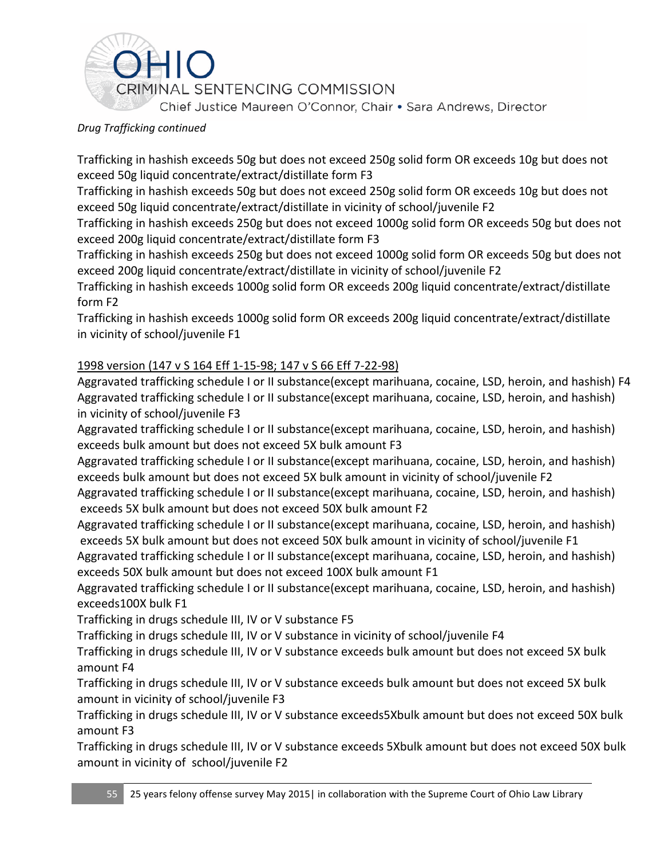

Trafficking in hashish exceeds 50g but does not exceed 250g solid form OR exceeds 10g but does not exceed 50g liquid concentrate/extract/distillate form F3

Trafficking in hashish exceeds 50g but does not exceed 250g solid form OR exceeds 10g but does not exceed 50g liquid concentrate/extract/distillate in vicinity of school/juvenile F2

Trafficking in hashish exceeds 250g but does not exceed 1000g solid form OR exceeds 50g but does not exceed 200g liquid concentrate/extract/distillate form F3

Trafficking in hashish exceeds 250g but does not exceed 1000g solid form OR exceeds 50g but does not exceed 200g liquid concentrate/extract/distillate in vicinity of school/juvenile F2

Trafficking in hashish exceeds 1000g solid form OR exceeds 200g liquid concentrate/extract/distillate form F2

Trafficking in hashish exceeds 1000g solid form OR exceeds 200g liquid concentrate/extract/distillate in vicinity of school/juvenile F1

## 1998 version [\(147 v S 164](https://advance.lexis.com/search/?pdmfid=1000516&crid=73c647b7-66b6-41d3-ac88-6419da26449f&pdsearchterms=ORC+2925.03&pdstartin=hlct%3A1%3A5&pdpsf=&ecomp=Jk1fk&prid=3ba6f613-8c59-4578-99df-5079ffa194a3) Eff 1-15-98; [147 v S 66](https://advance.lexis.com/search/?pdmfid=1000516&crid=73c647b7-66b6-41d3-ac88-6419da26449f&pdsearchterms=ORC+2925.03&pdstartin=hlct%3A1%3A5&pdpsf=&ecomp=Jk1fk&prid=3ba6f613-8c59-4578-99df-5079ffa194a3) Eff 7-22-98)

Aggravated trafficking schedule I or II substance(except marihuana, cocaine, LSD, heroin, and hashish) F4 Aggravated trafficking schedule I or II substance(except marihuana, cocaine, LSD, heroin, and hashish) in vicinity of school/juvenile F3

Aggravated trafficking schedule I or II substance(except marihuana, cocaine, LSD, heroin, and hashish) exceeds bulk amount but does not exceed 5X bulk amount F3

Aggravated trafficking schedule I or II substance(except marihuana, cocaine, LSD, heroin, and hashish) exceeds bulk amount but does not exceed 5X bulk amount in vicinity of school/juvenile F2

Aggravated trafficking schedule I or II substance(except marihuana, cocaine, LSD, heroin, and hashish) exceeds 5X bulk amount but does not exceed 50X bulk amount F2

Aggravated trafficking schedule I or II substance(except marihuana, cocaine, LSD, heroin, and hashish) exceeds 5X bulk amount but does not exceed 50X bulk amount in vicinity of school/juvenile F1

Aggravated trafficking schedule I or II substance(except marihuana, cocaine, LSD, heroin, and hashish) exceeds 50X bulk amount but does not exceed 100X bulk amount F1

Aggravated trafficking schedule I or II substance(except marihuana, cocaine, LSD, heroin, and hashish) exceeds100X bulk F1

Trafficking in drugs schedule III, IV or V substance F5

Trafficking in drugs schedule III, IV or V substance in vicinity of school/juvenile F4

Trafficking in drugs schedule III, IV or V substance exceeds bulk amount but does not exceed 5X bulk amount F4

Trafficking in drugs schedule III, IV or V substance exceeds bulk amount but does not exceed 5X bulk amount in vicinity of school/juvenile F3

Trafficking in drugs schedule III, IV or V substance exceeds5Xbulk amount but does not exceed 50X bulk amount F3

Trafficking in drugs schedule III, IV or V substance exceeds 5Xbulk amount but does not exceed 50X bulk amount in vicinity of school/juvenile F2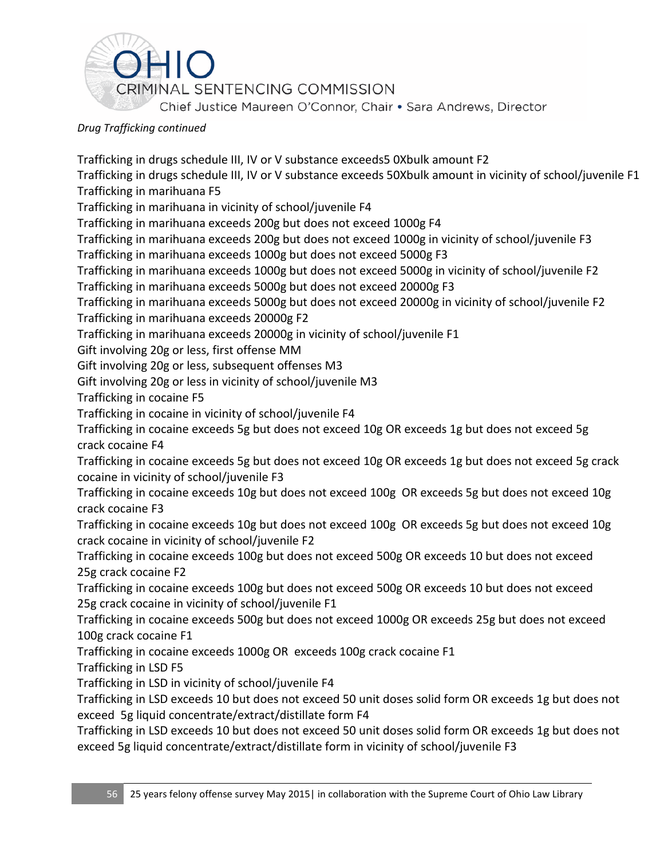

Trafficking in drugs schedule III, IV or V substance exceeds5 0Xbulk amount F2

Trafficking in drugs schedule III, IV or V substance exceeds 50Xbulk amount in vicinity of school/juvenile F1 Trafficking in marihuana F5

Trafficking in marihuana in vicinity of school/juvenile F4

Trafficking in marihuana exceeds 200g but does not exceed 1000g F4

Trafficking in marihuana exceeds 200g but does not exceed 1000g in vicinity of school/juvenile F3

Trafficking in marihuana exceeds 1000g but does not exceed 5000g F3

Trafficking in marihuana exceeds 1000g but does not exceed 5000g in vicinity of school/juvenile F2

Trafficking in marihuana exceeds 5000g but does not exceed 20000g F3

Trafficking in marihuana exceeds 5000g but does not exceed 20000g in vicinity of school/juvenile F2 Trafficking in marihuana exceeds 20000g F2

Trafficking in marihuana exceeds 20000g in vicinity of school/juvenile F1

Gift involving 20g or less, first offense MM

Gift involving 20g or less, subsequent offenses M3

Gift involving 20g or less in vicinity of school/juvenile M3

Trafficking in cocaine F5

Trafficking in cocaine in vicinity of school/juvenile F4

Trafficking in cocaine exceeds 5g but does not exceed 10g OR exceeds 1g but does not exceed 5g crack cocaine F4

Trafficking in cocaine exceeds 5g but does not exceed 10g OR exceeds 1g but does not exceed 5g crack cocaine in vicinity of school/juvenile F3

Trafficking in cocaine exceeds 10g but does not exceed 100g OR exceeds 5g but does not exceed 10g crack cocaine F3

Trafficking in cocaine exceeds 10g but does not exceed 100g OR exceeds 5g but does not exceed 10g crack cocaine in vicinity of school/juvenile F2

Trafficking in cocaine exceeds 100g but does not exceed 500g OR exceeds 10 but does not exceed 25g crack cocaine F2

Trafficking in cocaine exceeds 100g but does not exceed 500g OR exceeds 10 but does not exceed 25g crack cocaine in vicinity of school/juvenile F1

Trafficking in cocaine exceeds 500g but does not exceed 1000g OR exceeds 25g but does not exceed 100g crack cocaine F1

Trafficking in cocaine exceeds 1000g OR exceeds 100g crack cocaine F1

Trafficking in LSD F5

Trafficking in LSD in vicinity of school/juvenile F4

Trafficking in LSD exceeds 10 but does not exceed 50 unit doses solid form OR exceeds 1g but does not exceed 5g liquid concentrate/extract/distillate form F4

Trafficking in LSD exceeds 10 but does not exceed 50 unit doses solid form OR exceeds 1g but does not exceed 5g liquid concentrate/extract/distillate form in vicinity of school/juvenile F3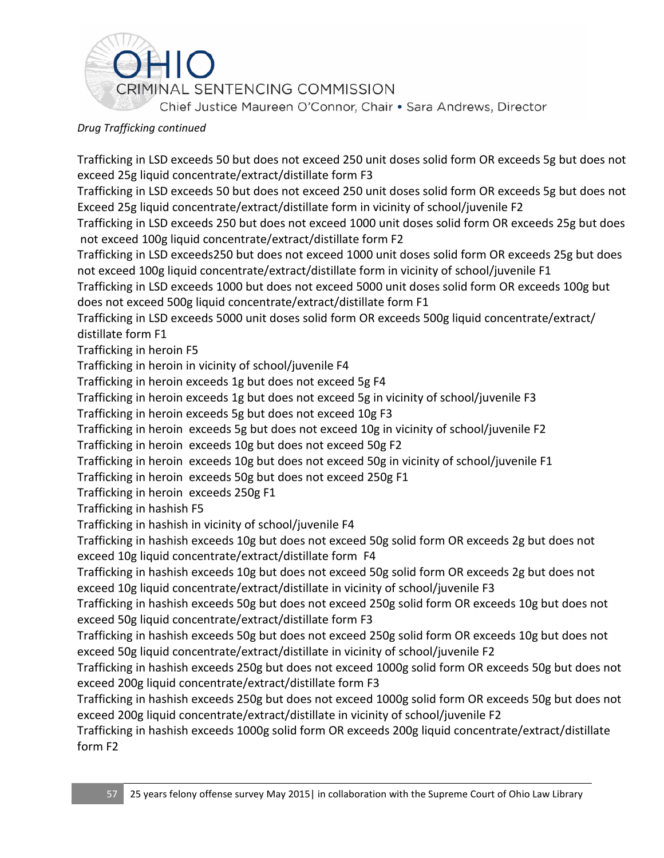

Trafficking in LSD exceeds 50 but does not exceed 250 unit doses solid form OR exceeds 5g but does not exceed 25g liquid concentrate/extract/distillate form F3

Trafficking in LSD exceeds 50 but does not exceed 250 unit doses solid form OR exceeds 5g but does not Exceed 25g liquid concentrate/extract/distillate form in vicinity of school/juvenile F2

Trafficking in LSD exceeds 250 but does not exceed 1000 unit doses solid form OR exceeds 25g but does not exceed 100g liquid concentrate/extract/distillate form F2

Trafficking in LSD exceeds250 but does not exceed 1000 unit doses solid form OR exceeds 25g but does not exceed 100g liquid concentrate/extract/distillate form in vicinity of school/juvenile F1

Trafficking in LSD exceeds 1000 but does not exceed 5000 unit doses solid form OR exceeds 100g but does not exceed 500g liquid concentrate/extract/distillate form F1

Trafficking in LSD exceeds 5000 unit doses solid form OR exceeds 500g liquid concentrate/extract/ distillate form F1

Trafficking in heroin F5

Trafficking in heroin in vicinity of school/juvenile F4

Trafficking in heroin exceeds 1g but does not exceed 5g F4

Trafficking in heroin exceeds 1g but does not exceed 5g in vicinity of school/juvenile F3

Trafficking in heroin exceeds 5g but does not exceed 10g F3

Trafficking in heroin exceeds 5g but does not exceed 10g in vicinity of school/juvenile F2

Trafficking in heroin exceeds 10g but does not exceed 50g F2

Trafficking in heroin exceeds 10g but does not exceed 50g in vicinity of school/juvenile F1

Trafficking in heroin exceeds 50g but does not exceed 250g F1

Trafficking in heroin exceeds 250g F1

Trafficking in hashish F5

Trafficking in hashish in vicinity of school/juvenile F4

Trafficking in hashish exceeds 10g but does not exceed 50g solid form OR exceeds 2g but does not exceed 10g liquid concentrate/extract/distillate form F4

Trafficking in hashish exceeds 10g but does not exceed 50g solid form OR exceeds 2g but does not exceed 10g liquid concentrate/extract/distillate in vicinity of school/juvenile F3

Trafficking in hashish exceeds 50g but does not exceed 250g solid form OR exceeds 10g but does not exceed 50g liquid concentrate/extract/distillate form F3

Trafficking in hashish exceeds 50g but does not exceed 250g solid form OR exceeds 10g but does not exceed 50g liquid concentrate/extract/distillate in vicinity of school/juvenile F2

Trafficking in hashish exceeds 250g but does not exceed 1000g solid form OR exceeds 50g but does not exceed 200g liquid concentrate/extract/distillate form F3

Trafficking in hashish exceeds 250g but does not exceed 1000g solid form OR exceeds 50g but does not exceed 200g liquid concentrate/extract/distillate in vicinity of school/juvenile F2

Trafficking in hashish exceeds 1000g solid form OR exceeds 200g liquid concentrate/extract/distillate form F2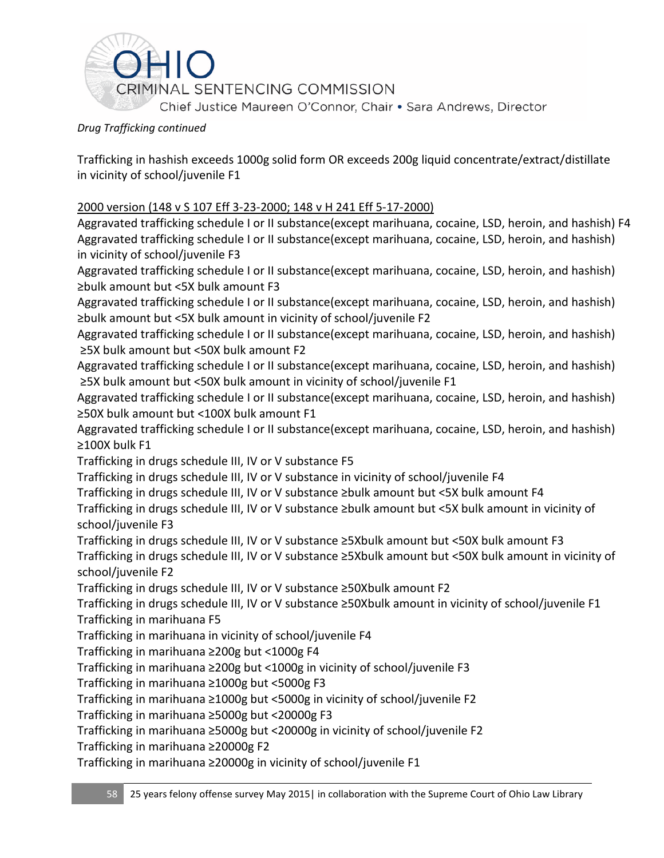

Trafficking in hashish exceeds 1000g solid form OR exceeds 200g liquid concentrate/extract/distillate in vicinity of school/juvenile F1

## 2000 version [\(148 v S 107](https://advance.lexis.com/search/?pdmfid=1000516&crid=73c647b7-66b6-41d3-ac88-6419da26449f&pdsearchterms=ORC+2925.03&pdstartin=hlct%3A1%3A5&pdpsf=&ecomp=Jk1fk&prid=3ba6f613-8c59-4578-99df-5079ffa194a3) Eff 3-23-2000; [148 v H 241](https://advance.lexis.com/search/?pdmfid=1000516&crid=73c647b7-66b6-41d3-ac88-6419da26449f&pdsearchterms=ORC+2925.03&pdstartin=hlct%3A1%3A5&pdpsf=&ecomp=Jk1fk&prid=3ba6f613-8c59-4578-99df-5079ffa194a3) Eff 5-17-2000)

Aggravated trafficking schedule I or II substance(except marihuana, cocaine, LSD, heroin, and hashish) F4 Aggravated trafficking schedule I or II substance(except marihuana, cocaine, LSD, heroin, and hashish) in vicinity of school/juvenile F3

Aggravated trafficking schedule I or II substance(except marihuana, cocaine, LSD, heroin, and hashish) ≥bulk amount but <5X bulk amount F3

Aggravated trafficking schedule I or II substance(except marihuana, cocaine, LSD, heroin, and hashish) ≥bulk amount but <5X bulk amount in vicinity of school/juvenile F2

Aggravated trafficking schedule I or II substance(except marihuana, cocaine, LSD, heroin, and hashish) ≥5X bulk amount but <50X bulk amount F2

Aggravated trafficking schedule I or II substance(except marihuana, cocaine, LSD, heroin, and hashish) ≥5X bulk amount but <50X bulk amount in vicinity of school/juvenile F1

Aggravated trafficking schedule I or II substance(except marihuana, cocaine, LSD, heroin, and hashish) ≥50X bulk amount but <100X bulk amount F1

Aggravated trafficking schedule I or II substance(except marihuana, cocaine, LSD, heroin, and hashish) ≥100X bulk F1

Trafficking in drugs schedule III, IV or V substance F5

Trafficking in drugs schedule III, IV or V substance in vicinity of school/juvenile F4

Trafficking in drugs schedule III, IV or V substance ≥bulk amount but <5X bulk amount F4

Trafficking in drugs schedule III, IV or V substance ≥bulk amount but <5X bulk amount in vicinity of school/juvenile F3

Trafficking in drugs schedule III, IV or V substance ≥5Xbulk amount but <50X bulk amount F3

Trafficking in drugs schedule III, IV or V substance ≥5Xbulk amount but <50X bulk amount in vicinity of school/juvenile F2

Trafficking in drugs schedule III, IV or V substance ≥50Xbulk amount F2

Trafficking in drugs schedule III, IV or V substance ≥50Xbulk amount in vicinity of school/juvenile F1 Trafficking in marihuana F5

Trafficking in marihuana in vicinity of school/juvenile F4

Trafficking in marihuana ≥200g but <1000g F4

Trafficking in marihuana ≥200g but <1000g in vicinity of school/juvenile F3

Trafficking in marihuana ≥1000g but <5000g F3

Trafficking in marihuana ≥1000g but <5000g in vicinity of school/juvenile F2

Trafficking in marihuana ≥5000g but <20000g F3

Trafficking in marihuana ≥5000g but <20000g in vicinity of school/juvenile F2

Trafficking in marihuana ≥20000g F2

Trafficking in marihuana ≥20000g in vicinity of school/juvenile F1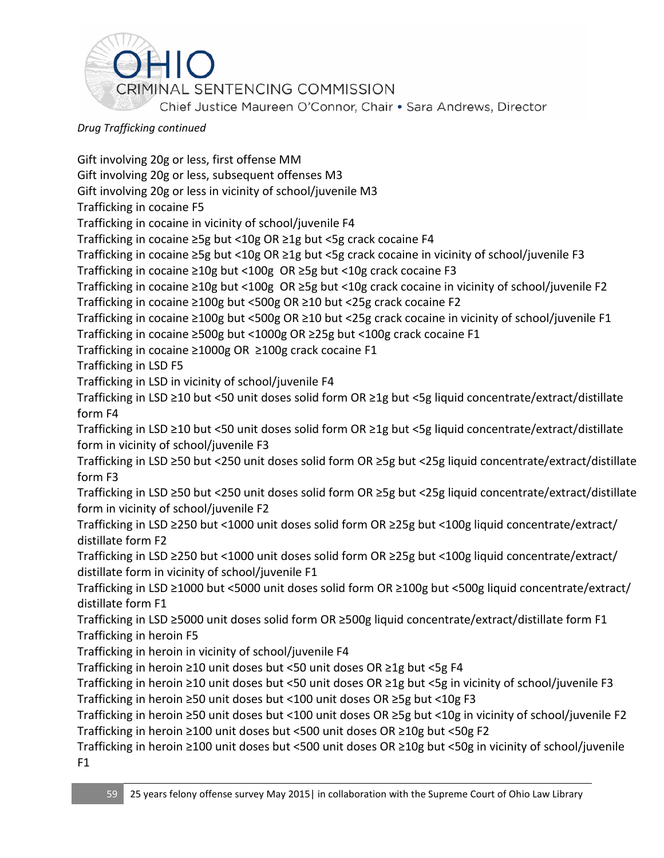

Gift involving 20g or less, first offense MM Gift involving 20g or less, subsequent offenses M3 Gift involving 20g or less in vicinity of school/juvenile M3 Trafficking in cocaine F5 Trafficking in cocaine in vicinity of school/juvenile F4 Trafficking in cocaine ≥5g but <10g OR ≥1g but <5g crack cocaine F4 Trafficking in cocaine ≥5g but <10g OR ≥1g but <5g crack cocaine in vicinity of school/juvenile F3 Trafficking in cocaine ≥10g but <100g OR ≥5g but <10g crack cocaine F3 Trafficking in cocaine ≥10g but <100g OR ≥5g but <10g crack cocaine in vicinity of school/juvenile F2 Trafficking in cocaine ≥100g but <500g OR ≥10 but <25g crack cocaine F2 Trafficking in cocaine ≥100g but <500g OR ≥10 but <25g crack cocaine in vicinity of school/juvenile F1 Trafficking in cocaine ≥500g but <1000g OR ≥25g but <100g crack cocaine F1 Trafficking in cocaine ≥1000g OR ≥100g crack cocaine F1 Trafficking in LSD F5 Trafficking in LSD in vicinity of school/juvenile F4 Trafficking in LSD ≥10 but <50 unit doses solid form OR ≥1g but <5g liquid concentrate/extract/distillate form F4 Trafficking in LSD ≥10 but <50 unit doses solid form OR ≥1g but <5g liquid concentrate/extract/distillate form in vicinity of school/juvenile F3 Trafficking in LSD ≥50 but <250 unit doses solid form OR ≥5g but <25g liquid concentrate/extract/distillate form F3 Trafficking in LSD ≥50 but <250 unit doses solid form OR ≥5g but <25g liquid concentrate/extract/distillate form in vicinity of school/juvenile F2 Trafficking in LSD ≥250 but <1000 unit doses solid form OR ≥25g but <100g liquid concentrate/extract/ distillate form F2 Trafficking in LSD ≥250 but <1000 unit doses solid form OR ≥25g but <100g liquid concentrate/extract/ distillate form in vicinity of school/juvenile F1 Trafficking in LSD ≥1000 but <5000 unit doses solid form OR ≥100g but <500g liquid concentrate/extract/ distillate form F1 Trafficking in LSD ≥5000 unit doses solid form OR ≥500g liquid concentrate/extract/distillate form F1 Trafficking in heroin F5 Trafficking in heroin in vicinity of school/juvenile F4 Trafficking in heroin ≥10 unit doses but <50 unit doses OR ≥1g but <5g F4 Trafficking in heroin ≥10 unit doses but <50 unit doses OR ≥1g but <5g in vicinity of school/juvenile F3 Trafficking in heroin ≥50 unit doses but <100 unit doses OR ≥5g but <10g F3 Trafficking in heroin ≥50 unit doses but <100 unit doses OR ≥5g but <10g in vicinity of school/juvenile F2 Trafficking in heroin ≥100 unit doses but <500 unit doses OR ≥10g but <50g F2 Trafficking in heroin ≥100 unit doses but <500 unit doses OR ≥10g but <50g in vicinity of school/juvenile F1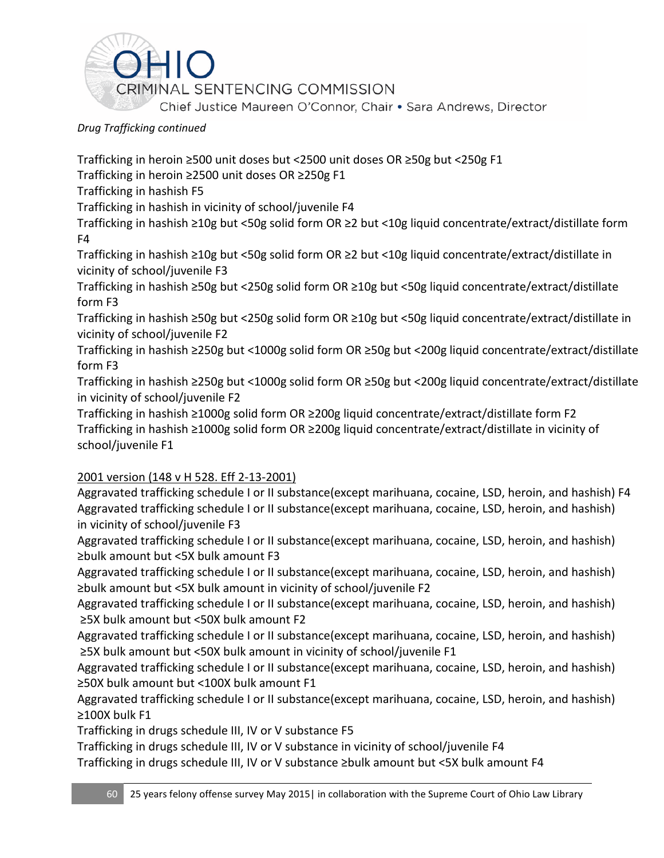

Trafficking in heroin ≥500 unit doses but <2500 unit doses OR ≥50g but <250g F1

Trafficking in heroin ≥2500 unit doses OR ≥250g F1

Trafficking in hashish F5

Trafficking in hashish in vicinity of school/juvenile F4

Trafficking in hashish ≥10g but <50g solid form OR ≥2 but <10g liquid concentrate/extract/distillate form F4

Trafficking in hashish ≥10g but <50g solid form OR ≥2 but <10g liquid concentrate/extract/distillate in vicinity of school/juvenile F3

Trafficking in hashish ≥50g but <250g solid form OR ≥10g but <50g liquid concentrate/extract/distillate form F3

Trafficking in hashish ≥50g but <250g solid form OR ≥10g but <50g liquid concentrate/extract/distillate in vicinity of school/juvenile F2

Trafficking in hashish ≥250g but <1000g solid form OR ≥50g but <200g liquid concentrate/extract/distillate form F3

Trafficking in hashish ≥250g but <1000g solid form OR ≥50g but <200g liquid concentrate/extract/distillate in vicinity of school/juvenile F2

Trafficking in hashish ≥1000g solid form OR ≥200g liquid concentrate/extract/distillate form F2 Trafficking in hashish ≥1000g solid form OR ≥200g liquid concentrate/extract/distillate in vicinity of school/juvenile F1

# 2001 version [\(148 v H 528.](https://advance.lexis.com/search/?pdmfid=1000516&crid=73c647b7-66b6-41d3-ac88-6419da26449f&pdsearchterms=ORC+2925.03&pdstartin=hlct%3A1%3A5&pdpsf=&ecomp=Jk1fk&prid=3ba6f613-8c59-4578-99df-5079ffa194a3) Eff 2-13-2001)

Aggravated trafficking schedule I or II substance(except marihuana, cocaine, LSD, heroin, and hashish) F4 Aggravated trafficking schedule I or II substance(except marihuana, cocaine, LSD, heroin, and hashish) in vicinity of school/juvenile F3

Aggravated trafficking schedule I or II substance(except marihuana, cocaine, LSD, heroin, and hashish) ≥bulk amount but <5X bulk amount F3

Aggravated trafficking schedule I or II substance(except marihuana, cocaine, LSD, heroin, and hashish) ≥bulk amount but <5X bulk amount in vicinity of school/juvenile F2

Aggravated trafficking schedule I or II substance(except marihuana, cocaine, LSD, heroin, and hashish) ≥5X bulk amount but <50X bulk amount F2

Aggravated trafficking schedule I or II substance(except marihuana, cocaine, LSD, heroin, and hashish) ≥5X bulk amount but <50X bulk amount in vicinity of school/juvenile F1

Aggravated trafficking schedule I or II substance(except marihuana, cocaine, LSD, heroin, and hashish) ≥50X bulk amount but <100X bulk amount F1

Aggravated trafficking schedule I or II substance(except marihuana, cocaine, LSD, heroin, and hashish) ≥100X bulk F1

Trafficking in drugs schedule III, IV or V substance F5

Trafficking in drugs schedule III, IV or V substance in vicinity of school/juvenile F4

Trafficking in drugs schedule III, IV or V substance ≥bulk amount but <5X bulk amount F4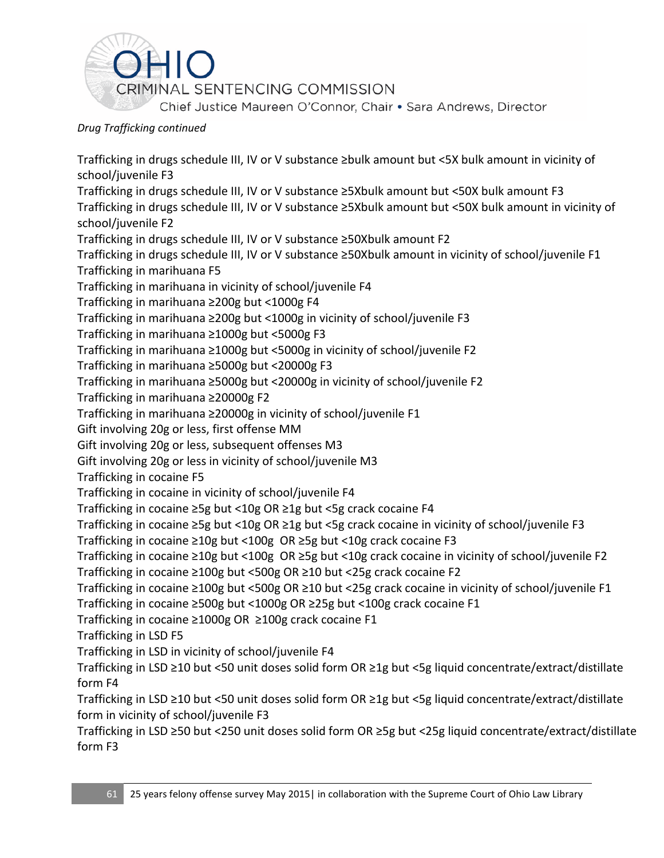

Trafficking in drugs schedule III, IV or V substance ≥bulk amount but <5X bulk amount in vicinity of school/juvenile F3 Trafficking in drugs schedule III, IV or V substance ≥5Xbulk amount but <50X bulk amount F3 Trafficking in drugs schedule III, IV or V substance ≥5Xbulk amount but <50X bulk amount in vicinity of school/juvenile F2 Trafficking in drugs schedule III, IV or V substance ≥50Xbulk amount F2 Trafficking in drugs schedule III, IV or V substance ≥50Xbulk amount in vicinity of school/juvenile F1 Trafficking in marihuana F5 Trafficking in marihuana in vicinity of school/juvenile F4 Trafficking in marihuana ≥200g but <1000g F4 Trafficking in marihuana ≥200g but <1000g in vicinity of school/juvenile F3 Trafficking in marihuana ≥1000g but <5000g F3 Trafficking in marihuana ≥1000g but <5000g in vicinity of school/juvenile F2 Trafficking in marihuana ≥5000g but <20000g F3 Trafficking in marihuana ≥5000g but <20000g in vicinity of school/juvenile F2 Trafficking in marihuana ≥20000g F2 Trafficking in marihuana ≥20000g in vicinity of school/juvenile F1 Gift involving 20g or less, first offense MM Gift involving 20g or less, subsequent offenses M3 Gift involving 20g or less in vicinity of school/juvenile M3 Trafficking in cocaine F5 Trafficking in cocaine in vicinity of school/juvenile F4 Trafficking in cocaine ≥5g but <10g OR ≥1g but <5g crack cocaine F4 Trafficking in cocaine ≥5g but <10g OR ≥1g but <5g crack cocaine in vicinity of school/juvenile F3 Trafficking in cocaine ≥10g but <100g OR ≥5g but <10g crack cocaine F3 Trafficking in cocaine ≥10g but <100g OR ≥5g but <10g crack cocaine in vicinity of school/juvenile F2 Trafficking in cocaine ≥100g but <500g OR ≥10 but <25g crack cocaine F2 Trafficking in cocaine ≥100g but <500g OR ≥10 but <25g crack cocaine in vicinity of school/juvenile F1 Trafficking in cocaine ≥500g but <1000g OR ≥25g but <100g crack cocaine F1 Trafficking in cocaine ≥1000g OR ≥100g crack cocaine F1 Trafficking in LSD F5 Trafficking in LSD in vicinity of school/juvenile F4 Trafficking in LSD ≥10 but <50 unit doses solid form OR ≥1g but <5g liquid concentrate/extract/distillate form F4 Trafficking in LSD ≥10 but <50 unit doses solid form OR ≥1g but <5g liquid concentrate/extract/distillate form in vicinity of school/juvenile F3 Trafficking in LSD ≥50 but <250 unit doses solid form OR ≥5g but <25g liquid concentrate/extract/distillate form F3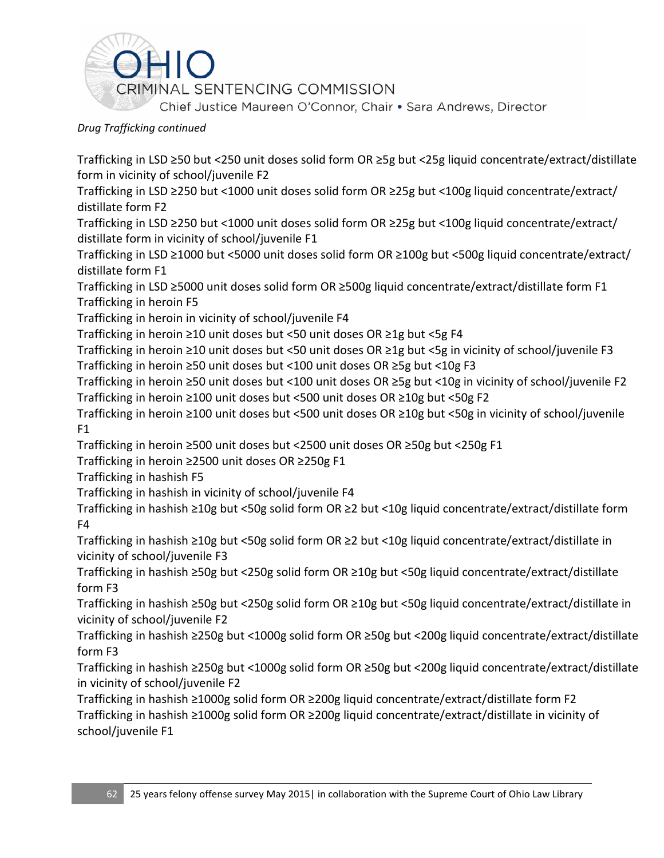

Trafficking in LSD ≥50 but <250 unit doses solid form OR ≥5g but <25g liquid concentrate/extract/distillate form in vicinity of school/juvenile F2

Trafficking in LSD ≥250 but <1000 unit doses solid form OR ≥25g but <100g liquid concentrate/extract/ distillate form F2

Trafficking in LSD ≥250 but <1000 unit doses solid form OR ≥25g but <100g liquid concentrate/extract/ distillate form in vicinity of school/juvenile F1

Trafficking in LSD ≥1000 but <5000 unit doses solid form OR ≥100g but <500g liquid concentrate/extract/ distillate form F1

Trafficking in LSD ≥5000 unit doses solid form OR ≥500g liquid concentrate/extract/distillate form F1 Trafficking in heroin F5

Trafficking in heroin in vicinity of school/juvenile F4

Trafficking in heroin ≥10 unit doses but <50 unit doses OR ≥1g but <5g F4

Trafficking in heroin ≥10 unit doses but <50 unit doses OR ≥1g but <5g in vicinity of school/juvenile F3 Trafficking in heroin ≥50 unit doses but <100 unit doses OR ≥5g but <10g F3

Trafficking in heroin ≥50 unit doses but <100 unit doses OR ≥5g but <10g in vicinity of school/juvenile F2 Trafficking in heroin ≥100 unit doses but <500 unit doses OR ≥10g but <50g F2

Trafficking in heroin ≥100 unit doses but <500 unit doses OR ≥10g but <50g in vicinity of school/juvenile F1

Trafficking in heroin ≥500 unit doses but <2500 unit doses OR ≥50g but <250g F1

Trafficking in heroin ≥2500 unit doses OR ≥250g F1

Trafficking in hashish F5

Trafficking in hashish in vicinity of school/juvenile F4

Trafficking in hashish ≥10g but <50g solid form OR ≥2 but <10g liquid concentrate/extract/distillate form F4

Trafficking in hashish ≥10g but <50g solid form OR ≥2 but <10g liquid concentrate/extract/distillate in vicinity of school/juvenile F3

Trafficking in hashish ≥50g but <250g solid form OR ≥10g but <50g liquid concentrate/extract/distillate form F3

Trafficking in hashish ≥50g but <250g solid form OR ≥10g but <50g liquid concentrate/extract/distillate in vicinity of school/juvenile F2

Trafficking in hashish ≥250g but <1000g solid form OR ≥50g but <200g liquid concentrate/extract/distillate form F3

Trafficking in hashish ≥250g but <1000g solid form OR ≥50g but <200g liquid concentrate/extract/distillate in vicinity of school/juvenile F2

Trafficking in hashish ≥1000g solid form OR ≥200g liquid concentrate/extract/distillate form F2 Trafficking in hashish ≥1000g solid form OR ≥200g liquid concentrate/extract/distillate in vicinity of school/juvenile F1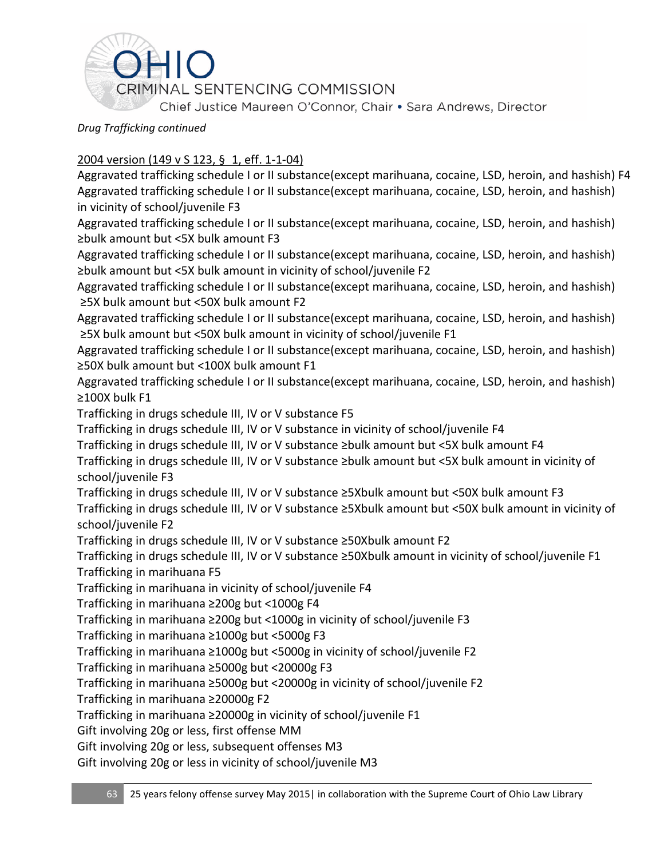

# 2004 version [\(149 v S 123,](https://advance.lexis.com/search/?pdmfid=1000516&crid=73c647b7-66b6-41d3-ac88-6419da26449f&pdsearchterms=ORC+2925.03&pdstartin=hlct%3A1%3A5&pdpsf=&ecomp=Jk1fk&prid=3ba6f613-8c59-4578-99df-5079ffa194a3) § 1, eff. 1-1-04)

Aggravated trafficking schedule I or II substance(except marihuana, cocaine, LSD, heroin, and hashish) F4 Aggravated trafficking schedule I or II substance(except marihuana, cocaine, LSD, heroin, and hashish) in vicinity of school/juvenile F3

Aggravated trafficking schedule I or II substance(except marihuana, cocaine, LSD, heroin, and hashish) ≥bulk amount but <5X bulk amount F3

Aggravated trafficking schedule I or II substance(except marihuana, cocaine, LSD, heroin, and hashish) ≥bulk amount but <5X bulk amount in vicinity of school/juvenile F2

Aggravated trafficking schedule I or II substance(except marihuana, cocaine, LSD, heroin, and hashish) ≥5X bulk amount but <50X bulk amount F2

Aggravated trafficking schedule I or II substance(except marihuana, cocaine, LSD, heroin, and hashish) ≥5X bulk amount but <50X bulk amount in vicinity of school/juvenile F1

Aggravated trafficking schedule I or II substance(except marihuana, cocaine, LSD, heroin, and hashish) ≥50X bulk amount but <100X bulk amount F1

Aggravated trafficking schedule I or II substance(except marihuana, cocaine, LSD, heroin, and hashish) ≥100X bulk F1

Trafficking in drugs schedule III, IV or V substance F5

Trafficking in drugs schedule III, IV or V substance in vicinity of school/juvenile F4

Trafficking in drugs schedule III, IV or V substance ≥bulk amount but <5X bulk amount F4

Trafficking in drugs schedule III, IV or V substance ≥bulk amount but <5X bulk amount in vicinity of school/juvenile F3

Trafficking in drugs schedule III, IV or V substance ≥5Xbulk amount but <50X bulk amount F3

Trafficking in drugs schedule III, IV or V substance ≥5Xbulk amount but <50X bulk amount in vicinity of school/juvenile F2

Trafficking in drugs schedule III, IV or V substance ≥50Xbulk amount F2

Trafficking in drugs schedule III, IV or V substance ≥50Xbulk amount in vicinity of school/juvenile F1 Trafficking in marihuana F5

Trafficking in marihuana in vicinity of school/juvenile F4

Trafficking in marihuana ≥200g but <1000g F4

Trafficking in marihuana ≥200g but <1000g in vicinity of school/juvenile F3

Trafficking in marihuana ≥1000g but <5000g F3

Trafficking in marihuana ≥1000g but <5000g in vicinity of school/juvenile F2

Trafficking in marihuana ≥5000g but <20000g F3

Trafficking in marihuana ≥5000g but <20000g in vicinity of school/juvenile F2

Trafficking in marihuana ≥20000g F2

Trafficking in marihuana ≥20000g in vicinity of school/juvenile F1

Gift involving 20g or less, first offense MM

Gift involving 20g or less, subsequent offenses M3

Gift involving 20g or less in vicinity of school/juvenile M3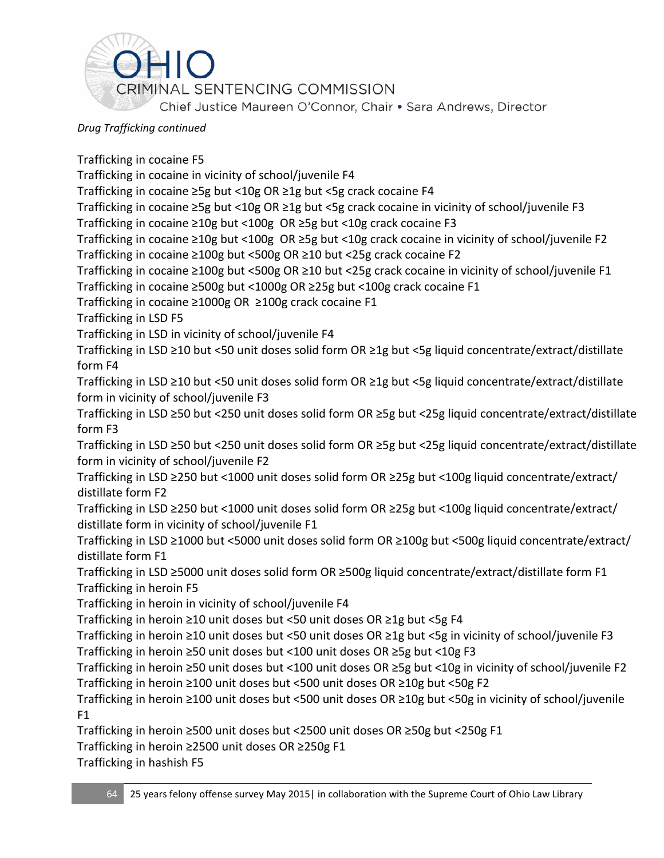

Trafficking in cocaine F5 Trafficking in cocaine in vicinity of school/juvenile F4 Trafficking in cocaine ≥5g but <10g OR ≥1g but <5g crack cocaine F4 Trafficking in cocaine ≥5g but <10g OR ≥1g but <5g crack cocaine in vicinity of school/juvenile F3 Trafficking in cocaine ≥10g but <100g OR ≥5g but <10g crack cocaine F3 Trafficking in cocaine ≥10g but <100g OR ≥5g but <10g crack cocaine in vicinity of school/juvenile F2 Trafficking in cocaine ≥100g but <500g OR ≥10 but <25g crack cocaine F2 Trafficking in cocaine ≥100g but <500g OR ≥10 but <25g crack cocaine in vicinity of school/juvenile F1 Trafficking in cocaine ≥500g but <1000g OR ≥25g but <100g crack cocaine F1 Trafficking in cocaine ≥1000g OR ≥100g crack cocaine F1 Trafficking in LSD F5 Trafficking in LSD in vicinity of school/juvenile F4 Trafficking in LSD ≥10 but <50 unit doses solid form OR ≥1g but <5g liquid concentrate/extract/distillate form F4 Trafficking in LSD ≥10 but <50 unit doses solid form OR ≥1g but <5g liquid concentrate/extract/distillate form in vicinity of school/juvenile F3 Trafficking in LSD ≥50 but <250 unit doses solid form OR ≥5g but <25g liquid concentrate/extract/distillate form F3 Trafficking in LSD ≥50 but <250 unit doses solid form OR ≥5g but <25g liquid concentrate/extract/distillate form in vicinity of school/juvenile F2 Trafficking in LSD ≥250 but <1000 unit doses solid form OR ≥25g but <100g liquid concentrate/extract/ distillate form F2 Trafficking in LSD ≥250 but <1000 unit doses solid form OR ≥25g but <100g liquid concentrate/extract/ distillate form in vicinity of school/juvenile F1 Trafficking in LSD ≥1000 but <5000 unit doses solid form OR ≥100g but <500g liquid concentrate/extract/ distillate form F1 Trafficking in LSD ≥5000 unit doses solid form OR ≥500g liquid concentrate/extract/distillate form F1 Trafficking in heroin F5 Trafficking in heroin in vicinity of school/juvenile F4 Trafficking in heroin ≥10 unit doses but <50 unit doses OR ≥1g but <5g F4 Trafficking in heroin ≥10 unit doses but <50 unit doses OR ≥1g but <5g in vicinity of school/juvenile F3 Trafficking in heroin ≥50 unit doses but <100 unit doses OR ≥5g but <10g F3 Trafficking in heroin ≥50 unit doses but <100 unit doses OR ≥5g but <10g in vicinity of school/juvenile F2 Trafficking in heroin ≥100 unit doses but <500 unit doses OR ≥10g but <50g F2 Trafficking in heroin ≥100 unit doses but <500 unit doses OR ≥10g but <50g in vicinity of school/juvenile  $F1$ Trafficking in heroin ≥500 unit doses but <2500 unit doses OR ≥50g but <250g F1 Trafficking in heroin ≥2500 unit doses OR ≥250g F1

Trafficking in hashish F5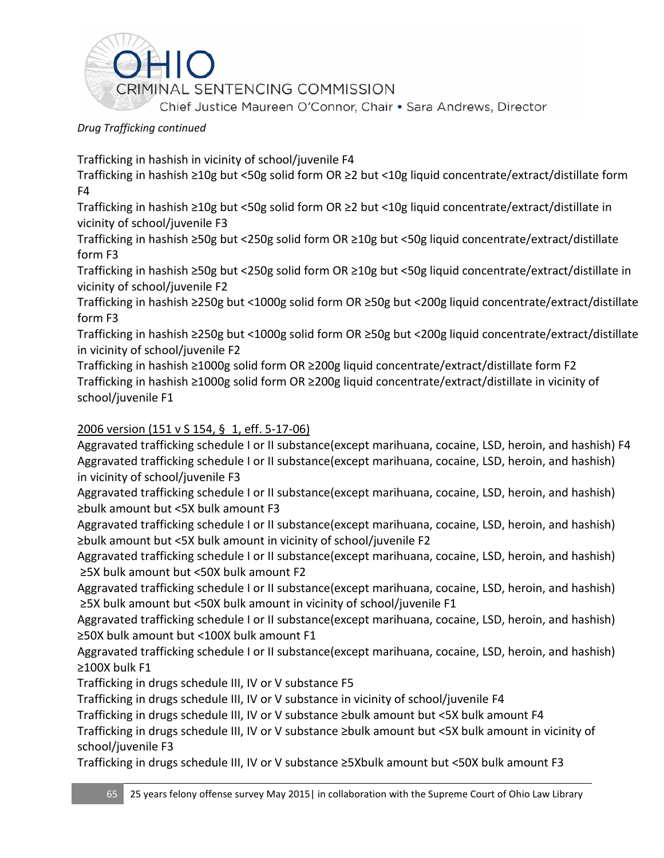

Trafficking in hashish in vicinity of school/juvenile F4

Trafficking in hashish ≥10g but <50g solid form OR ≥2 but <10g liquid concentrate/extract/distillate form F4

Trafficking in hashish ≥10g but <50g solid form OR ≥2 but <10g liquid concentrate/extract/distillate in vicinity of school/juvenile F3

Trafficking in hashish ≥50g but <250g solid form OR ≥10g but <50g liquid concentrate/extract/distillate form F3

Trafficking in hashish ≥50g but <250g solid form OR ≥10g but <50g liquid concentrate/extract/distillate in vicinity of school/juvenile F2

Trafficking in hashish ≥250g but <1000g solid form OR ≥50g but <200g liquid concentrate/extract/distillate form F3

Trafficking in hashish ≥250g but <1000g solid form OR ≥50g but <200g liquid concentrate/extract/distillate in vicinity of school/juvenile F2

Trafficking in hashish ≥1000g solid form OR ≥200g liquid concentrate/extract/distillate form F2 Trafficking in hashish ≥1000g solid form OR ≥200g liquid concentrate/extract/distillate in vicinity of school/juvenile F1

# 2006 version [\(151 v S 154,](https://advance.lexis.com/search/?pdmfid=1000516&crid=73c647b7-66b6-41d3-ac88-6419da26449f&pdsearchterms=ORC+2925.03&pdstartin=hlct%3A1%3A5&pdpsf=&ecomp=Jk1fk&prid=3ba6f613-8c59-4578-99df-5079ffa194a3) § 1, eff. 5-17-06)

Aggravated trafficking schedule I or II substance(except marihuana, cocaine, LSD, heroin, and hashish) F4 Aggravated trafficking schedule I or II substance(except marihuana, cocaine, LSD, heroin, and hashish) in vicinity of school/juvenile F3

Aggravated trafficking schedule I or II substance(except marihuana, cocaine, LSD, heroin, and hashish) ≥bulk amount but <5X bulk amount F3

Aggravated trafficking schedule I or II substance(except marihuana, cocaine, LSD, heroin, and hashish) ≥bulk amount but <5X bulk amount in vicinity of school/juvenile F2

Aggravated trafficking schedule I or II substance(except marihuana, cocaine, LSD, heroin, and hashish) ≥5X bulk amount but <50X bulk amount F2

Aggravated trafficking schedule I or II substance(except marihuana, cocaine, LSD, heroin, and hashish) ≥5X bulk amount but <50X bulk amount in vicinity of school/juvenile F1

Aggravated trafficking schedule I or II substance(except marihuana, cocaine, LSD, heroin, and hashish) ≥50X bulk amount but <100X bulk amount F1

Aggravated trafficking schedule I or II substance(except marihuana, cocaine, LSD, heroin, and hashish) ≥100X bulk F1

Trafficking in drugs schedule III, IV or V substance F5

Trafficking in drugs schedule III, IV or V substance in vicinity of school/juvenile F4

Trafficking in drugs schedule III, IV or V substance ≥bulk amount but <5X bulk amount F4

Trafficking in drugs schedule III, IV or V substance ≥bulk amount but <5X bulk amount in vicinity of school/juvenile F3

Trafficking in drugs schedule III, IV or V substance ≥5Xbulk amount but <50X bulk amount F3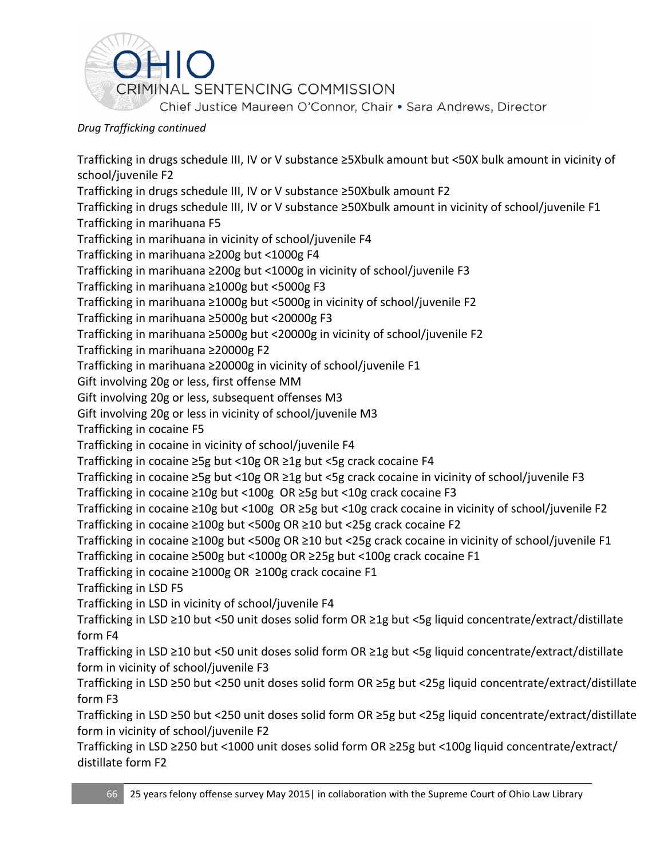

Trafficking in drugs schedule III, IV or V substance ≥5Xbulk amount but <50X bulk amount in vicinity of school/juvenile F2 Trafficking in drugs schedule III, IV or V substance ≥50Xbulk amount F2 Trafficking in drugs schedule III, IV or V substance ≥50Xbulk amount in vicinity of school/juvenile F1 Trafficking in marihuana F5 Trafficking in marihuana in vicinity of school/juvenile F4 Trafficking in marihuana ≥200g but <1000g F4 Trafficking in marihuana ≥200g but <1000g in vicinity of school/juvenile F3 Trafficking in marihuana ≥1000g but <5000g F3 Trafficking in marihuana ≥1000g but <5000g in vicinity of school/juvenile F2 Trafficking in marihuana ≥5000g but <20000g F3 Trafficking in marihuana ≥5000g but <20000g in vicinity of school/juvenile F2 Trafficking in marihuana ≥20000g F2 Trafficking in marihuana ≥20000g in vicinity of school/juvenile F1 Gift involving 20g or less, first offense MM Gift involving 20g or less, subsequent offenses M3 Gift involving 20g or less in vicinity of school/juvenile M3 Trafficking in cocaine F5 Trafficking in cocaine in vicinity of school/juvenile F4 Trafficking in cocaine ≥5g but <10g OR ≥1g but <5g crack cocaine F4 Trafficking in cocaine ≥5g but <10g OR ≥1g but <5g crack cocaine in vicinity of school/juvenile F3 Trafficking in cocaine ≥10g but <100g OR ≥5g but <10g crack cocaine F3 Trafficking in cocaine ≥10g but <100g OR ≥5g but <10g crack cocaine in vicinity of school/juvenile F2 Trafficking in cocaine ≥100g but <500g OR ≥10 but <25g crack cocaine F2 Trafficking in cocaine ≥100g but <500g OR ≥10 but <25g crack cocaine in vicinity of school/juvenile F1 Trafficking in cocaine ≥500g but <1000g OR ≥25g but <100g crack cocaine F1 Trafficking in cocaine ≥1000g OR ≥100g crack cocaine F1 Trafficking in LSD F5 Trafficking in LSD in vicinity of school/juvenile F4 Trafficking in LSD ≥10 but <50 unit doses solid form OR ≥1g but <5g liquid concentrate/extract/distillate form F4 Trafficking in LSD ≥10 but <50 unit doses solid form OR ≥1g but <5g liquid concentrate/extract/distillate form in vicinity of school/juvenile F3 Trafficking in LSD ≥50 but <250 unit doses solid form OR ≥5g but <25g liquid concentrate/extract/distillate form F3 Trafficking in LSD ≥50 but <250 unit doses solid form OR ≥5g but <25g liquid concentrate/extract/distillate form in vicinity of school/juvenile F2 Trafficking in LSD ≥250 but <1000 unit doses solid form OR ≥25g but <100g liquid concentrate/extract/ distillate form F2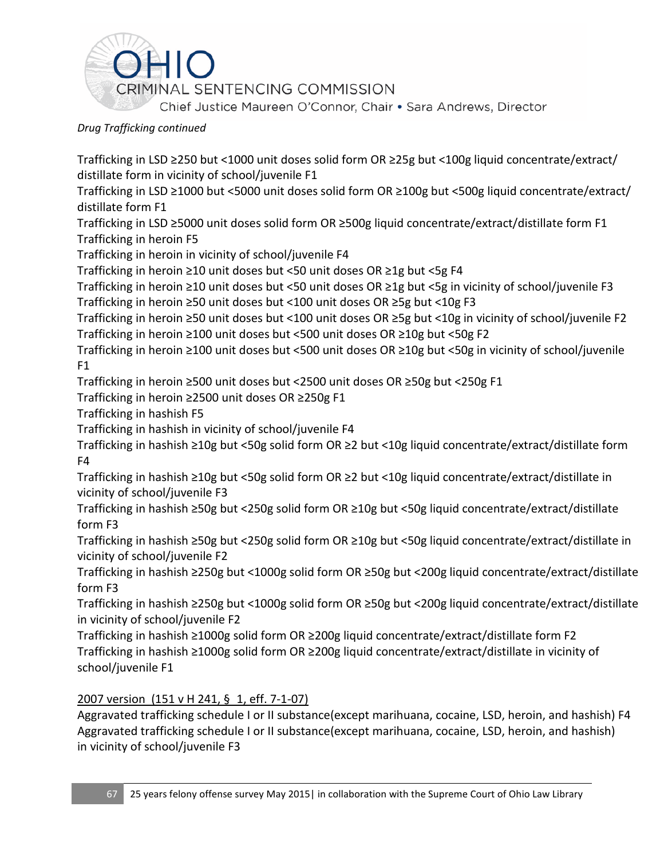

Trafficking in LSD ≥250 but <1000 unit doses solid form OR ≥25g but <100g liquid concentrate/extract/ distillate form in vicinity of school/juvenile F1

Trafficking in LSD ≥1000 but <5000 unit doses solid form OR ≥100g but <500g liquid concentrate/extract/ distillate form F1

Trafficking in LSD ≥5000 unit doses solid form OR ≥500g liquid concentrate/extract/distillate form F1 Trafficking in heroin F5

Trafficking in heroin in vicinity of school/juvenile F4

Trafficking in heroin ≥10 unit doses but <50 unit doses OR ≥1g but <5g F4

Trafficking in heroin ≥10 unit doses but <50 unit doses OR ≥1g but <5g in vicinity of school/juvenile F3 Trafficking in heroin ≥50 unit doses but <100 unit doses OR ≥5g but <10g F3

Trafficking in heroin ≥50 unit doses but <100 unit doses OR ≥5g but <10g in vicinity of school/juvenile F2 Trafficking in heroin ≥100 unit doses but <500 unit doses OR ≥10g but <50g F2

Trafficking in heroin ≥100 unit doses but <500 unit doses OR ≥10g but <50g in vicinity of school/juvenile  $F1$ 

Trafficking in heroin ≥500 unit doses but <2500 unit doses OR ≥50g but <250g F1

Trafficking in heroin ≥2500 unit doses OR ≥250g F1

Trafficking in hashish F5

Trafficking in hashish in vicinity of school/juvenile F4

Trafficking in hashish ≥10g but <50g solid form OR ≥2 but <10g liquid concentrate/extract/distillate form F4

Trafficking in hashish ≥10g but <50g solid form OR ≥2 but <10g liquid concentrate/extract/distillate in vicinity of school/juvenile F3

Trafficking in hashish ≥50g but <250g solid form OR ≥10g but <50g liquid concentrate/extract/distillate form F3

Trafficking in hashish ≥50g but <250g solid form OR ≥10g but <50g liquid concentrate/extract/distillate in vicinity of school/juvenile F2

Trafficking in hashish ≥250g but <1000g solid form OR ≥50g but <200g liquid concentrate/extract/distillate form F3

Trafficking in hashish ≥250g but <1000g solid form OR ≥50g but <200g liquid concentrate/extract/distillate in vicinity of school/juvenile F2

Trafficking in hashish ≥1000g solid form OR ≥200g liquid concentrate/extract/distillate form F2 Trafficking in hashish ≥1000g solid form OR ≥200g liquid concentrate/extract/distillate in vicinity of school/juvenile F1

## 2007 version [\(151 v H 241,](https://advance.lexis.com/search/?pdmfid=1000516&crid=73c647b7-66b6-41d3-ac88-6419da26449f&pdsearchterms=ORC+2925.03&pdstartin=hlct%3A1%3A5&pdpsf=&ecomp=Jk1fk&prid=3ba6f613-8c59-4578-99df-5079ffa194a3) § 1, eff. 7-1-07)

Aggravated trafficking schedule I or II substance(except marihuana, cocaine, LSD, heroin, and hashish) F4 Aggravated trafficking schedule I or II substance(except marihuana, cocaine, LSD, heroin, and hashish) in vicinity of school/juvenile F3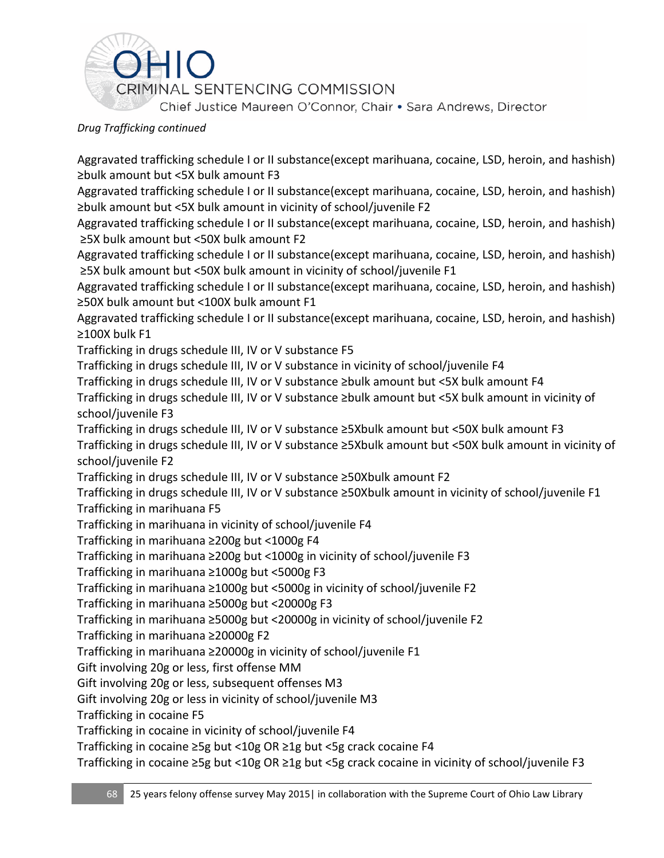

Aggravated trafficking schedule I or II substance(except marihuana, cocaine, LSD, heroin, and hashish) ≥bulk amount but <5X bulk amount F3

Aggravated trafficking schedule I or II substance(except marihuana, cocaine, LSD, heroin, and hashish) ≥bulk amount but <5X bulk amount in vicinity of school/juvenile F2

Aggravated trafficking schedule I or II substance(except marihuana, cocaine, LSD, heroin, and hashish) ≥5X bulk amount but <50X bulk amount F2

Aggravated trafficking schedule I or II substance(except marihuana, cocaine, LSD, heroin, and hashish) ≥5X bulk amount but <50X bulk amount in vicinity of school/juvenile F1

Aggravated trafficking schedule I or II substance(except marihuana, cocaine, LSD, heroin, and hashish) ≥50X bulk amount but <100X bulk amount F1

Aggravated trafficking schedule I or II substance(except marihuana, cocaine, LSD, heroin, and hashish) ≥100X bulk F1

Trafficking in drugs schedule III, IV or V substance F5

Trafficking in drugs schedule III, IV or V substance in vicinity of school/juvenile F4

Trafficking in drugs schedule III, IV or V substance ≥bulk amount but <5X bulk amount F4

Trafficking in drugs schedule III, IV or V substance ≥bulk amount but <5X bulk amount in vicinity of school/juvenile F3

Trafficking in drugs schedule III, IV or V substance ≥5Xbulk amount but <50X bulk amount F3 Trafficking in drugs schedule III, IV or V substance ≥5Xbulk amount but <50X bulk amount in vicinity of school/juvenile F2

Trafficking in drugs schedule III, IV or V substance ≥50Xbulk amount F2

Trafficking in drugs schedule III, IV or V substance ≥50Xbulk amount in vicinity of school/juvenile F1 Trafficking in marihuana F5

Trafficking in marihuana in vicinity of school/juvenile F4

Trafficking in marihuana ≥200g but <1000g F4

Trafficking in marihuana ≥200g but <1000g in vicinity of school/juvenile F3

Trafficking in marihuana ≥1000g but <5000g F3

Trafficking in marihuana ≥1000g but <5000g in vicinity of school/juvenile F2

Trafficking in marihuana ≥5000g but <20000g F3

Trafficking in marihuana ≥5000g but <20000g in vicinity of school/juvenile F2

Trafficking in marihuana ≥20000g F2

Trafficking in marihuana ≥20000g in vicinity of school/juvenile F1

Gift involving 20g or less, first offense MM

Gift involving 20g or less, subsequent offenses M3

Gift involving 20g or less in vicinity of school/juvenile M3

Trafficking in cocaine F5

Trafficking in cocaine in vicinity of school/juvenile F4

Trafficking in cocaine ≥5g but <10g OR ≥1g but <5g crack cocaine F4

Trafficking in cocaine ≥5g but <10g OR ≥1g but <5g crack cocaine in vicinity of school/juvenile F3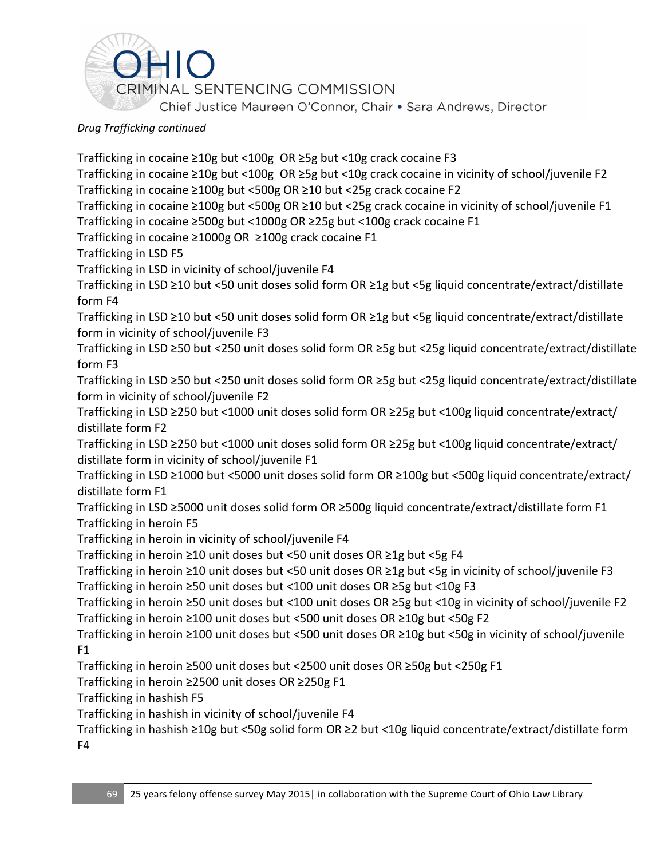

Trafficking in cocaine ≥10g but <100g OR ≥5g but <10g crack cocaine F3 Trafficking in cocaine ≥10g but <100g OR ≥5g but <10g crack cocaine in vicinity of school/juvenile F2 Trafficking in cocaine ≥100g but <500g OR ≥10 but <25g crack cocaine F2 Trafficking in cocaine ≥100g but <500g OR ≥10 but <25g crack cocaine in vicinity of school/juvenile F1 Trafficking in cocaine ≥500g but <1000g OR ≥25g but <100g crack cocaine F1 Trafficking in cocaine ≥1000g OR ≥100g crack cocaine F1 Trafficking in LSD F5 Trafficking in LSD in vicinity of school/juvenile F4 Trafficking in LSD ≥10 but <50 unit doses solid form OR ≥1g but <5g liquid concentrate/extract/distillate form F4 Trafficking in LSD ≥10 but <50 unit doses solid form OR ≥1g but <5g liquid concentrate/extract/distillate form in vicinity of school/juvenile F3 Trafficking in LSD ≥50 but <250 unit doses solid form OR ≥5g but <25g liquid concentrate/extract/distillate form F3 Trafficking in LSD ≥50 but <250 unit doses solid form OR ≥5g but <25g liquid concentrate/extract/distillate form in vicinity of school/juvenile F2 Trafficking in LSD ≥250 but <1000 unit doses solid form OR ≥25g but <100g liquid concentrate/extract/ distillate form F2 Trafficking in LSD ≥250 but <1000 unit doses solid form OR ≥25g but <100g liquid concentrate/extract/ distillate form in vicinity of school/juvenile F1 Trafficking in LSD ≥1000 but <5000 unit doses solid form OR ≥100g but <500g liquid concentrate/extract/ distillate form F1 Trafficking in LSD ≥5000 unit doses solid form OR ≥500g liquid concentrate/extract/distillate form F1 Trafficking in heroin F5 Trafficking in heroin in vicinity of school/juvenile F4 Trafficking in heroin ≥10 unit doses but <50 unit doses OR ≥1g but <5g F4 Trafficking in heroin ≥10 unit doses but <50 unit doses OR ≥1g but <5g in vicinity of school/juvenile F3 Trafficking in heroin ≥50 unit doses but <100 unit doses OR ≥5g but <10g F3 Trafficking in heroin ≥50 unit doses but <100 unit doses OR ≥5g but <10g in vicinity of school/juvenile F2 Trafficking in heroin ≥100 unit doses but <500 unit doses OR ≥10g but <50g F2 Trafficking in heroin ≥100 unit doses but <500 unit doses OR ≥10g but <50g in vicinity of school/juvenile  $F1$ Trafficking in heroin ≥500 unit doses but <2500 unit doses OR ≥50g but <250g F1 Trafficking in heroin ≥2500 unit doses OR ≥250g F1 Trafficking in hashish F5 Trafficking in hashish in vicinity of school/juvenile F4 Trafficking in hashish ≥10g but <50g solid form OR ≥2 but <10g liquid concentrate/extract/distillate form F4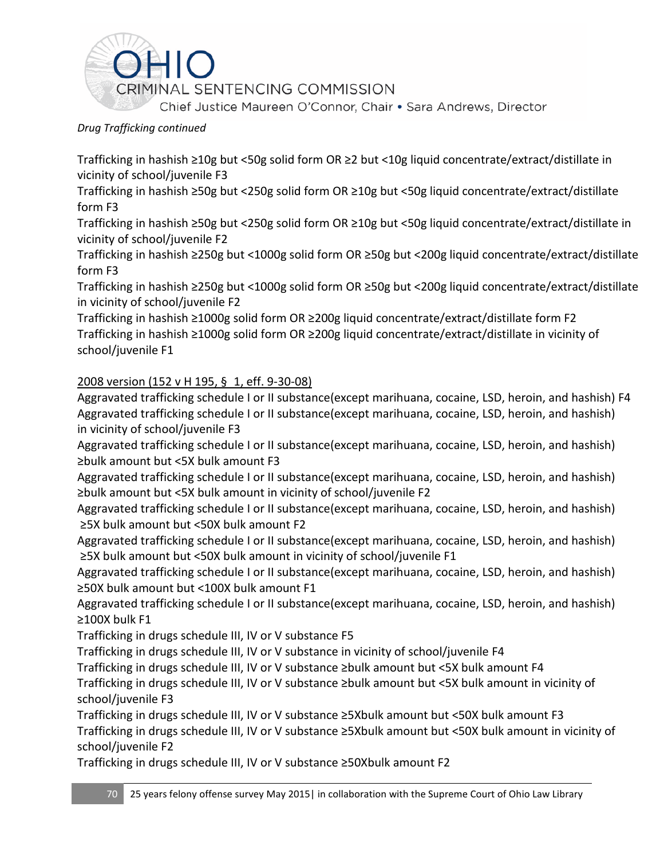

Trafficking in hashish ≥10g but <50g solid form OR ≥2 but <10g liquid concentrate/extract/distillate in vicinity of school/juvenile F3

Trafficking in hashish ≥50g but <250g solid form OR ≥10g but <50g liquid concentrate/extract/distillate form F3

Trafficking in hashish ≥50g but <250g solid form OR ≥10g but <50g liquid concentrate/extract/distillate in vicinity of school/juvenile F2

Trafficking in hashish ≥250g but <1000g solid form OR ≥50g but <200g liquid concentrate/extract/distillate form F3

Trafficking in hashish ≥250g but <1000g solid form OR ≥50g but <200g liquid concentrate/extract/distillate in vicinity of school/juvenile F2

Trafficking in hashish ≥1000g solid form OR ≥200g liquid concentrate/extract/distillate form F2 Trafficking in hashish ≥1000g solid form OR ≥200g liquid concentrate/extract/distillate in vicinity of school/juvenile F1

#### 2008 version [\(152 v H 195,](https://advance.lexis.com/search/?pdmfid=1000516&crid=73c647b7-66b6-41d3-ac88-6419da26449f&pdsearchterms=ORC+2925.03&pdstartin=hlct%3A1%3A5&pdpsf=&ecomp=Jk1fk&prid=3ba6f613-8c59-4578-99df-5079ffa194a3) § 1, eff. 9-30-08)

Aggravated trafficking schedule I or II substance(except marihuana, cocaine, LSD, heroin, and hashish) F4 Aggravated trafficking schedule I or II substance(except marihuana, cocaine, LSD, heroin, and hashish) in vicinity of school/juvenile F3

Aggravated trafficking schedule I or II substance(except marihuana, cocaine, LSD, heroin, and hashish) ≥bulk amount but <5X bulk amount F3

Aggravated trafficking schedule I or II substance(except marihuana, cocaine, LSD, heroin, and hashish) ≥bulk amount but <5X bulk amount in vicinity of school/juvenile F2

Aggravated trafficking schedule I or II substance(except marihuana, cocaine, LSD, heroin, and hashish) ≥5X bulk amount but <50X bulk amount F2

Aggravated trafficking schedule I or II substance(except marihuana, cocaine, LSD, heroin, and hashish) ≥5X bulk amount but <50X bulk amount in vicinity of school/juvenile F1

Aggravated trafficking schedule I or II substance(except marihuana, cocaine, LSD, heroin, and hashish) ≥50X bulk amount but <100X bulk amount F1

Aggravated trafficking schedule I or II substance(except marihuana, cocaine, LSD, heroin, and hashish) ≥100X bulk F1

Trafficking in drugs schedule III, IV or V substance F5

Trafficking in drugs schedule III, IV or V substance in vicinity of school/juvenile F4

Trafficking in drugs schedule III, IV or V substance ≥bulk amount but <5X bulk amount F4

Trafficking in drugs schedule III, IV or V substance ≥bulk amount but <5X bulk amount in vicinity of school/juvenile F3

Trafficking in drugs schedule III, IV or V substance ≥5Xbulk amount but <50X bulk amount F3 Trafficking in drugs schedule III, IV or V substance ≥5Xbulk amount but <50X bulk amount in vicinity of school/juvenile F2

Trafficking in drugs schedule III, IV or V substance ≥50Xbulk amount F2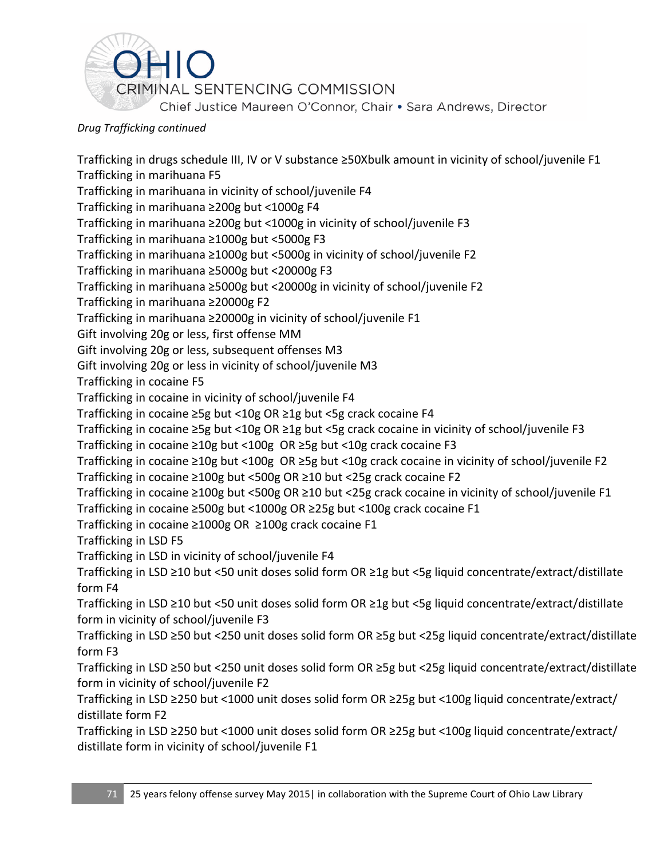

Trafficking in drugs schedule III, IV or V substance ≥50Xbulk amount in vicinity of school/juvenile F1 Trafficking in marihuana F5 Trafficking in marihuana in vicinity of school/juvenile F4 Trafficking in marihuana ≥200g but <1000g F4 Trafficking in marihuana ≥200g but <1000g in vicinity of school/juvenile F3 Trafficking in marihuana ≥1000g but <5000g F3 Trafficking in marihuana ≥1000g but <5000g in vicinity of school/juvenile F2 Trafficking in marihuana ≥5000g but <20000g F3 Trafficking in marihuana ≥5000g but <20000g in vicinity of school/juvenile F2 Trafficking in marihuana ≥20000g F2 Trafficking in marihuana ≥20000g in vicinity of school/juvenile F1 Gift involving 20g or less, first offense MM Gift involving 20g or less, subsequent offenses M3 Gift involving 20g or less in vicinity of school/juvenile M3 Trafficking in cocaine F5 Trafficking in cocaine in vicinity of school/juvenile F4 Trafficking in cocaine ≥5g but <10g OR ≥1g but <5g crack cocaine F4 Trafficking in cocaine ≥5g but <10g OR ≥1g but <5g crack cocaine in vicinity of school/juvenile F3 Trafficking in cocaine ≥10g but <100g OR ≥5g but <10g crack cocaine F3 Trafficking in cocaine ≥10g but <100g OR ≥5g but <10g crack cocaine in vicinity of school/juvenile F2 Trafficking in cocaine ≥100g but <500g OR ≥10 but <25g crack cocaine F2 Trafficking in cocaine ≥100g but <500g OR ≥10 but <25g crack cocaine in vicinity of school/juvenile F1 Trafficking in cocaine ≥500g but <1000g OR ≥25g but <100g crack cocaine F1 Trafficking in cocaine ≥1000g OR ≥100g crack cocaine F1 Trafficking in LSD F5 Trafficking in LSD in vicinity of school/juvenile F4 Trafficking in LSD ≥10 but <50 unit doses solid form OR ≥1g but <5g liquid concentrate/extract/distillate form F4 Trafficking in LSD ≥10 but <50 unit doses solid form OR ≥1g but <5g liquid concentrate/extract/distillate form in vicinity of school/juvenile F3 Trafficking in LSD ≥50 but <250 unit doses solid form OR ≥5g but <25g liquid concentrate/extract/distillate form F3 Trafficking in LSD ≥50 but <250 unit doses solid form OR ≥5g but <25g liquid concentrate/extract/distillate form in vicinity of school/juvenile F2 Trafficking in LSD ≥250 but <1000 unit doses solid form OR ≥25g but <100g liquid concentrate/extract/ distillate form F2 Trafficking in LSD ≥250 but <1000 unit doses solid form OR ≥25g but <100g liquid concentrate/extract/ distillate form in vicinity of school/juvenile F1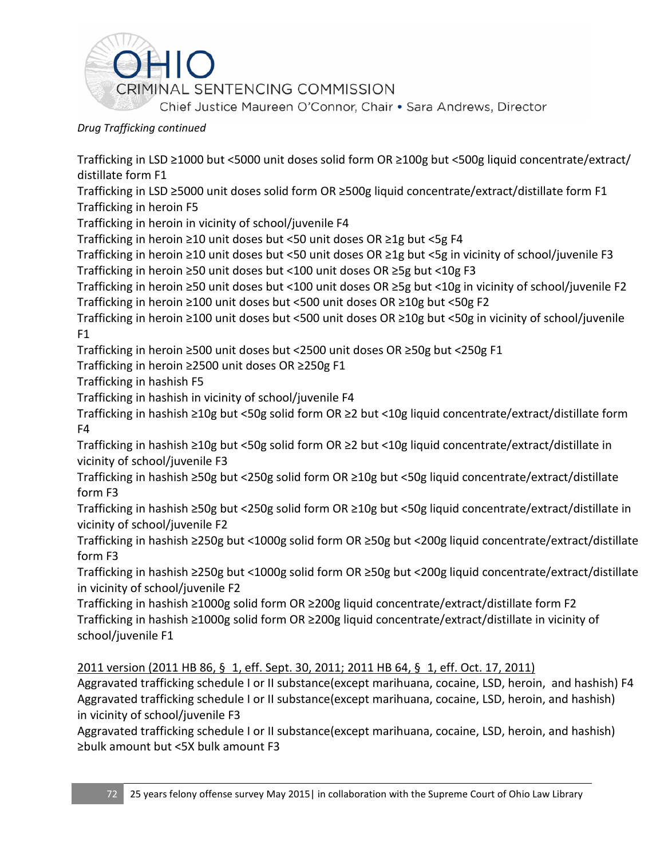

Trafficking in LSD ≥1000 but <5000 unit doses solid form OR ≥100g but <500g liquid concentrate/extract/ distillate form F1

Trafficking in LSD ≥5000 unit doses solid form OR ≥500g liquid concentrate/extract/distillate form F1 Trafficking in heroin F5

Trafficking in heroin in vicinity of school/juvenile F4

Trafficking in heroin ≥10 unit doses but <50 unit doses OR ≥1g but <5g F4

Trafficking in heroin ≥10 unit doses but <50 unit doses OR ≥1g but <5g in vicinity of school/juvenile F3 Trafficking in heroin ≥50 unit doses but <100 unit doses OR ≥5g but <10g F3

Trafficking in heroin ≥50 unit doses but <100 unit doses OR ≥5g but <10g in vicinity of school/juvenile F2 Trafficking in heroin ≥100 unit doses but <500 unit doses OR ≥10g but <50g F2

Trafficking in heroin ≥100 unit doses but <500 unit doses OR ≥10g but <50g in vicinity of school/juvenile  $F1$ 

Trafficking in heroin ≥500 unit doses but <2500 unit doses OR ≥50g but <250g F1

Trafficking in heroin ≥2500 unit doses OR ≥250g F1

Trafficking in hashish F5

Trafficking in hashish in vicinity of school/juvenile F4

Trafficking in hashish ≥10g but <50g solid form OR ≥2 but <10g liquid concentrate/extract/distillate form F4

Trafficking in hashish ≥10g but <50g solid form OR ≥2 but <10g liquid concentrate/extract/distillate in vicinity of school/juvenile F3

Trafficking in hashish ≥50g but <250g solid form OR ≥10g but <50g liquid concentrate/extract/distillate form F3

Trafficking in hashish ≥50g but <250g solid form OR ≥10g but <50g liquid concentrate/extract/distillate in vicinity of school/juvenile F2

Trafficking in hashish ≥250g but <1000g solid form OR ≥50g but <200g liquid concentrate/extract/distillate form F3

Trafficking in hashish ≥250g but <1000g solid form OR ≥50g but <200g liquid concentrate/extract/distillate in vicinity of school/juvenile F2

Trafficking in hashish ≥1000g solid form OR ≥200g liquid concentrate/extract/distillate form F2 Trafficking in hashish ≥1000g solid form OR ≥200g liquid concentrate/extract/distillate in vicinity of school/juvenile F1

2011 version (2011 HB 86, § 1, eff. Sept. 30, 2011; 2011 HB 64, § 1, eff. Oct. 17, 2011)

Aggravated trafficking schedule I or II substance(except marihuana, cocaine, LSD, heroin, and hashish) F4 Aggravated trafficking schedule I or II substance(except marihuana, cocaine, LSD, heroin, and hashish) in vicinity of school/juvenile F3

Aggravated trafficking schedule I or II substance(except marihuana, cocaine, LSD, heroin, and hashish) ≥bulk amount but <5X bulk amount F3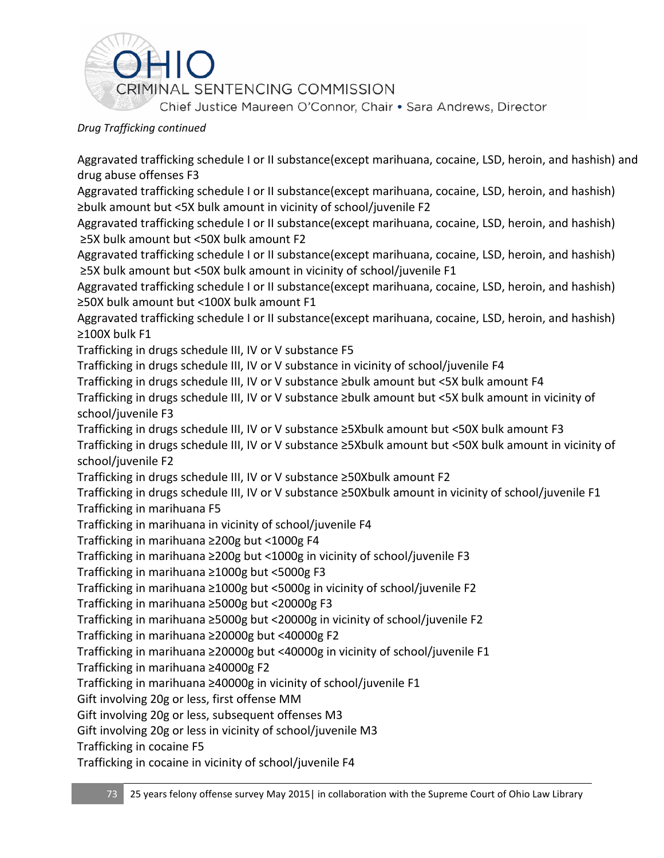

Aggravated trafficking schedule I or II substance(except marihuana, cocaine, LSD, heroin, and hashish) and drug abuse offenses F3

Aggravated trafficking schedule I or II substance(except marihuana, cocaine, LSD, heroin, and hashish) ≥bulk amount but <5X bulk amount in vicinity of school/juvenile F2

Aggravated trafficking schedule I or II substance(except marihuana, cocaine, LSD, heroin, and hashish) ≥5X bulk amount but <50X bulk amount F2

Aggravated trafficking schedule I or II substance(except marihuana, cocaine, LSD, heroin, and hashish) ≥5X bulk amount but <50X bulk amount in vicinity of school/juvenile F1

Aggravated trafficking schedule I or II substance(except marihuana, cocaine, LSD, heroin, and hashish) ≥50X bulk amount but <100X bulk amount F1

Aggravated trafficking schedule I or II substance(except marihuana, cocaine, LSD, heroin, and hashish) ≥100X bulk F1

Trafficking in drugs schedule III, IV or V substance F5

Trafficking in drugs schedule III, IV or V substance in vicinity of school/juvenile F4

Trafficking in drugs schedule III, IV or V substance ≥bulk amount but <5X bulk amount F4

Trafficking in drugs schedule III, IV or V substance ≥bulk amount but <5X bulk amount in vicinity of school/juvenile F3

Trafficking in drugs schedule III, IV or V substance ≥5Xbulk amount but <50X bulk amount F3 Trafficking in drugs schedule III, IV or V substance ≥5Xbulk amount but <50X bulk amount in vicinity of school/juvenile F2

Trafficking in drugs schedule III, IV or V substance ≥50Xbulk amount F2

Trafficking in drugs schedule III, IV or V substance ≥50Xbulk amount in vicinity of school/juvenile F1 Trafficking in marihuana F5

Trafficking in marihuana in vicinity of school/juvenile F4

Trafficking in marihuana ≥200g but <1000g F4

Trafficking in marihuana ≥200g but <1000g in vicinity of school/juvenile F3

Trafficking in marihuana ≥1000g but <5000g F3

Trafficking in marihuana ≥1000g but <5000g in vicinity of school/juvenile F2

Trafficking in marihuana ≥5000g but <20000g F3

Trafficking in marihuana ≥5000g but <20000g in vicinity of school/juvenile F2

Trafficking in marihuana ≥20000g but <40000g F2

Trafficking in marihuana ≥20000g but <40000g in vicinity of school/juvenile F1

Trafficking in marihuana ≥40000g F2

Trafficking in marihuana ≥40000g in vicinity of school/juvenile F1

Gift involving 20g or less, first offense MM

Gift involving 20g or less, subsequent offenses M3

Gift involving 20g or less in vicinity of school/juvenile M3

Trafficking in cocaine F5

Trafficking in cocaine in vicinity of school/juvenile F4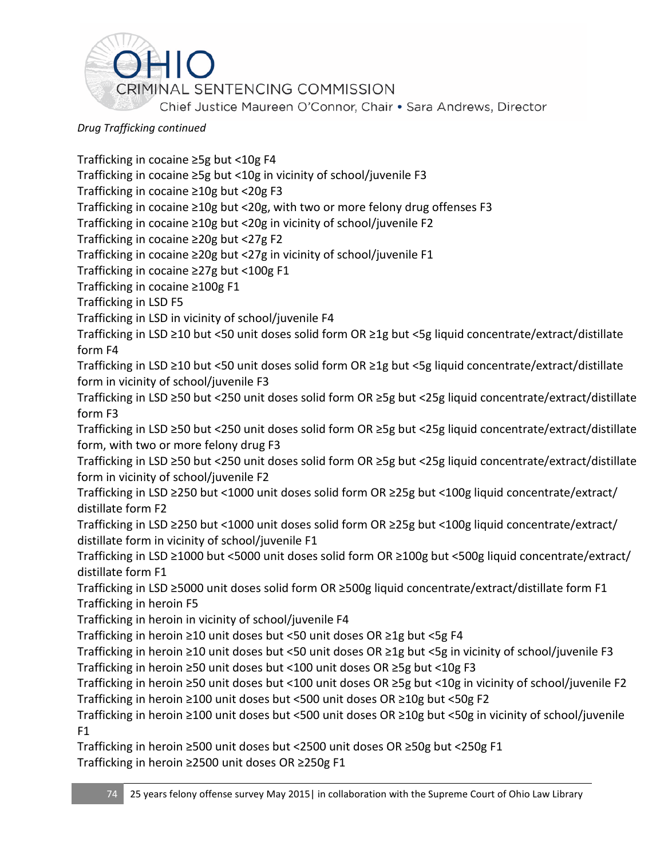

Trafficking in cocaine ≥5g but <10g F4 Trafficking in cocaine ≥5g but <10g in vicinity of school/juvenile F3 Trafficking in cocaine ≥10g but <20g F3 Trafficking in cocaine ≥10g but <20g, with two or more felony drug offenses F3 Trafficking in cocaine ≥10g but <20g in vicinity of school/juvenile F2 Trafficking in cocaine ≥20g but <27g F2 Trafficking in cocaine ≥20g but <27g in vicinity of school/juvenile F1 Trafficking in cocaine ≥27g but <100g F1 Trafficking in cocaine ≥100g F1 Trafficking in LSD F5 Trafficking in LSD in vicinity of school/juvenile F4 Trafficking in LSD ≥10 but <50 unit doses solid form OR ≥1g but <5g liquid concentrate/extract/distillate form F4 Trafficking in LSD ≥10 but <50 unit doses solid form OR ≥1g but <5g liquid concentrate/extract/distillate form in vicinity of school/juvenile F3 Trafficking in LSD ≥50 but <250 unit doses solid form OR ≥5g but <25g liquid concentrate/extract/distillate form F3 Trafficking in LSD ≥50 but <250 unit doses solid form OR ≥5g but <25g liquid concentrate/extract/distillate form, with two or more felony drug F3 Trafficking in LSD ≥50 but <250 unit doses solid form OR ≥5g but <25g liquid concentrate/extract/distillate form in vicinity of school/juvenile F2 Trafficking in LSD ≥250 but <1000 unit doses solid form OR ≥25g but <100g liquid concentrate/extract/ distillate form F2 Trafficking in LSD ≥250 but <1000 unit doses solid form OR ≥25g but <100g liquid concentrate/extract/ distillate form in vicinity of school/juvenile F1 Trafficking in LSD ≥1000 but <5000 unit doses solid form OR ≥100g but <500g liquid concentrate/extract/ distillate form F1 Trafficking in LSD ≥5000 unit doses solid form OR ≥500g liquid concentrate/extract/distillate form F1 Trafficking in heroin F5 Trafficking in heroin in vicinity of school/juvenile F4 Trafficking in heroin ≥10 unit doses but <50 unit doses OR ≥1g but <5g F4 Trafficking in heroin ≥10 unit doses but <50 unit doses OR ≥1g but <5g in vicinity of school/juvenile F3 Trafficking in heroin ≥50 unit doses but <100 unit doses OR ≥5g but <10g F3 Trafficking in heroin ≥50 unit doses but <100 unit doses OR ≥5g but <10g in vicinity of school/juvenile F2 Trafficking in heroin ≥100 unit doses but <500 unit doses OR ≥10g but <50g F2 Trafficking in heroin ≥100 unit doses but <500 unit doses OR ≥10g but <50g in vicinity of school/juvenile F1 Trafficking in heroin ≥500 unit doses but <2500 unit doses OR ≥50g but <250g F1

Trafficking in heroin ≥2500 unit doses OR ≥250g F1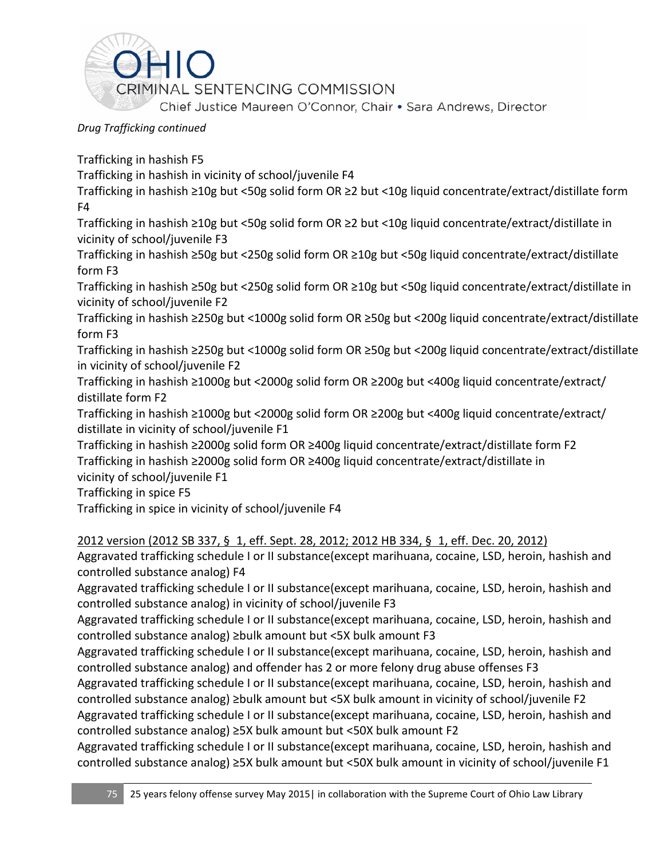

Trafficking in hashish F5

Trafficking in hashish in vicinity of school/juvenile F4

Trafficking in hashish ≥10g but <50g solid form OR ≥2 but <10g liquid concentrate/extract/distillate form F4

Trafficking in hashish ≥10g but <50g solid form OR ≥2 but <10g liquid concentrate/extract/distillate in vicinity of school/juvenile F3

Trafficking in hashish ≥50g but <250g solid form OR ≥10g but <50g liquid concentrate/extract/distillate form F3

Trafficking in hashish ≥50g but <250g solid form OR ≥10g but <50g liquid concentrate/extract/distillate in vicinity of school/juvenile F2

Trafficking in hashish ≥250g but <1000g solid form OR ≥50g but <200g liquid concentrate/extract/distillate form F3

Trafficking in hashish ≥250g but <1000g solid form OR ≥50g but <200g liquid concentrate/extract/distillate in vicinity of school/juvenile F2

Trafficking in hashish ≥1000g but <2000g solid form OR ≥200g but <400g liquid concentrate/extract/ distillate form F2

Trafficking in hashish ≥1000g but <2000g solid form OR ≥200g but <400g liquid concentrate/extract/ distillate in vicinity of school/juvenile F1

Trafficking in hashish ≥2000g solid form OR ≥400g liquid concentrate/extract/distillate form F2 Trafficking in hashish ≥2000g solid form OR ≥400g liquid concentrate/extract/distillate in vicinity of school/juvenile F1

Trafficking in spice F5

Trafficking in spice in vicinity of school/juvenile F4

2012 version (2012 SB 337, § 1, eff. Sept. 28, 2012; 2012 HB 334, § 1, eff. Dec. 20, 2012)

Aggravated trafficking schedule I or II substance(except marihuana, cocaine, LSD, heroin, hashish and controlled substance analog) F4

Aggravated trafficking schedule I or II substance(except marihuana, cocaine, LSD, heroin, hashish and controlled substance analog) in vicinity of school/juvenile F3

Aggravated trafficking schedule I or II substance(except marihuana, cocaine, LSD, heroin, hashish and controlled substance analog) ≥bulk amount but <5X bulk amount F3

Aggravated trafficking schedule I or II substance(except marihuana, cocaine, LSD, heroin, hashish and controlled substance analog) and offender has 2 or more felony drug abuse offenses F3

Aggravated trafficking schedule I or II substance(except marihuana, cocaine, LSD, heroin, hashish and controlled substance analog) ≥bulk amount but <5X bulk amount in vicinity of school/juvenile F2

Aggravated trafficking schedule I or II substance(except marihuana, cocaine, LSD, heroin, hashish and controlled substance analog) ≥5X bulk amount but <50X bulk amount F2

Aggravated trafficking schedule I or II substance(except marihuana, cocaine, LSD, heroin, hashish and controlled substance analog) ≥5X bulk amount but <50X bulk amount in vicinity of school/juvenile F1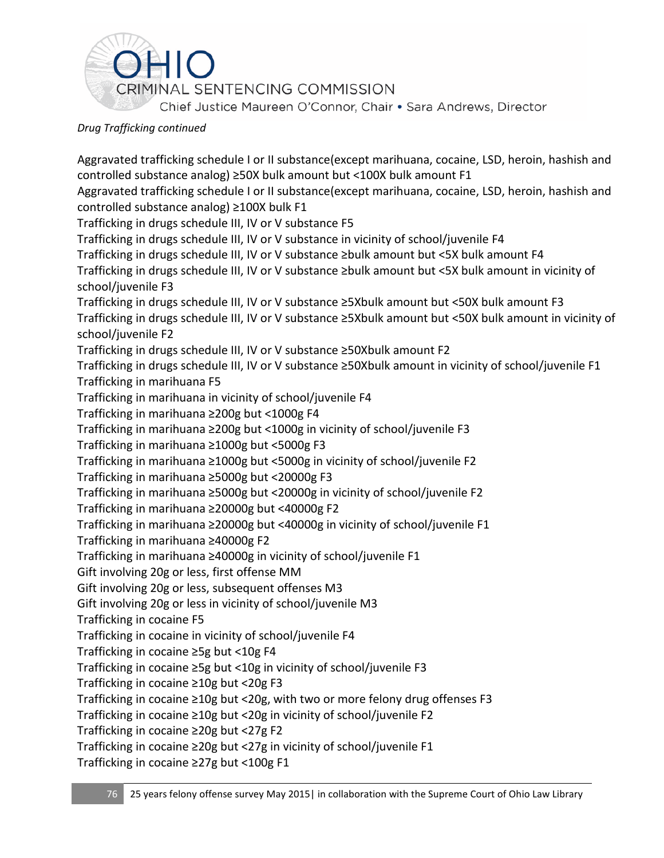

Aggravated trafficking schedule I or II substance(except marihuana, cocaine, LSD, heroin, hashish and controlled substance analog) ≥50X bulk amount but <100X bulk amount F1 Aggravated trafficking schedule I or II substance(except marihuana, cocaine, LSD, heroin, hashish and controlled substance analog) ≥100X bulk F1 Trafficking in drugs schedule III, IV or V substance F5 Trafficking in drugs schedule III, IV or V substance in vicinity of school/juvenile F4 Trafficking in drugs schedule III, IV or V substance ≥bulk amount but <5X bulk amount F4 Trafficking in drugs schedule III, IV or V substance ≥bulk amount but <5X bulk amount in vicinity of school/juvenile F3 Trafficking in drugs schedule III, IV or V substance ≥5Xbulk amount but <50X bulk amount F3 Trafficking in drugs schedule III, IV or V substance ≥5Xbulk amount but <50X bulk amount in vicinity of school/juvenile F2 Trafficking in drugs schedule III, IV or V substance ≥50Xbulk amount F2 Trafficking in drugs schedule III, IV or V substance ≥50Xbulk amount in vicinity of school/juvenile F1 Trafficking in marihuana F5 Trafficking in marihuana in vicinity of school/juvenile F4 Trafficking in marihuana ≥200g but <1000g F4 Trafficking in marihuana ≥200g but <1000g in vicinity of school/juvenile F3 Trafficking in marihuana ≥1000g but <5000g F3 Trafficking in marihuana ≥1000g but <5000g in vicinity of school/juvenile F2 Trafficking in marihuana ≥5000g but <20000g F3 Trafficking in marihuana ≥5000g but <20000g in vicinity of school/juvenile F2 Trafficking in marihuana ≥20000g but <40000g F2 Trafficking in marihuana ≥20000g but <40000g in vicinity of school/juvenile F1 Trafficking in marihuana ≥40000g F2 Trafficking in marihuana ≥40000g in vicinity of school/juvenile F1 Gift involving 20g or less, first offense MM Gift involving 20g or less, subsequent offenses M3 Gift involving 20g or less in vicinity of school/juvenile M3 Trafficking in cocaine F5 Trafficking in cocaine in vicinity of school/juvenile F4 Trafficking in cocaine ≥5g but <10g F4 Trafficking in cocaine ≥5g but <10g in vicinity of school/juvenile F3 Trafficking in cocaine ≥10g but <20g F3 Trafficking in cocaine ≥10g but <20g, with two or more felony drug offenses F3 Trafficking in cocaine ≥10g but <20g in vicinity of school/juvenile F2 Trafficking in cocaine ≥20g but <27g F2 Trafficking in cocaine ≥20g but <27g in vicinity of school/juvenile F1

Trafficking in cocaine ≥27g but <100g F1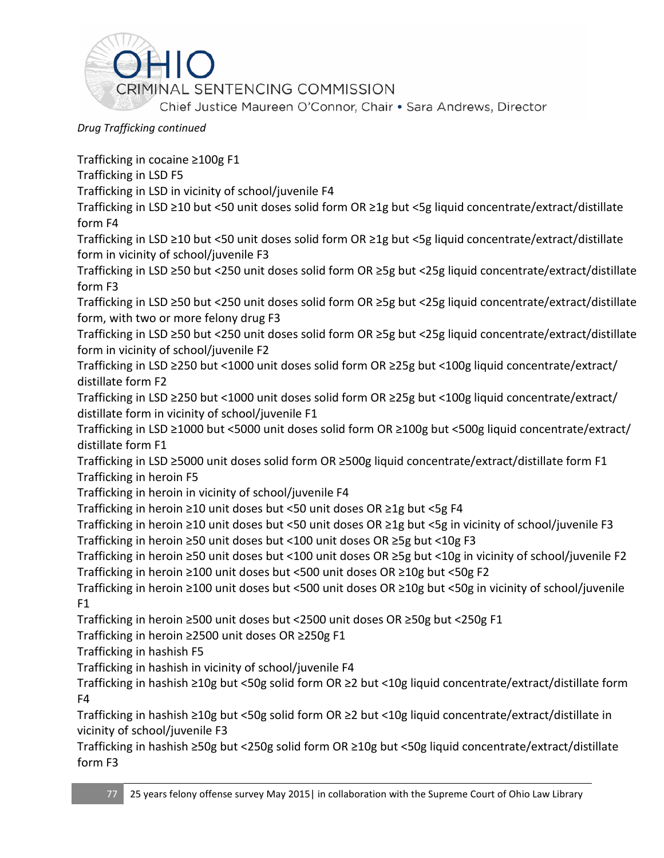

Trafficking in cocaine ≥100g F1

Trafficking in LSD F5

Trafficking in LSD in vicinity of school/juvenile F4

Trafficking in LSD ≥10 but <50 unit doses solid form OR ≥1g but <5g liquid concentrate/extract/distillate form F4

Trafficking in LSD ≥10 but <50 unit doses solid form OR ≥1g but <5g liquid concentrate/extract/distillate form in vicinity of school/juvenile F3

Trafficking in LSD ≥50 but <250 unit doses solid form OR ≥5g but <25g liquid concentrate/extract/distillate form F3

Trafficking in LSD ≥50 but <250 unit doses solid form OR ≥5g but <25g liquid concentrate/extract/distillate form, with two or more felony drug F3

Trafficking in LSD ≥50 but <250 unit doses solid form OR ≥5g but <25g liquid concentrate/extract/distillate form in vicinity of school/juvenile F2

Trafficking in LSD ≥250 but <1000 unit doses solid form OR ≥25g but <100g liquid concentrate/extract/ distillate form F2

Trafficking in LSD ≥250 but <1000 unit doses solid form OR ≥25g but <100g liquid concentrate/extract/ distillate form in vicinity of school/juvenile F1

Trafficking in LSD ≥1000 but <5000 unit doses solid form OR ≥100g but <500g liquid concentrate/extract/ distillate form F1

Trafficking in LSD ≥5000 unit doses solid form OR ≥500g liquid concentrate/extract/distillate form F1 Trafficking in heroin F5

Trafficking in heroin in vicinity of school/juvenile F4

Trafficking in heroin ≥10 unit doses but <50 unit doses OR ≥1g but <5g F4

Trafficking in heroin ≥10 unit doses but <50 unit doses OR ≥1g but <5g in vicinity of school/juvenile F3 Trafficking in heroin ≥50 unit doses but <100 unit doses OR ≥5g but <10g F3

Trafficking in heroin ≥50 unit doses but <100 unit doses OR ≥5g but <10g in vicinity of school/juvenile F2 Trafficking in heroin ≥100 unit doses but <500 unit doses OR ≥10g but <50g F2

Trafficking in heroin ≥100 unit doses but <500 unit doses OR ≥10g but <50g in vicinity of school/juvenile  $F1$ 

Trafficking in heroin ≥500 unit doses but <2500 unit doses OR ≥50g but <250g F1

Trafficking in heroin ≥2500 unit doses OR ≥250g F1

Trafficking in hashish F5

Trafficking in hashish in vicinity of school/juvenile F4

Trafficking in hashish ≥10g but <50g solid form OR ≥2 but <10g liquid concentrate/extract/distillate form F4

Trafficking in hashish ≥10g but <50g solid form OR ≥2 but <10g liquid concentrate/extract/distillate in vicinity of school/juvenile F3

Trafficking in hashish ≥50g but <250g solid form OR ≥10g but <50g liquid concentrate/extract/distillate form F3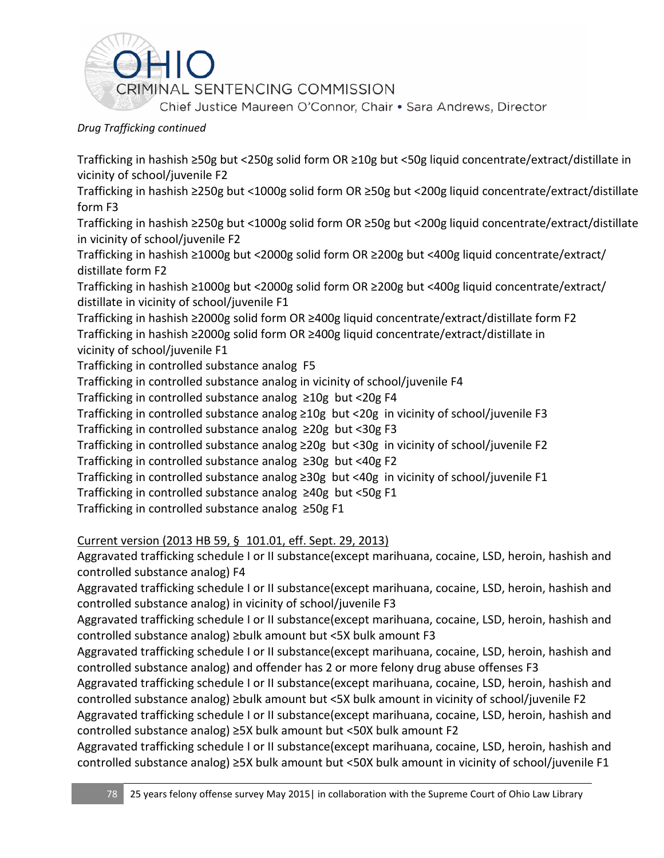

Trafficking in hashish ≥50g but <250g solid form OR ≥10g but <50g liquid concentrate/extract/distillate in vicinity of school/juvenile F2

Trafficking in hashish ≥250g but <1000g solid form OR ≥50g but <200g liquid concentrate/extract/distillate form F3

Trafficking in hashish ≥250g but <1000g solid form OR ≥50g but <200g liquid concentrate/extract/distillate in vicinity of school/juvenile F2

Trafficking in hashish ≥1000g but <2000g solid form OR ≥200g but <400g liquid concentrate/extract/ distillate form F2

Trafficking in hashish ≥1000g but <2000g solid form OR ≥200g but <400g liquid concentrate/extract/ distillate in vicinity of school/juvenile F1

Trafficking in hashish ≥2000g solid form OR ≥400g liquid concentrate/extract/distillate form F2 Trafficking in hashish ≥2000g solid form OR ≥400g liquid concentrate/extract/distillate in vicinity of school/juvenile F1

Trafficking in controlled substance analog F5

Trafficking in controlled substance analog in vicinity of school/juvenile F4

Trafficking in controlled substance analog ≥10g but <20g F4

Trafficking in controlled substance analog ≥10g but <20g in vicinity of school/juvenile F3

Trafficking in controlled substance analog ≥20g but <30g F3

Trafficking in controlled substance analog ≥20g but <30g in vicinity of school/juvenile F2

Trafficking in controlled substance analog ≥30g but <40g F2

Trafficking in controlled substance analog ≥30g but <40g in vicinity of school/juvenile F1

Trafficking in controlled substance analog ≥40g but <50g F1

Trafficking in controlled substance analog ≥50g F1

## Current version (2013 HB 59, § 101.01, eff. Sept. 29, 2013)

Aggravated trafficking schedule I or II substance(except marihuana, cocaine, LSD, heroin, hashish and controlled substance analog) F4

Aggravated trafficking schedule I or II substance(except marihuana, cocaine, LSD, heroin, hashish and controlled substance analog) in vicinity of school/juvenile F3

Aggravated trafficking schedule I or II substance(except marihuana, cocaine, LSD, heroin, hashish and controlled substance analog) ≥bulk amount but <5X bulk amount F3

Aggravated trafficking schedule I or II substance(except marihuana, cocaine, LSD, heroin, hashish and controlled substance analog) and offender has 2 or more felony drug abuse offenses F3

Aggravated trafficking schedule I or II substance(except marihuana, cocaine, LSD, heroin, hashish and controlled substance analog) ≥bulk amount but <5X bulk amount in vicinity of school/juvenile F2

Aggravated trafficking schedule I or II substance(except marihuana, cocaine, LSD, heroin, hashish and controlled substance analog) ≥5X bulk amount but <50X bulk amount F2

Aggravated trafficking schedule I or II substance(except marihuana, cocaine, LSD, heroin, hashish and controlled substance analog) ≥5X bulk amount but <50X bulk amount in vicinity of school/juvenile F1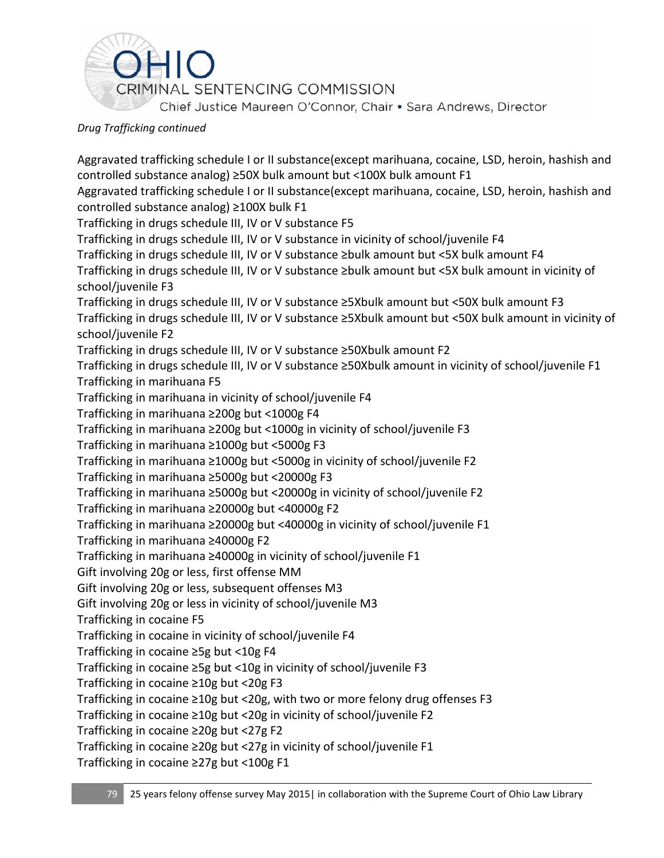

Aggravated trafficking schedule I or II substance(except marihuana, cocaine, LSD, heroin, hashish and controlled substance analog) ≥50X bulk amount but <100X bulk amount F1 Aggravated trafficking schedule I or II substance(except marihuana, cocaine, LSD, heroin, hashish and controlled substance analog) ≥100X bulk F1 Trafficking in drugs schedule III, IV or V substance F5 Trafficking in drugs schedule III, IV or V substance in vicinity of school/juvenile F4 Trafficking in drugs schedule III, IV or V substance ≥bulk amount but <5X bulk amount F4 Trafficking in drugs schedule III, IV or V substance ≥bulk amount but <5X bulk amount in vicinity of school/juvenile F3 Trafficking in drugs schedule III, IV or V substance ≥5Xbulk amount but <50X bulk amount F3 Trafficking in drugs schedule III, IV or V substance ≥5Xbulk amount but <50X bulk amount in vicinity of school/juvenile F2 Trafficking in drugs schedule III, IV or V substance ≥50Xbulk amount F2 Trafficking in drugs schedule III, IV or V substance ≥50Xbulk amount in vicinity of school/juvenile F1 Trafficking in marihuana F5 Trafficking in marihuana in vicinity of school/juvenile F4 Trafficking in marihuana ≥200g but <1000g F4 Trafficking in marihuana ≥200g but <1000g in vicinity of school/juvenile F3 Trafficking in marihuana ≥1000g but <5000g F3 Trafficking in marihuana ≥1000g but <5000g in vicinity of school/juvenile F2 Trafficking in marihuana ≥5000g but <20000g F3 Trafficking in marihuana ≥5000g but <20000g in vicinity of school/juvenile F2 Trafficking in marihuana ≥20000g but <40000g F2 Trafficking in marihuana ≥20000g but <40000g in vicinity of school/juvenile F1 Trafficking in marihuana ≥40000g F2 Trafficking in marihuana ≥40000g in vicinity of school/juvenile F1 Gift involving 20g or less, first offense MM Gift involving 20g or less, subsequent offenses M3 Gift involving 20g or less in vicinity of school/juvenile M3 Trafficking in cocaine F5 Trafficking in cocaine in vicinity of school/juvenile F4 Trafficking in cocaine ≥5g but <10g F4 Trafficking in cocaine ≥5g but <10g in vicinity of school/juvenile F3 Trafficking in cocaine ≥10g but <20g F3 Trafficking in cocaine ≥10g but <20g, with two or more felony drug offenses F3 Trafficking in cocaine ≥10g but <20g in vicinity of school/juvenile F2 Trafficking in cocaine ≥20g but <27g F2 Trafficking in cocaine ≥20g but <27g in vicinity of school/juvenile F1

Trafficking in cocaine ≥27g but <100g F1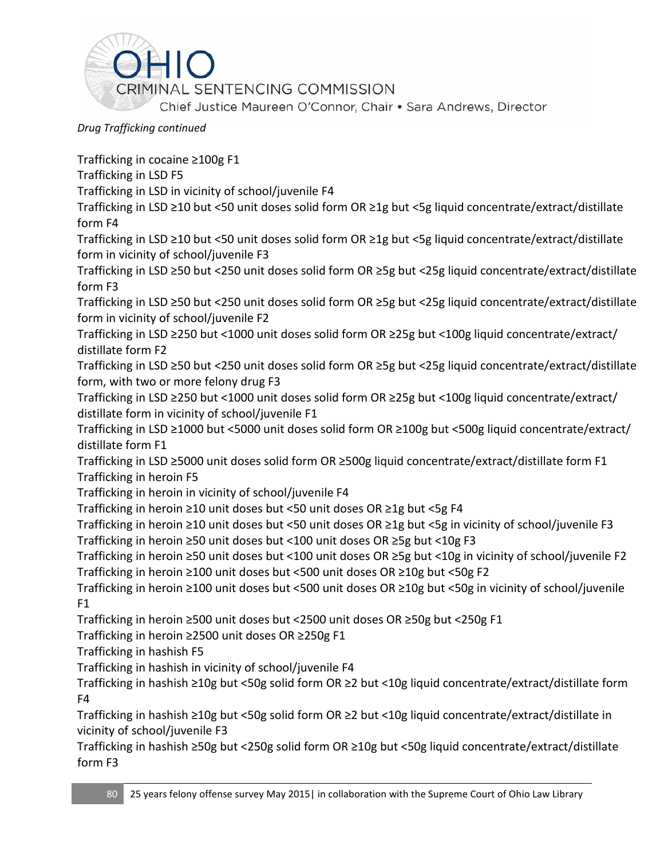

Trafficking in cocaine ≥100g F1 Trafficking in LSD F5 Trafficking in LSD in vicinity of school/juvenile F4 Trafficking in LSD ≥10 but <50 unit doses solid form OR ≥1g but <5g liquid concentrate/extract/distillate form F4 Trafficking in LSD ≥10 but <50 unit doses solid form OR ≥1g but <5g liquid concentrate/extract/distillate form in vicinity of school/juvenile F3 Trafficking in LSD ≥50 but <250 unit doses solid form OR ≥5g but <25g liquid concentrate/extract/distillate form F3 Trafficking in LSD ≥50 but <250 unit doses solid form OR ≥5g but <25g liquid concentrate/extract/distillate form in vicinity of school/juvenile F2 Trafficking in LSD ≥250 but <1000 unit doses solid form OR ≥25g but <100g liquid concentrate/extract/ distillate form F2 Trafficking in LSD ≥50 but <250 unit doses solid form OR ≥5g but <25g liquid concentrate/extract/distillate form, with two or more felony drug F3 Trafficking in LSD ≥250 but <1000 unit doses solid form OR ≥25g but <100g liquid concentrate/extract/ distillate form in vicinity of school/juvenile F1 Trafficking in LSD ≥1000 but <5000 unit doses solid form OR ≥100g but <500g liquid concentrate/extract/ distillate form F1 Trafficking in LSD ≥5000 unit doses solid form OR ≥500g liquid concentrate/extract/distillate form F1 Trafficking in heroin F5 Trafficking in heroin in vicinity of school/juvenile F4 Trafficking in heroin ≥10 unit doses but <50 unit doses OR ≥1g but <5g F4 Trafficking in heroin ≥10 unit doses but <50 unit doses OR ≥1g but <5g in vicinity of school/juvenile F3 Trafficking in heroin ≥50 unit doses but <100 unit doses OR ≥5g but <10g F3 Trafficking in heroin ≥50 unit doses but <100 unit doses OR ≥5g but <10g in vicinity of school/juvenile F2 Trafficking in heroin ≥100 unit doses but <500 unit doses OR ≥10g but <50g F2 Trafficking in heroin ≥100 unit doses but <500 unit doses OR ≥10g but <50g in vicinity of school/juvenile  $F1$ Trafficking in heroin ≥500 unit doses but <2500 unit doses OR ≥50g but <250g F1 Trafficking in heroin ≥2500 unit doses OR ≥250g F1 Trafficking in hashish F5 Trafficking in hashish in vicinity of school/juvenile F4 Trafficking in hashish ≥10g but <50g solid form OR ≥2 but <10g liquid concentrate/extract/distillate form F4 Trafficking in hashish ≥10g but <50g solid form OR ≥2 but <10g liquid concentrate/extract/distillate in vicinity of school/juvenile F3 Trafficking in hashish ≥50g but <250g solid form OR ≥10g but <50g liquid concentrate/extract/distillate form F3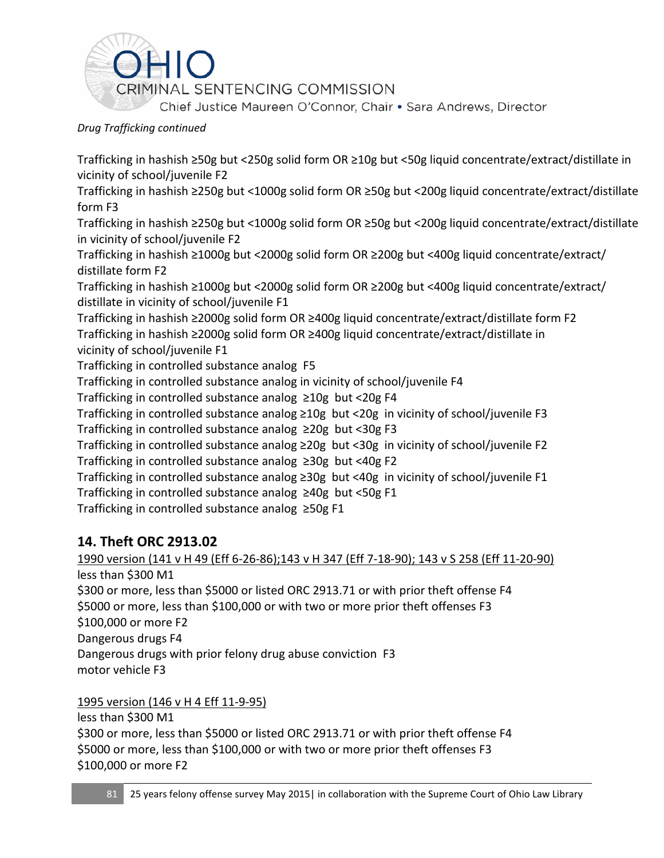

Trafficking in hashish ≥50g but <250g solid form OR ≥10g but <50g liquid concentrate/extract/distillate in vicinity of school/juvenile F2

Trafficking in hashish ≥250g but <1000g solid form OR ≥50g but <200g liquid concentrate/extract/distillate form F3

Trafficking in hashish ≥250g but <1000g solid form OR ≥50g but <200g liquid concentrate/extract/distillate in vicinity of school/juvenile F2

Trafficking in hashish ≥1000g but <2000g solid form OR ≥200g but <400g liquid concentrate/extract/ distillate form F2

Trafficking in hashish ≥1000g but <2000g solid form OR ≥200g but <400g liquid concentrate/extract/ distillate in vicinity of school/juvenile F1

Trafficking in hashish ≥2000g solid form OR ≥400g liquid concentrate/extract/distillate form F2 Trafficking in hashish ≥2000g solid form OR ≥400g liquid concentrate/extract/distillate in vicinity of school/juvenile F1

Trafficking in controlled substance analog F5

Trafficking in controlled substance analog in vicinity of school/juvenile F4

Trafficking in controlled substance analog ≥10g but <20g F4

Trafficking in controlled substance analog ≥10g but <20g in vicinity of school/juvenile F3 Trafficking in controlled substance analog ≥20g but <30g F3

Trafficking in controlled substance analog ≥20g but <30g in vicinity of school/juvenile F2 Trafficking in controlled substance analog ≥30g but <40g F2

Trafficking in controlled substance analog ≥30g but <40g in vicinity of school/juvenile F1 Trafficking in controlled substance analog ≥40g but <50g F1

Trafficking in controlled substance analog ≥50g F1

# **14. Theft ORC 2913.02**

# 1990 version (141 v H 49 (Eff 6-26-86);143 v H 347 (Eff 7-18-90); 143 v S 258 (Eff 11-20-90) less than \$300 M1

\$300 or more, less than \$5000 or listed ORC 2913.71 or with prior theft offense F4 \$5000 or more, less than \$100,000 or with two or more prior theft offenses F3 \$100,000 or more F2 Dangerous drugs F4 Dangerous drugs with prior felony drug abuse conviction F3 motor vehicle F3

1995 version (146 v H 4 Eff 11-9-95)

less than \$300 M1

\$300 or more, less than \$5000 or listed ORC 2913.71 or with prior theft offense F4 \$5000 or more, less than \$100,000 or with two or more prior theft offenses F3 \$100,000 or more F2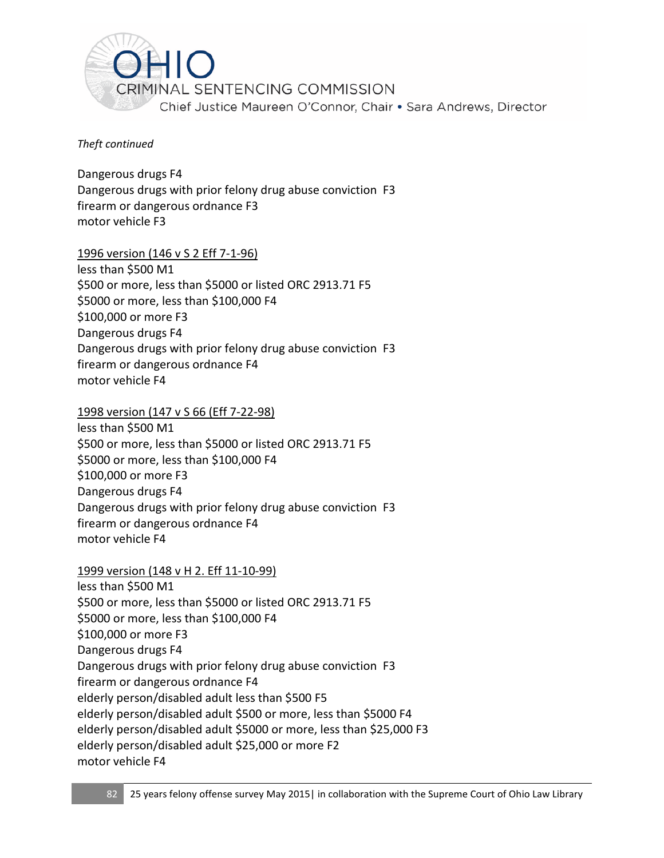

Dangerous drugs F4 Dangerous drugs with prior felony drug abuse conviction F3 firearm or dangerous ordnance F3 motor vehicle F3

1996 version (146 v S 2 Eff 7-1-96)

less than \$500 M1 \$500 or more, less than \$5000 or listed ORC 2913.71 F5 \$5000 or more, less than \$100,000 F4 \$100,000 or more F3 Dangerous drugs F4 Dangerous drugs with prior felony drug abuse conviction F3 firearm or dangerous ordnance F4 motor vehicle F4

1998 version (147 v S 66 (Eff 7-22-98)

less than \$500 M1 \$500 or more, less than \$5000 or listed ORC 2913.71 F5 \$5000 or more, less than \$100,000 F4 \$100,000 or more F3 Dangerous drugs F4 Dangerous drugs with prior felony drug abuse conviction F3 firearm or dangerous ordnance F4 motor vehicle F4

1999 version (148 v H 2. Eff 11-10-99)

less than \$500 M1 \$500 or more, less than \$5000 or listed ORC 2913.71 F5 \$5000 or more, less than \$100,000 F4 \$100,000 or more F3 Dangerous drugs F4 Dangerous drugs with prior felony drug abuse conviction F3 firearm or dangerous ordnance F4 elderly person/disabled adult less than \$500 F5 elderly person/disabled adult \$500 or more, less than \$5000 F4 elderly person/disabled adult \$5000 or more, less than \$25,000 F3 elderly person/disabled adult \$25,000 or more F2 motor vehicle F4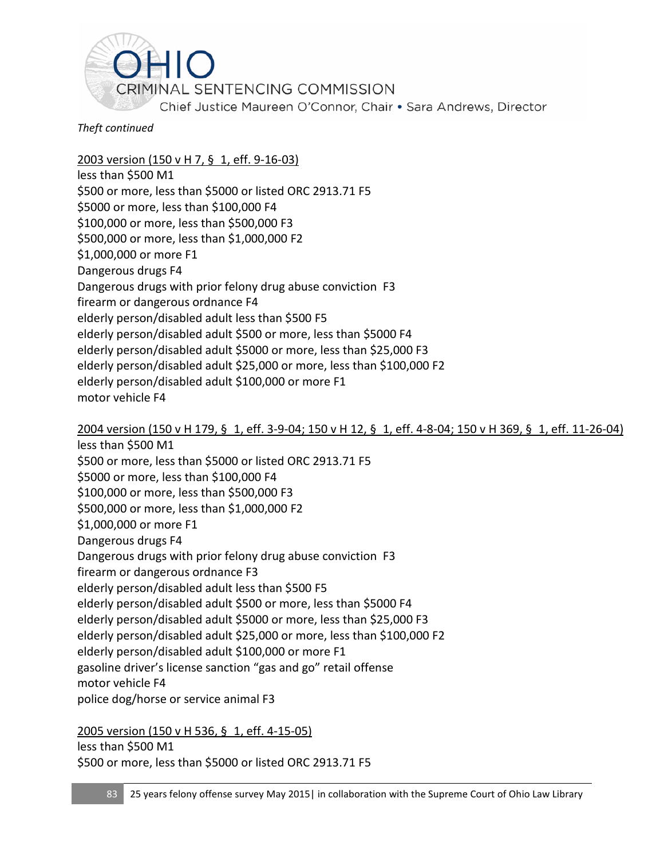

2003 version (150 v H 7, § 1, eff. 9-16-03)

less than \$500 M1 \$500 or more, less than \$5000 or listed ORC 2913.71 F5 \$5000 or more, less than \$100,000 F4 \$100,000 or more, less than \$500,000 F3 \$500,000 or more, less than \$1,000,000 F2 \$1,000,000 or more F1 Dangerous drugs F4 Dangerous drugs with prior felony drug abuse conviction F3 firearm or dangerous ordnance F4 elderly person/disabled adult less than \$500 F5 elderly person/disabled adult \$500 or more, less than \$5000 F4 elderly person/disabled adult \$5000 or more, less than \$25,000 F3 elderly person/disabled adult \$25,000 or more, less than \$100,000 F2 elderly person/disabled adult \$100,000 or more F1 motor vehicle F4

2004 version (150 v H 179, § 1, eff. 3-9-04; 150 v H 12, § 1, eff. 4-8-04; 150 v H 369, § 1, eff. 11-26-04)

less than \$500 M1 \$500 or more, less than \$5000 or listed ORC 2913.71 F5 \$5000 or more, less than \$100,000 F4 \$100,000 or more, less than \$500,000 F3 \$500,000 or more, less than \$1,000,000 F2 \$1,000,000 or more F1 Dangerous drugs F4 Dangerous drugs with prior felony drug abuse conviction F3 firearm or dangerous ordnance F3 elderly person/disabled adult less than \$500 F5 elderly person/disabled adult \$500 or more, less than \$5000 F4 elderly person/disabled adult \$5000 or more, less than \$25,000 F3 elderly person/disabled adult \$25,000 or more, less than \$100,000 F2 elderly person/disabled adult \$100,000 or more F1 gasoline driver's license sanction "gas and go" retail offense motor vehicle F4 police dog/horse or service animal F3

2005 version (150 v H 536, § 1, eff. 4-15-05) less than \$500 M1 \$500 or more, less than \$5000 or listed ORC 2913.71 F5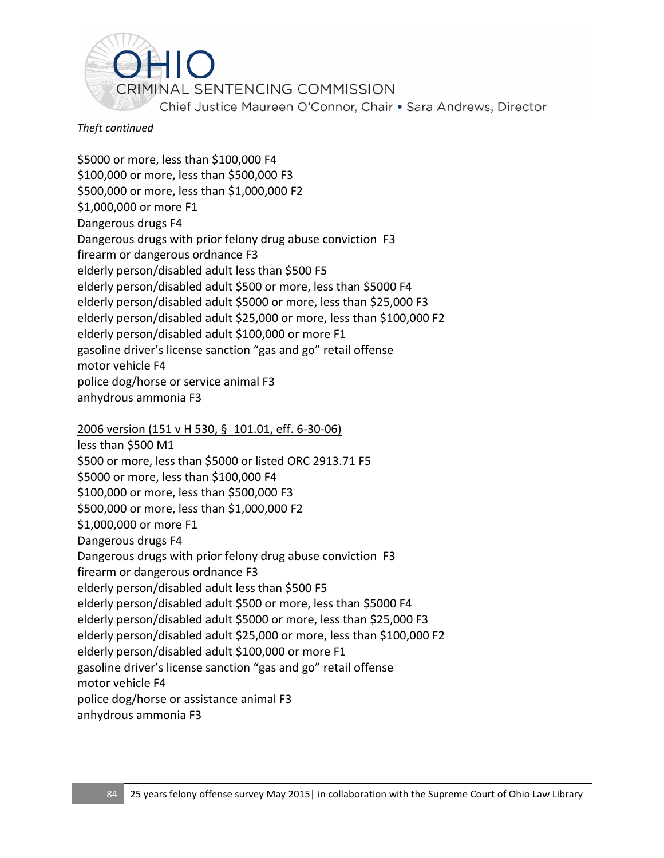

\$5000 or more, less than \$100,000 F4 \$100,000 or more, less than \$500,000 F3 \$500,000 or more, less than \$1,000,000 F2 \$1,000,000 or more F1 Dangerous drugs F4 Dangerous drugs with prior felony drug abuse conviction F3 firearm or dangerous ordnance F3 elderly person/disabled adult less than \$500 F5 elderly person/disabled adult \$500 or more, less than \$5000 F4 elderly person/disabled adult \$5000 or more, less than \$25,000 F3 elderly person/disabled adult \$25,000 or more, less than \$100,000 F2 elderly person/disabled adult \$100,000 or more F1 gasoline driver's license sanction "gas and go" retail offense motor vehicle F4 police dog/horse or service animal F3 anhydrous ammonia F3

#### 2006 version (151 v H 530, § 101.01, eff. 6-30-06)

less than \$500 M1 \$500 or more, less than \$5000 or listed ORC 2913.71 F5 \$5000 or more, less than \$100,000 F4 \$100,000 or more, less than \$500,000 F3 \$500,000 or more, less than \$1,000,000 F2 \$1,000,000 or more F1 Dangerous drugs F4 Dangerous drugs with prior felony drug abuse conviction F3 firearm or dangerous ordnance F3 elderly person/disabled adult less than \$500 F5 elderly person/disabled adult \$500 or more, less than \$5000 F4 elderly person/disabled adult \$5000 or more, less than \$25,000 F3 elderly person/disabled adult \$25,000 or more, less than \$100,000 F2 elderly person/disabled adult \$100,000 or more F1 gasoline driver's license sanction "gas and go" retail offense motor vehicle F4 police dog/horse or assistance animal F3 anhydrous ammonia F3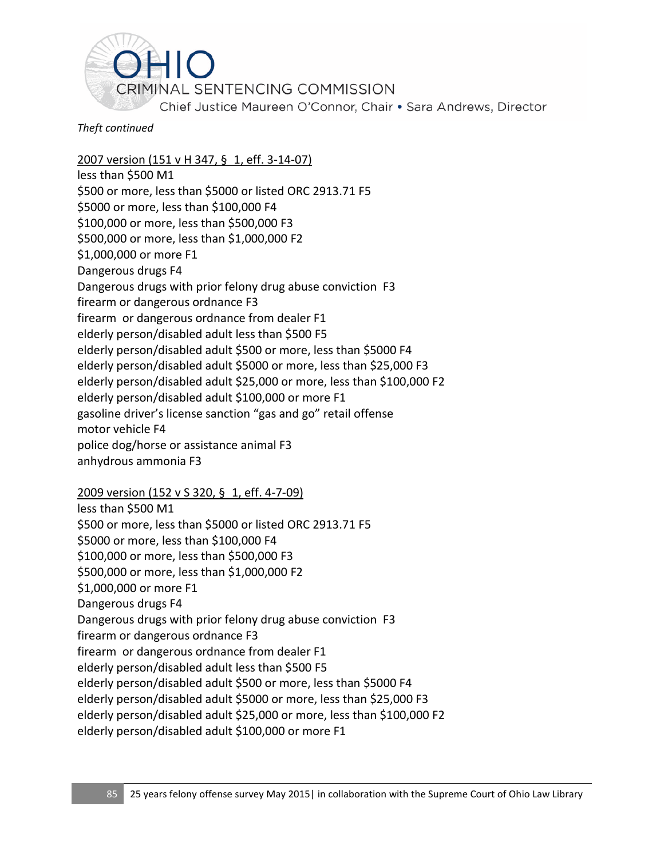

2007 version (151 v H 347, § 1, eff. 3-14-07)

less than \$500 M1 \$500 or more, less than \$5000 or listed ORC 2913.71 F5 \$5000 or more, less than \$100,000 F4 \$100,000 or more, less than \$500,000 F3 \$500,000 or more, less than \$1,000,000 F2 \$1,000,000 or more F1 Dangerous drugs F4 Dangerous drugs with prior felony drug abuse conviction F3 firearm or dangerous ordnance F3 firearm or dangerous ordnance from dealer F1 elderly person/disabled adult less than \$500 F5 elderly person/disabled adult \$500 or more, less than \$5000 F4 elderly person/disabled adult \$5000 or more, less than \$25,000 F3 elderly person/disabled adult \$25,000 or more, less than \$100,000 F2 elderly person/disabled adult \$100,000 or more F1 gasoline driver's license sanction "gas and go" retail offense motor vehicle F4 police dog/horse or assistance animal F3 anhydrous ammonia F3

#### 2009 version (152 v S 320, § 1, eff. 4-7-09)

less than \$500 M1 \$500 or more, less than \$5000 or listed ORC 2913.71 F5 \$5000 or more, less than \$100,000 F4 \$100,000 or more, less than \$500,000 F3 \$500,000 or more, less than \$1,000,000 F2 \$1,000,000 or more F1 Dangerous drugs F4 Dangerous drugs with prior felony drug abuse conviction F3 firearm or dangerous ordnance F3 firearm or dangerous ordnance from dealer F1 elderly person/disabled adult less than \$500 F5 elderly person/disabled adult \$500 or more, less than \$5000 F4 elderly person/disabled adult \$5000 or more, less than \$25,000 F3 elderly person/disabled adult \$25,000 or more, less than \$100,000 F2 elderly person/disabled adult \$100,000 or more F1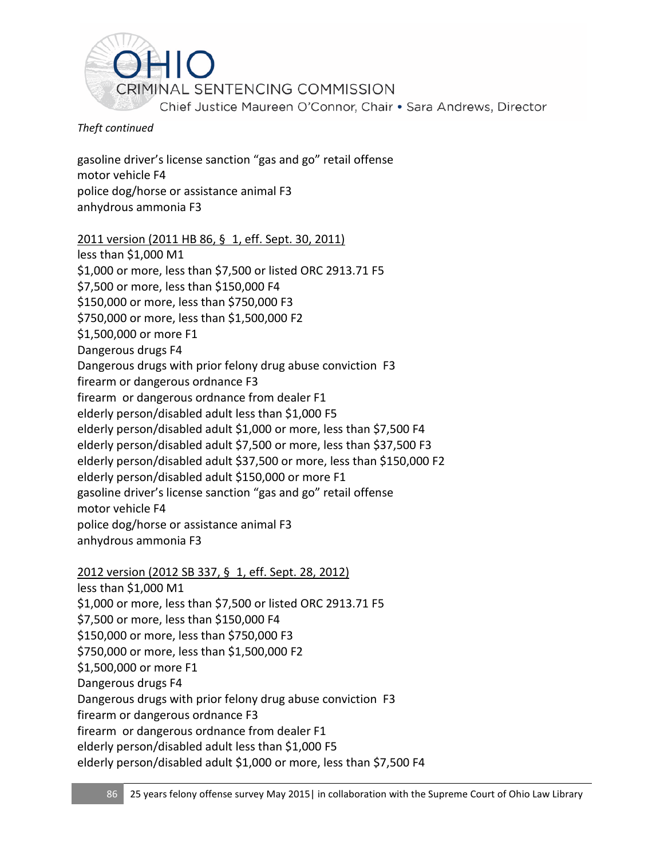

gasoline driver's license sanction "gas and go" retail offense motor vehicle F4 police dog/horse or assistance animal F3 anhydrous ammonia F3

#### 2011 version (2011 HB 86, § 1, eff. Sept. 30, 2011)

less than \$1,000 M1 \$1,000 or more, less than \$7,500 or listed ORC 2913.71 F5 \$7,500 or more, less than \$150,000 F4 \$150,000 or more, less than \$750,000 F3 \$750,000 or more, less than \$1,500,000 F2 \$1,500,000 or more F1 Dangerous drugs F4 Dangerous drugs with prior felony drug abuse conviction F3 firearm or dangerous ordnance F3 firearm or dangerous ordnance from dealer F1 elderly person/disabled adult less than \$1,000 F5 elderly person/disabled adult \$1,000 or more, less than \$7,500 F4 elderly person/disabled adult \$7,500 or more, less than \$37,500 F3 elderly person/disabled adult \$37,500 or more, less than \$150,000 F2 elderly person/disabled adult \$150,000 or more F1 gasoline driver's license sanction "gas and go" retail offense motor vehicle F4 police dog/horse or assistance animal F3 anhydrous ammonia F3

#### 2012 version (2012 SB 337, § 1, eff. Sept. 28, 2012)

less than \$1,000 M1 \$1,000 or more, less than \$7,500 or listed ORC 2913.71 F5 \$7,500 or more, less than \$150,000 F4 \$150,000 or more, less than \$750,000 F3 \$750,000 or more, less than \$1,500,000 F2 \$1,500,000 or more F1 Dangerous drugs F4 Dangerous drugs with prior felony drug abuse conviction F3 firearm or dangerous ordnance F3 firearm or dangerous ordnance from dealer F1 elderly person/disabled adult less than \$1,000 F5 elderly person/disabled adult \$1,000 or more, less than \$7,500 F4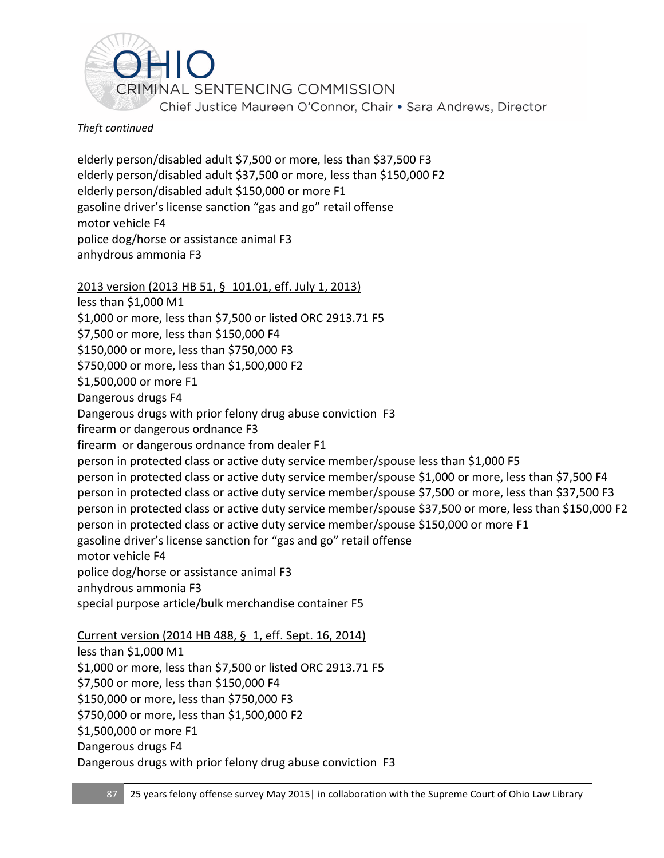

elderly person/disabled adult \$7,500 or more, less than \$37,500 F3 elderly person/disabled adult \$37,500 or more, less than \$150,000 F2 elderly person/disabled adult \$150,000 or more F1 gasoline driver's license sanction "gas and go" retail offense motor vehicle F4 police dog/horse or assistance animal F3 anhydrous ammonia F3

## 2013 version (2013 HB 51, § 101.01, eff. July 1, 2013)

less than \$1,000 M1 \$1,000 or more, less than \$7,500 or listed ORC 2913.71 F5 \$7,500 or more, less than \$150,000 F4 \$150,000 or more, less than \$750,000 F3 \$750,000 or more, less than \$1,500,000 F2 \$1,500,000 or more F1 Dangerous drugs F4 Dangerous drugs with prior felony drug abuse conviction F3 firearm or dangerous ordnance F3 firearm or dangerous ordnance from dealer F1 person in protected class or active duty service member/spouse less than \$1,000 F5 person in protected class or active duty service member/spouse \$1,000 or more, less than \$7,500 F4 person in protected class or active duty service member/spouse \$7,500 or more, less than \$37,500 F3 person in protected class or active duty service member/spouse \$37,500 or more, less than \$150,000 F2 person in protected class or active duty service member/spouse \$150,000 or more F1 gasoline driver's license sanction for "gas and go" retail offense motor vehicle F4 police dog/horse or assistance animal F3 anhydrous ammonia F3 special purpose article/bulk merchandise container F5 Current version (2014 HB 488, § 1, eff. Sept. 16, 2014) less than \$1,000 M1 \$1,000 or more, less than \$7,500 or listed ORC 2913.71 F5 \$7,500 or more, less than \$150,000 F4 \$150,000 or more, less than \$750,000 F3

\$750,000 or more, less than \$1,500,000 F2

\$1,500,000 or more F1

Dangerous drugs F4

Dangerous drugs with prior felony drug abuse conviction F3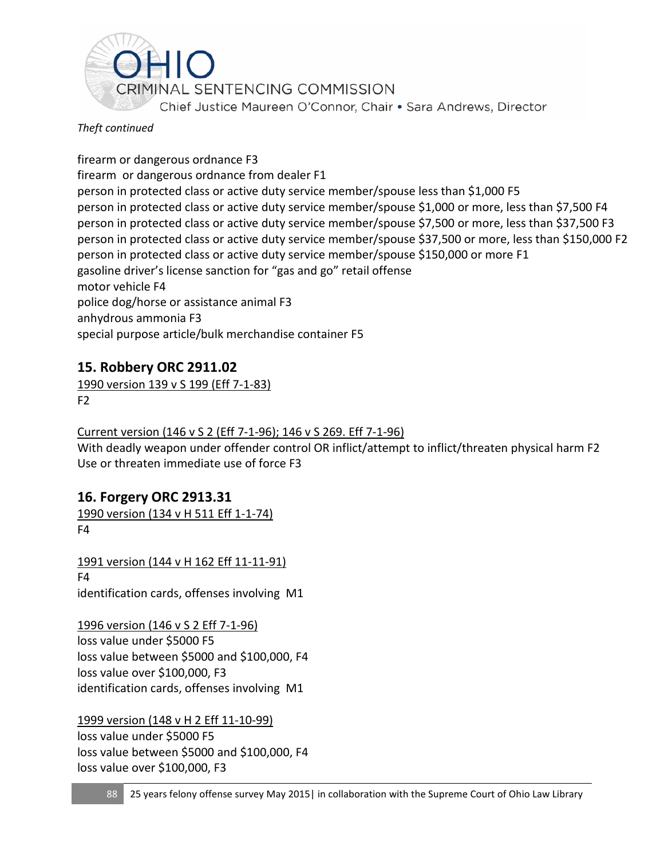

firearm or dangerous ordnance F3 firearm or dangerous ordnance from dealer F1 person in protected class or active duty service member/spouse less than \$1,000 F5 person in protected class or active duty service member/spouse \$1,000 or more, less than \$7,500 F4 person in protected class or active duty service member/spouse \$7,500 or more, less than \$37,500 F3 person in protected class or active duty service member/spouse \$37,500 or more, less than \$150,000 F2 person in protected class or active duty service member/spouse \$150,000 or more F1 gasoline driver's license sanction for "gas and go" retail offense motor vehicle F4 police dog/horse or assistance animal F3 anhydrous ammonia F3 special purpose article/bulk merchandise container F5

# **15. Robbery ORC 2911.02**

1990 version 139 v S 199 (Eff 7-1-83) F2

## Current version (146 v S 2 (Eff 7-1-96); 146 v S 269. Eff 7-1-96)

With deadly weapon under offender control OR inflict/attempt to inflict/threaten physical harm F2 Use or threaten immediate use of force F3

# **16. Forgery ORC 2913.31**

1990 version (134 v H 511 Eff 1-1-74) F4

1991 version (144 v H 162 Eff 11-11-91) F4 identification cards, offenses involving M1

1996 version (146 v S 2 Eff 7-1-96) loss value under \$5000 F5 loss value between \$5000 and \$100,000, F4 loss value over \$100,000, F3 identification cards, offenses involving M1

1999 version (148 v H 2 Eff 11-10-99) loss value under \$5000 F5 loss value between \$5000 and \$100,000, F4 loss value over \$100,000, F3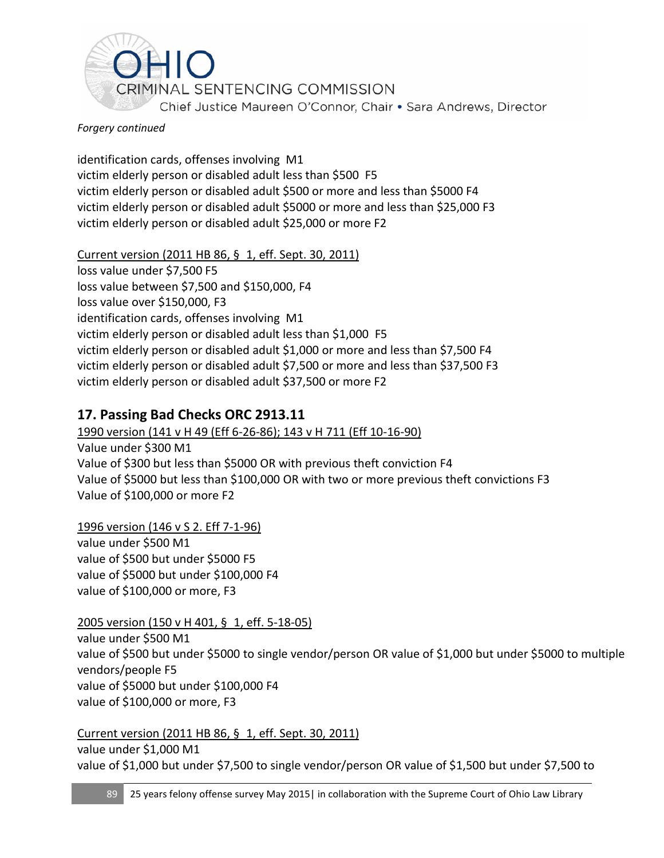

#### *Forgery continued*

identification cards, offenses involving M1 victim elderly person or disabled adult less than \$500 F5 victim elderly person or disabled adult \$500 or more and less than \$5000 F4 victim elderly person or disabled adult \$5000 or more and less than \$25,000 F3 victim elderly person or disabled adult \$25,000 or more F2

Current version (2011 HB 86, § 1, eff. Sept. 30, 2011) loss value under \$7,500 F5 loss value between \$7,500 and \$150,000, F4 loss value over \$150,000, F3 identification cards, offenses involving M1 victim elderly person or disabled adult less than \$1,000 F5 victim elderly person or disabled adult \$1,000 or more and less than \$7,500 F4 victim elderly person or disabled adult \$7,500 or more and less than \$37,500 F3 victim elderly person or disabled adult \$37,500 or more F2

# **17. Passing Bad Checks ORC 2913.11**

1990 version (141 v H 49 (Eff 6-26-86); 143 v H 711 (Eff 10-16-90) Value under \$300 M1 Value of \$300 but less than \$5000 OR with previous theft conviction F4 Value of \$5000 but less than \$100,000 OR with two or more previous theft convictions F3 Value of \$100,000 or more F2

1996 version (146 v S 2. Eff 7-1-96) value under \$500 M1 value of \$500 but under \$5000 F5 value of \$5000 but under \$100,000 F4 value of \$100,000 or more, F3

## 2005 version (150 v H 401, § 1, eff. 5-18-05)

value under \$500 M1 value of \$500 but under \$5000 to single vendor/person OR value of \$1,000 but under \$5000 to multiple vendors/people F5 value of \$5000 but under \$100,000 F4 value of \$100,000 or more, F3

## Current version (2011 HB 86, § 1, eff. Sept. 30, 2011)

value under \$1,000 M1 value of \$1,000 but under \$7,500 to single vendor/person OR value of \$1,500 but under \$7,500 to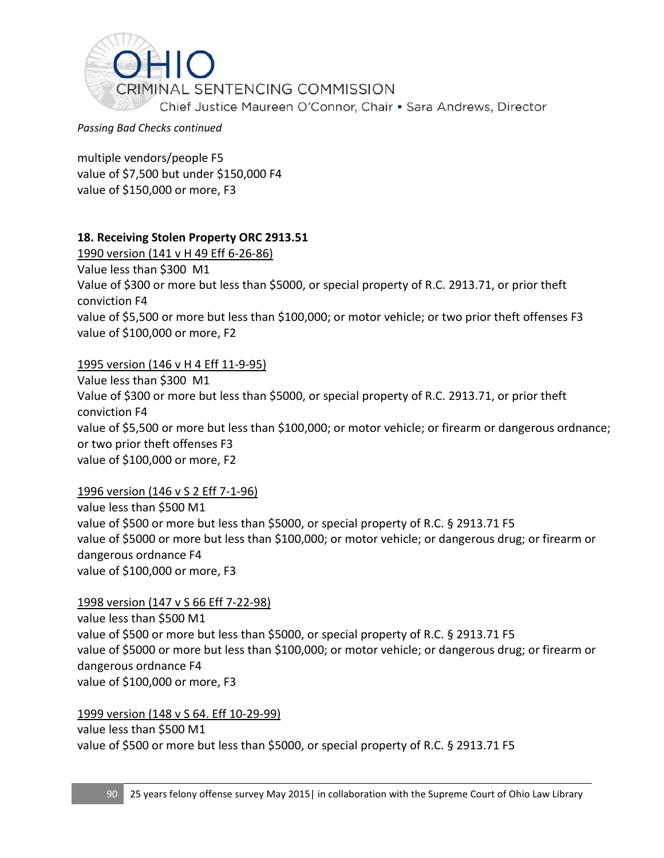

*Passing Bad Checks continued*

multiple vendors/people F5 value of \$7,500 but under \$150,000 F4 value of \$150,000 or more, F3

## **18. Receiving Stolen Property ORC 2913.51**

1990 version (141 v H 49 Eff 6-26-86)

Value less than \$300 M1

Value of \$300 or more but less than \$5000, or special property of R.C. 2913.71, or prior theft conviction F4 value of \$5,500 or more but less than \$100,000; or motor vehicle; or two prior theft offenses F3 value of \$100,000 or more, F2

#### 1995 version (146 v H 4 Eff 11-9-95)

Value less than \$300 M1 Value of \$300 or more but less than \$5000, or special property of R.C. 2913.71, or prior theft conviction F4 value of \$5,500 or more but less than \$100,000; or motor vehicle; or firearm or dangerous ordnance; or two prior theft offenses F3 value of \$100,000 or more, F2

#### 1996 version (146 v S 2 Eff 7-1-96)

value less than \$500 M1 value of \$500 or more but less than \$5000, or special property of R.C. § 2913.71 F5 value of \$5000 or more but less than \$100,000; or motor vehicle; or dangerous drug; or firearm or dangerous ordnance F4 value of \$100,000 or more, F3

#### 1998 version (147 v S 66 Eff 7-22-98)

value less than \$500 M1 value of \$500 or more but less than \$5000, or special property of R.C. § 2913.71 F5 value of \$5000 or more but less than \$100,000; or motor vehicle; or dangerous drug; or firearm or dangerous ordnance F4 value of \$100,000 or more, F3

#### 1999 version (148 v S 64. Eff 10-29-99)

value less than \$500 M1 value of \$500 or more but less than \$5000, or special property of R.C. § 2913.71 F5